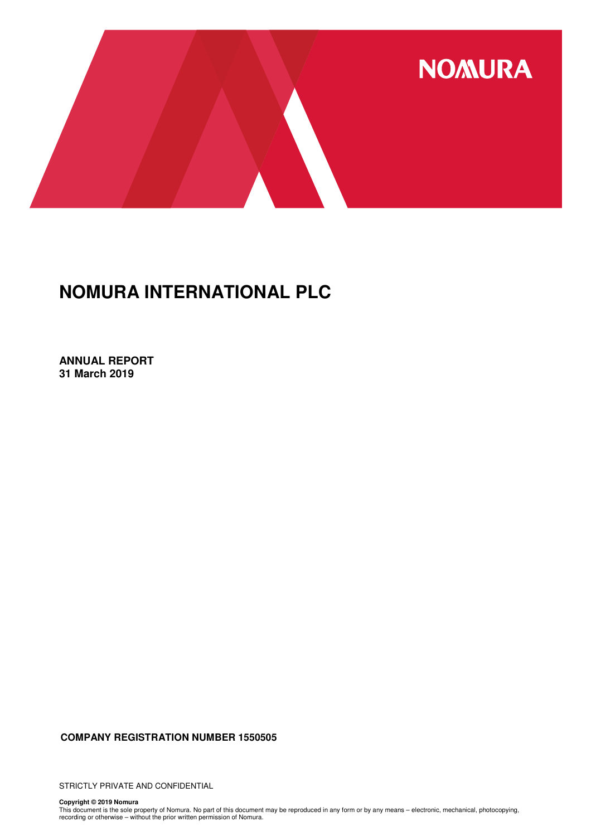

**ANNUAL REPORT 31 March 2019**

**COMPANY REGISTRATION NUMBER 1550505** 

STRICTLY PRIVATE AND CONFIDENTIAL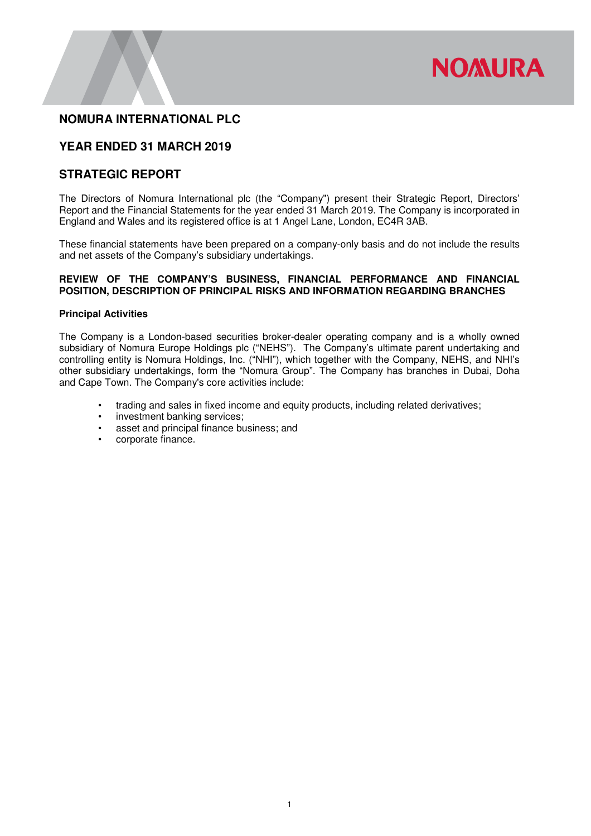

## **YEAR ENDED 31 MARCH 2019**

## **STRATEGIC REPORT**

The Directors of Nomura International plc (the "Company") present their Strategic Report, Directors' Report and the Financial Statements for the year ended 31 March 2019. The Company is incorporated in England and Wales and its registered office is at 1 Angel Lane, London, EC4R 3AB.

These financial statements have been prepared on a company-only basis and do not include the results and net assets of the Company's subsidiary undertakings.

#### **REVIEW OF THE COMPANY'S BUSINESS, FINANCIAL PERFORMANCE AND FINANCIAL POSITION, DESCRIPTION OF PRINCIPAL RISKS AND INFORMATION REGARDING BRANCHES**

#### **Principal Activities**

The Company is a London-based securities broker-dealer operating company and is a wholly owned subsidiary of Nomura Europe Holdings plc ("NEHS"). The Company's ultimate parent undertaking and controlling entity is Nomura Holdings, Inc. ("NHI"), which together with the Company, NEHS, and NHI's other subsidiary undertakings, form the "Nomura Group". The Company has branches in Dubai, Doha and Cape Town. The Company's core activities include:

- trading and sales in fixed income and equity products, including related derivatives;
- investment banking services;
- asset and principal finance business; and
- corporate finance.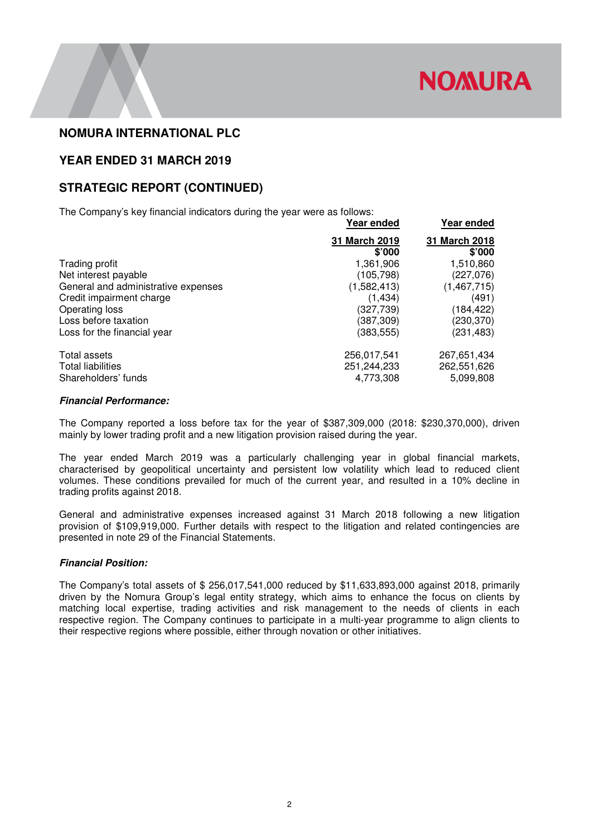## **NOMURA INTERNATIONAL PLC**

## **YEAR ENDED 31 MARCH 2019**

## **STRATEGIC REPORT (CONTINUED)**

The Company's key financial indicators during the year were as follows:

|                                     | Year ended           | Year ended    |
|-------------------------------------|----------------------|---------------|
|                                     | <b>31 March 2019</b> | 31 March 2018 |
|                                     | \$'000               | \$'000        |
| Trading profit                      | 1,361,906            | 1,510,860     |
| Net interest payable                | (105,798)            | (227,076)     |
| General and administrative expenses | (1,582,413)          | (1,467,715)   |
| Credit impairment charge            | (1,434)              | (491)         |
| Operating loss                      | (327,739)            | (184, 422)    |
| Loss before taxation                | (387, 309)           | (230, 370)    |
| Loss for the financial year         | (383.555)            | (231, 483)    |
| Total assets                        | 256,017,541          | 267,651,434   |
| <b>Total liabilities</b>            | 251,244,233          | 262,551,626   |
| Shareholders' funds                 | 4.773.308            | 5.099.808     |

#### *Financial Performance:*

The Company reported a loss before tax for the year of \$387,309,000 (2018: \$230,370,000), driven mainly by lower trading profit and a new litigation provision raised during the year.

The year ended March 2019 was a particularly challenging year in global financial markets, characterised by geopolitical uncertainty and persistent low volatility which lead to reduced client volumes. These conditions prevailed for much of the current year, and resulted in a 10% decline in trading profits against 2018.

General and administrative expenses increased against 31 March 2018 following a new litigation provision of \$109,919,000. Further details with respect to the litigation and related contingencies are presented in note 29 of the Financial Statements.

#### *Financial Position:*

The Company's total assets of \$ 256,017,541,000 reduced by \$11,633,893,000 against 2018, primarily driven by the Nomura Group's legal entity strategy, which aims to enhance the focus on clients by matching local expertise, trading activities and risk management to the needs of clients in each respective region. The Company continues to participate in a multi-year programme to align clients to their respective regions where possible, either through novation or other initiatives.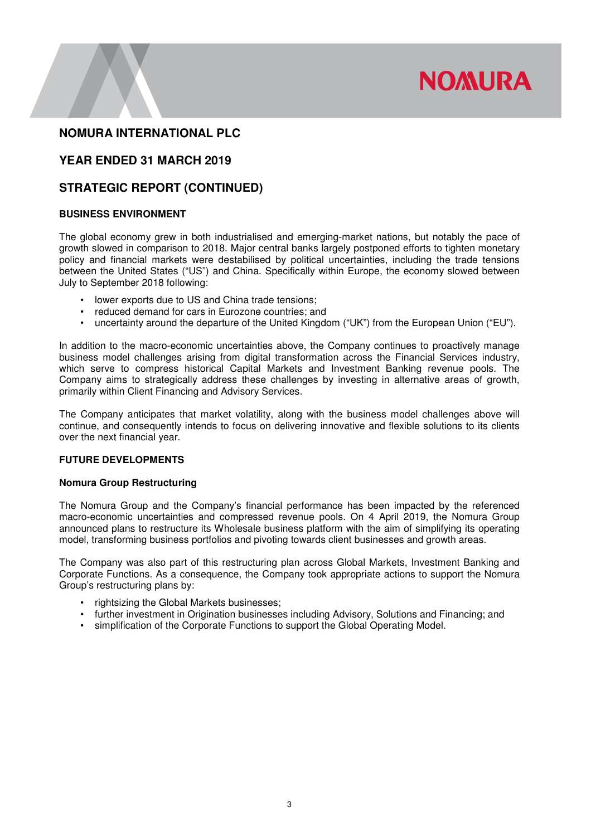## **NOMURA INTERNATIONAL PLC**

## **YEAR ENDED 31 MARCH 2019**

## **STRATEGIC REPORT (CONTINUED)**

## **BUSINESS ENVIRONMENT**

The global economy grew in both industrialised and emerging-market nations, but notably the pace of growth slowed in comparison to 2018. Major central banks largely postponed efforts to tighten monetary policy and financial markets were destabilised by political uncertainties, including the trade tensions between the United States ("US") and China. Specifically within Europe, the economy slowed between July to September 2018 following:

- lower exports due to US and China trade tensions;
- reduced demand for cars in Eurozone countries; and
- uncertainty around the departure of the United Kingdom ("UK") from the European Union ("EU").

In addition to the macro-economic uncertainties above, the Company continues to proactively manage business model challenges arising from digital transformation across the Financial Services industry, which serve to compress historical Capital Markets and Investment Banking revenue pools. The Company aims to strategically address these challenges by investing in alternative areas of growth, primarily within Client Financing and Advisory Services.

The Company anticipates that market volatility, along with the business model challenges above will continue, and consequently intends to focus on delivering innovative and flexible solutions to its clients over the next financial year.

#### **FUTURE DEVELOPMENTS**

#### **Nomura Group Restructuring**

The Nomura Group and the Company's financial performance has been impacted by the referenced macro-economic uncertainties and compressed revenue pools. On 4 April 2019, the Nomura Group announced plans to restructure its Wholesale business platform with the aim of simplifying its operating model, transforming business portfolios and pivoting towards client businesses and growth areas.

The Company was also part of this restructuring plan across Global Markets, Investment Banking and Corporate Functions. As a consequence, the Company took appropriate actions to support the Nomura Group's restructuring plans by:

- rightsizing the Global Markets businesses;
- further investment in Origination businesses including Advisory, Solutions and Financing; and
- simplification of the Corporate Functions to support the Global Operating Model.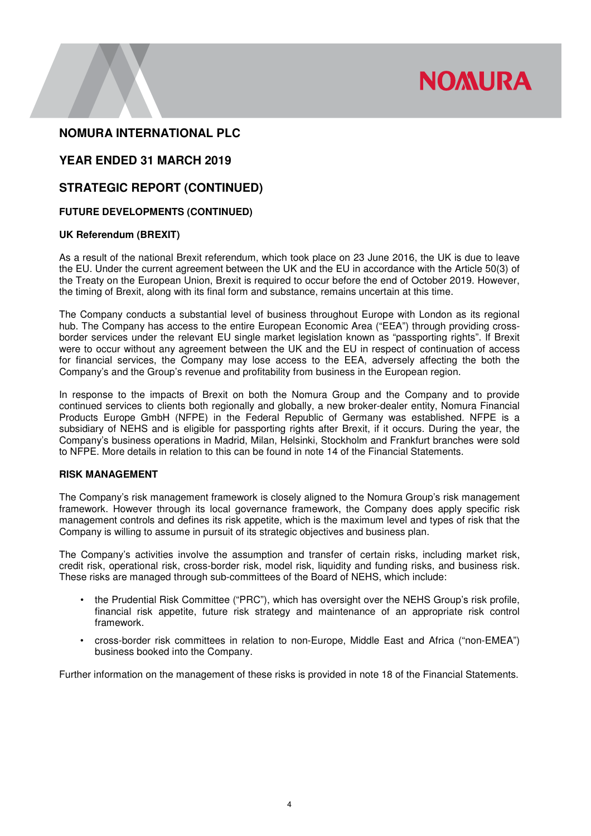## **NOMURA INTERNATIONAL PLC**

## **YEAR ENDED 31 MARCH 2019**

## **STRATEGIC REPORT (CONTINUED)**

## **FUTURE DEVELOPMENTS (CONTINUED)**

## **UK Referendum (BREXIT)**

As a result of the national Brexit referendum, which took place on 23 June 2016, the UK is due to leave the EU. Under the current agreement between the UK and the EU in accordance with the Article 50(3) of the Treaty on the European Union, Brexit is required to occur before the end of October 2019. However, the timing of Brexit, along with its final form and substance, remains uncertain at this time.

The Company conducts a substantial level of business throughout Europe with London as its regional hub. The Company has access to the entire European Economic Area ("EEA") through providing crossborder services under the relevant EU single market legislation known as "passporting rights". If Brexit were to occur without any agreement between the UK and the EU in respect of continuation of access for financial services, the Company may lose access to the EEA, adversely affecting the both the Company's and the Group's revenue and profitability from business in the European region.

In response to the impacts of Brexit on both the Nomura Group and the Company and to provide continued services to clients both regionally and globally, a new broker-dealer entity, Nomura Financial Products Europe GmbH (NFPE) in the Federal Republic of Germany was established. NFPE is a subsidiary of NEHS and is eligible for passporting rights after Brexit, if it occurs. During the year, the Company's business operations in Madrid, Milan, Helsinki, Stockholm and Frankfurt branches were sold to NFPE. More details in relation to this can be found in note 14 of the Financial Statements.

## **RISK MANAGEMENT**

The Company's risk management framework is closely aligned to the Nomura Group's risk management framework. However through its local governance framework, the Company does apply specific risk management controls and defines its risk appetite, which is the maximum level and types of risk that the Company is willing to assume in pursuit of its strategic objectives and business plan.

The Company's activities involve the assumption and transfer of certain risks, including market risk, credit risk, operational risk, cross-border risk, model risk, liquidity and funding risks, and business risk. These risks are managed through sub-committees of the Board of NEHS, which include:

- the Prudential Risk Committee ("PRC"), which has oversight over the NEHS Group's risk profile, financial risk appetite, future risk strategy and maintenance of an appropriate risk control framework.
- cross-border risk committees in relation to non-Europe, Middle East and Africa ("non-EMEA") business booked into the Company.

Further information on the management of these risks is provided in note 18 of the Financial Statements.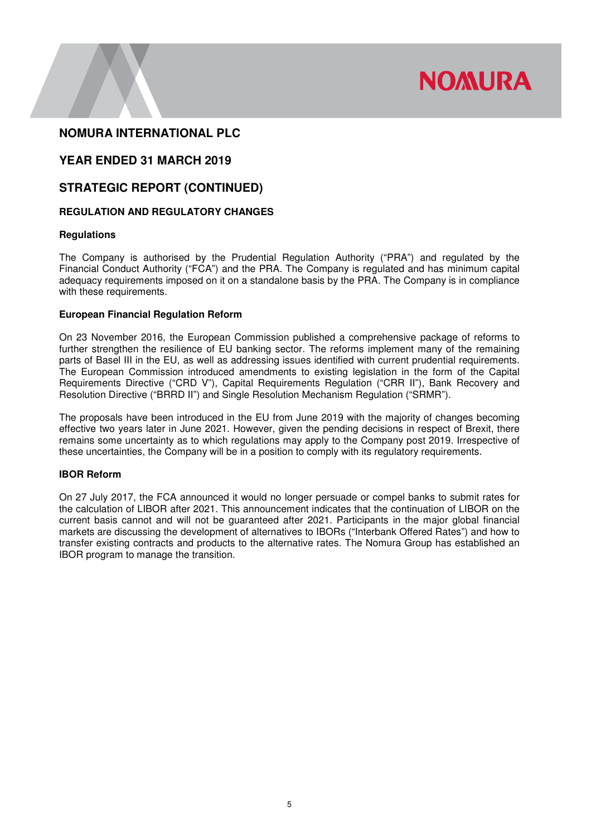## **YEAR ENDED 31 MARCH 2019**

## **STRATEGIC REPORT (CONTINUED)**

## **REGULATION AND REGULATORY CHANGES**

## **Regulations**

The Company is authorised by the Prudential Regulation Authority ("PRA") and regulated by the Financial Conduct Authority ("FCA") and the PRA. The Company is regulated and has minimum capital adequacy requirements imposed on it on a standalone basis by the PRA. The Company is in compliance with these requirements.

**NOMURA** 

#### **European Financial Regulation Reform**

On 23 November 2016, the European Commission published a comprehensive package of reforms to further strengthen the resilience of EU banking sector. The reforms implement many of the remaining parts of Basel III in the EU, as well as addressing issues identified with current prudential requirements. The European Commission introduced amendments to existing legislation in the form of the Capital Requirements Directive ("CRD V"), Capital Requirements Regulation ("CRR II"), Bank Recovery and Resolution Directive ("BRRD II") and Single Resolution Mechanism Regulation ("SRMR").

The proposals have been introduced in the EU from June 2019 with the majority of changes becoming effective two years later in June 2021. However, given the pending decisions in respect of Brexit, there remains some uncertainty as to which regulations may apply to the Company post 2019. Irrespective of these uncertainties, the Company will be in a position to comply with its regulatory requirements.

## **IBOR Reform**

On 27 July 2017, the FCA announced it would no longer persuade or compel banks to submit rates for the calculation of LIBOR after 2021. This announcement indicates that the continuation of LIBOR on the current basis cannot and will not be guaranteed after 2021. Participants in the major global financial markets are discussing the development of alternatives to IBORs ("Interbank Offered Rates") and how to transfer existing contracts and products to the alternative rates. The Nomura Group has established an IBOR program to manage the transition.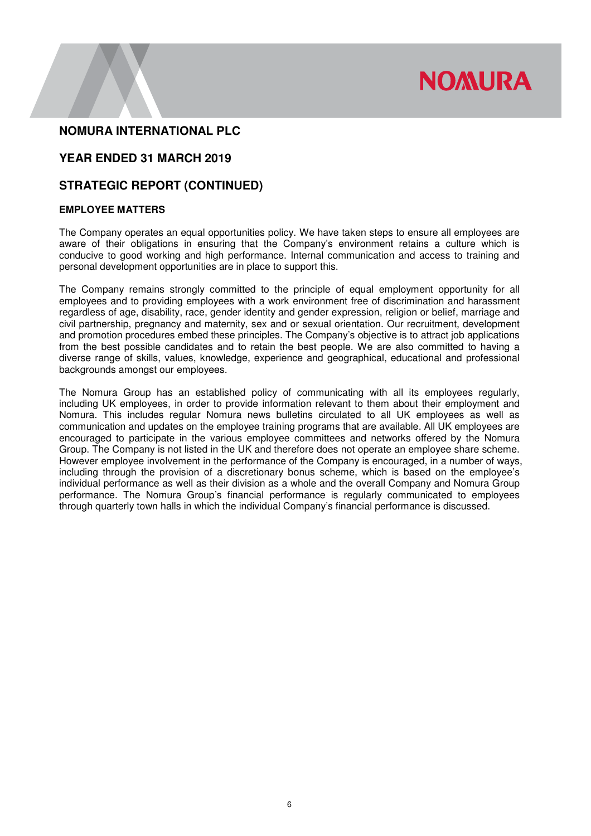## **NOMURA INTERNATIONAL PLC**

## **YEAR ENDED 31 MARCH 2019**

## **STRATEGIC REPORT (CONTINUED)**

## **EMPLOYEE MATTERS**

The Company operates an equal opportunities policy. We have taken steps to ensure all employees are aware of their obligations in ensuring that the Company's environment retains a culture which is conducive to good working and high performance. Internal communication and access to training and personal development opportunities are in place to support this.

The Company remains strongly committed to the principle of equal employment opportunity for all employees and to providing employees with a work environment free of discrimination and harassment regardless of age, disability, race, gender identity and gender expression, religion or belief, marriage and civil partnership, pregnancy and maternity, sex and or sexual orientation. Our recruitment, development and promotion procedures embed these principles. The Company's objective is to attract job applications from the best possible candidates and to retain the best people. We are also committed to having a diverse range of skills, values, knowledge, experience and geographical, educational and professional backgrounds amongst our employees.

The Nomura Group has an established policy of communicating with all its employees regularly, including UK employees, in order to provide information relevant to them about their employment and Nomura. This includes regular Nomura news bulletins circulated to all UK employees as well as communication and updates on the employee training programs that are available. All UK employees are encouraged to participate in the various employee committees and networks offered by the Nomura Group. The Company is not listed in the UK and therefore does not operate an employee share scheme. However employee involvement in the performance of the Company is encouraged, in a number of ways, including through the provision of a discretionary bonus scheme, which is based on the employee's individual performance as well as their division as a whole and the overall Company and Nomura Group performance. The Nomura Group's financial performance is regularly communicated to employees through quarterly town halls in which the individual Company's financial performance is discussed.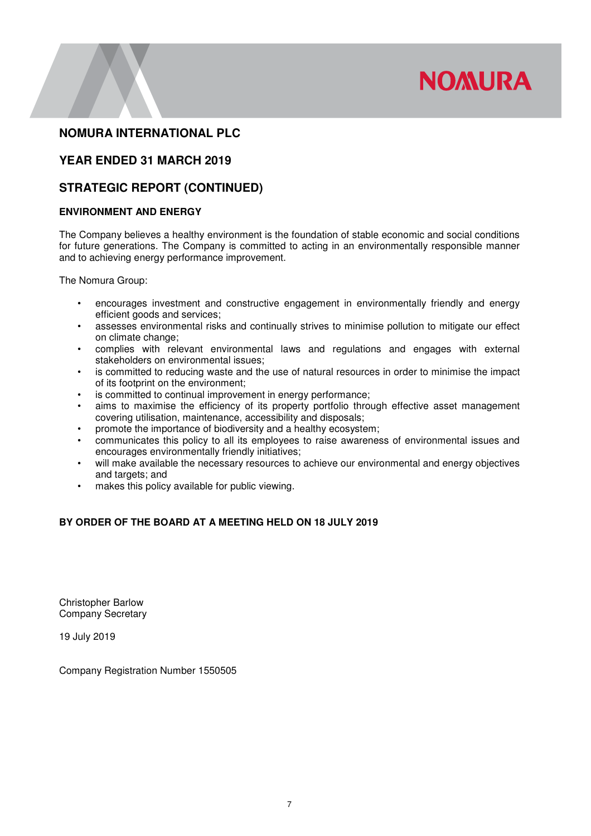## **NOMURA INTERNATIONAL PLC**

## **YEAR ENDED 31 MARCH 2019**

## **STRATEGIC REPORT (CONTINUED)**

## **ENVIRONMENT AND ENERGY**

The Company believes a healthy environment is the foundation of stable economic and social conditions for future generations. The Company is committed to acting in an environmentally responsible manner and to achieving energy performance improvement.

The Nomura Group:

- encourages investment and constructive engagement in environmentally friendly and energy efficient goods and services;
- assesses environmental risks and continually strives to minimise pollution to mitigate our effect on climate change;
- complies with relevant environmental laws and regulations and engages with external stakeholders on environmental issues;
- is committed to reducing waste and the use of natural resources in order to minimise the impact of its footprint on the environment;
- is committed to continual improvement in energy performance;
- aims to maximise the efficiency of its property portfolio through effective asset management covering utilisation, maintenance, accessibility and disposals;
- promote the importance of biodiversity and a healthy ecosystem;
- communicates this policy to all its employees to raise awareness of environmental issues and encourages environmentally friendly initiatives;
- will make available the necessary resources to achieve our environmental and energy objectives and targets; and
- makes this policy available for public viewing.

## **BY ORDER OF THE BOARD AT A MEETING HELD ON 18 JULY 2019**

Christopher Barlow Company Secretary

19 July 2019

Company Registration Number 1550505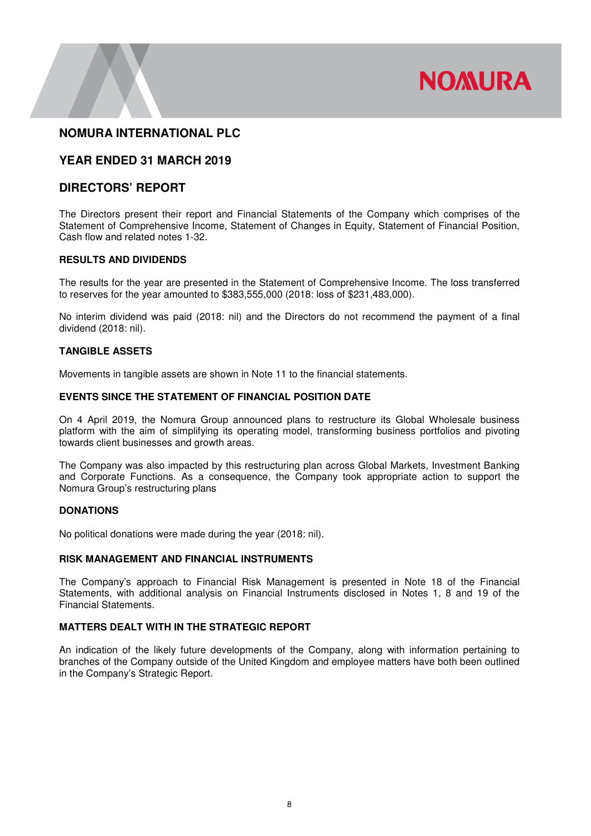## **NOMURA INTERNATIONAL PLC**

## **YEAR ENDED 31 MARCH 2019**

## **DIRECTORS' REPORT**

The Directors present their report and Financial Statements of the Company which comprises of the Statement of Comprehensive Income, Statement of Changes in Equity, Statement of Financial Position, Cash flow and related notes 1-32.

## **RESULTS AND DIVIDENDS**

The results for the year are presented in the Statement of Comprehensive Income. The loss transferred to reserves for the year amounted to \$383,555,000 (2018: loss of \$231,483,000).

No interim dividend was paid (2018: nil) and the Directors do not recommend the payment of a final dividend (2018: nil).

## **TANGIBLE ASSETS**

Movements in tangible assets are shown in Note 11 to the financial statements.

## **EVENTS SINCE THE STATEMENT OF FINANCIAL POSITION DATE**

On 4 April 2019, the Nomura Group announced plans to restructure its Global Wholesale business platform with the aim of simplifying its operating model, transforming business portfolios and pivoting towards client businesses and growth areas.

The Company was also impacted by this restructuring plan across Global Markets, Investment Banking and Corporate Functions. As a consequence, the Company took appropriate action to support the Nomura Group's restructuring plans

#### **DONATIONS**

No political donations were made during the year (2018: nil).

## **RISK MANAGEMENT AND FINANCIAL INSTRUMENTS**

The Company's approach to Financial Risk Management is presented in Note 18 of the Financial Statements, with additional analysis on Financial Instruments disclosed in Notes 1, 8 and 19 of the Financial Statements.

#### **MATTERS DEALT WITH IN THE STRATEGIC REPORT**

An indication of the likely future developments of the Company, along with information pertaining to branches of the Company outside of the United Kingdom and employee matters have both been outlined in the Company's Strategic Report.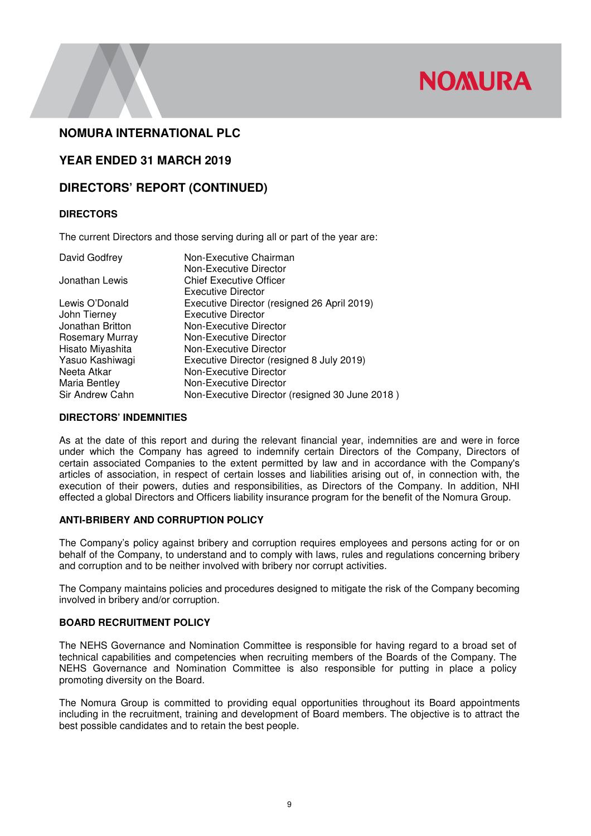## **NOMURA INTERNATIONAL PLC**

## **YEAR ENDED 31 MARCH 2019**

## **DIRECTORS' REPORT (CONTINUED)**

## **DIRECTORS**

The current Directors and those serving during all or part of the year are:

| David Godfrey    | Non-Executive Chairman                         |
|------------------|------------------------------------------------|
|                  | Non-Executive Director                         |
| Jonathan Lewis   | <b>Chief Executive Officer</b>                 |
|                  | <b>Executive Director</b>                      |
| Lewis O'Donald   | Executive Director (resigned 26 April 2019)    |
| John Tierney     | <b>Executive Director</b>                      |
| Jonathan Britton | Non-Executive Director                         |
| Rosemary Murray  | Non-Executive Director                         |
| Hisato Miyashita | Non-Executive Director                         |
| Yasuo Kashiwagi  | Executive Director (resigned 8 July 2019)      |
| Neeta Atkar      | Non-Executive Director                         |
| Maria Bentley    | Non-Executive Director                         |
| Sir Andrew Cahn  | Non-Executive Director (resigned 30 June 2018) |

#### **DIRECTORS' INDEMNITIES**

As at the date of this report and during the relevant financial year, indemnities are and were in force under which the Company has agreed to indemnify certain Directors of the Company, Directors of certain associated Companies to the extent permitted by law and in accordance with the Company's articles of association, in respect of certain losses and liabilities arising out of, in connection with, the execution of their powers, duties and responsibilities, as Directors of the Company. In addition, NHI effected a global Directors and Officers liability insurance program for the benefit of the Nomura Group.

## **ANTI-BRIBERY AND CORRUPTION POLICY**

The Company's policy against bribery and corruption requires employees and persons acting for or on behalf of the Company, to understand and to comply with laws, rules and regulations concerning bribery and corruption and to be neither involved with bribery nor corrupt activities.

The Company maintains policies and procedures designed to mitigate the risk of the Company becoming involved in bribery and/or corruption.

#### **BOARD RECRUITMENT POLICY**

The NEHS Governance and Nomination Committee is responsible for having regard to a broad set of technical capabilities and competencies when recruiting members of the Boards of the Company. The NEHS Governance and Nomination Committee is also responsible for putting in place a policy promoting diversity on the Board.

The Nomura Group is committed to providing equal opportunities throughout its Board appointments including in the recruitment, training and development of Board members. The objective is to attract the best possible candidates and to retain the best people.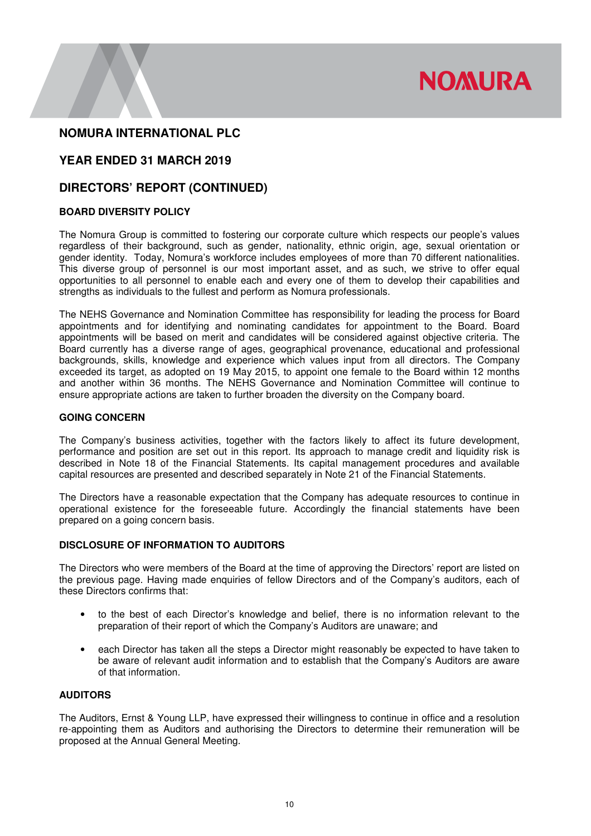## **NOMURA INTERNATIONAL PLC**

## **YEAR ENDED 31 MARCH 2019**

## **DIRECTORS' REPORT (CONTINUED)**

## **BOARD DIVERSITY POLICY**

The Nomura Group is committed to fostering our corporate culture which respects our people's values regardless of their background, such as gender, nationality, ethnic origin, age, sexual orientation or gender identity. Today, Nomura's workforce includes employees of more than 70 different nationalities. This diverse group of personnel is our most important asset, and as such, we strive to offer equal opportunities to all personnel to enable each and every one of them to develop their capabilities and strengths as individuals to the fullest and perform as Nomura professionals.

The NEHS Governance and Nomination Committee has responsibility for leading the process for Board appointments and for identifying and nominating candidates for appointment to the Board. Board appointments will be based on merit and candidates will be considered against objective criteria. The Board currently has a diverse range of ages, geographical provenance, educational and professional backgrounds, skills, knowledge and experience which values input from all directors. The Company exceeded its target, as adopted on 19 May 2015, to appoint one female to the Board within 12 months and another within 36 months. The NEHS Governance and Nomination Committee will continue to ensure appropriate actions are taken to further broaden the diversity on the Company board.

#### **GOING CONCERN**

The Company's business activities, together with the factors likely to affect its future development, performance and position are set out in this report. Its approach to manage credit and liquidity risk is described in Note 18 of the Financial Statements. Its capital management procedures and available capital resources are presented and described separately in Note 21 of the Financial Statements.

The Directors have a reasonable expectation that the Company has adequate resources to continue in operational existence for the foreseeable future. Accordingly the financial statements have been prepared on a going concern basis.

## **DISCLOSURE OF INFORMATION TO AUDITORS**

The Directors who were members of the Board at the time of approving the Directors' report are listed on the previous page. Having made enquiries of fellow Directors and of the Company's auditors, each of these Directors confirms that:

- to the best of each Director's knowledge and belief, there is no information relevant to the preparation of their report of which the Company's Auditors are unaware; and
- each Director has taken all the steps a Director might reasonably be expected to have taken to be aware of relevant audit information and to establish that the Company's Auditors are aware of that information.

## **AUDITORS**

The Auditors, Ernst & Young LLP, have expressed their willingness to continue in office and a resolution re-appointing them as Auditors and authorising the Directors to determine their remuneration will be proposed at the Annual General Meeting.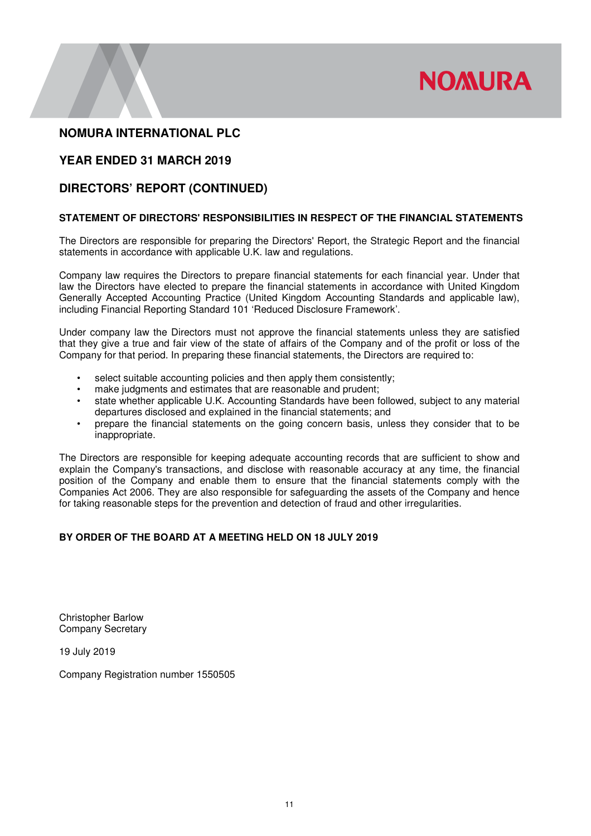## **NOMURA INTERNATIONAL PLC**

## **YEAR ENDED 31 MARCH 2019**

## **DIRECTORS' REPORT (CONTINUED)**

## **STATEMENT OF DIRECTORS' RESPONSIBILITIES IN RESPECT OF THE FINANCIAL STATEMENTS**

The Directors are responsible for preparing the Directors' Report, the Strategic Report and the financial statements in accordance with applicable U.K. law and regulations.

Company law requires the Directors to prepare financial statements for each financial year. Under that law the Directors have elected to prepare the financial statements in accordance with United Kingdom Generally Accepted Accounting Practice (United Kingdom Accounting Standards and applicable law), including Financial Reporting Standard 101 'Reduced Disclosure Framework'.

Under company law the Directors must not approve the financial statements unless they are satisfied that they give a true and fair view of the state of affairs of the Company and of the profit or loss of the Company for that period. In preparing these financial statements, the Directors are required to:

- select suitable accounting policies and then apply them consistently:
- make judgments and estimates that are reasonable and prudent;
- state whether applicable U.K. Accounting Standards have been followed, subject to any material departures disclosed and explained in the financial statements; and
- prepare the financial statements on the going concern basis, unless they consider that to be inappropriate.

The Directors are responsible for keeping adequate accounting records that are sufficient to show and explain the Company's transactions, and disclose with reasonable accuracy at any time, the financial position of the Company and enable them to ensure that the financial statements comply with the Companies Act 2006. They are also responsible for safeguarding the assets of the Company and hence for taking reasonable steps for the prevention and detection of fraud and other irregularities.

## **BY ORDER OF THE BOARD AT A MEETING HELD ON 18 JULY 2019**

Christopher Barlow Company Secretary

19 July 2019

Company Registration number 1550505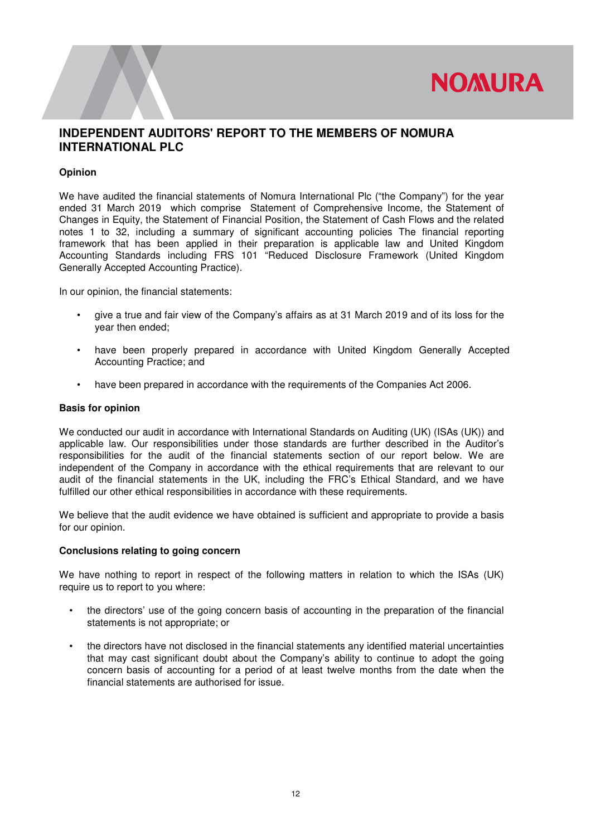

## **INDEPENDENT AUDITORS' REPORT TO THE MEMBERS OF NOMURA INTERNATIONAL PLC**

## **Opinion**

We have audited the financial statements of Nomura International Plc ("the Company") for the year ended 31 March 2019 which comprise Statement of Comprehensive Income, the Statement of Changes in Equity, the Statement of Financial Position, the Statement of Cash Flows and the related notes 1 to 32, including a summary of significant accounting policies The financial reporting framework that has been applied in their preparation is applicable law and United Kingdom Accounting Standards including FRS 101 "Reduced Disclosure Framework (United Kingdom Generally Accepted Accounting Practice).

In our opinion, the financial statements:

- give a true and fair view of the Company's affairs as at 31 March 2019 and of its loss for the year then ended;
- have been properly prepared in accordance with United Kingdom Generally Accepted Accounting Practice; and
- have been prepared in accordance with the requirements of the Companies Act 2006.

#### **Basis for opinion**

We conducted our audit in accordance with International Standards on Auditing (UK) (ISAs (UK)) and applicable law. Our responsibilities under those standards are further described in the Auditor's responsibilities for the audit of the financial statements section of our report below. We are independent of the Company in accordance with the ethical requirements that are relevant to our audit of the financial statements in the UK, including the FRC's Ethical Standard, and we have fulfilled our other ethical responsibilities in accordance with these requirements.

We believe that the audit evidence we have obtained is sufficient and appropriate to provide a basis for our opinion.

#### **Conclusions relating to going concern**

We have nothing to report in respect of the following matters in relation to which the ISAs (UK) require us to report to you where:

- the directors' use of the going concern basis of accounting in the preparation of the financial statements is not appropriate; or
- the directors have not disclosed in the financial statements any identified material uncertainties that may cast significant doubt about the Company's ability to continue to adopt the going concern basis of accounting for a period of at least twelve months from the date when the financial statements are authorised for issue.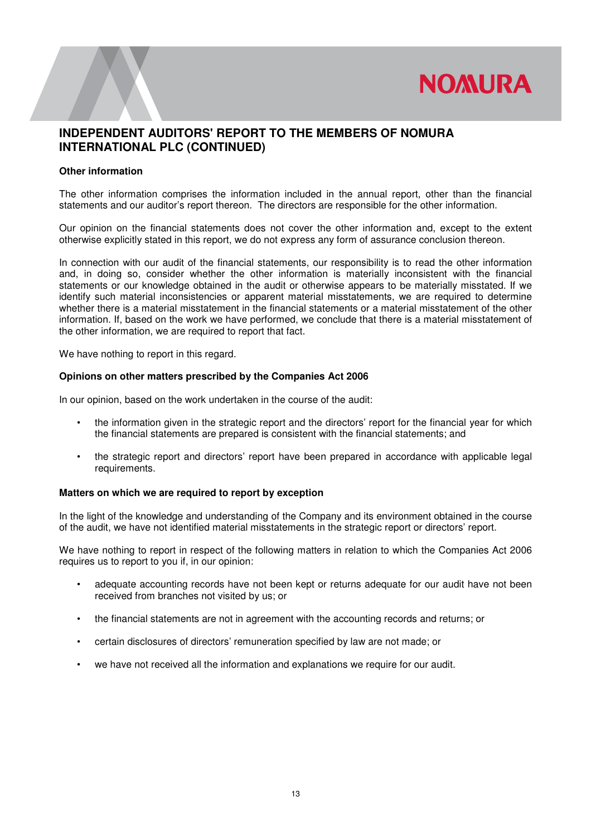

## **INDEPENDENT AUDITORS' REPORT TO THE MEMBERS OF NOMURA INTERNATIONAL PLC (CONTINUED)**

## **Other information**

The other information comprises the information included in the annual report, other than the financial statements and our auditor's report thereon. The directors are responsible for the other information.

Our opinion on the financial statements does not cover the other information and, except to the extent otherwise explicitly stated in this report, we do not express any form of assurance conclusion thereon.

In connection with our audit of the financial statements, our responsibility is to read the other information and, in doing so, consider whether the other information is materially inconsistent with the financial statements or our knowledge obtained in the audit or otherwise appears to be materially misstated. If we identify such material inconsistencies or apparent material misstatements, we are required to determine whether there is a material misstatement in the financial statements or a material misstatement of the other information. If, based on the work we have performed, we conclude that there is a material misstatement of the other information, we are required to report that fact.

We have nothing to report in this regard.

#### **Opinions on other matters prescribed by the Companies Act 2006**

In our opinion, based on the work undertaken in the course of the audit:

- the information given in the strategic report and the directors' report for the financial year for which the financial statements are prepared is consistent with the financial statements; and
- the strategic report and directors' report have been prepared in accordance with applicable legal requirements.

#### **Matters on which we are required to report by exception**

In the light of the knowledge and understanding of the Company and its environment obtained in the course of the audit, we have not identified material misstatements in the strategic report or directors' report.

We have nothing to report in respect of the following matters in relation to which the Companies Act 2006 requires us to report to you if, in our opinion:

- adequate accounting records have not been kept or returns adequate for our audit have not been received from branches not visited by us; or
- the financial statements are not in agreement with the accounting records and returns; or
- certain disclosures of directors' remuneration specified by law are not made; or
- we have not received all the information and explanations we require for our audit.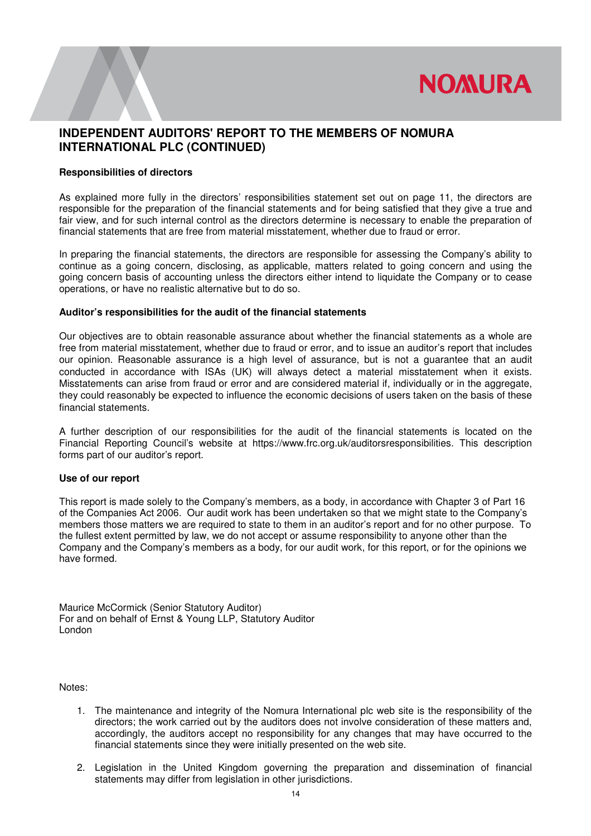## **INDEPENDENT AUDITORS' REPORT TO THE MEMBERS OF NOMURA INTERNATIONAL PLC (CONTINUED)**

## **Responsibilities of directors**

As explained more fully in the directors' responsibilities statement set out on page 11, the directors are responsible for the preparation of the financial statements and for being satisfied that they give a true and fair view, and for such internal control as the directors determine is necessary to enable the preparation of financial statements that are free from material misstatement, whether due to fraud or error.

In preparing the financial statements, the directors are responsible for assessing the Company's ability to continue as a going concern, disclosing, as applicable, matters related to going concern and using the going concern basis of accounting unless the directors either intend to liquidate the Company or to cease operations, or have no realistic alternative but to do so.

#### **Auditor's responsibilities for the audit of the financial statements**

Our objectives are to obtain reasonable assurance about whether the financial statements as a whole are free from material misstatement, whether due to fraud or error, and to issue an auditor's report that includes our opinion. Reasonable assurance is a high level of assurance, but is not a guarantee that an audit conducted in accordance with ISAs (UK) will always detect a material misstatement when it exists. Misstatements can arise from fraud or error and are considered material if, individually or in the aggregate, they could reasonably be expected to influence the economic decisions of users taken on the basis of these financial statements.

A further description of our responsibilities for the audit of the financial statements is located on the Financial Reporting Council's website at https://www.frc.org.uk/auditorsresponsibilities. This description forms part of our auditor's report.

## **Use of our report**

This report is made solely to the Company's members, as a body, in accordance with Chapter 3 of Part 16 of the Companies Act 2006. Our audit work has been undertaken so that we might state to the Company's members those matters we are required to state to them in an auditor's report and for no other purpose. To the fullest extent permitted by law, we do not accept or assume responsibility to anyone other than the Company and the Company's members as a body, for our audit work, for this report, or for the opinions we have formed.

Maurice McCormick (Senior Statutory Auditor) For and on behalf of Ernst & Young LLP, Statutory Auditor London

Notes:

- 1. The maintenance and integrity of the Nomura International plc web site is the responsibility of the directors; the work carried out by the auditors does not involve consideration of these matters and, accordingly, the auditors accept no responsibility for any changes that may have occurred to the financial statements since they were initially presented on the web site.
- 2. Legislation in the United Kingdom governing the preparation and dissemination of financial statements may differ from legislation in other jurisdictions.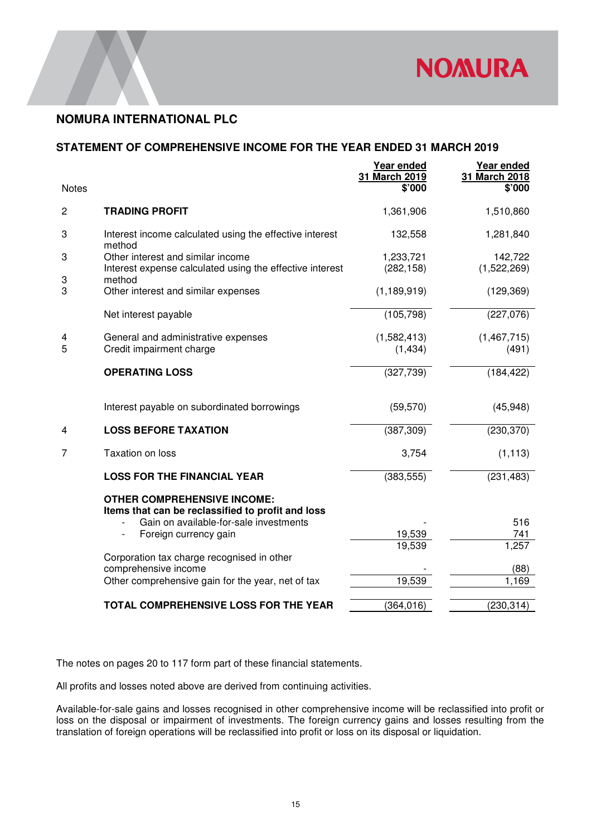

## **STATEMENT OF COMPREHENSIVE INCOME FOR THE YEAR ENDED 31 MARCH 2019**

| <b>Notes</b>   |                                                                                         | Year ended<br>31 March 2019<br>\$'000 | Year ended<br>31 March 2018<br>\$'000 |
|----------------|-----------------------------------------------------------------------------------------|---------------------------------------|---------------------------------------|
|                |                                                                                         |                                       |                                       |
| $\overline{c}$ | <b>TRADING PROFIT</b>                                                                   | 1,361,906                             | 1,510,860                             |
| 3              | Interest income calculated using the effective interest<br>method                       | 132,558                               | 1,281,840                             |
| 3              | Other interest and similar income                                                       | 1,233,721                             | 142,722                               |
| 3              | Interest expense calculated using the effective interest<br>method                      | (282, 158)                            | (1,522,269)                           |
| 3              | Other interest and similar expenses                                                     | (1, 189, 919)                         | (129, 369)                            |
|                | Net interest payable                                                                    | (105, 798)                            | (227, 076)                            |
| 4              | General and administrative expenses                                                     | (1,582,413)                           | (1,467,715)                           |
| 5              | Credit impairment charge                                                                | (1, 434)                              | (491)                                 |
|                | <b>OPERATING LOSS</b>                                                                   | (327, 739)                            | (184, 422)                            |
|                | Interest payable on subordinated borrowings                                             | (59, 570)                             | (45, 948)                             |
| 4              | <b>LOSS BEFORE TAXATION</b>                                                             | (387, 309)                            | (230, 370)                            |
| 7              | Taxation on loss                                                                        | 3,754                                 | (1, 113)                              |
|                | <b>LOSS FOR THE FINANCIAL YEAR</b>                                                      | (383, 555)                            | (231, 483)                            |
|                | <b>OTHER COMPREHENSIVE INCOME:</b><br>Items that can be reclassified to profit and loss |                                       |                                       |
|                | Gain on available-for-sale investments                                                  |                                       | 516                                   |
|                | Foreign currency gain                                                                   | 19,539                                | 741                                   |
|                | Corporation tax charge recognised in other                                              | 19,539                                | 1,257                                 |
|                | comprehensive income                                                                    |                                       | (88)                                  |
|                | Other comprehensive gain for the year, net of tax                                       | 19,539                                | 1,169                                 |
|                | TOTAL COMPREHENSIVE LOSS FOR THE YEAR                                                   | (364, 016)                            | (230, 314)                            |

The notes on pages 20 to 117 form part of these financial statements.

All profits and losses noted above are derived from continuing activities.

Available-for-sale gains and losses recognised in other comprehensive income will be reclassified into profit or loss on the disposal or impairment of investments. The foreign currency gains and losses resulting from the translation of foreign operations will be reclassified into profit or loss on its disposal or liquidation.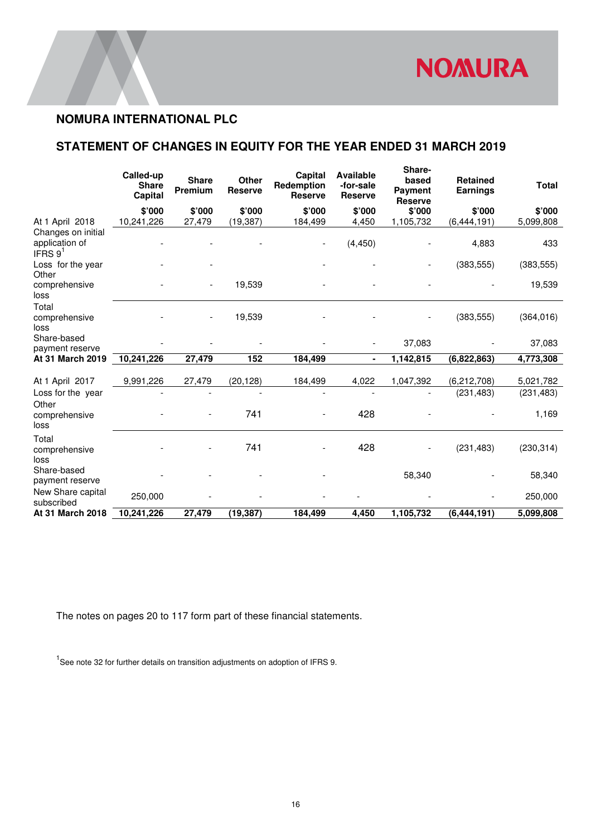

## **STATEMENT OF CHANGES IN EQUITY FOR THE YEAR ENDED 31 MARCH 2019**

|                                                    | Called-up<br><b>Share</b><br>Capital | <b>Share</b><br><b>Premium</b> | <b>Other</b><br><b>Reserve</b> | Capital<br>Redemption<br><b>Reserve</b> | Available<br>-for-sale<br><b>Reserve</b> | Share-<br>based<br>Payment<br><b>Reserve</b> | <b>Retained</b><br><b>Earnings</b> | <b>Total</b> |
|----------------------------------------------------|--------------------------------------|--------------------------------|--------------------------------|-----------------------------------------|------------------------------------------|----------------------------------------------|------------------------------------|--------------|
|                                                    | \$'000                               | \$'000                         | \$'000                         | \$'000                                  | \$'000                                   | \$'000                                       | \$'000                             | \$'000       |
| At 1 April 2018                                    | 10,241,226                           | 27,479                         | (19, 387)                      | 184,499                                 | 4,450                                    | 1,105,732                                    | (6,444,191)                        | 5,099,808    |
| Changes on initial<br>application of<br>IFRS $9^1$ |                                      |                                |                                |                                         | (4, 450)                                 |                                              | 4,883                              | 433          |
| Loss for the year<br>Other                         |                                      |                                |                                |                                         |                                          |                                              | (383, 555)                         | (383, 555)   |
| comprehensive<br>loss                              |                                      |                                | 19,539                         |                                         |                                          |                                              |                                    | 19,539       |
| Total<br>comprehensive<br>loss                     |                                      |                                | 19,539                         |                                         |                                          |                                              | (383, 555)                         | (364, 016)   |
| Share-based<br>payment reserve                     |                                      |                                |                                |                                         |                                          | 37,083                                       |                                    | 37,083       |
| At 31 March 2019                                   | 10,241,226                           | 27,479                         | 152                            | 184,499                                 | $\blacksquare$                           | 1,142,815                                    | (6,822,863)                        | 4,773,308    |
| At 1 April 2017                                    | 9,991,226                            | 27,479                         | (20, 128)                      | 184,499                                 | 4,022                                    | 1,047,392                                    | (6,212,708)                        | 5,021,782    |
| Loss for the year                                  |                                      |                                |                                |                                         |                                          |                                              | (231, 483)                         | (231, 483)   |
| Other<br>comprehensive<br>loss                     |                                      |                                | 741                            |                                         | 428                                      |                                              |                                    | 1,169        |
| Total<br>comprehensive<br>loss                     |                                      |                                | 741                            |                                         | 428                                      |                                              | (231, 483)                         | (230, 314)   |
| Share-based<br>payment reserve                     |                                      |                                |                                |                                         |                                          | 58,340                                       |                                    | 58,340       |
| New Share capital<br>subscribed                    | 250,000                              |                                |                                |                                         |                                          |                                              |                                    | 250,000      |
| At 31 March 2018                                   | 10,241,226                           | 27,479                         | (19, 387)                      | 184,499                                 | 4,450                                    | 1,105,732                                    | (6, 444, 191)                      | 5,099,808    |

The notes on pages 20 to 117 form part of these financial statements.

 $^1$ See note 32 for further details on transition adjustments on adoption of IFRS 9.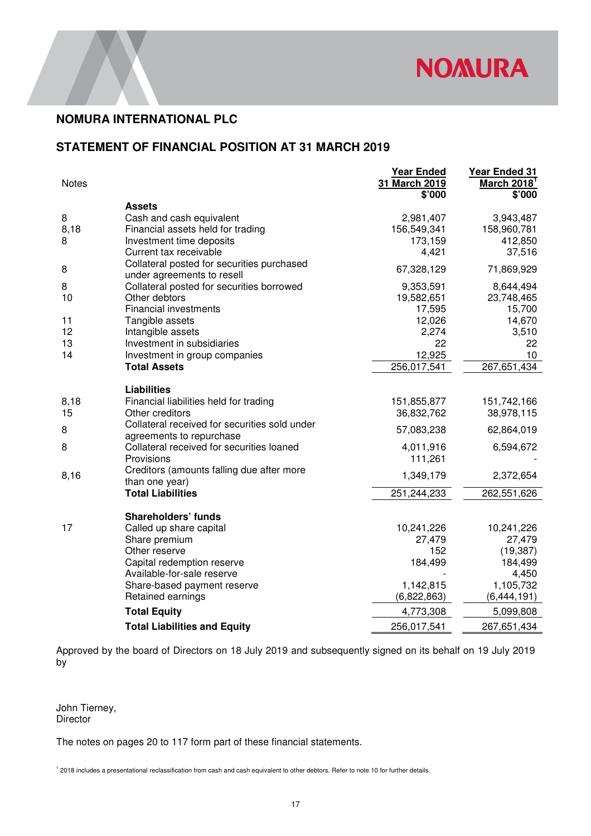

## **STATEMENT OF FINANCIAL POSITION AT 31 MARCH 2019**

| <b>Notes</b> |                                                                           | Year Ended<br>31 March 2019<br>\$'000 | Year Ended 31<br>March $2018$ <sup>1</sup><br>\$'000 |
|--------------|---------------------------------------------------------------------------|---------------------------------------|------------------------------------------------------|
| 8            | <b>Assets</b><br>Cash and cash equivalent                                 | 2,981,407                             | 3,943,487                                            |
| 8,18         | Financial assets held for trading                                         | 156,549,341                           | 158,960,781                                          |
| 8            | Investment time deposits<br>Current tax receivable                        | 173,159<br>4,421                      | 412,850<br>37,516                                    |
| 8            | Collateral posted for securities purchased<br>under agreements to resell  | 67,328,129                            | 71,869,929                                           |
| 8            | Collateral posted for securities borrowed                                 | 9,353,591                             | 8,644,494                                            |
| 10           | Other debtors                                                             | 19,582,651                            | 23,748,465                                           |
|              | <b>Financial investments</b>                                              | 17,595                                | 15,700                                               |
| 11<br>12     | Tangible assets<br>Intangible assets                                      | 12,026<br>2,274                       | 14,670<br>3,510                                      |
| 13           | Investment in subsidiaries                                                | 22                                    | 22                                                   |
| 14           | Investment in group companies                                             | 12,925                                | 10                                                   |
|              | <b>Total Assets</b>                                                       | 256,017,541                           | 267,651,434                                          |
|              | <b>Liabilities</b>                                                        |                                       |                                                      |
| 8,18         | Financial liabilities held for trading                                    | 151,855,877                           | 151,742,166                                          |
| 15           | Other creditors                                                           | 36,832,762                            | 38,978,115                                           |
| 8            | Collateral received for securities sold under<br>agreements to repurchase | 57,083,238                            | 62,864,019                                           |
| 8            | Collateral received for securities loaned                                 | 4,011,916                             | 6,594,672                                            |
|              | Provisions<br>Creditors (amounts falling due after more                   | 111,261                               |                                                      |
| 8,16         | than one year)                                                            | 1,349,179                             | 2,372,654                                            |
|              | <b>Total Liabilities</b>                                                  | 251,244,233                           | 262,551,626                                          |
|              | <b>Shareholders' funds</b>                                                |                                       |                                                      |
| 17           | Called up share capital                                                   | 10,241,226                            | 10,241,226                                           |
|              | Share premium                                                             | 27,479                                | 27,479                                               |
|              | Other reserve                                                             | 152                                   | (19, 387)                                            |
|              | Capital redemption reserve<br>Available-for-sale reserve                  | 184,499                               | 184,499<br>4,450                                     |
|              | Share-based payment reserve                                               | 1,142,815                             | 1,105,732                                            |
|              | Retained earnings                                                         | (6,822,863)                           | (6, 444, 191)                                        |
|              | <b>Total Equity</b>                                                       | 4,773,308                             | 5,099,808                                            |
|              | <b>Total Liabilities and Equity</b>                                       | 256,017,541                           | 267,651,434                                          |

Approved by the board of Directors on 18 July 2019 and subsequently signed on its behalf on 19 July 2019 by

John Tierney, Director

The notes on pages 20 to 117 form part of these financial statements.

1 2018 includes a presentational reclassification from cash and cash equivalent to other debtors. Refer to note 10 for further details.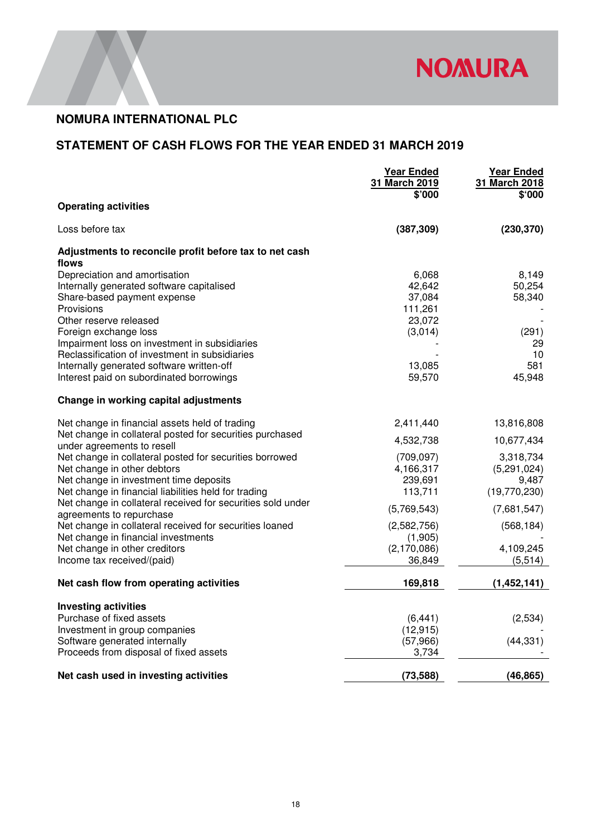

## **STATEMENT OF CASH FLOWS FOR THE YEAR ENDED 31 MARCH 2019**

|                                                                                                | <b>Year Ended</b><br>31 March 2019<br>\$'000 | <b>Year Ended</b><br>31 March 2018<br>\$'000 |
|------------------------------------------------------------------------------------------------|----------------------------------------------|----------------------------------------------|
| <b>Operating activities</b>                                                                    |                                              |                                              |
| Loss before tax                                                                                | (387, 309)                                   | (230, 370)                                   |
| Adjustments to reconcile profit before tax to net cash<br>flows                                |                                              |                                              |
| Depreciation and amortisation<br>Internally generated software capitalised                     | 6,068<br>42,642                              | 8,149<br>50,254                              |
| Share-based payment expense<br>Provisions                                                      | 37,084<br>111,261                            | 58,340                                       |
| Other reserve released                                                                         | 23,072                                       |                                              |
| Foreign exchange loss<br>Impairment loss on investment in subsidiaries                         | (3,014)                                      | (291)<br>29                                  |
| Reclassification of investment in subsidiaries<br>Internally generated software written-off    | 13,085                                       | 10<br>581                                    |
| Interest paid on subordinated borrowings                                                       | 59,570                                       | 45,948                                       |
| Change in working capital adjustments                                                          |                                              |                                              |
| Net change in financial assets held of trading                                                 | 2,411,440                                    | 13,816,808                                   |
| Net change in collateral posted for securities purchased<br>under agreements to resell         | 4,532,738                                    | 10,677,434                                   |
| Net change in collateral posted for securities borrowed<br>Net change in other debtors         | (709, 097)<br>4,166,317                      | 3,318,734<br>(5,291,024)                     |
| Net change in investment time deposits<br>Net change in financial liabilities held for trading | 239,691<br>113,711                           | 9,487<br>(19,770,230)                        |
| Net change in collateral received for securities sold under<br>agreements to repurchase        | (5,769,543)                                  | (7,681,547)                                  |
| Net change in collateral received for securities loaned<br>Net change in financial investments | (2,582,756)<br>(1,905)                       | (568, 184)                                   |
| Net change in other creditors<br>Income tax received/(paid)                                    | (2, 170, 086)<br>36,849                      | 4,109,245<br>(5, 514)                        |
|                                                                                                |                                              |                                              |
| Net cash flow from operating activities                                                        | 169,818                                      | (1,452,141)                                  |
| <b>Investing activities</b><br>Purchase of fixed assets                                        | (6, 441)                                     | (2,534)                                      |
| Investment in group companies                                                                  | (12, 915)                                    |                                              |
| Software generated internally<br>Proceeds from disposal of fixed assets                        | (57, 966)<br>3,734                           | (44, 331)                                    |
| Net cash used in investing activities                                                          | (73, 588)                                    | (46, 865)                                    |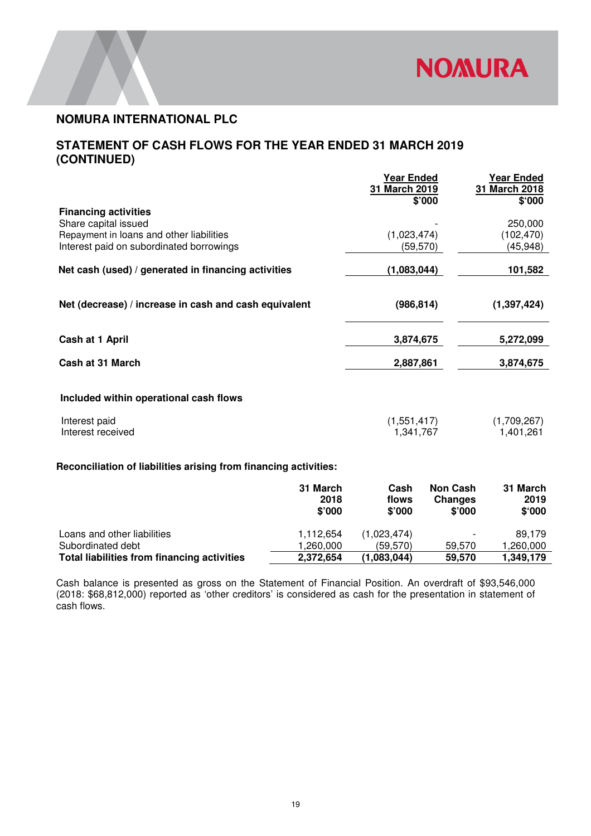

## **STATEMENT OF CASH FLOWS FOR THE YEAR ENDED 31 MARCH 2019 (CONTINUED)**

|                                                                  |                  | <b>Year Ended</b><br>31 March 2019 |                                   | <b>Year Ended</b><br>31 March 2018 |
|------------------------------------------------------------------|------------------|------------------------------------|-----------------------------------|------------------------------------|
| <b>Financing activities</b>                                      |                  |                                    | \$'000                            | \$'000                             |
| Share capital issued                                             |                  |                                    |                                   | 250,000                            |
| Repayment in loans and other liabilities                         |                  | (1,023,474)                        |                                   | (102, 470)                         |
| Interest paid on subordinated borrowings                         |                  |                                    | (59, 570)                         | (45,948)                           |
| Net cash (used) / generated in financing activities              |                  | (1,083,044)                        | 101,582                           |                                    |
|                                                                  |                  |                                    |                                   |                                    |
| Net (decrease) / increase in cash and cash equivalent            |                  | (986, 814)                         |                                   | (1, 397, 424)                      |
| Cash at 1 April                                                  |                  | 3,874,675                          |                                   | 5,272,099                          |
| Cash at 31 March                                                 |                  | 2,887,861                          |                                   | 3,874,675                          |
| Included within operational cash flows                           |                  |                                    |                                   |                                    |
| Interest paid                                                    |                  | (1,551,417)                        |                                   | (1,709,267)                        |
| Interest received                                                |                  | 1,341,767                          |                                   | 1,401,261                          |
| Reconciliation of liabilities arising from financing activities: |                  |                                    |                                   |                                    |
|                                                                  | 31 March<br>2018 | Cash<br>flows                      | <b>Non Cash</b><br><b>Changes</b> | 31 March<br>2019                   |
|                                                                  | \$'000           | \$'000                             | \$'000                            | \$'000                             |
| Loans and other liabilities                                      | 1,112,654        | (1,023,474)                        |                                   | 89,179                             |
| Subordinated debt                                                | 1,260,000        | (59, 570)                          | 59,570                            | 1,260,000                          |
| <b>Total liabilities from financing activities</b>               | 2,372,654        | (1,083,044)                        | 59,570                            | 1,349,179                          |

Cash balance is presented as gross on the Statement of Financial Position. An overdraft of \$93,546,000 (2018: \$68,812,000) reported as 'other creditors' is considered as cash for the presentation in statement of cash flows.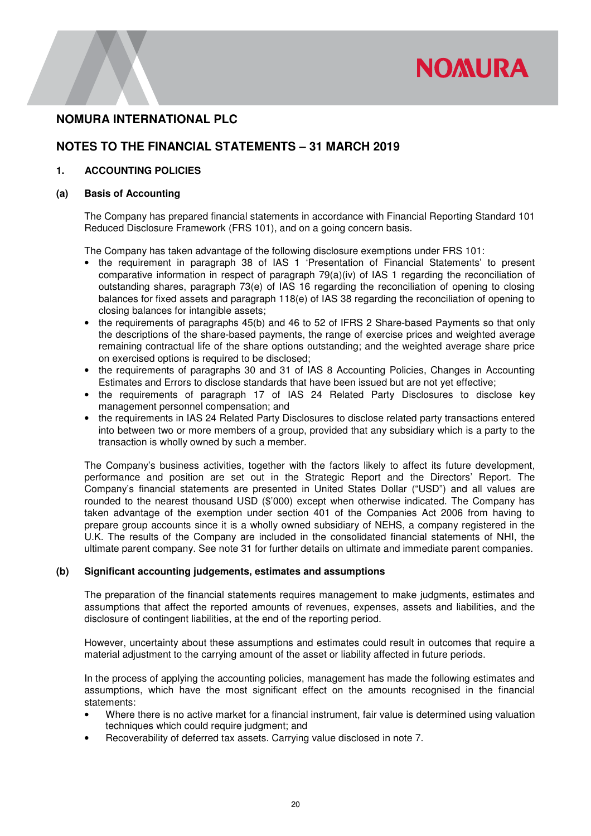

## **NOTES TO THE FINANCIAL STATEMENTS – 31 MARCH 2019**

## **1. ACCOUNTING POLICIES**

#### **(a) Basis of Accounting**

The Company has prepared financial statements in accordance with Financial Reporting Standard 101 Reduced Disclosure Framework (FRS 101), and on a going concern basis.

The Company has taken advantage of the following disclosure exemptions under FRS 101:

- the requirement in paragraph 38 of IAS 1 'Presentation of Financial Statements' to present comparative information in respect of paragraph 79(a)(iv) of IAS 1 regarding the reconciliation of outstanding shares, paragraph 73(e) of IAS 16 regarding the reconciliation of opening to closing balances for fixed assets and paragraph 118(e) of IAS 38 regarding the reconciliation of opening to closing balances for intangible assets;
- the requirements of paragraphs 45(b) and 46 to 52 of IFRS 2 Share-based Payments so that only the descriptions of the share-based payments, the range of exercise prices and weighted average remaining contractual life of the share options outstanding; and the weighted average share price on exercised options is required to be disclosed;
- the requirements of paragraphs 30 and 31 of IAS 8 Accounting Policies, Changes in Accounting Estimates and Errors to disclose standards that have been issued but are not yet effective;
- the requirements of paragraph 17 of IAS 24 Related Party Disclosures to disclose key management personnel compensation; and
- the requirements in IAS 24 Related Party Disclosures to disclose related party transactions entered into between two or more members of a group, provided that any subsidiary which is a party to the transaction is wholly owned by such a member.

The Company's business activities, together with the factors likely to affect its future development, performance and position are set out in the Strategic Report and the Directors' Report. The Company's financial statements are presented in United States Dollar ("USD") and all values are rounded to the nearest thousand USD (\$'000) except when otherwise indicated. The Company has taken advantage of the exemption under section 401 of the Companies Act 2006 from having to prepare group accounts since it is a wholly owned subsidiary of NEHS, a company registered in the U.K. The results of the Company are included in the consolidated financial statements of NHI, the ultimate parent company. See note 31 for further details on ultimate and immediate parent companies.

## **(b) Significant accounting judgements, estimates and assumptions**

The preparation of the financial statements requires management to make judgments, estimates and assumptions that affect the reported amounts of revenues, expenses, assets and liabilities, and the disclosure of contingent liabilities, at the end of the reporting period.

However, uncertainty about these assumptions and estimates could result in outcomes that require a material adjustment to the carrying amount of the asset or liability affected in future periods.

In the process of applying the accounting policies, management has made the following estimates and assumptions, which have the most significant effect on the amounts recognised in the financial statements:

- Where there is no active market for a financial instrument, fair value is determined using valuation techniques which could require judgment; and
- Recoverability of deferred tax assets. Carrying value disclosed in note 7.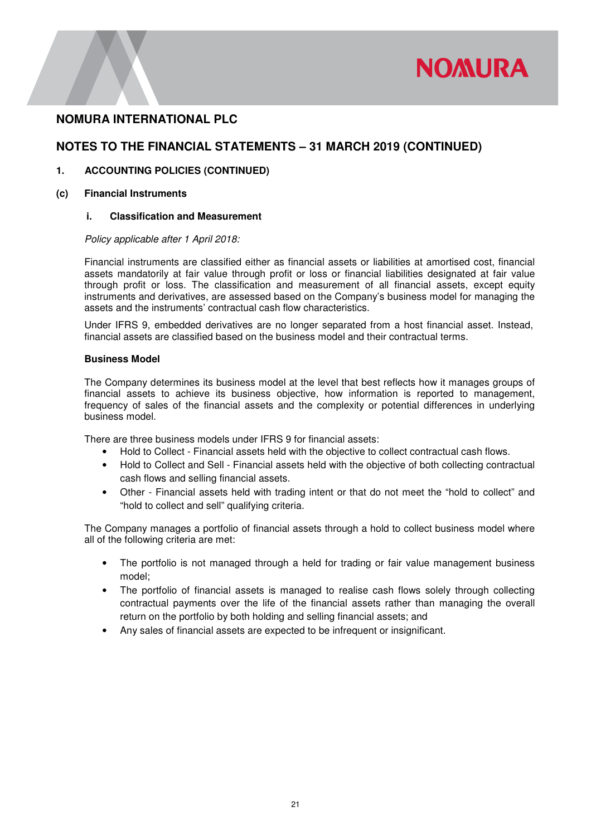

## **NOTES TO THE FINANCIAL STATEMENTS – 31 MARCH 2019 (CONTINUED)**

## **1. ACCOUNTING POLICIES (CONTINUED)**

#### **(c) Financial Instruments**

## **i. Classification and Measurement**

Policy applicable after 1 April 2018:

Financial instruments are classified either as financial assets or liabilities at amortised cost, financial assets mandatorily at fair value through profit or loss or financial liabilities designated at fair value through profit or loss. The classification and measurement of all financial assets, except equity instruments and derivatives, are assessed based on the Company's business model for managing the assets and the instruments' contractual cash flow characteristics.

Under IFRS 9, embedded derivatives are no longer separated from a host financial asset. Instead, financial assets are classified based on the business model and their contractual terms.

#### **Business Model**

The Company determines its business model at the level that best reflects how it manages groups of financial assets to achieve its business objective, how information is reported to management, frequency of sales of the financial assets and the complexity or potential differences in underlying business model.

There are three business models under IFRS 9 for financial assets:

- Hold to Collect Financial assets held with the objective to collect contractual cash flows.
- Hold to Collect and Sell Financial assets held with the objective of both collecting contractual cash flows and selling financial assets.
- Other Financial assets held with trading intent or that do not meet the "hold to collect" and "hold to collect and sell" qualifying criteria.

The Company manages a portfolio of financial assets through a hold to collect business model where all of the following criteria are met:

- The portfolio is not managed through a held for trading or fair value management business model;
- The portfolio of financial assets is managed to realise cash flows solely through collecting contractual payments over the life of the financial assets rather than managing the overall return on the portfolio by both holding and selling financial assets; and
- Any sales of financial assets are expected to be infrequent or insignificant.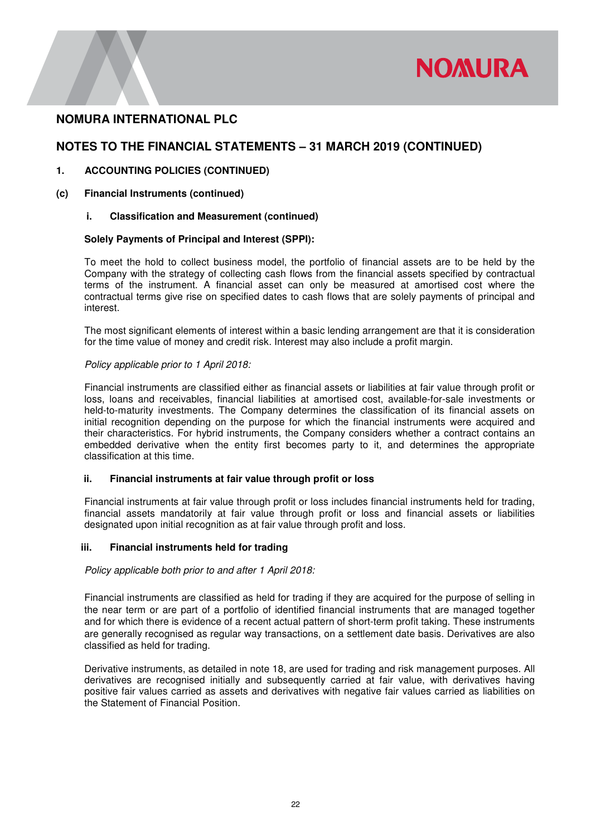

## **NOTES TO THE FINANCIAL STATEMENTS – 31 MARCH 2019 (CONTINUED)**

## **1. ACCOUNTING POLICIES (CONTINUED)**

## **(c) Financial Instruments (continued)**

## **i. Classification and Measurement (continued)**

## **Solely Payments of Principal and Interest (SPPI):**

To meet the hold to collect business model, the portfolio of financial assets are to be held by the Company with the strategy of collecting cash flows from the financial assets specified by contractual terms of the instrument. A financial asset can only be measured at amortised cost where the contractual terms give rise on specified dates to cash flows that are solely payments of principal and interest.

The most significant elements of interest within a basic lending arrangement are that it is consideration for the time value of money and credit risk. Interest may also include a profit margin.

#### Policy applicable prior to 1 April 2018:

Financial instruments are classified either as financial assets or liabilities at fair value through profit or loss, loans and receivables, financial liabilities at amortised cost, available-for-sale investments or held-to-maturity investments. The Company determines the classification of its financial assets on initial recognition depending on the purpose for which the financial instruments were acquired and their characteristics. For hybrid instruments, the Company considers whether a contract contains an embedded derivative when the entity first becomes party to it, and determines the appropriate classification at this time.

#### **ii. Financial instruments at fair value through profit or loss**

Financial instruments at fair value through profit or loss includes financial instruments held for trading, financial assets mandatorily at fair value through profit or loss and financial assets or liabilities designated upon initial recognition as at fair value through profit and loss.

#### **iii. Financial instruments held for trading**

Policy applicable both prior to and after 1 April 2018:

Financial instruments are classified as held for trading if they are acquired for the purpose of selling in the near term or are part of a portfolio of identified financial instruments that are managed together and for which there is evidence of a recent actual pattern of short-term profit taking. These instruments are generally recognised as regular way transactions, on a settlement date basis. Derivatives are also classified as held for trading.

Derivative instruments, as detailed in note 18, are used for trading and risk management purposes. All derivatives are recognised initially and subsequently carried at fair value, with derivatives having positive fair values carried as assets and derivatives with negative fair values carried as liabilities on the Statement of Financial Position.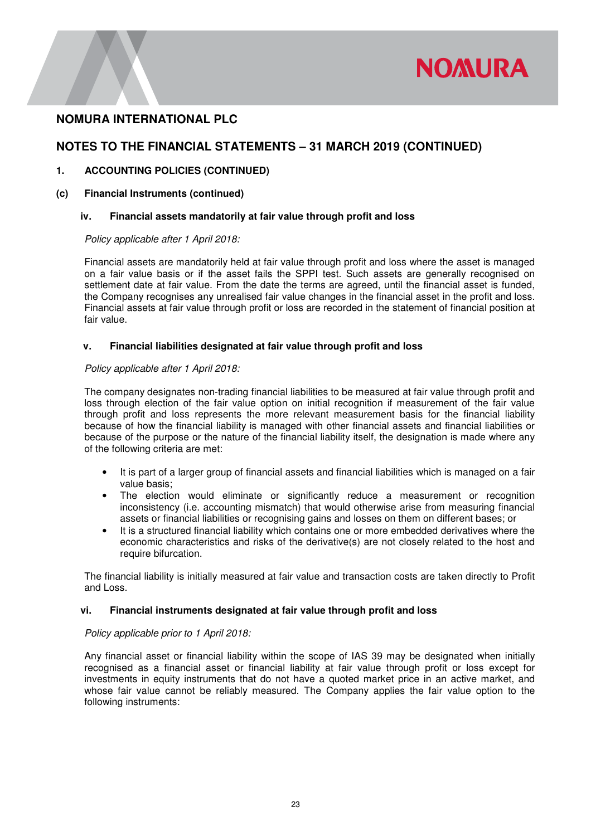

## **NOTES TO THE FINANCIAL STATEMENTS – 31 MARCH 2019 (CONTINUED)**

## **1. ACCOUNTING POLICIES (CONTINUED)**

## **(c) Financial Instruments (continued)**

## **iv. Financial assets mandatorily at fair value through profit and loss**

Policy applicable after 1 April 2018:

Financial assets are mandatorily held at fair value through profit and loss where the asset is managed on a fair value basis or if the asset fails the SPPI test. Such assets are generally recognised on settlement date at fair value. From the date the terms are agreed, until the financial asset is funded, the Company recognises any unrealised fair value changes in the financial asset in the profit and loss. Financial assets at fair value through profit or loss are recorded in the statement of financial position at fair value.

## **v. Financial liabilities designated at fair value through profit and loss**

## Policy applicable after 1 April 2018:

The company designates non-trading financial liabilities to be measured at fair value through profit and loss through election of the fair value option on initial recognition if measurement of the fair value through profit and loss represents the more relevant measurement basis for the financial liability because of how the financial liability is managed with other financial assets and financial liabilities or because of the purpose or the nature of the financial liability itself, the designation is made where any of the following criteria are met:

- It is part of a larger group of financial assets and financial liabilities which is managed on a fair value basis;
- The election would eliminate or significantly reduce a measurement or recognition inconsistency (i.e. accounting mismatch) that would otherwise arise from measuring financial assets or financial liabilities or recognising gains and losses on them on different bases; or
- It is a structured financial liability which contains one or more embedded derivatives where the economic characteristics and risks of the derivative(s) are not closely related to the host and require bifurcation.

The financial liability is initially measured at fair value and transaction costs are taken directly to Profit and Loss.

#### **vi. Financial instruments designated at fair value through profit and loss**

#### Policy applicable prior to 1 April 2018:

Any financial asset or financial liability within the scope of IAS 39 may be designated when initially recognised as a financial asset or financial liability at fair value through profit or loss except for investments in equity instruments that do not have a quoted market price in an active market, and whose fair value cannot be reliably measured. The Company applies the fair value option to the following instruments: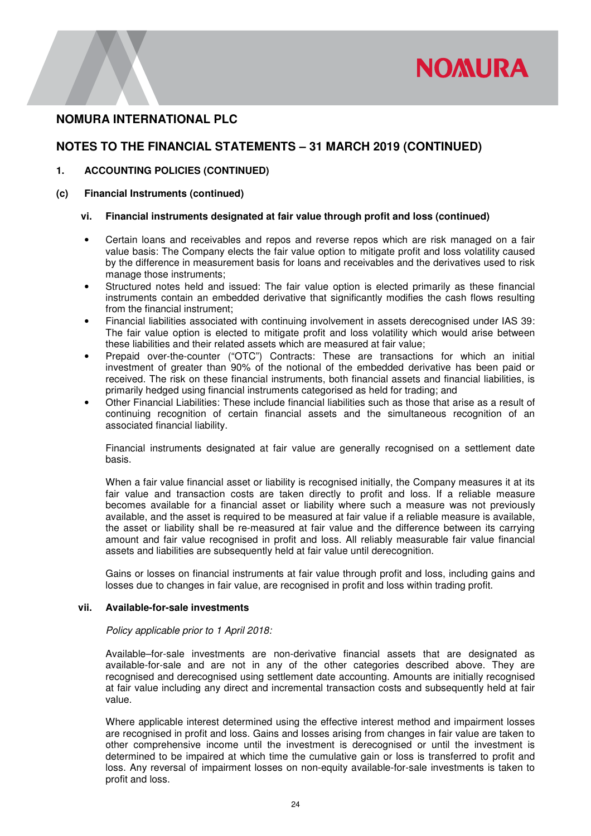

## **NOTES TO THE FINANCIAL STATEMENTS – 31 MARCH 2019 (CONTINUED)**

## **1. ACCOUNTING POLICIES (CONTINUED)**

#### **(c) Financial Instruments (continued)**

#### **vi. Financial instruments designated at fair value through profit and loss (continued)**

- Certain loans and receivables and repos and reverse repos which are risk managed on a fair value basis: The Company elects the fair value option to mitigate profit and loss volatility caused by the difference in measurement basis for loans and receivables and the derivatives used to risk manage those instruments;
- Structured notes held and issued: The fair value option is elected primarily as these financial instruments contain an embedded derivative that significantly modifies the cash flows resulting from the financial instrument;
- Financial liabilities associated with continuing involvement in assets derecognised under IAS 39: The fair value option is elected to mitigate profit and loss volatility which would arise between these liabilities and their related assets which are measured at fair value;
- Prepaid over-the-counter ("OTC") Contracts: These are transactions for which an initial investment of greater than 90% of the notional of the embedded derivative has been paid or received. The risk on these financial instruments, both financial assets and financial liabilities, is primarily hedged using financial instruments categorised as held for trading; and
- Other Financial Liabilities: These include financial liabilities such as those that arise as a result of continuing recognition of certain financial assets and the simultaneous recognition of an associated financial liability.

Financial instruments designated at fair value are generally recognised on a settlement date basis.

When a fair value financial asset or liability is recognised initially, the Company measures it at its fair value and transaction costs are taken directly to profit and loss. If a reliable measure becomes available for a financial asset or liability where such a measure was not previously available, and the asset is required to be measured at fair value if a reliable measure is available, the asset or liability shall be re-measured at fair value and the difference between its carrying amount and fair value recognised in profit and loss. All reliably measurable fair value financial assets and liabilities are subsequently held at fair value until derecognition.

Gains or losses on financial instruments at fair value through profit and loss, including gains and losses due to changes in fair value, are recognised in profit and loss within trading profit.

#### **vii. Available-for-sale investments**

#### Policy applicable prior to 1 April 2018:

Available–for-sale investments are non-derivative financial assets that are designated as available-for-sale and are not in any of the other categories described above. They are recognised and derecognised using settlement date accounting. Amounts are initially recognised at fair value including any direct and incremental transaction costs and subsequently held at fair value.

Where applicable interest determined using the effective interest method and impairment losses are recognised in profit and loss. Gains and losses arising from changes in fair value are taken to other comprehensive income until the investment is derecognised or until the investment is determined to be impaired at which time the cumulative gain or loss is transferred to profit and loss. Any reversal of impairment losses on non-equity available-for-sale investments is taken to profit and loss.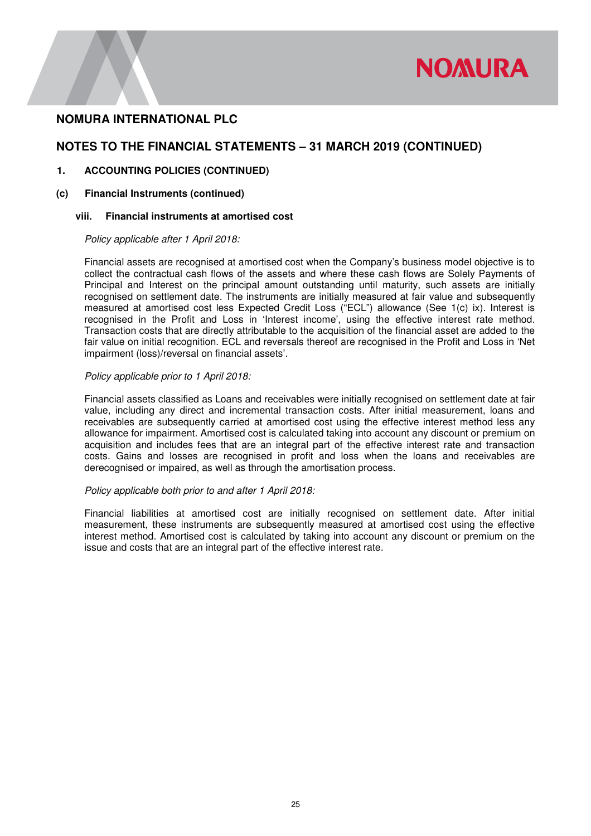

## **NOTES TO THE FINANCIAL STATEMENTS – 31 MARCH 2019 (CONTINUED)**

## **1. ACCOUNTING POLICIES (CONTINUED)**

#### **(c) Financial Instruments (continued)**

#### **viii. Financial instruments at amortised cost**

Policy applicable after 1 April 2018:

Financial assets are recognised at amortised cost when the Company's business model objective is to collect the contractual cash flows of the assets and where these cash flows are Solely Payments of Principal and Interest on the principal amount outstanding until maturity, such assets are initially recognised on settlement date. The instruments are initially measured at fair value and subsequently measured at amortised cost less Expected Credit Loss ("ECL") allowance (See 1(c) ix). Interest is recognised in the Profit and Loss in 'Interest income', using the effective interest rate method. Transaction costs that are directly attributable to the acquisition of the financial asset are added to the fair value on initial recognition. ECL and reversals thereof are recognised in the Profit and Loss in 'Net impairment (loss)/reversal on financial assets'.

#### Policy applicable prior to 1 April 2018:

Financial assets classified as Loans and receivables were initially recognised on settlement date at fair value, including any direct and incremental transaction costs. After initial measurement, loans and receivables are subsequently carried at amortised cost using the effective interest method less any allowance for impairment. Amortised cost is calculated taking into account any discount or premium on acquisition and includes fees that are an integral part of the effective interest rate and transaction costs. Gains and losses are recognised in profit and loss when the loans and receivables are derecognised or impaired, as well as through the amortisation process.

#### Policy applicable both prior to and after 1 April 2018:

Financial liabilities at amortised cost are initially recognised on settlement date. After initial measurement, these instruments are subsequently measured at amortised cost using the effective interest method. Amortised cost is calculated by taking into account any discount or premium on the issue and costs that are an integral part of the effective interest rate.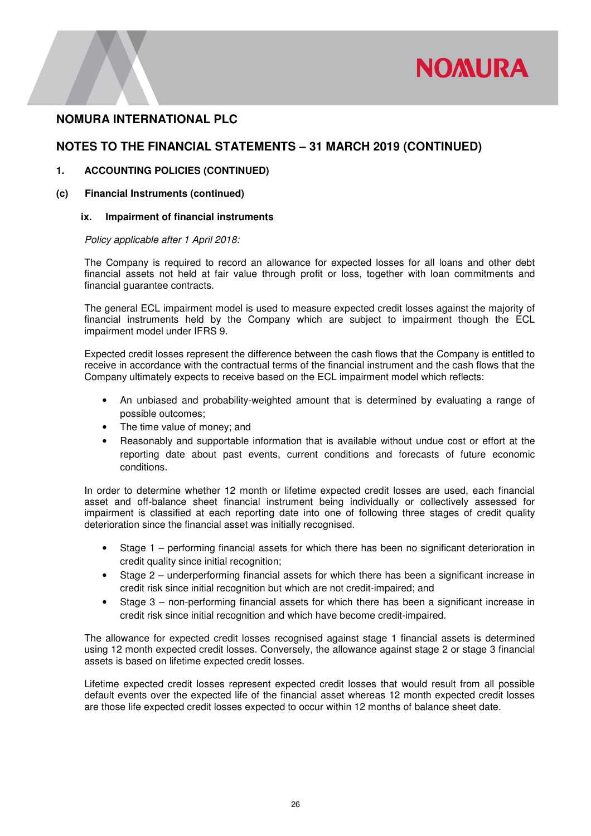

## **NOTES TO THE FINANCIAL STATEMENTS – 31 MARCH 2019 (CONTINUED)**

## **1. ACCOUNTING POLICIES (CONTINUED)**

#### **(c) Financial Instruments (continued)**

#### **ix. Impairment of financial instruments**

Policy applicable after 1 April 2018:

The Company is required to record an allowance for expected losses for all loans and other debt financial assets not held at fair value through profit or loss, together with loan commitments and financial guarantee contracts.

The general ECL impairment model is used to measure expected credit losses against the majority of financial instruments held by the Company which are subject to impairment though the ECL impairment model under IFRS 9.

Expected credit losses represent the difference between the cash flows that the Company is entitled to receive in accordance with the contractual terms of the financial instrument and the cash flows that the Company ultimately expects to receive based on the ECL impairment model which reflects:

- An unbiased and probability-weighted amount that is determined by evaluating a range of possible outcomes;
- The time value of money; and
- Reasonably and supportable information that is available without undue cost or effort at the reporting date about past events, current conditions and forecasts of future economic conditions.

In order to determine whether 12 month or lifetime expected credit losses are used, each financial asset and off-balance sheet financial instrument being individually or collectively assessed for impairment is classified at each reporting date into one of following three stages of credit quality deterioration since the financial asset was initially recognised.

- Stage 1 performing financial assets for which there has been no significant deterioration in credit quality since initial recognition;
- Stage 2 underperforming financial assets for which there has been a significant increase in credit risk since initial recognition but which are not credit-impaired; and
- Stage 3 non-performing financial assets for which there has been a significant increase in credit risk since initial recognition and which have become credit-impaired.

The allowance for expected credit losses recognised against stage 1 financial assets is determined using 12 month expected credit losses. Conversely, the allowance against stage 2 or stage 3 financial assets is based on lifetime expected credit losses.

Lifetime expected credit losses represent expected credit losses that would result from all possible default events over the expected life of the financial asset whereas 12 month expected credit losses are those life expected credit losses expected to occur within 12 months of balance sheet date.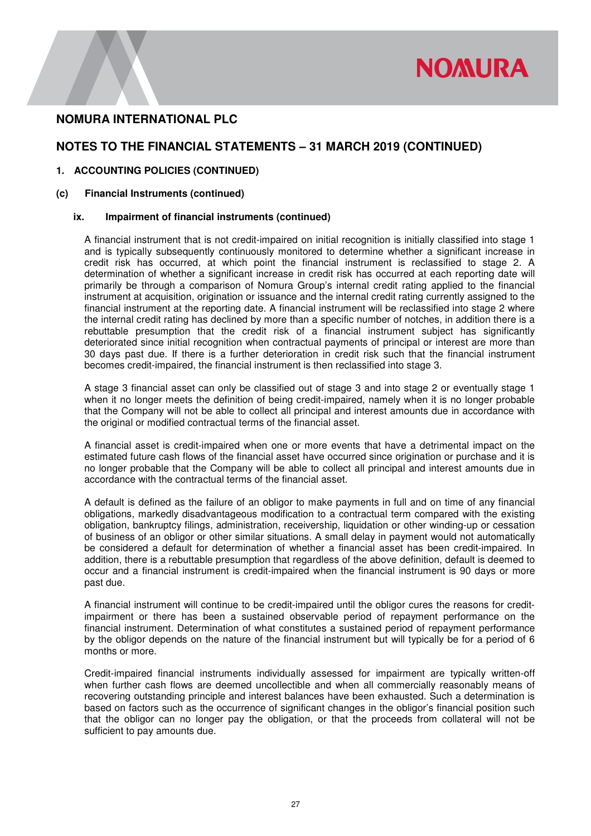

## **NOTES TO THE FINANCIAL STATEMENTS – 31 MARCH 2019 (CONTINUED)**

## **1. ACCOUNTING POLICIES (CONTINUED)**

#### **(c) Financial Instruments (continued)**

#### **ix. Impairment of financial instruments (continued)**

A financial instrument that is not credit-impaired on initial recognition is initially classified into stage 1 and is typically subsequently continuously monitored to determine whether a significant increase in credit risk has occurred, at which point the financial instrument is reclassified to stage 2. A determination of whether a significant increase in credit risk has occurred at each reporting date will primarily be through a comparison of Nomura Group's internal credit rating applied to the financial instrument at acquisition, origination or issuance and the internal credit rating currently assigned to the financial instrument at the reporting date. A financial instrument will be reclassified into stage 2 where the internal credit rating has declined by more than a specific number of notches, in addition there is a rebuttable presumption that the credit risk of a financial instrument subject has significantly deteriorated since initial recognition when contractual payments of principal or interest are more than 30 days past due. If there is a further deterioration in credit risk such that the financial instrument becomes credit-impaired, the financial instrument is then reclassified into stage 3.

A stage 3 financial asset can only be classified out of stage 3 and into stage 2 or eventually stage 1 when it no longer meets the definition of being credit-impaired, namely when it is no longer probable that the Company will not be able to collect all principal and interest amounts due in accordance with the original or modified contractual terms of the financial asset.

A financial asset is credit-impaired when one or more events that have a detrimental impact on the estimated future cash flows of the financial asset have occurred since origination or purchase and it is no longer probable that the Company will be able to collect all principal and interest amounts due in accordance with the contractual terms of the financial asset.

A default is defined as the failure of an obligor to make payments in full and on time of any financial obligations, markedly disadvantageous modification to a contractual term compared with the existing obligation, bankruptcy filings, administration, receivership, liquidation or other winding-up or cessation of business of an obligor or other similar situations. A small delay in payment would not automatically be considered a default for determination of whether a financial asset has been credit-impaired. In addition, there is a rebuttable presumption that regardless of the above definition, default is deemed to occur and a financial instrument is credit-impaired when the financial instrument is 90 days or more past due.

A financial instrument will continue to be credit-impaired until the obligor cures the reasons for creditimpairment or there has been a sustained observable period of repayment performance on the financial instrument. Determination of what constitutes a sustained period of repayment performance by the obligor depends on the nature of the financial instrument but will typically be for a period of 6 months or more.

Credit-impaired financial instruments individually assessed for impairment are typically written-off when further cash flows are deemed uncollectible and when all commercially reasonably means of recovering outstanding principle and interest balances have been exhausted. Such a determination is based on factors such as the occurrence of significant changes in the obligor's financial position such that the obligor can no longer pay the obligation, or that the proceeds from collateral will not be sufficient to pay amounts due.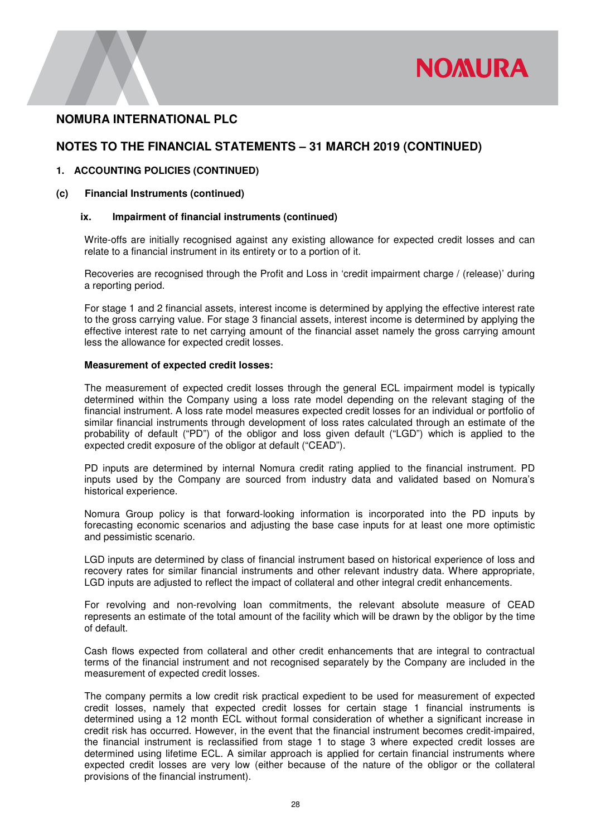

## **NOTES TO THE FINANCIAL STATEMENTS – 31 MARCH 2019 (CONTINUED)**

## **1. ACCOUNTING POLICIES (CONTINUED)**

#### **(c) Financial Instruments (continued)**

#### **ix. Impairment of financial instruments (continued)**

Write-offs are initially recognised against any existing allowance for expected credit losses and can relate to a financial instrument in its entirety or to a portion of it.

Recoveries are recognised through the Profit and Loss in 'credit impairment charge / (release)' during a reporting period.

For stage 1 and 2 financial assets, interest income is determined by applying the effective interest rate to the gross carrying value. For stage 3 financial assets, interest income is determined by applying the effective interest rate to net carrying amount of the financial asset namely the gross carrying amount less the allowance for expected credit losses.

#### **Measurement of expected credit losses:**

The measurement of expected credit losses through the general ECL impairment model is typically determined within the Company using a loss rate model depending on the relevant staging of the financial instrument. A loss rate model measures expected credit losses for an individual or portfolio of similar financial instruments through development of loss rates calculated through an estimate of the probability of default ("PD") of the obligor and loss given default ("LGD") which is applied to the expected credit exposure of the obligor at default ("CEAD").

PD inputs are determined by internal Nomura credit rating applied to the financial instrument. PD inputs used by the Company are sourced from industry data and validated based on Nomura's historical experience.

Nomura Group policy is that forward-looking information is incorporated into the PD inputs by forecasting economic scenarios and adjusting the base case inputs for at least one more optimistic and pessimistic scenario.

LGD inputs are determined by class of financial instrument based on historical experience of loss and recovery rates for similar financial instruments and other relevant industry data. Where appropriate, LGD inputs are adjusted to reflect the impact of collateral and other integral credit enhancements.

For revolving and non-revolving loan commitments, the relevant absolute measure of CEAD represents an estimate of the total amount of the facility which will be drawn by the obligor by the time of default.

Cash flows expected from collateral and other credit enhancements that are integral to contractual terms of the financial instrument and not recognised separately by the Company are included in the measurement of expected credit losses.

The company permits a low credit risk practical expedient to be used for measurement of expected credit losses, namely that expected credit losses for certain stage 1 financial instruments is determined using a 12 month ECL without formal consideration of whether a significant increase in credit risk has occurred. However, in the event that the financial instrument becomes credit-impaired, the financial instrument is reclassified from stage 1 to stage 3 where expected credit losses are determined using lifetime ECL. A similar approach is applied for certain financial instruments where expected credit losses are very low (either because of the nature of the obligor or the collateral provisions of the financial instrument).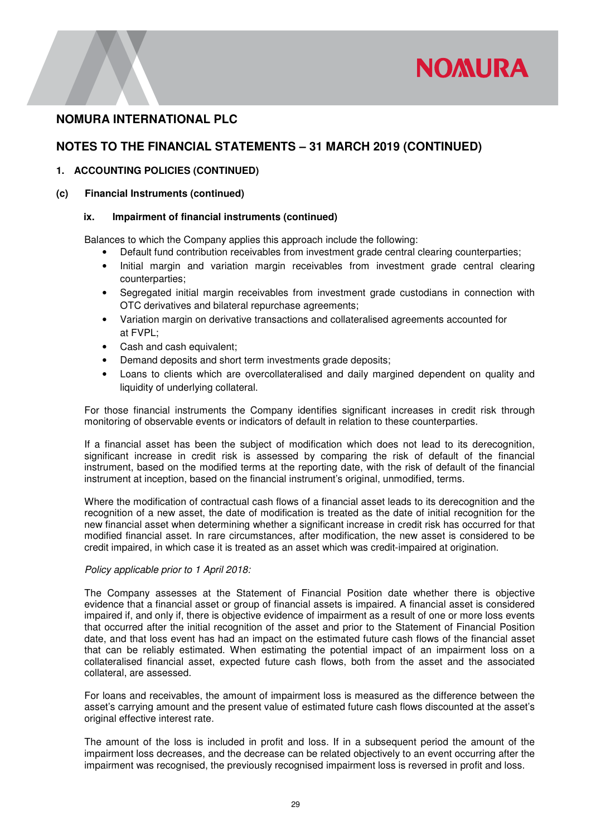

## **NOTES TO THE FINANCIAL STATEMENTS – 31 MARCH 2019 (CONTINUED)**

## **1. ACCOUNTING POLICIES (CONTINUED)**

#### **(c) Financial Instruments (continued)**

#### **ix. Impairment of financial instruments (continued)**

Balances to which the Company applies this approach include the following:

- Default fund contribution receivables from investment grade central clearing counterparties;
- Initial margin and variation margin receivables from investment grade central clearing counterparties;
- Segregated initial margin receivables from investment grade custodians in connection with OTC derivatives and bilateral repurchase agreements;
- Variation margin on derivative transactions and collateralised agreements accounted for at FVPL;
- Cash and cash equivalent;
- Demand deposits and short term investments grade deposits;
- Loans to clients which are overcollateralised and daily margined dependent on quality and liquidity of underlying collateral.

For those financial instruments the Company identifies significant increases in credit risk through monitoring of observable events or indicators of default in relation to these counterparties.

If a financial asset has been the subject of modification which does not lead to its derecognition, significant increase in credit risk is assessed by comparing the risk of default of the financial instrument, based on the modified terms at the reporting date, with the risk of default of the financial instrument at inception, based on the financial instrument's original, unmodified, terms.

Where the modification of contractual cash flows of a financial asset leads to its derecognition and the recognition of a new asset, the date of modification is treated as the date of initial recognition for the new financial asset when determining whether a significant increase in credit risk has occurred for that modified financial asset. In rare circumstances, after modification, the new asset is considered to be credit impaired, in which case it is treated as an asset which was credit-impaired at origination.

## Policy applicable prior to 1 April 2018:

The Company assesses at the Statement of Financial Position date whether there is objective evidence that a financial asset or group of financial assets is impaired. A financial asset is considered impaired if, and only if, there is objective evidence of impairment as a result of one or more loss events that occurred after the initial recognition of the asset and prior to the Statement of Financial Position date, and that loss event has had an impact on the estimated future cash flows of the financial asset that can be reliably estimated. When estimating the potential impact of an impairment loss on a collateralised financial asset, expected future cash flows, both from the asset and the associated collateral, are assessed.

For loans and receivables, the amount of impairment loss is measured as the difference between the asset's carrying amount and the present value of estimated future cash flows discounted at the asset's original effective interest rate.

The amount of the loss is included in profit and loss. If in a subsequent period the amount of the impairment loss decreases, and the decrease can be related objectively to an event occurring after the impairment was recognised, the previously recognised impairment loss is reversed in profit and loss.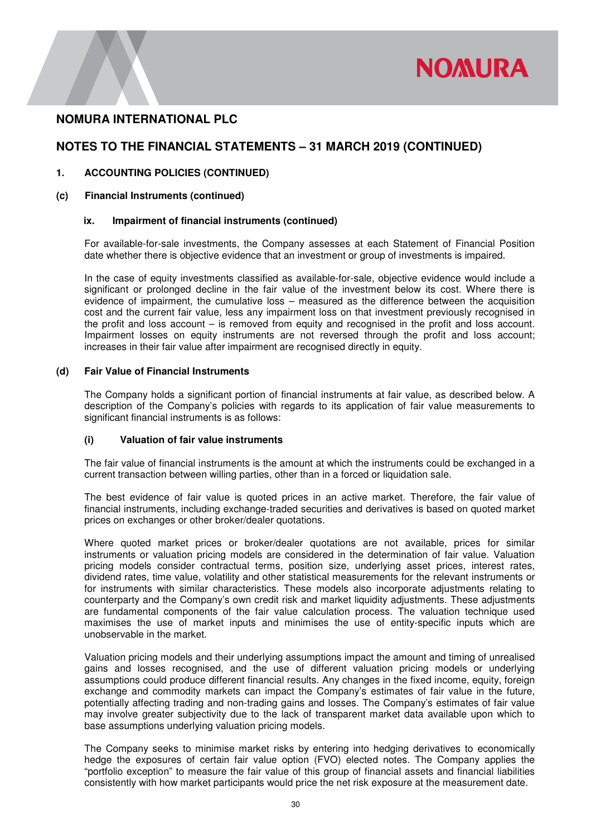

## **NOTES TO THE FINANCIAL STATEMENTS – 31 MARCH 2019 (CONTINUED)**

## **1. ACCOUNTING POLICIES (CONTINUED)**

#### **(c) Financial Instruments (continued)**

#### **ix. Impairment of financial instruments (continued)**

For available-for-sale investments, the Company assesses at each Statement of Financial Position date whether there is objective evidence that an investment or group of investments is impaired.

In the case of equity investments classified as available-for-sale, objective evidence would include a significant or prolonged decline in the fair value of the investment below its cost. Where there is evidence of impairment, the cumulative loss – measured as the difference between the acquisition cost and the current fair value, less any impairment loss on that investment previously recognised in the profit and loss account – is removed from equity and recognised in the profit and loss account. Impairment losses on equity instruments are not reversed through the profit and loss account; increases in their fair value after impairment are recognised directly in equity.

## **(d) Fair Value of Financial Instruments**

The Company holds a significant portion of financial instruments at fair value, as described below. A description of the Company's policies with regards to its application of fair value measurements to significant financial instruments is as follows:

#### **(i) Valuation of fair value instruments**

The fair value of financial instruments is the amount at which the instruments could be exchanged in a current transaction between willing parties, other than in a forced or liquidation sale.

The best evidence of fair value is quoted prices in an active market. Therefore, the fair value of financial instruments, including exchange-traded securities and derivatives is based on quoted market prices on exchanges or other broker/dealer quotations.

Where quoted market prices or broker/dealer quotations are not available, prices for similar instruments or valuation pricing models are considered in the determination of fair value. Valuation pricing models consider contractual terms, position size, underlying asset prices, interest rates, dividend rates, time value, volatility and other statistical measurements for the relevant instruments or for instruments with similar characteristics. These models also incorporate adjustments relating to counterparty and the Company's own credit risk and market liquidity adjustments. These adjustments are fundamental components of the fair value calculation process. The valuation technique used maximises the use of market inputs and minimises the use of entity-specific inputs which are unobservable in the market.

Valuation pricing models and their underlying assumptions impact the amount and timing of unrealised gains and losses recognised, and the use of different valuation pricing models or underlying assumptions could produce different financial results. Any changes in the fixed income, equity, foreign exchange and commodity markets can impact the Company's estimates of fair value in the future, potentially affecting trading and non-trading gains and losses. The Company's estimates of fair value may involve greater subjectivity due to the lack of transparent market data available upon which to base assumptions underlying valuation pricing models.

The Company seeks to minimise market risks by entering into hedging derivatives to economically hedge the exposures of certain fair value option (FVO) elected notes. The Company applies the "portfolio exception" to measure the fair value of this group of financial assets and financial liabilities consistently with how market participants would price the net risk exposure at the measurement date.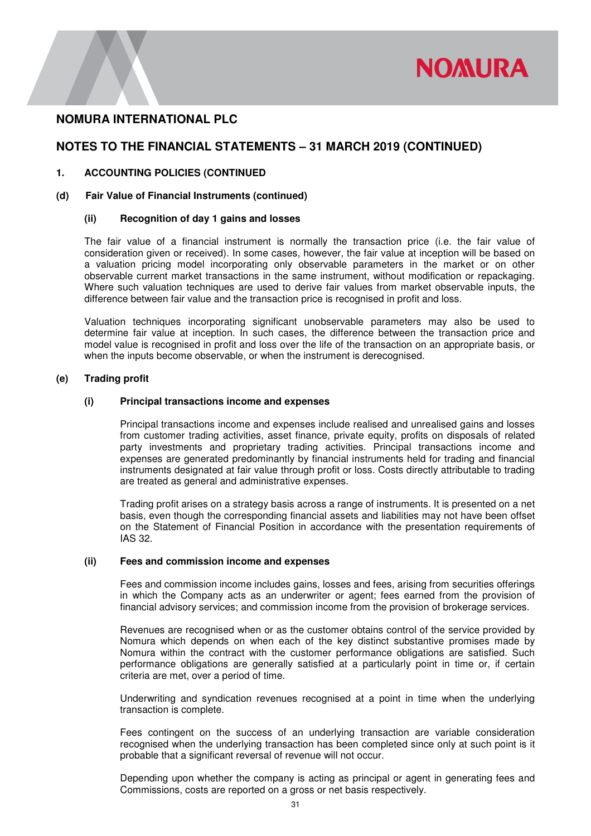

## **NOTES TO THE FINANCIAL STATEMENTS – 31 MARCH 2019 (CONTINUED)**

#### **1. ACCOUNTING POLICIES (CONTINUED**

#### **(d) Fair Value of Financial Instruments (continued)**

#### **(ii) Recognition of day 1 gains and losses**

The fair value of a financial instrument is normally the transaction price (i.e. the fair value of consideration given or received). In some cases, however, the fair value at inception will be based on a valuation pricing model incorporating only observable parameters in the market or on other observable current market transactions in the same instrument, without modification or repackaging. Where such valuation techniques are used to derive fair values from market observable inputs, the difference between fair value and the transaction price is recognised in profit and loss.

Valuation techniques incorporating significant unobservable parameters may also be used to determine fair value at inception. In such cases, the difference between the transaction price and model value is recognised in profit and loss over the life of the transaction on an appropriate basis, or when the inputs become observable, or when the instrument is derecognised.

#### **(e) Trading profit**

#### **(i) Principal transactions income and expenses**

Principal transactions income and expenses include realised and unrealised gains and losses from customer trading activities, asset finance, private equity, profits on disposals of related party investments and proprietary trading activities. Principal transactions income and expenses are generated predominantly by financial instruments held for trading and financial instruments designated at fair value through profit or loss. Costs directly attributable to trading are treated as general and administrative expenses.

Trading profit arises on a strategy basis across a range of instruments. It is presented on a net basis, even though the corresponding financial assets and liabilities may not have been offset on the Statement of Financial Position in accordance with the presentation requirements of IAS 32.

#### **(ii) Fees and commission income and expenses**

Fees and commission income includes gains, losses and fees, arising from securities offerings in which the Company acts as an underwriter or agent; fees earned from the provision of financial advisory services; and commission income from the provision of brokerage services.

Revenues are recognised when or as the customer obtains control of the service provided by Nomura which depends on when each of the key distinct substantive promises made by Nomura within the contract with the customer performance obligations are satisfied. Such performance obligations are generally satisfied at a particularly point in time or, if certain criteria are met, over a period of time.

Underwriting and syndication revenues recognised at a point in time when the underlying transaction is complete.

Fees contingent on the success of an underlying transaction are variable consideration recognised when the underlying transaction has been completed since only at such point is it probable that a significant reversal of revenue will not occur.

Depending upon whether the company is acting as principal or agent in generating fees and Commissions, costs are reported on a gross or net basis respectively.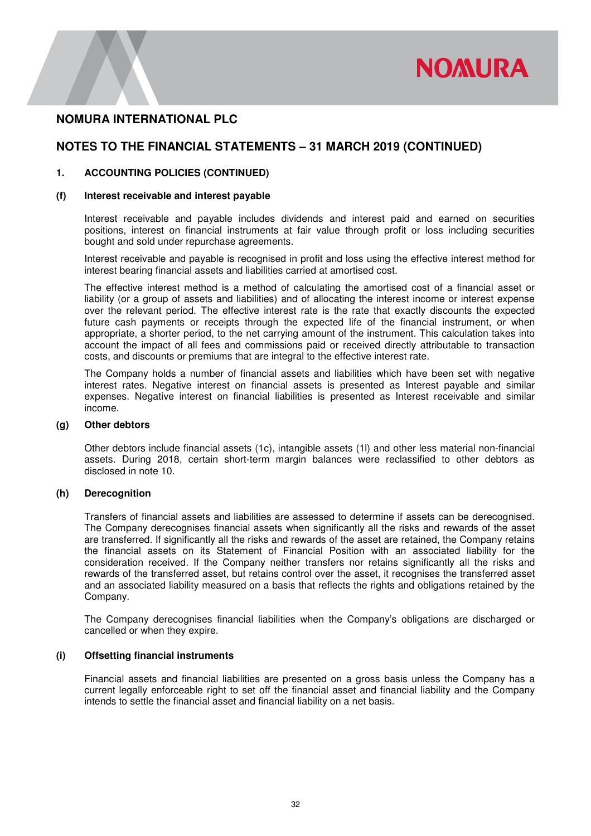

## **NOTES TO THE FINANCIAL STATEMENTS – 31 MARCH 2019 (CONTINUED)**

#### **1. ACCOUNTING POLICIES (CONTINUED)**

#### **(f) Interest receivable and interest payable**

Interest receivable and payable includes dividends and interest paid and earned on securities positions, interest on financial instruments at fair value through profit or loss including securities bought and sold under repurchase agreements.

Interest receivable and payable is recognised in profit and loss using the effective interest method for interest bearing financial assets and liabilities carried at amortised cost.

The effective interest method is a method of calculating the amortised cost of a financial asset or liability (or a group of assets and liabilities) and of allocating the interest income or interest expense over the relevant period. The effective interest rate is the rate that exactly discounts the expected future cash payments or receipts through the expected life of the financial instrument, or when appropriate, a shorter period, to the net carrying amount of the instrument. This calculation takes into account the impact of all fees and commissions paid or received directly attributable to transaction costs, and discounts or premiums that are integral to the effective interest rate.

The Company holds a number of financial assets and liabilities which have been set with negative interest rates. Negative interest on financial assets is presented as Interest payable and similar expenses. Negative interest on financial liabilities is presented as Interest receivable and similar income.

#### **(g) Other debtors**

Other debtors include financial assets (1c), intangible assets (1l) and other less material non-financial assets. During 2018, certain short-term margin balances were reclassified to other debtors as disclosed in note 10.

## **(h) Derecognition**

Transfers of financial assets and liabilities are assessed to determine if assets can be derecognised. The Company derecognises financial assets when significantly all the risks and rewards of the asset are transferred. If significantly all the risks and rewards of the asset are retained, the Company retains the financial assets on its Statement of Financial Position with an associated liability for the consideration received. If the Company neither transfers nor retains significantly all the risks and rewards of the transferred asset, but retains control over the asset, it recognises the transferred asset and an associated liability measured on a basis that reflects the rights and obligations retained by the Company.

The Company derecognises financial liabilities when the Company's obligations are discharged or cancelled or when they expire.

#### **(i) Offsetting financial instruments**

Financial assets and financial liabilities are presented on a gross basis unless the Company has a current legally enforceable right to set off the financial asset and financial liability and the Company intends to settle the financial asset and financial liability on a net basis.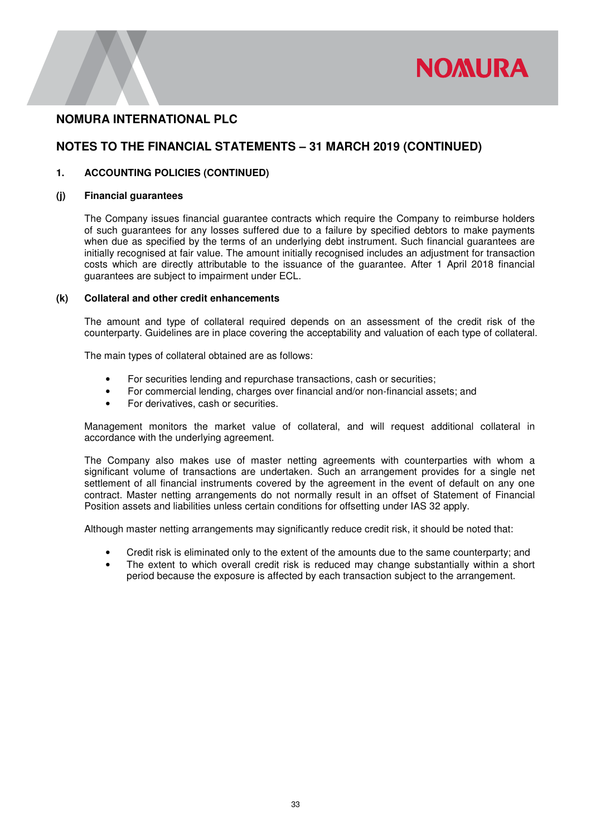

## **NOTES TO THE FINANCIAL STATEMENTS – 31 MARCH 2019 (CONTINUED)**

## **1. ACCOUNTING POLICIES (CONTINUED)**

#### **(j) Financial guarantees**

The Company issues financial guarantee contracts which require the Company to reimburse holders of such guarantees for any losses suffered due to a failure by specified debtors to make payments when due as specified by the terms of an underlying debt instrument. Such financial guarantees are initially recognised at fair value. The amount initially recognised includes an adjustment for transaction costs which are directly attributable to the issuance of the guarantee. After 1 April 2018 financial guarantees are subject to impairment under ECL.

## **(k) Collateral and other credit enhancements**

The amount and type of collateral required depends on an assessment of the credit risk of the counterparty. Guidelines are in place covering the acceptability and valuation of each type of collateral.

The main types of collateral obtained are as follows:

- For securities lending and repurchase transactions, cash or securities;
- For commercial lending, charges over financial and/or non-financial assets; and
- For derivatives, cash or securities.

Management monitors the market value of collateral, and will request additional collateral in accordance with the underlying agreement.

The Company also makes use of master netting agreements with counterparties with whom a significant volume of transactions are undertaken. Such an arrangement provides for a single net settlement of all financial instruments covered by the agreement in the event of default on any one contract. Master netting arrangements do not normally result in an offset of Statement of Financial Position assets and liabilities unless certain conditions for offsetting under IAS 32 apply.

Although master netting arrangements may significantly reduce credit risk, it should be noted that:

- Credit risk is eliminated only to the extent of the amounts due to the same counterparty; and
- The extent to which overall credit risk is reduced may change substantially within a short period because the exposure is affected by each transaction subject to the arrangement.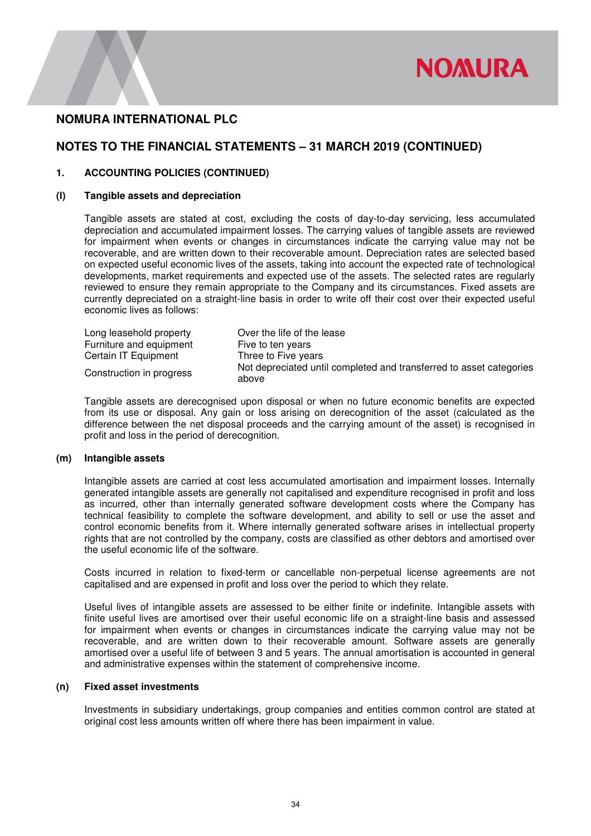

## **NOTES TO THE FINANCIAL STATEMENTS – 31 MARCH 2019 (CONTINUED)**

#### **1. ACCOUNTING POLICIES (CONTINUED)**

#### **(l) Tangible assets and depreciation**

Tangible assets are stated at cost, excluding the costs of day-to-day servicing, less accumulated depreciation and accumulated impairment losses. The carrying values of tangible assets are reviewed for impairment when events or changes in circumstances indicate the carrying value may not be recoverable, and are written down to their recoverable amount. Depreciation rates are selected based on expected useful economic lives of the assets, taking into account the expected rate of technological developments, market requirements and expected use of the assets. The selected rates are regularly reviewed to ensure they remain appropriate to the Company and its circumstances. Fixed assets are currently depreciated on a straight-line basis in order to write off their cost over their expected useful economic lives as follows:

| Long leasehold property  | Over the life of the lease                                                   |
|--------------------------|------------------------------------------------------------------------------|
| Furniture and equipment  | Five to ten years                                                            |
| Certain IT Equipment     | Three to Five years                                                          |
| Construction in progress | Not depreciated until completed and transferred to asset categories<br>above |

Tangible assets are derecognised upon disposal or when no future economic benefits are expected from its use or disposal. Any gain or loss arising on derecognition of the asset (calculated as the difference between the net disposal proceeds and the carrying amount of the asset) is recognised in profit and loss in the period of derecognition.

#### **(m) Intangible assets**

Intangible assets are carried at cost less accumulated amortisation and impairment losses. Internally generated intangible assets are generally not capitalised and expenditure recognised in profit and loss as incurred, other than internally generated software development costs where the Company has technical feasibility to complete the software development, and ability to sell or use the asset and control economic benefits from it. Where internally generated software arises in intellectual property rights that are not controlled by the company, costs are classified as other debtors and amortised over the useful economic life of the software.

Costs incurred in relation to fixed-term or cancellable non-perpetual license agreements are not capitalised and are expensed in profit and loss over the period to which they relate.

Useful lives of intangible assets are assessed to be either finite or indefinite. Intangible assets with finite useful lives are amortised over their useful economic life on a straight-line basis and assessed for impairment when events or changes in circumstances indicate the carrying value may not be recoverable, and are written down to their recoverable amount. Software assets are generally amortised over a useful life of between 3 and 5 years. The annual amortisation is accounted in general and administrative expenses within the statement of comprehensive income.

#### **(n) Fixed asset investments**

Investments in subsidiary undertakings, group companies and entities common control are stated at original cost less amounts written off where there has been impairment in value.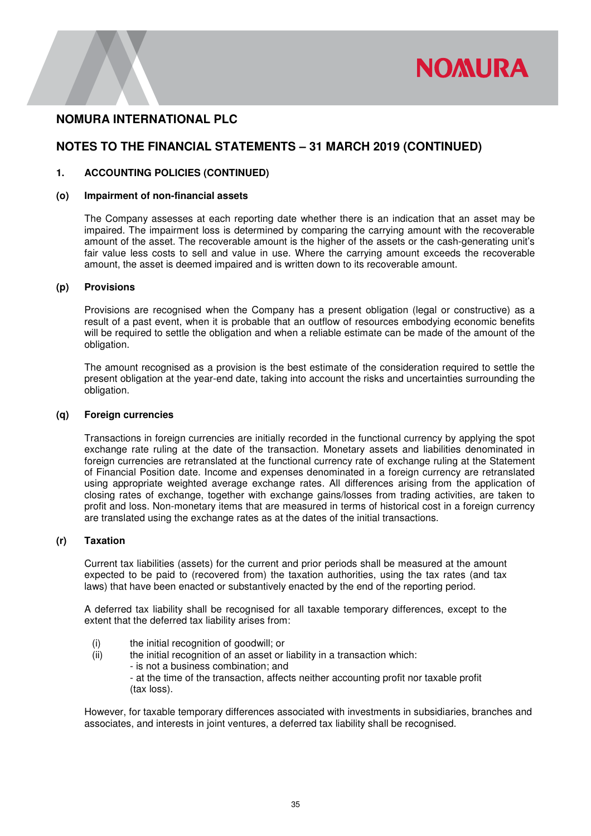

## **NOTES TO THE FINANCIAL STATEMENTS – 31 MARCH 2019 (CONTINUED)**

#### **1. ACCOUNTING POLICIES (CONTINUED)**

#### **(o) Impairment of non-financial assets**

The Company assesses at each reporting date whether there is an indication that an asset may be impaired. The impairment loss is determined by comparing the carrying amount with the recoverable amount of the asset. The recoverable amount is the higher of the assets or the cash-generating unit's fair value less costs to sell and value in use. Where the carrying amount exceeds the recoverable amount, the asset is deemed impaired and is written down to its recoverable amount.

#### **(p) Provisions**

Provisions are recognised when the Company has a present obligation (legal or constructive) as a result of a past event, when it is probable that an outflow of resources embodying economic benefits will be required to settle the obligation and when a reliable estimate can be made of the amount of the obligation.

The amount recognised as a provision is the best estimate of the consideration required to settle the present obligation at the year-end date, taking into account the risks and uncertainties surrounding the obligation.

#### **(q) Foreign currencies**

Transactions in foreign currencies are initially recorded in the functional currency by applying the spot exchange rate ruling at the date of the transaction. Monetary assets and liabilities denominated in foreign currencies are retranslated at the functional currency rate of exchange ruling at the Statement of Financial Position date. Income and expenses denominated in a foreign currency are retranslated using appropriate weighted average exchange rates. All differences arising from the application of closing rates of exchange, together with exchange gains/losses from trading activities, are taken to profit and loss. Non-monetary items that are measured in terms of historical cost in a foreign currency are translated using the exchange rates as at the dates of the initial transactions.

#### **(r) Taxation**

Current tax liabilities (assets) for the current and prior periods shall be measured at the amount expected to be paid to (recovered from) the taxation authorities, using the tax rates (and tax laws) that have been enacted or substantively enacted by the end of the reporting period.

A deferred tax liability shall be recognised for all taxable temporary differences, except to the extent that the deferred tax liability arises from:

- (i) the initial recognition of goodwill; or
- $(iii)$  the initial recognition of an asset or liability in a transaction which: - is not a business combination; and - at the time of the transaction, affects neither accounting profit nor taxable profit (tax loss).

However, for taxable temporary differences associated with investments in subsidiaries, branches and associates, and interests in joint ventures, a deferred tax liability shall be recognised.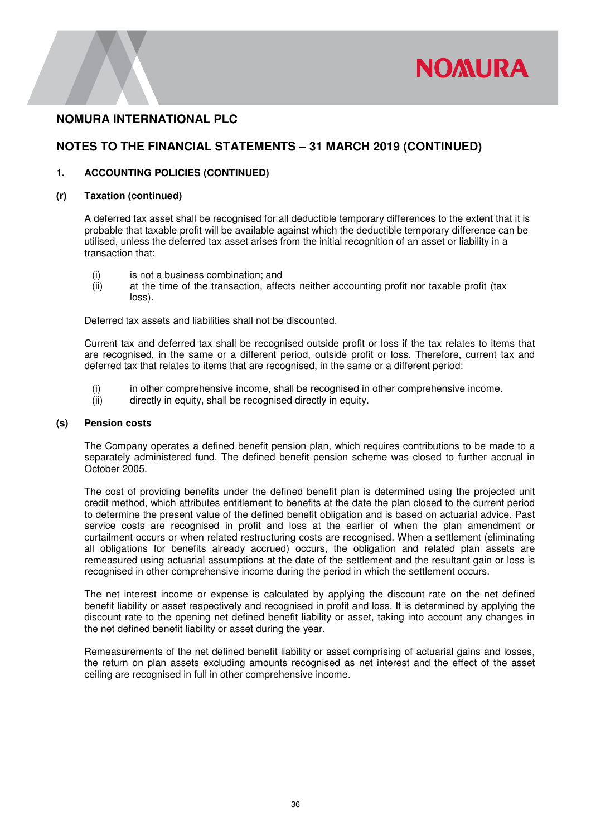

### **NOTES TO THE FINANCIAL STATEMENTS – 31 MARCH 2019 (CONTINUED)**

### **1. ACCOUNTING POLICIES (CONTINUED)**

#### **(r) Taxation (continued)**

A deferred tax asset shall be recognised for all deductible temporary differences to the extent that it is probable that taxable profit will be available against which the deductible temporary difference can be utilised, unless the deferred tax asset arises from the initial recognition of an asset or liability in a transaction that:

- (i) is not a business combination; and
- (ii) at the time of the transaction, affects neither accounting profit nor taxable profit (tax loss).

Deferred tax assets and liabilities shall not be discounted.

Current tax and deferred tax shall be recognised outside profit or loss if the tax relates to items that are recognised, in the same or a different period, outside profit or loss. Therefore, current tax and deferred tax that relates to items that are recognised, in the same or a different period:

- (i) in other comprehensive income, shall be recognised in other comprehensive income.<br>(ii) directly in equity, shall be recognised directly in equity.
- directly in equity, shall be recognised directly in equity.

#### **(s) Pension costs**

The Company operates a defined benefit pension plan, which requires contributions to be made to a separately administered fund. The defined benefit pension scheme was closed to further accrual in October 2005.

The cost of providing benefits under the defined benefit plan is determined using the projected unit credit method, which attributes entitlement to benefits at the date the plan closed to the current period to determine the present value of the defined benefit obligation and is based on actuarial advice. Past service costs are recognised in profit and loss at the earlier of when the plan amendment or curtailment occurs or when related restructuring costs are recognised. When a settlement (eliminating all obligations for benefits already accrued) occurs, the obligation and related plan assets are remeasured using actuarial assumptions at the date of the settlement and the resultant gain or loss is recognised in other comprehensive income during the period in which the settlement occurs.

The net interest income or expense is calculated by applying the discount rate on the net defined benefit liability or asset respectively and recognised in profit and loss. It is determined by applying the discount rate to the opening net defined benefit liability or asset, taking into account any changes in the net defined benefit liability or asset during the year.

Remeasurements of the net defined benefit liability or asset comprising of actuarial gains and losses, the return on plan assets excluding amounts recognised as net interest and the effect of the asset ceiling are recognised in full in other comprehensive income.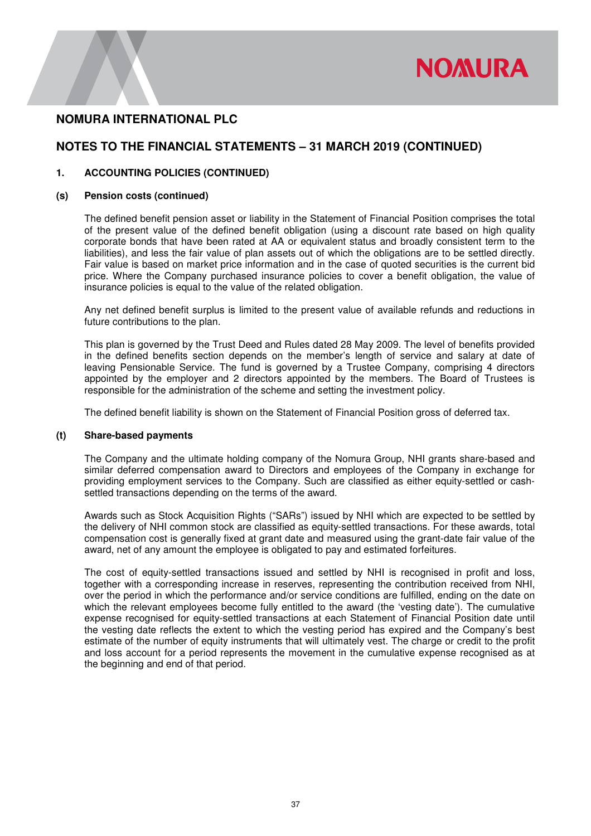

### **NOTES TO THE FINANCIAL STATEMENTS – 31 MARCH 2019 (CONTINUED)**

#### **1. ACCOUNTING POLICIES (CONTINUED)**

#### **(s) Pension costs (continued)**

The defined benefit pension asset or liability in the Statement of Financial Position comprises the total of the present value of the defined benefit obligation (using a discount rate based on high quality corporate bonds that have been rated at AA or equivalent status and broadly consistent term to the liabilities), and less the fair value of plan assets out of which the obligations are to be settled directly. Fair value is based on market price information and in the case of quoted securities is the current bid price. Where the Company purchased insurance policies to cover a benefit obligation, the value of insurance policies is equal to the value of the related obligation.

Any net defined benefit surplus is limited to the present value of available refunds and reductions in future contributions to the plan.

This plan is governed by the Trust Deed and Rules dated 28 May 2009. The level of benefits provided in the defined benefits section depends on the member's length of service and salary at date of leaving Pensionable Service. The fund is governed by a Trustee Company, comprising 4 directors appointed by the employer and 2 directors appointed by the members. The Board of Trustees is responsible for the administration of the scheme and setting the investment policy.

The defined benefit liability is shown on the Statement of Financial Position gross of deferred tax.

#### **(t) Share-based payments**

 The Company and the ultimate holding company of the Nomura Group, NHI grants share-based and similar deferred compensation award to Directors and employees of the Company in exchange for providing employment services to the Company. Such are classified as either equity-settled or cashsettled transactions depending on the terms of the award.

Awards such as Stock Acquisition Rights ("SARs") issued by NHI which are expected to be settled by the delivery of NHI common stock are classified as equity-settled transactions. For these awards, total compensation cost is generally fixed at grant date and measured using the grant-date fair value of the award, net of any amount the employee is obligated to pay and estimated forfeitures.

The cost of equity-settled transactions issued and settled by NHI is recognised in profit and loss, together with a corresponding increase in reserves, representing the contribution received from NHI, over the period in which the performance and/or service conditions are fulfilled, ending on the date on which the relevant employees become fully entitled to the award (the 'vesting date'). The cumulative expense recognised for equity-settled transactions at each Statement of Financial Position date until the vesting date reflects the extent to which the vesting period has expired and the Company's best estimate of the number of equity instruments that will ultimately vest. The charge or credit to the profit and loss account for a period represents the movement in the cumulative expense recognised as at the beginning and end of that period.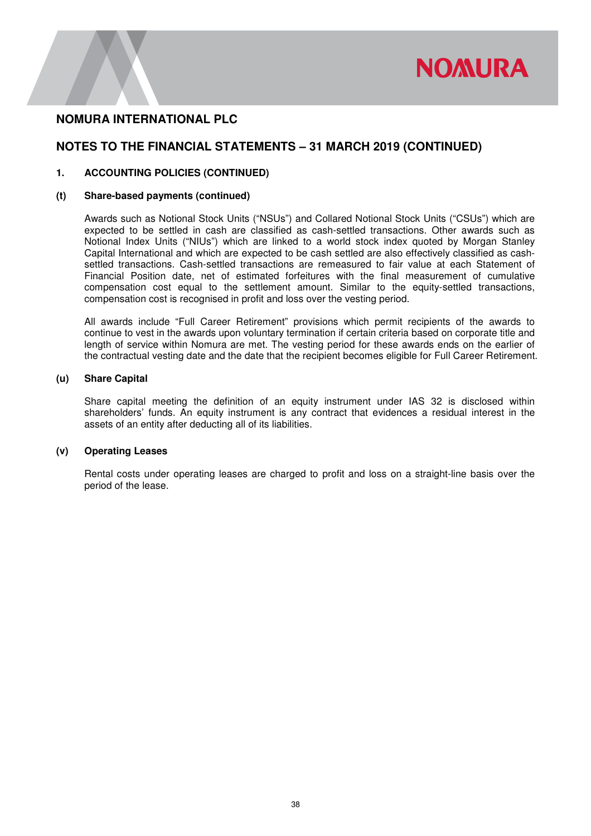

## **NOTES TO THE FINANCIAL STATEMENTS – 31 MARCH 2019 (CONTINUED)**

#### **1. ACCOUNTING POLICIES (CONTINUED)**

#### **(t) Share-based payments (continued)**

Awards such as Notional Stock Units ("NSUs") and Collared Notional Stock Units ("CSUs") which are expected to be settled in cash are classified as cash-settled transactions. Other awards such as Notional Index Units ("NIUs") which are linked to a world stock index quoted by Morgan Stanley Capital International and which are expected to be cash settled are also effectively classified as cashsettled transactions. Cash-settled transactions are remeasured to fair value at each Statement of Financial Position date, net of estimated forfeitures with the final measurement of cumulative compensation cost equal to the settlement amount. Similar to the equity-settled transactions, compensation cost is recognised in profit and loss over the vesting period.

All awards include "Full Career Retirement" provisions which permit recipients of the awards to continue to vest in the awards upon voluntary termination if certain criteria based on corporate title and length of service within Nomura are met. The vesting period for these awards ends on the earlier of the contractual vesting date and the date that the recipient becomes eligible for Full Career Retirement.

#### **(u) Share Capital**

Share capital meeting the definition of an equity instrument under IAS 32 is disclosed within shareholders' funds. An equity instrument is any contract that evidences a residual interest in the assets of an entity after deducting all of its liabilities.

#### **(v) Operating Leases**

 Rental costs under operating leases are charged to profit and loss on a straight-line basis over the period of the lease.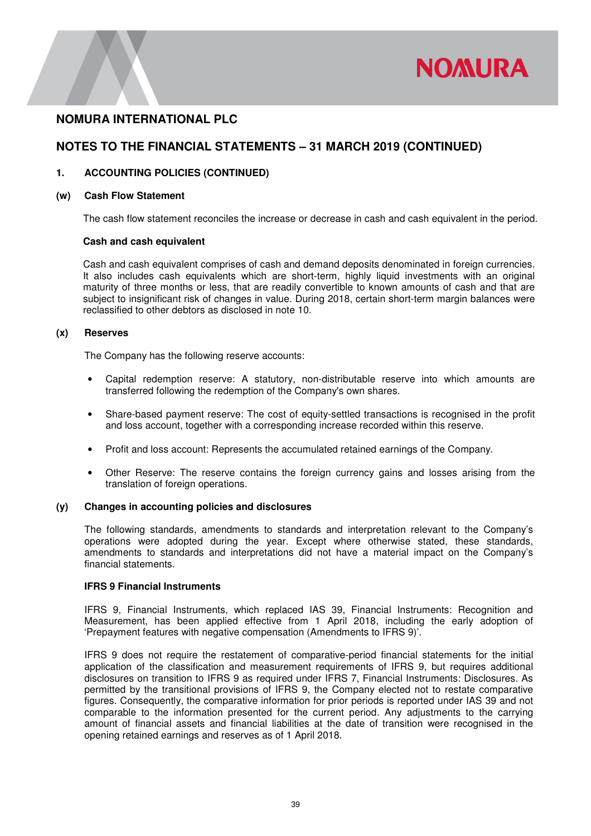

## **NOTES TO THE FINANCIAL STATEMENTS – 31 MARCH 2019 (CONTINUED)**

### **1. ACCOUNTING POLICIES (CONTINUED)**

#### **(w) Cash Flow Statement**

The cash flow statement reconciles the increase or decrease in cash and cash equivalent in the period.

#### **Cash and cash equivalent**

Cash and cash equivalent comprises of cash and demand deposits denominated in foreign currencies. It also includes cash equivalents which are short-term, highly liquid investments with an original maturity of three months or less, that are readily convertible to known amounts of cash and that are subject to insignificant risk of changes in value. During 2018, certain short-term margin balances were reclassified to other debtors as disclosed in note 10.

#### **(x) Reserves**

The Company has the following reserve accounts:

- Capital redemption reserve: A statutory, non-distributable reserve into which amounts are transferred following the redemption of the Company's own shares.
- Share-based payment reserve: The cost of equity-settled transactions is recognised in the profit and loss account, together with a corresponding increase recorded within this reserve.
- Profit and loss account: Represents the accumulated retained earnings of the Company.
- Other Reserve: The reserve contains the foreign currency gains and losses arising from the translation of foreign operations.

#### **(y) Changes in accounting policies and disclosures**

The following standards, amendments to standards and interpretation relevant to the Company's operations were adopted during the year. Except where otherwise stated, these standards, amendments to standards and interpretations did not have a material impact on the Company's financial statements.

#### **IFRS 9 Financial Instruments**

IFRS 9, Financial Instruments, which replaced IAS 39, Financial Instruments: Recognition and Measurement, has been applied effective from 1 April 2018, including the early adoption of 'Prepayment features with negative compensation (Amendments to IFRS 9)'.

IFRS 9 does not require the restatement of comparative-period financial statements for the initial application of the classification and measurement requirements of IFRS 9, but requires additional disclosures on transition to IFRS 9 as required under IFRS 7, Financial Instruments: Disclosures. As permitted by the transitional provisions of IFRS 9, the Company elected not to restate comparative figures. Consequently, the comparative information for prior periods is reported under IAS 39 and not comparable to the information presented for the current period. Any adjustments to the carrying amount of financial assets and financial liabilities at the date of transition were recognised in the opening retained earnings and reserves as of 1 April 2018.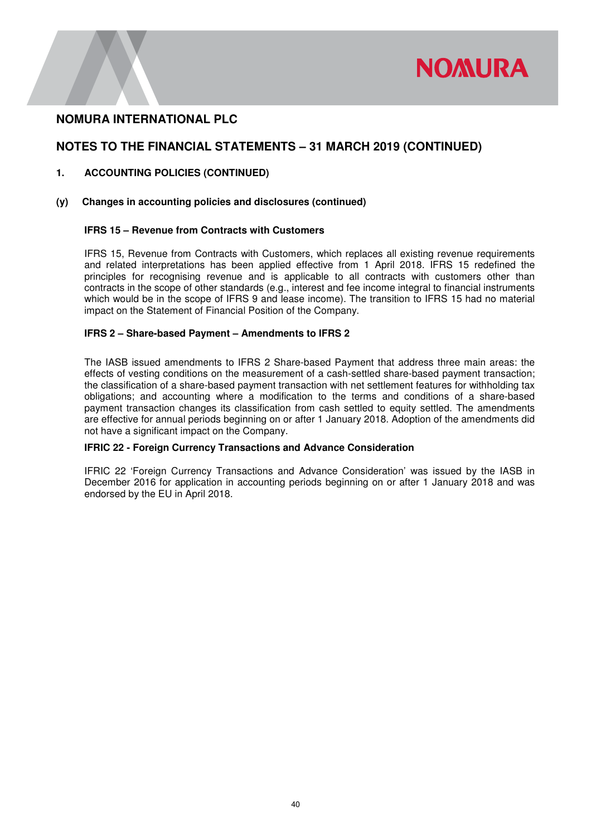

## **NOTES TO THE FINANCIAL STATEMENTS – 31 MARCH 2019 (CONTINUED)**

- **1. ACCOUNTING POLICIES (CONTINUED)**
- **(y) Changes in accounting policies and disclosures (continued)**

#### **IFRS 15 – Revenue from Contracts with Customers**

IFRS 15, Revenue from Contracts with Customers, which replaces all existing revenue requirements and related interpretations has been applied effective from 1 April 2018. IFRS 15 redefined the principles for recognising revenue and is applicable to all contracts with customers other than contracts in the scope of other standards (e.g., interest and fee income integral to financial instruments which would be in the scope of IFRS 9 and lease income). The transition to IFRS 15 had no material impact on the Statement of Financial Position of the Company.

### **IFRS 2 – Share-based Payment – Amendments to IFRS 2**

The IASB issued amendments to IFRS 2 Share-based Payment that address three main areas: the effects of vesting conditions on the measurement of a cash-settled share-based payment transaction; the classification of a share-based payment transaction with net settlement features for withholding tax obligations; and accounting where a modification to the terms and conditions of a share-based payment transaction changes its classification from cash settled to equity settled. The amendments are effective for annual periods beginning on or after 1 January 2018. Adoption of the amendments did not have a significant impact on the Company.

#### **IFRIC 22 - Foreign Currency Transactions and Advance Consideration**

IFRIC 22 'Foreign Currency Transactions and Advance Consideration' was issued by the IASB in December 2016 for application in accounting periods beginning on or after 1 January 2018 and was endorsed by the EU in April 2018.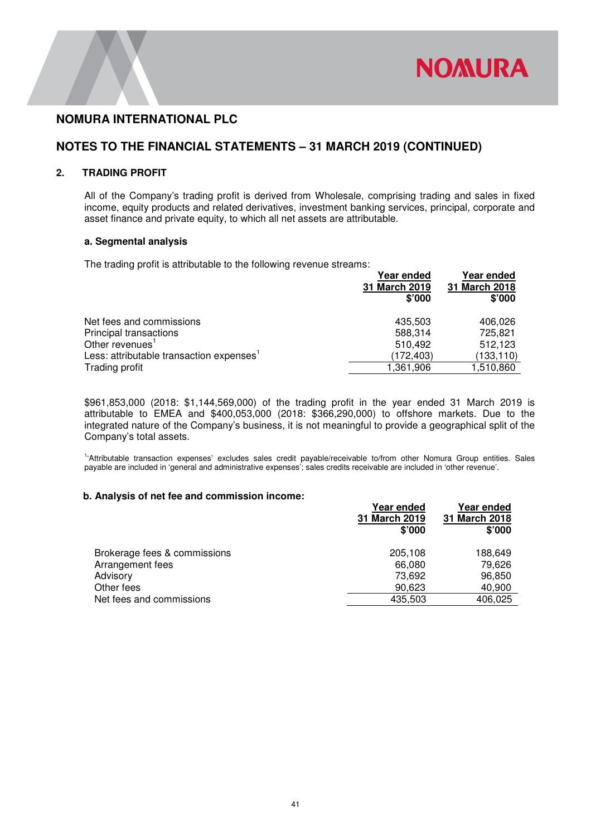

## **NOTES TO THE FINANCIAL STATEMENTS – 31 MARCH 2019 (CONTINUED)**

#### **2. TRADING PROFIT**

All of the Company's trading profit is derived from Wholesale, comprising trading and sales in fixed income, equity products and related derivatives, investment banking services, principal, corporate and asset finance and private equity, to which all net assets are attributable.

#### **a. Segmental analysis**

The trading profit is attributable to the following revenue streams:

|                                                      | Year ended<br>31 March 2019<br>$$^{\circ}000$ | Year ended<br>31 March 2018<br>\$'000 |
|------------------------------------------------------|-----------------------------------------------|---------------------------------------|
| Net fees and commissions                             | 435,503                                       | 406.026                               |
| Principal transactions                               | 588,314                                       | 725,821                               |
| Other revenues <sup>1</sup>                          | 510,492                                       | 512,123                               |
| Less: attributable transaction expenses <sup>1</sup> | (172, 403)                                    | (133,110)                             |
| Trading profit                                       | 1,361,906                                     | 1,510,860                             |
|                                                      |                                               |                                       |

\$961,853,000 (2018: \$1,144,569,000) of the trading profit in the year ended 31 March 2019 is attributable to EMEA and \$400,053,000 (2018: \$366,290,000) to offshore markets. Due to the integrated nature of the Company's business, it is not meaningful to provide a geographical split of the Company's total assets.

<sup>1</sup>'Attributable transaction expenses' excludes sales credit payable/receivable to/from other Nomura Group entities. Sales payable are included in 'general and administrative expenses'; sales credits receivable are included in 'other revenue'.

### **b. Analysis of net fee and commission income:**

|                              | Year ended<br>31 March 2019<br>\$'000 | Year ended<br>31 March 2018<br>\$'000 |
|------------------------------|---------------------------------------|---------------------------------------|
| Brokerage fees & commissions | 205,108                               | 188.649                               |
| Arrangement fees             | 66.080                                | 79,626                                |
| Advisory                     | 73.692                                | 96,850                                |
| Other fees                   | 90,623                                | 40,900                                |
| Net fees and commissions     | 435.503                               | 406.025                               |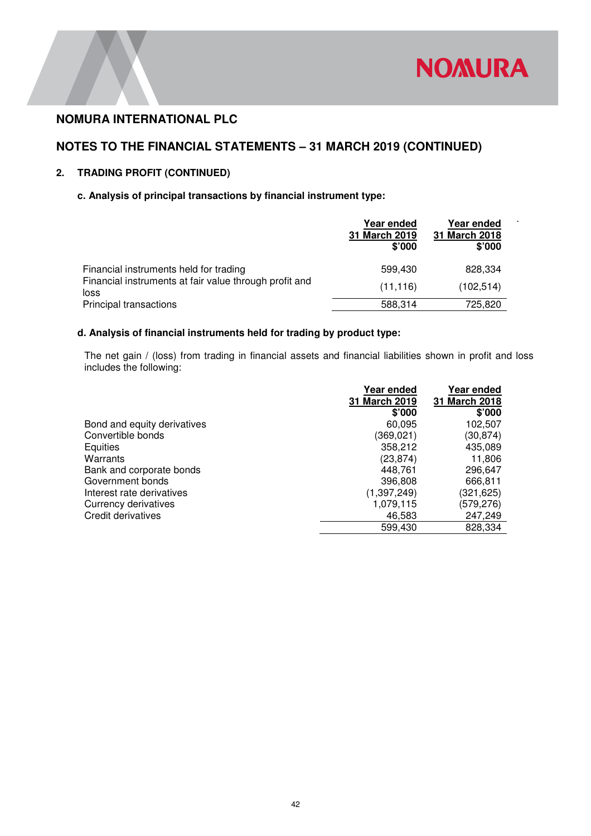

.

# **NOMURA INTERNATIONAL PLC**

# **NOTES TO THE FINANCIAL STATEMENTS – 31 MARCH 2019 (CONTINUED)**

# **2. TRADING PROFIT (CONTINUED)**

### **c. Analysis of principal transactions by financial instrument type:**

|                                                                                                          | Year ended<br>31 March 2019<br>\$'000 | Year ended<br>31 March 2018<br>\$'000 |
|----------------------------------------------------------------------------------------------------------|---------------------------------------|---------------------------------------|
| Financial instruments held for trading<br>Financial instruments at fair value through profit and<br>loss | 599,430                               | 828,334                               |
|                                                                                                          | (11, 116)                             | (102, 514)                            |
| Principal transactions                                                                                   | 588,314                               | 725,820                               |

### **d. Analysis of financial instruments held for trading by product type:**

The net gain / (loss) from trading in financial assets and financial liabilities shown in profit and loss includes the following:

|                             | Year ended    | Year ended    |
|-----------------------------|---------------|---------------|
|                             | 31 March 2019 | 31 March 2018 |
|                             | \$'000        | \$'000        |
| Bond and equity derivatives | 60,095        | 102,507       |
| Convertible bonds           | (369,021)     | (30, 874)     |
| Equities                    | 358,212       | 435,089       |
| Warrants                    | (23, 874)     | 11,806        |
| Bank and corporate bonds    | 448.761       | 296,647       |
| Government bonds            | 396,808       | 666,811       |
| Interest rate derivatives   | (1, 397, 249) | (321,625)     |
| Currency derivatives        | 1,079,115     | (579,276)     |
| Credit derivatives          | 46,583        | 247,249       |
|                             | 599,430       | 828,334       |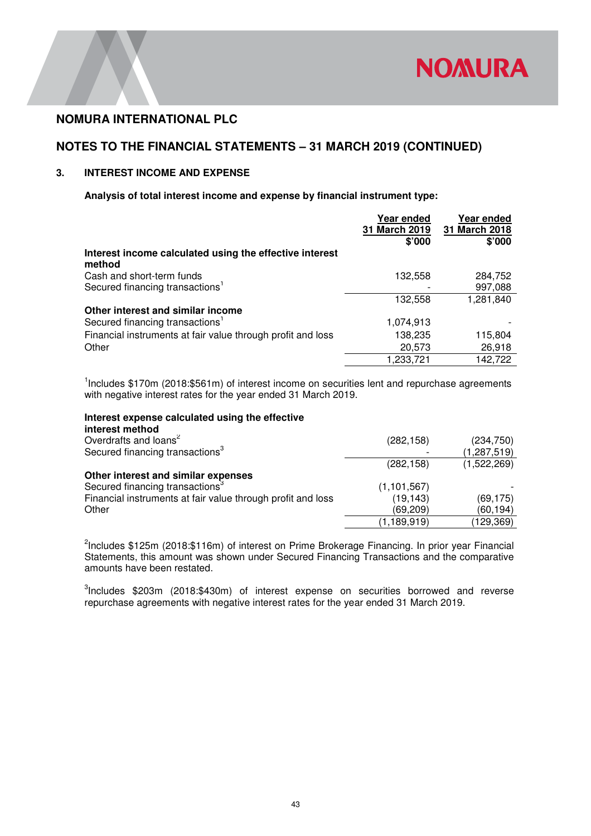

## **NOTES TO THE FINANCIAL STATEMENTS – 31 MARCH 2019 (CONTINUED)**

### **3. INTEREST INCOME AND EXPENSE**

#### **Analysis of total interest income and expense by financial instrument type:**

|                                                                   | Year ended<br>31 March 2019 | Year ended<br>31 March 2018 |
|-------------------------------------------------------------------|-----------------------------|-----------------------------|
|                                                                   | \$'000                      | \$'000                      |
| Interest income calculated using the effective interest<br>method |                             |                             |
| Cash and short-term funds                                         | 132,558                     | 284,752                     |
| Secured financing transactions <sup>1</sup>                       |                             | 997,088                     |
|                                                                   | 132,558                     | 1,281,840                   |
| Other interest and similar income                                 |                             |                             |
| Secured financing transactions <sup>1</sup>                       | 1,074,913                   |                             |
| Financial instruments at fair value through profit and loss       | 138,235                     | 115,804                     |
| Other                                                             | 20,573                      | 26,918                      |
|                                                                   | 1,233,721                   | 142,722                     |

<sup>1</sup>Includes \$170m (2018:\$561m) of interest income on securities lent and repurchase agreements with negative interest rates for the year ended 31 March 2019.

### **Interest expense calculated using the effective**

| interest method                                             |               |               |
|-------------------------------------------------------------|---------------|---------------|
| Overdrafts and loans <sup>2</sup>                           | (282, 158)    | (234, 750)    |
| Secured financing transactions <sup>3</sup>                 |               | (1, 287, 519) |
|                                                             | (282, 158)    | (1,522,269)   |
| Other interest and similar expenses                         |               |               |
| Secured financing transactions <sup>3</sup>                 | (1, 101, 567) |               |
| Financial instruments at fair value through profit and loss | (19, 143)     | (69, 175)     |
| Other                                                       | (69,209)      | (60, 194)     |
|                                                             | (1,189,919)   | (129, 369)    |
|                                                             |               |               |

<sup>2</sup>Includes \$125m (2018:\$116m) of interest on Prime Brokerage Financing. In prior year Financial Statements, this amount was shown under Secured Financing Transactions and the comparative amounts have been restated.

 $3$ Includes \$203m (2018:\$430m) of interest expense on securities borrowed and reverse repurchase agreements with negative interest rates for the year ended 31 March 2019.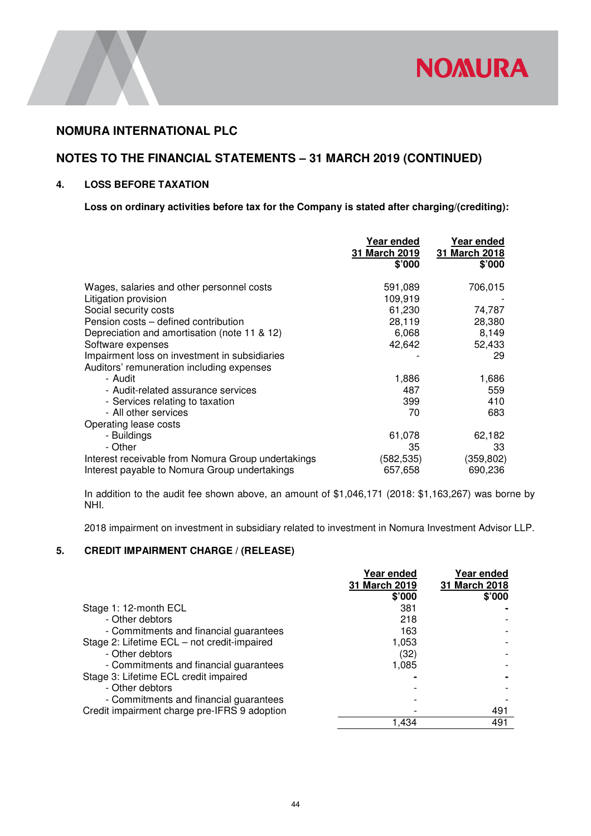

## **NOTES TO THE FINANCIAL STATEMENTS – 31 MARCH 2019 (CONTINUED)**

### **4. LOSS BEFORE TAXATION**

**Loss on ordinary activities before tax for the Company is stated after charging/(crediting):** 

|                                                    | Year ended<br>31 March 2019<br>$$^{\prime}000$ | Year ended<br>31 March 2018<br>\$'000 |
|----------------------------------------------------|------------------------------------------------|---------------------------------------|
| Wages, salaries and other personnel costs          | 591,089                                        | 706,015                               |
| Litigation provision                               | 109,919                                        |                                       |
| Social security costs                              | 61,230                                         | 74,787                                |
| Pension costs – defined contribution               | 28,119                                         | 28,380                                |
| Depreciation and amortisation (note 11 & 12)       | 6,068                                          | 8,149                                 |
| Software expenses                                  | 42,642                                         | 52,433                                |
| Impairment loss on investment in subsidiaries      |                                                | 29                                    |
| Auditors' remuneration including expenses          |                                                |                                       |
| - Audit                                            | 1,886                                          | 1,686                                 |
| - Audit-related assurance services                 | 487                                            | 559                                   |
| - Services relating to taxation                    | 399                                            | 410                                   |
| - All other services                               | 70                                             | 683                                   |
| Operating lease costs                              |                                                |                                       |
| - Buildings                                        | 61,078                                         | 62,182                                |
| - Other                                            | 35                                             | 33                                    |
| Interest receivable from Nomura Group undertakings | (582, 535)                                     | (359, 802)                            |
| Interest payable to Nomura Group undertakings      | 657,658                                        | 690,236                               |

In addition to the audit fee shown above, an amount of \$1,046,171 (2018: \$1,163,267) was borne by NHI.

2018 impairment on investment in subsidiary related to investment in Nomura Investment Advisor LLP.

### **5. CREDIT IMPAIRMENT CHARGE / (RELEASE)**

|                                              | Year ended    | Year ended    |
|----------------------------------------------|---------------|---------------|
|                                              | 31 March 2019 | 31 March 2018 |
|                                              | \$'000        | \$'000        |
| Stage 1: 12-month ECL                        | 381           |               |
| - Other debtors                              | 218           |               |
| - Commitments and financial guarantees       | 163           |               |
| Stage 2: Lifetime ECL - not credit-impaired  | 1,053         |               |
| - Other debtors                              | (32)          |               |
| - Commitments and financial guarantees       | 1.085         |               |
| Stage 3: Lifetime ECL credit impaired        |               |               |
| - Other debtors                              |               |               |
| - Commitments and financial guarantees       |               |               |
| Credit impairment charge pre-IFRS 9 adoption |               | 491           |
|                                              | 1.434         | 491           |
|                                              |               |               |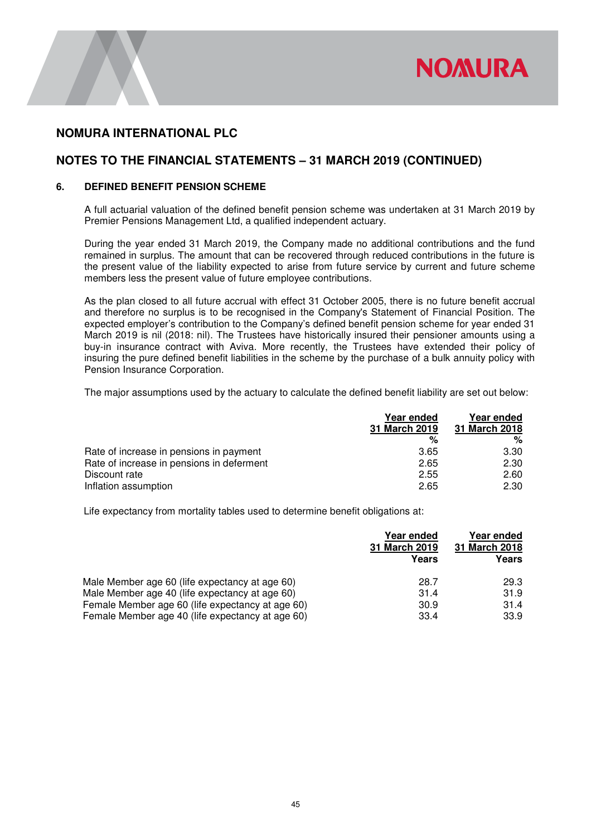

### **NOTES TO THE FINANCIAL STATEMENTS – 31 MARCH 2019 (CONTINUED)**

### **6. DEFINED BENEFIT PENSION SCHEME**

A full actuarial valuation of the defined benefit pension scheme was undertaken at 31 March 2019 by Premier Pensions Management Ltd, a qualified independent actuary.

During the year ended 31 March 2019, the Company made no additional contributions and the fund remained in surplus. The amount that can be recovered through reduced contributions in the future is the present value of the liability expected to arise from future service by current and future scheme members less the present value of future employee contributions.

As the plan closed to all future accrual with effect 31 October 2005, there is no future benefit accrual and therefore no surplus is to be recognised in the Company's Statement of Financial Position. The expected employer's contribution to the Company's defined benefit pension scheme for year ended 31 March 2019 is nil (2018: nil). The Trustees have historically insured their pensioner amounts using a buy-in insurance contract with Aviva. More recently, the Trustees have extended their policy of insuring the pure defined benefit liabilities in the scheme by the purchase of a bulk annuity policy with Pension Insurance Corporation.

The major assumptions used by the actuary to calculate the defined benefit liability are set out below:

|                                           | Year ended    | Year ended    |
|-------------------------------------------|---------------|---------------|
|                                           | 31 March 2019 | 31 March 2018 |
|                                           | %             | %             |
| Rate of increase in pensions in payment   | 3.65          | 3.30          |
| Rate of increase in pensions in deferment | 2.65          | 2.30          |
| Discount rate                             | 2.55          | 2.60          |
| Inflation assumption                      | 2.65          | 2.30          |

Life expectancy from mortality tables used to determine benefit obligations at:

| Year ended<br>31 March 2019<br>Years | Year ended<br>31 March 2018<br>Years |
|--------------------------------------|--------------------------------------|
| 28.7                                 | 29.3                                 |
| 31.4                                 | 31.9                                 |
| 30.9<br>33.4                         | 31.4<br>33.9                         |
|                                      |                                      |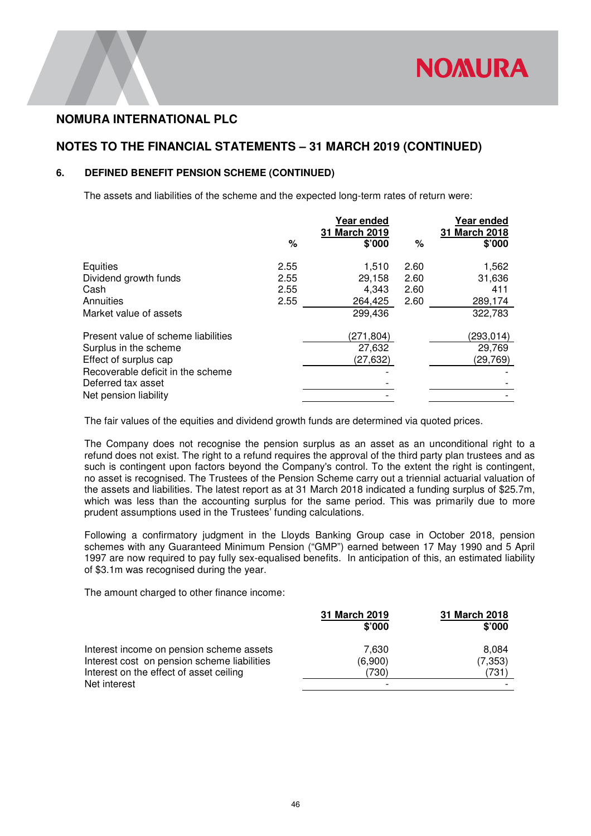

### **NOTES TO THE FINANCIAL STATEMENTS – 31 MARCH 2019 (CONTINUED)**

### **6. DEFINED BENEFIT PENSION SCHEME (CONTINUED)**

The assets and liabilities of the scheme and the expected long-term rates of return were:

|                                     |      | Year ended<br>31 March 2019 |      | Year ended<br>31 March 2018 |
|-------------------------------------|------|-----------------------------|------|-----------------------------|
|                                     | %    | \$'000                      | %    | \$'000                      |
| Equities                            | 2.55 | 1.510                       | 2.60 | 1,562                       |
| Dividend growth funds               | 2.55 | 29,158                      | 2.60 | 31,636                      |
| Cash                                | 2.55 | 4,343                       | 2.60 | 411                         |
| Annuities                           | 2.55 | 264,425                     | 2.60 | 289,174                     |
| Market value of assets              |      | 299,436                     |      | 322,783                     |
| Present value of scheme liabilities |      | (271,804)                   |      | (293,014)                   |
| Surplus in the scheme               |      | 27,632                      |      | 29,769                      |
| Effect of surplus cap               |      | (27,632)                    |      | (29,769)                    |
| Recoverable deficit in the scheme   |      |                             |      |                             |
| Deferred tax asset                  |      |                             |      |                             |
| Net pension liability               |      |                             |      |                             |

The fair values of the equities and dividend growth funds are determined via quoted prices.

The Company does not recognise the pension surplus as an asset as an unconditional right to a refund does not exist. The right to a refund requires the approval of the third party plan trustees and as such is contingent upon factors beyond the Company's control. To the extent the right is contingent, no asset is recognised. The Trustees of the Pension Scheme carry out a triennial actuarial valuation of the assets and liabilities. The latest report as at 31 March 2018 indicated a funding surplus of \$25.7m, which was less than the accounting surplus for the same period. This was primarily due to more prudent assumptions used in the Trustees' funding calculations.

Following a confirmatory judgment in the Lloyds Banking Group case in October 2018, pension schemes with any Guaranteed Minimum Pension ("GMP") earned between 17 May 1990 and 5 April 1997 are now required to pay fully sex-equalised benefits. In anticipation of this, an estimated liability of \$3.1m was recognised during the year.

The amount charged to other finance income:

|                                                                                         | 31 March 2019<br>\$'000  | 31 March 2018<br>\$'000 |
|-----------------------------------------------------------------------------------------|--------------------------|-------------------------|
| Interest income on pension scheme assets<br>Interest cost on pension scheme liabilities | 7.630<br>(6,900)         | 8.084<br>(7, 353)       |
| Interest on the effect of asset ceiling<br>Net interest                                 | (730)                    | 731                     |
|                                                                                         | $\overline{\phantom{0}}$ |                         |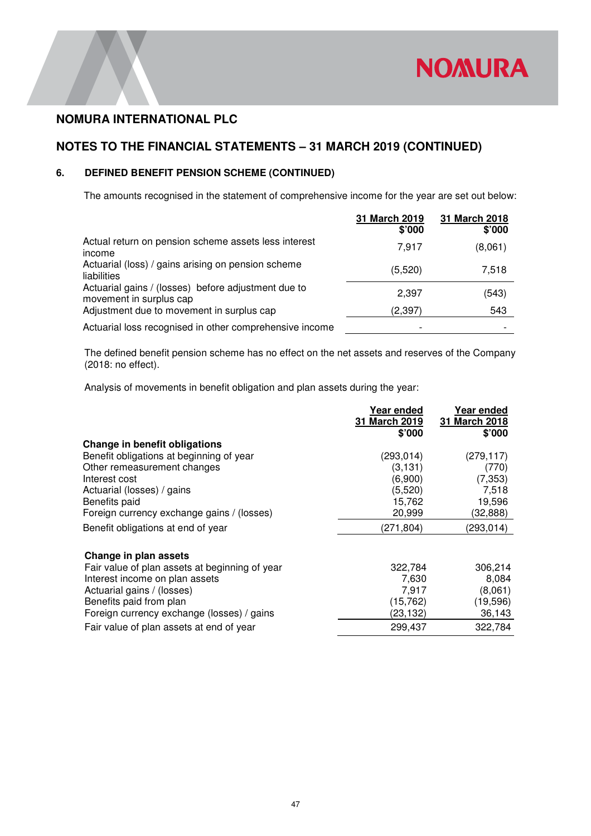

# **NOTES TO THE FINANCIAL STATEMENTS – 31 MARCH 2019 (CONTINUED)**

### **6. DEFINED BENEFIT PENSION SCHEME (CONTINUED)**

The amounts recognised in the statement of comprehensive income for the year are set out below:

|                                                                                | 31 March 2019<br>\$'000 | 31 March 2018<br>\$'000 |
|--------------------------------------------------------------------------------|-------------------------|-------------------------|
| Actual return on pension scheme assets less interest<br>income                 | 7.917                   | (8,061)                 |
| Actuarial (loss) / gains arising on pension scheme<br>liabilities              | (5,520)                 | 7.518                   |
| Actuarial gains / (losses) before adjustment due to<br>movement in surplus cap | 2,397                   | (543)                   |
| Adjustment due to movement in surplus cap                                      | (2,397)                 | 543                     |
| Actuarial loss recognised in other comprehensive income                        |                         |                         |

The defined benefit pension scheme has no effect on the net assets and reserves of the Company (2018: no effect).

Analysis of movements in benefit obligation and plan assets during the year:

|                                                | Year ended              | Year ended                       |
|------------------------------------------------|-------------------------|----------------------------------|
|                                                | 31 March 2019<br>\$'000 | 31 March 2018<br>$$^{\prime}000$ |
| Change in benefit obligations                  |                         |                                  |
| Benefit obligations at beginning of year       | (293, 014)              | (279, 117)                       |
| Other remeasurement changes                    | (3, 131)                | (770)                            |
| Interest cost                                  | (6,900)                 | (7, 353)                         |
| Actuarial (losses) / gains                     | (5,520)                 | 7,518                            |
| Benefits paid                                  | 15,762                  | 19,596                           |
| Foreign currency exchange gains / (losses)     | 20,999                  | (32,888)                         |
| Benefit obligations at end of year             | (271, 804)              | (293, 014)                       |
| Change in plan assets                          |                         |                                  |
| Fair value of plan assets at beginning of year | 322,784                 | 306,214                          |
| Interest income on plan assets                 | 7,630                   | 8,084                            |
| Actuarial gains / (losses)                     | 7,917                   | (8,061)                          |
| Benefits paid from plan                        | (15,762)                | (19, 596)                        |
| Foreign currency exchange (losses) / gains     | (23, 132)               | 36,143                           |
| Fair value of plan assets at end of year       | 299,437                 | 322,784                          |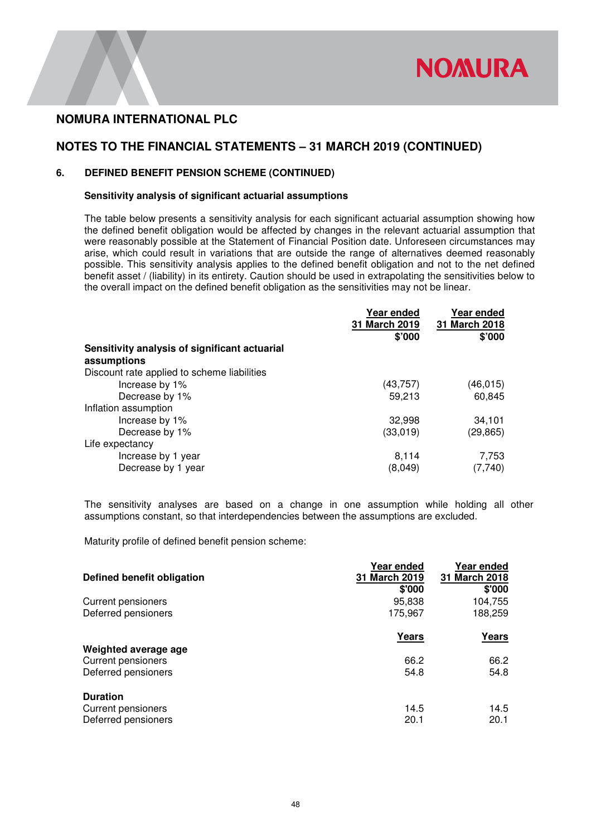

## **NOTES TO THE FINANCIAL STATEMENTS – 31 MARCH 2019 (CONTINUED)**

### **6. DEFINED BENEFIT PENSION SCHEME (CONTINUED)**

#### **Sensitivity analysis of significant actuarial assumptions**

The table below presents a sensitivity analysis for each significant actuarial assumption showing how the defined benefit obligation would be affected by changes in the relevant actuarial assumption that were reasonably possible at the Statement of Financial Position date. Unforeseen circumstances may arise, which could result in variations that are outside the range of alternatives deemed reasonably possible. This sensitivity analysis applies to the defined benefit obligation and not to the net defined benefit asset / (liability) in its entirety. Caution should be used in extrapolating the sensitivities below to the overall impact on the defined benefit obligation as the sensitivities may not be linear.

| Year ended<br>31 March 2019 | Year ended<br>31 March 2018 |
|-----------------------------|-----------------------------|
|                             | \$'000                      |
|                             |                             |
|                             |                             |
|                             |                             |
| (43, 757)                   | (46,015)                    |
| 59,213                      | 60,845                      |
|                             |                             |
| 32,998                      | 34,101                      |
| (33,019)                    | (29, 865)                   |
|                             |                             |
| 8,114                       | 7,753                       |
| (8,049)                     | (7,740)                     |
|                             | \$'000                      |

The sensitivity analyses are based on a change in one assumption while holding all other assumptions constant, so that interdependencies between the assumptions are excluded.

Maturity profile of defined benefit pension scheme:

|                            | Year ended    | Year ended    |
|----------------------------|---------------|---------------|
| Defined benefit obligation | 31 March 2019 | 31 March 2018 |
|                            | \$'000        | \$'000        |
| <b>Current pensioners</b>  | 95,838        | 104,755       |
| Deferred pensioners        | 175,967       | 188,259       |
|                            | Years         | Years         |
| Weighted average age       |               |               |
| <b>Current pensioners</b>  | 66.2          | 66.2          |
| Deferred pensioners        | 54.8          | 54.8          |
| <b>Duration</b>            |               |               |
| <b>Current pensioners</b>  | 14.5          | 14.5          |
| Deferred pensioners        | 20.1          | 20.1          |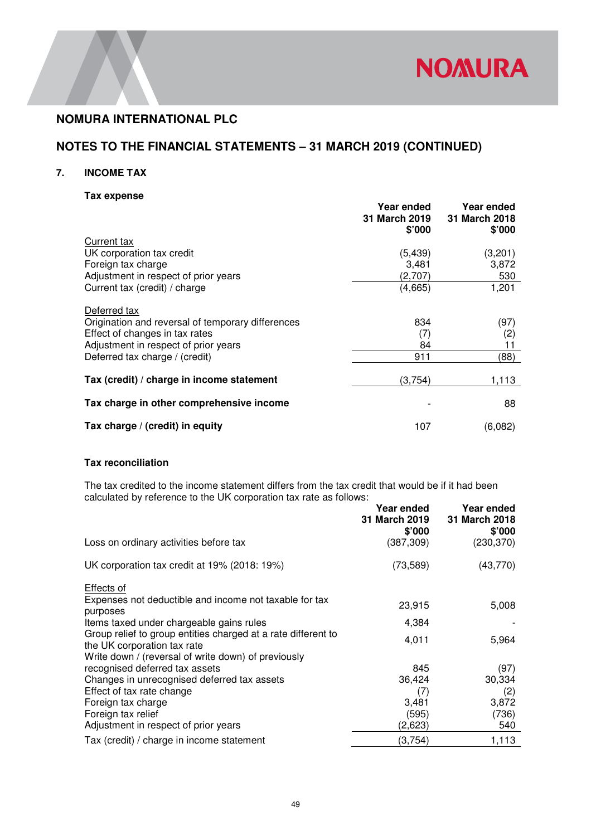

# **NOTES TO THE FINANCIAL STATEMENTS – 31 MARCH 2019 (CONTINUED)**

## **7. INCOME TAX**

**Tax expense** 

|                                                   | Year ended<br>31 March 2019<br>\$'000 | Year ended<br>31 March 2018<br>\$'000 |
|---------------------------------------------------|---------------------------------------|---------------------------------------|
| Current tax                                       |                                       |                                       |
| UK corporation tax credit                         | (5, 439)                              | (3,201)                               |
| Foreign tax charge                                | 3,481                                 | 3,872                                 |
| Adjustment in respect of prior years              | (2,707)                               | 530                                   |
| Current tax (credit) / charge                     | (4,665)                               | 1,201                                 |
| Deferred tax                                      |                                       |                                       |
| Origination and reversal of temporary differences | 834                                   | (97)                                  |
| Effect of changes in tax rates                    | (7)                                   | (2)                                   |
| Adjustment in respect of prior years              | 84                                    | 11                                    |
| Deferred tax charge / (credit)                    | 911                                   | (88)                                  |
| Tax (credit) / charge in income statement         | (3,754)                               | 1,113                                 |
| Tax charge in other comprehensive income          |                                       | 88                                    |
| Tax charge / (credit) in equity                   | 107                                   |                                       |
|                                                   |                                       | (6,082)                               |

### **Tax reconciliation**

The tax credited to the income statement differs from the tax credit that would be if it had been calculated by reference to the UK corporation tax rate as follows:

|                                                                                              | Year ended<br>31 March 2019<br>\$'000 | Year ended<br>31 March 2018<br>\$'000 |
|----------------------------------------------------------------------------------------------|---------------------------------------|---------------------------------------|
| Loss on ordinary activities before tax                                                       | (387,309)                             | (230, 370)                            |
| UK corporation tax credit at 19% (2018: 19%)                                                 | (73, 589)                             | (43, 770)                             |
| Effects of                                                                                   |                                       |                                       |
| Expenses not deductible and income not taxable for tax<br>purposes                           | 23,915                                | 5,008                                 |
| Items taxed under chargeable gains rules                                                     | 4,384                                 |                                       |
| Group relief to group entities charged at a rate different to<br>the UK corporation tax rate | 4,011                                 | 5,964                                 |
| Write down / (reversal of write down) of previously<br>recognised deferred tax assets        | 845                                   | (97)                                  |
| Changes in unrecognised deferred tax assets                                                  | 36,424                                | 30,334                                |
| Effect of tax rate change                                                                    | (7)                                   | (2)                                   |
| Foreign tax charge                                                                           | 3,481                                 | 3,872                                 |
| Foreign tax relief                                                                           | (595)                                 | (736)                                 |
| Adjustment in respect of prior years                                                         | (2,623)                               | 540                                   |
| Tax (credit) / charge in income statement                                                    | (3,754)                               | 1,113                                 |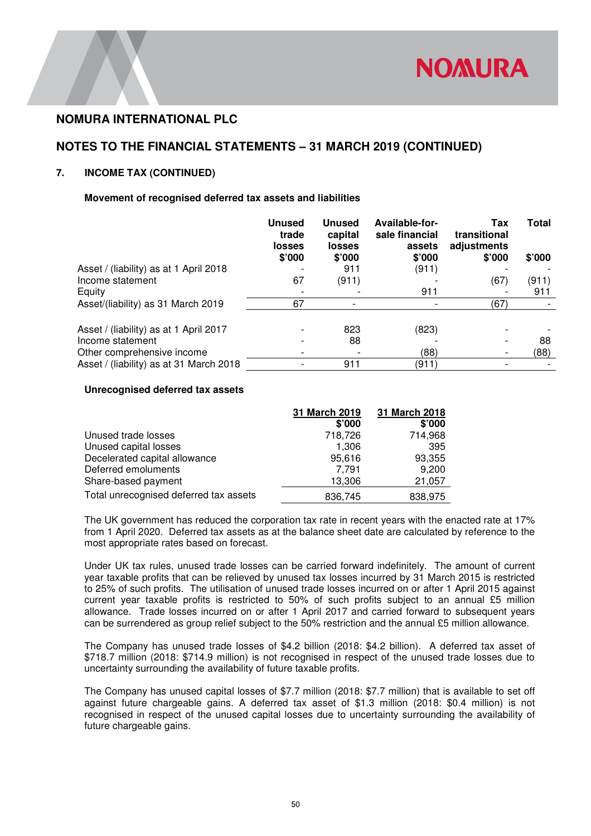# **NOTES TO THE FINANCIAL STATEMENTS – 31 MARCH 2019 (CONTINUED)**

### **7. INCOME TAX (CONTINUED)**

### **Movement of recognised deferred tax assets and liabilities**

|                                         | <b>Unused</b><br>trade<br><b>losses</b><br>\$'000 | <b>Unused</b><br>capital<br><b>losses</b><br>\$'000 | Available-for-<br>sale financial<br>assets<br>\$'000 | Tax<br>transitional<br>adjustments<br>\$'000 | Total<br>\$'000 |
|-----------------------------------------|---------------------------------------------------|-----------------------------------------------------|------------------------------------------------------|----------------------------------------------|-----------------|
| Asset / (liability) as at 1 April 2018  |                                                   | 911                                                 | (911)                                                |                                              |                 |
| Income statement                        | 67                                                | (911)                                               |                                                      | (67)                                         | (911)           |
| Equity                                  |                                                   |                                                     | 911                                                  |                                              | 911             |
| Asset/(liability) as 31 March 2019      | 67                                                |                                                     |                                                      | (67)                                         |                 |
| Asset / (liability) as at 1 April 2017  |                                                   | 823                                                 | (823)                                                |                                              |                 |
| Income statement                        |                                                   | 88                                                  |                                                      |                                              | 88              |
| Other comprehensive income              |                                                   |                                                     | (88)                                                 |                                              | (88)            |
| Asset / (liability) as at 31 March 2018 |                                                   | 911                                                 | (911)                                                |                                              |                 |

#### **Unrecognised deferred tax assets**

|                                        | 31 March 2019 | 31 March 2018 |
|----------------------------------------|---------------|---------------|
|                                        | \$'000        | \$'000        |
| Unused trade losses                    | 718,726       | 714,968       |
| Unused capital losses                  | 1,306         | 395           |
| Decelerated capital allowance          | 95,616        | 93,355        |
| Deferred emoluments                    | 7.791         | 9,200         |
| Share-based payment                    | 13,306        | 21,057        |
| Total unrecognised deferred tax assets | 836,745       | 838,975       |

The UK government has reduced the corporation tax rate in recent years with the enacted rate at 17% from 1 April 2020. Deferred tax assets as at the balance sheet date are calculated by reference to the most appropriate rates based on forecast.

Under UK tax rules, unused trade losses can be carried forward indefinitely. The amount of current year taxable profits that can be relieved by unused tax losses incurred by 31 March 2015 is restricted to 25% of such profits. The utilisation of unused trade losses incurred on or after 1 April 2015 against current year taxable profits is restricted to 50% of such profits subject to an annual £5 million allowance. Trade losses incurred on or after 1 April 2017 and carried forward to subsequent years can be surrendered as group relief subject to the 50% restriction and the annual £5 million allowance.

The Company has unused trade losses of \$4.2 billion (2018: \$4.2 billion). A deferred tax asset of \$718.7 million (2018: \$714.9 million) is not recognised in respect of the unused trade losses due to uncertainty surrounding the availability of future taxable profits.

The Company has unused capital losses of \$7.7 million (2018: \$7.7 million) that is available to set off against future chargeable gains. A deferred tax asset of \$1.3 million (2018: \$0.4 million) is not recognised in respect of the unused capital losses due to uncertainty surrounding the availability of future chargeable gains.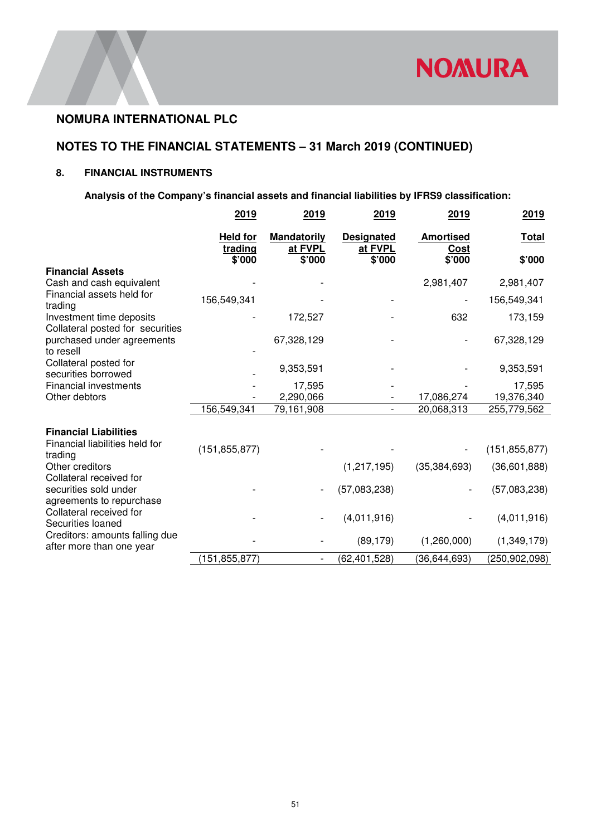

# **NOTES TO THE FINANCIAL STATEMENTS – 31 March 2019 (CONTINUED)**

## **8. FINANCIAL INSTRUMENTS**

**Analysis of the Company's financial assets and financial liabilities by IFRS9 classification:** 

|                                                                | 2019                       | 2019                          | 2019                         | 2019                            | 2019            |
|----------------------------------------------------------------|----------------------------|-------------------------------|------------------------------|---------------------------------|-----------------|
|                                                                | <b>Held for</b><br>trading | <b>Mandatorily</b><br>at FVPL | <b>Designated</b><br>at FVPL | <b>Amortised</b><br><b>Cost</b> | <b>Total</b>    |
|                                                                | \$'000                     | \$'000                        | \$'000                       | \$'000                          | \$'000          |
| <b>Financial Assets</b><br>Cash and cash equivalent            |                            |                               |                              | 2,981,407                       | 2,981,407       |
| Financial assets held for<br>trading                           | 156,549,341                |                               |                              |                                 | 156,549,341     |
| Investment time deposits<br>Collateral posted for securities   |                            | 172,527                       |                              | 632                             | 173,159         |
| purchased under agreements<br>to resell                        |                            | 67,328,129                    |                              |                                 | 67,328,129      |
| Collateral posted for<br>securities borrowed                   |                            | 9,353,591                     |                              |                                 | 9,353,591       |
| <b>Financial investments</b>                                   |                            | 17,595                        |                              |                                 | 17,595          |
| Other debtors                                                  |                            | 2,290,066                     |                              | 17,086,274                      | 19,376,340      |
|                                                                | 56,549,341                 | 79,161,908                    |                              | 20,068,313                      | 255,779,562     |
| <b>Financial Liabilities</b><br>Financial liabilities held for | (151, 855, 877)            |                               |                              |                                 | (151, 855, 877) |
| trading<br>Other creditors<br>Collateral received for          |                            |                               | (1, 217, 195)                | (35, 384, 693)                  | (36,601,888)    |
| securities sold under<br>agreements to repurchase              |                            |                               | (57,083,238)                 |                                 | (57,083,238)    |
| Collateral received for<br>Securities loaned                   |                            |                               | (4,011,916)                  |                                 | (4,011,916)     |
| Creditors: amounts falling due<br>after more than one year     |                            |                               | (89, 179)                    | (1,260,000)                     | (1,349,179)     |
|                                                                | (151, 855, 877)            | $\overline{\phantom{0}}$      | (62, 401, 528)               | (36, 644, 693)                  | (250, 902, 098) |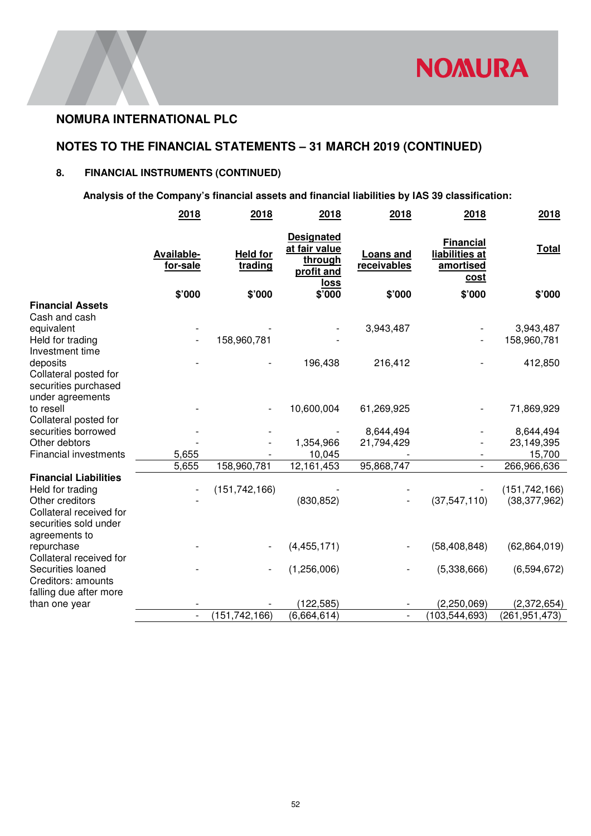

# **NOTES TO THE FINANCIAL STATEMENTS – 31 MARCH 2019 (CONTINUED)**

# **8. FINANCIAL INSTRUMENTS (CONTINUED)**

 **Analysis of the Company's financial assets and financial liabilities by IAS 39 classification:**

|                                                                                                                         | 2018                     | 2018                       | 2018                                                                       | 2018                            | 2018                                                           | 2018                              |
|-------------------------------------------------------------------------------------------------------------------------|--------------------------|----------------------------|----------------------------------------------------------------------------|---------------------------------|----------------------------------------------------------------|-----------------------------------|
|                                                                                                                         | Available-<br>for-sale   | <b>Held for</b><br>trading | <b>Designated</b><br>at fair value<br>through<br>profit and<br><u>loss</u> | <b>Loans</b> and<br>receivables | <b>Financial</b><br>liabilities at<br>amortised<br><u>cost</u> | <b>Total</b>                      |
|                                                                                                                         | \$'000                   | \$'000                     | \$'000                                                                     | \$'000                          | \$'000                                                         | \$'000                            |
| <b>Financial Assets</b><br>Cash and cash                                                                                |                          |                            |                                                                            |                                 |                                                                |                                   |
| equivalent<br>Held for trading<br>Investment time                                                                       |                          | 158,960,781                |                                                                            | 3,943,487                       |                                                                | 3,943,487<br>158,960,781          |
| deposits<br>Collateral posted for<br>securities purchased<br>under agreements                                           |                          |                            | 196,438                                                                    | 216,412                         |                                                                | 412,850                           |
| to resell<br>Collateral posted for                                                                                      |                          |                            | 10,600,004                                                                 | 61,269,925                      |                                                                | 71,869,929                        |
| securities borrowed                                                                                                     |                          |                            |                                                                            | 8,644,494                       |                                                                | 8,644,494                         |
| Other debtors                                                                                                           |                          |                            | 1,354,966                                                                  | 21,794,429                      |                                                                | 23,149,395                        |
| <b>Financial investments</b>                                                                                            | 5,655                    |                            | 10,045                                                                     |                                 |                                                                | 15,700                            |
|                                                                                                                         | 5,655                    | 158,960,781                | 12,161,453                                                                 | 95,868,747                      |                                                                | 266,966,636                       |
| <b>Financial Liabilities</b><br>Held for trading<br>Other creditors<br>Collateral received for<br>securities sold under |                          | (151, 742, 166)            | (830, 852)                                                                 |                                 | (37, 547, 110)                                                 | (151, 742, 166)<br>(38, 377, 962) |
| agreements to<br>repurchase<br>Collateral received for                                                                  |                          |                            | (4, 455, 171)                                                              |                                 | (58, 408, 848)                                                 | (62, 864, 019)                    |
| Securities loaned<br>Creditors: amounts<br>falling due after more                                                       |                          |                            | (1,256,006)                                                                |                                 | (5,338,666)                                                    | (6,594,672)                       |
| than one year                                                                                                           |                          |                            | (122, 585)                                                                 |                                 | (2,250,069)                                                    | (2,372,654)                       |
|                                                                                                                         | $\overline{\phantom{0}}$ | (151, 742, 166)            | (6,664,614)                                                                |                                 | (103, 544, 693)                                                | (261, 951, 473)                   |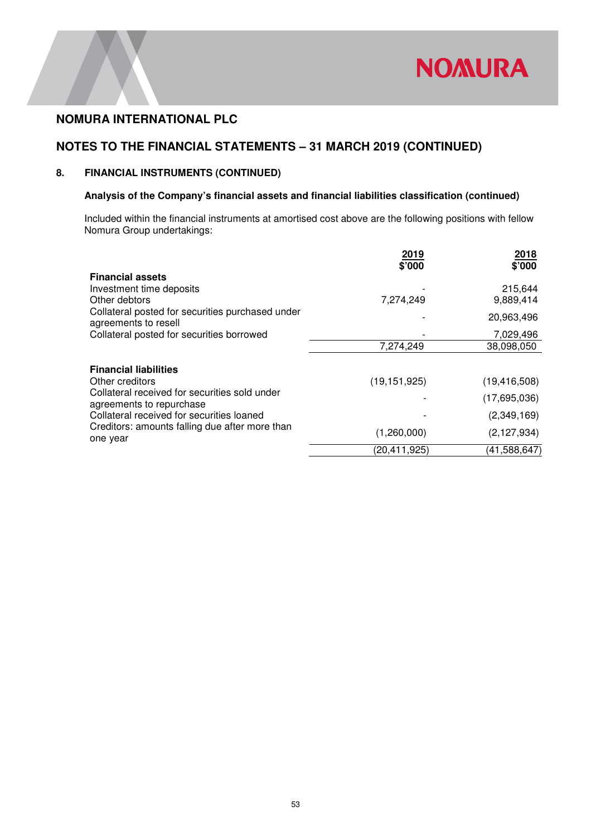

# **NOTES TO THE FINANCIAL STATEMENTS – 31 MARCH 2019 (CONTINUED)**

### **8. FINANCIAL INSTRUMENTS (CONTINUED)**

### **Analysis of the Company's financial assets and financial liabilities classification (continued)**

Included within the financial instruments at amortised cost above are the following positions with fellow Nomura Group undertakings:

|                                                                                                                                                                                                                                         | 2019<br>\$'000                | 2018<br>\$'000                                                 |
|-----------------------------------------------------------------------------------------------------------------------------------------------------------------------------------------------------------------------------------------|-------------------------------|----------------------------------------------------------------|
| <b>Financial assets</b><br>Investment time deposits<br>Other debtors<br>Collateral posted for securities purchased under<br>agreements to resell                                                                                        | 7,274,249                     | 215,644<br>9,889,414<br>20,963,496                             |
| Collateral posted for securities borrowed                                                                                                                                                                                               | 7,274,249                     | 7,029,496<br>38,098,050                                        |
| <b>Financial liabilities</b><br>Other creditors<br>Collateral received for securities sold under<br>agreements to repurchase<br>Collateral received for securities loaned<br>Creditors: amounts falling due after more than<br>one year | (19, 151, 925)<br>(1,260,000) | (19, 416, 508)<br>(17,695,036)<br>(2,349,169)<br>(2, 127, 934) |
|                                                                                                                                                                                                                                         | (20,411,925)                  | (41,588,647)                                                   |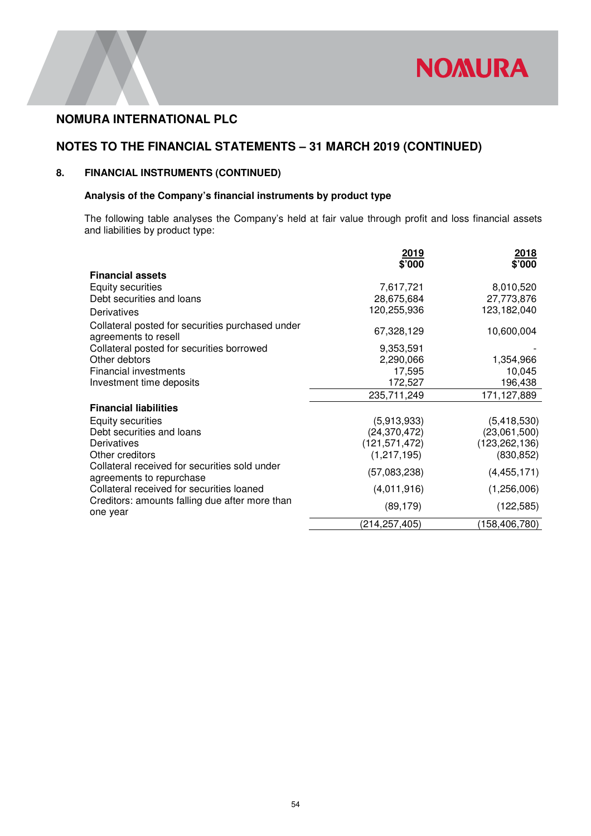

# **NOTES TO THE FINANCIAL STATEMENTS – 31 MARCH 2019 (CONTINUED)**

### **8. FINANCIAL INSTRUMENTS (CONTINUED)**

### **Analysis of the Company's financial instruments by product type**

The following table analyses the Company's held at fair value through profit and loss financial assets and liabilities by product type:

|                                                                           | 2019<br>\$'000  | 2018<br>\$'000  |
|---------------------------------------------------------------------------|-----------------|-----------------|
| <b>Financial assets</b>                                                   |                 |                 |
| Equity securities                                                         | 7,617,721       | 8,010,520       |
| Debt securities and loans                                                 | 28,675,684      | 27,773,876      |
| Derivatives                                                               | 120,255,936     | 123,182,040     |
| Collateral posted for securities purchased under<br>agreements to resell  | 67,328,129      | 10,600,004      |
| Collateral posted for securities borrowed                                 | 9,353,591       |                 |
| Other debtors                                                             | 2,290,066       | 1,354,966       |
| <b>Financial investments</b>                                              | 17,595          | 10,045          |
| Investment time deposits                                                  | 172,527         | 196,438         |
|                                                                           | 235,711,249     | 171,127,889     |
| <b>Financial liabilities</b>                                              |                 |                 |
| Equity securities                                                         | (5,913,933)     | (5,418,530)     |
| Debt securities and loans                                                 | (24, 370, 472)  | (23,061,500)    |
| Derivatives                                                               | (121, 571, 472) | (123, 262, 136) |
| Other creditors                                                           | (1, 217, 195)   | (830, 852)      |
| Collateral received for securities sold under<br>agreements to repurchase | (57,083,238)    | (4, 455, 171)   |
| Collateral received for securities loaned                                 | (4,011,916)     | (1,256,006)     |
| Creditors: amounts falling due after more than<br>one year                | (89, 179)       | (122, 585)      |
|                                                                           | (214,257,405)   | (158,406,780)   |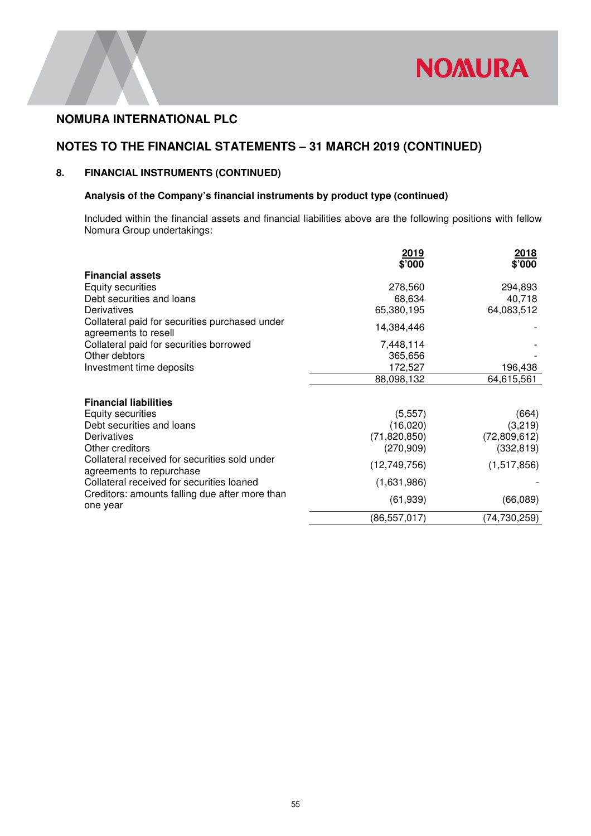

# **NOTES TO THE FINANCIAL STATEMENTS – 31 MARCH 2019 (CONTINUED)**

### **8. FINANCIAL INSTRUMENTS (CONTINUED)**

### **Analysis of the Company's financial instruments by product type (continued)**

Included within the financial assets and financial liabilities above are the following positions with fellow Nomura Group undertakings:

|                                                                           | <u>2019</u><br>\$'000 | 2018<br>\$'000 |
|---------------------------------------------------------------------------|-----------------------|----------------|
| <b>Financial assets</b>                                                   |                       |                |
| Equity securities                                                         | 278,560               | 294,893        |
| Debt securities and loans                                                 | 68,634                | 40,718         |
| Derivatives                                                               | 65,380,195            | 64,083,512     |
| Collateral paid for securities purchased under<br>agreements to resell    | 14,384,446            |                |
| Collateral paid for securities borrowed                                   | 7,448,114             |                |
| Other debtors                                                             | 365,656               |                |
| Investment time deposits                                                  | 172,527               | 196,438        |
|                                                                           | 88,098,132            | 64,615,561     |
| <b>Financial liabilities</b>                                              |                       |                |
| Equity securities                                                         | (5, 557)              | (664)          |
| Debt securities and loans                                                 | (16,020)              | (3,219)        |
| Derivatives                                                               | (71, 820, 850)        | (72,809,612)   |
| Other creditors                                                           | (270, 909)            | (332, 819)     |
| Collateral received for securities sold under<br>agreements to repurchase | (12,749,756)          | (1,517,856)    |
| Collateral received for securities loaned                                 | (1,631,986)           |                |
| Creditors: amounts falling due after more than<br>one year                | (61, 939)             | (66, 089)      |
|                                                                           | (86,557,017)          | (74,730,259)   |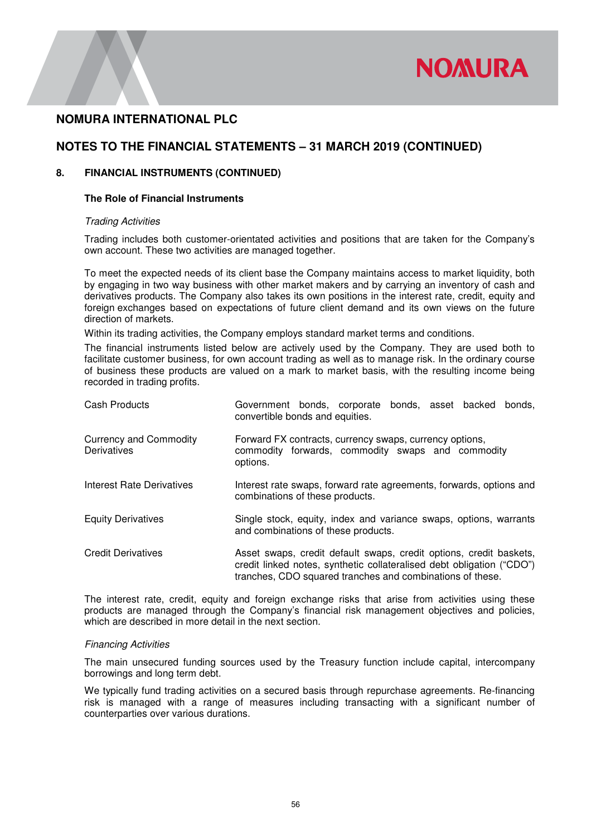

### **NOTES TO THE FINANCIAL STATEMENTS – 31 MARCH 2019 (CONTINUED)**

#### **8. FINANCIAL INSTRUMENTS (CONTINUED)**

#### **The Role of Financial Instruments**

#### Trading Activities

Trading includes both customer-orientated activities and positions that are taken for the Company's own account. These two activities are managed together.

To meet the expected needs of its client base the Company maintains access to market liquidity, both by engaging in two way business with other market makers and by carrying an inventory of cash and derivatives products. The Company also takes its own positions in the interest rate, credit, equity and foreign exchanges based on expectations of future client demand and its own views on the future direction of markets.

Within its trading activities, the Company employs standard market terms and conditions.

The financial instruments listed below are actively used by the Company. They are used both to facilitate customer business, for own account trading as well as to manage risk. In the ordinary course of business these products are valued on a mark to market basis, with the resulting income being recorded in trading profits.

| <b>Cash Products</b>                         | Government bonds, corporate bonds, asset backed bonds,<br>convertible bonds and equities.                                                                                                                |
|----------------------------------------------|----------------------------------------------------------------------------------------------------------------------------------------------------------------------------------------------------------|
| <b>Currency and Commodity</b><br>Derivatives | Forward FX contracts, currency swaps, currency options,<br>commodity forwards, commodity swaps and commodity<br>options.                                                                                 |
| Interest Rate Derivatives                    | Interest rate swaps, forward rate agreements, forwards, options and<br>combinations of these products.                                                                                                   |
| <b>Equity Derivatives</b>                    | Single stock, equity, index and variance swaps, options, warrants<br>and combinations of these products.                                                                                                 |
| <b>Credit Derivatives</b>                    | Asset swaps, credit default swaps, credit options, credit baskets,<br>credit linked notes, synthetic collateralised debt obligation ("CDO")<br>tranches, CDO squared tranches and combinations of these. |

The interest rate, credit, equity and foreign exchange risks that arise from activities using these products are managed through the Company's financial risk management objectives and policies, which are described in more detail in the next section.

#### Financing Activities

The main unsecured funding sources used by the Treasury function include capital, intercompany borrowings and long term debt.

We typically fund trading activities on a secured basis through repurchase agreements. Re-financing risk is managed with a range of measures including transacting with a significant number of counterparties over various durations.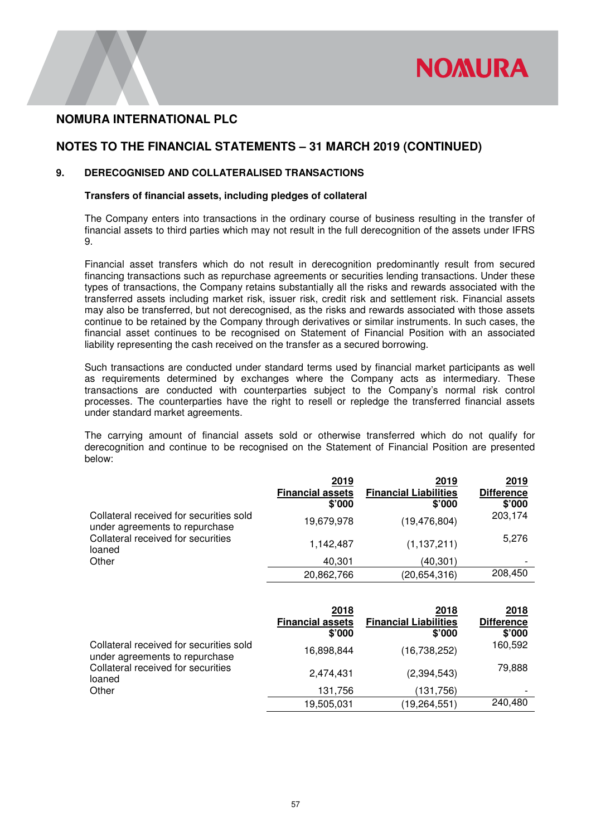

### **NOTES TO THE FINANCIAL STATEMENTS – 31 MARCH 2019 (CONTINUED)**

### **9. DERECOGNISED AND COLLATERALISED TRANSACTIONS**

#### **Transfers of financial assets, including pledges of collateral**

The Company enters into transactions in the ordinary course of business resulting in the transfer of financial assets to third parties which may not result in the full derecognition of the assets under IFRS 9.

Financial asset transfers which do not result in derecognition predominantly result from secured financing transactions such as repurchase agreements or securities lending transactions. Under these types of transactions, the Company retains substantially all the risks and rewards associated with the transferred assets including market risk, issuer risk, credit risk and settlement risk. Financial assets may also be transferred, but not derecognised, as the risks and rewards associated with those assets continue to be retained by the Company through derivatives or similar instruments. In such cases, the financial asset continues to be recognised on Statement of Financial Position with an associated liability representing the cash received on the transfer as a secured borrowing.

Such transactions are conducted under standard terms used by financial market participants as well as requirements determined by exchanges where the Company acts as intermediary. These transactions are conducted with counterparties subject to the Company's normal risk control processes. The counterparties have the right to resell or repledge the transferred financial assets under standard market agreements.

The carrying amount of financial assets sold or otherwise transferred which do not qualify for derecognition and continue to be recognised on the Statement of Financial Position are presented below:

|                                                                           | 2019<br><b>Financial assets</b><br>\$'000 | 2019<br><b>Financial Liabilities</b><br>\$'000 | <u>2019</u><br><b>Difference</b><br>\$'000 |
|---------------------------------------------------------------------------|-------------------------------------------|------------------------------------------------|--------------------------------------------|
| Collateral received for securities sold<br>under agreements to repurchase | 19,679,978                                | (19, 476, 804)                                 | 203,174                                    |
| Collateral received for securities<br>loaned                              | 1.142.487                                 | (1, 137, 211)                                  | 5,276                                      |
| Other                                                                     | 40,301                                    | (40,301)                                       |                                            |
|                                                                           | 20,862,766                                | (20, 654, 316)                                 | 208,450                                    |

|                                                                           | 2018<br><b>Financial assets</b><br>\$'000 | 2018<br><b>Financial Liabilities</b><br>\$'000 | 2018<br><b>Difference</b><br>\$'000 |
|---------------------------------------------------------------------------|-------------------------------------------|------------------------------------------------|-------------------------------------|
| Collateral received for securities sold<br>under agreements to repurchase | 16.898.844                                | (16,738,252)                                   | 160,592                             |
| Collateral received for securities<br>loaned                              | 2.474.431                                 | (2,394,543)                                    | 79.888                              |
| Other                                                                     | 131,756                                   | (131,756)                                      | -                                   |
|                                                                           | 19,505,031                                | (19,264,551)                                   | 240,480                             |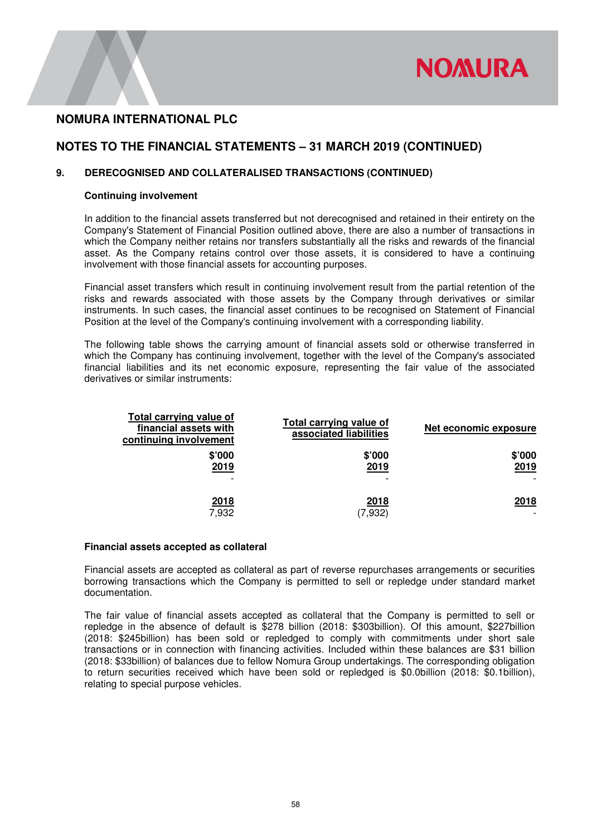

### **NOTES TO THE FINANCIAL STATEMENTS – 31 MARCH 2019 (CONTINUED)**

### **9. DERECOGNISED AND COLLATERALISED TRANSACTIONS (CONTINUED)**

#### **Continuing involvement**

In addition to the financial assets transferred but not derecognised and retained in their entirety on the Company's Statement of Financial Position outlined above, there are also a number of transactions in which the Company neither retains nor transfers substantially all the risks and rewards of the financial asset. As the Company retains control over those assets, it is considered to have a continuing involvement with those financial assets for accounting purposes.

Financial asset transfers which result in continuing involvement result from the partial retention of the risks and rewards associated with those assets by the Company through derivatives or similar instruments. In such cases, the financial asset continues to be recognised on Statement of Financial Position at the level of the Company's continuing involvement with a corresponding liability.

The following table shows the carrying amount of financial assets sold or otherwise transferred in which the Company has continuing involvement, together with the level of the Company's associated financial liabilities and its net economic exposure, representing the fair value of the associated derivatives or similar instruments:

| Net economic exposure | Total carrying value of<br>associated liabilities | <b>Total carrying value of</b><br>financial assets with<br>continuing involvement |
|-----------------------|---------------------------------------------------|-----------------------------------------------------------------------------------|
| \$'000<br>2019        | \$'000<br>2019                                    | \$'000<br>2019                                                                    |
|                       |                                                   |                                                                                   |
| 2018                  | 2018<br>(7,932)                                   | 2018<br>7,932                                                                     |

#### **Financial assets accepted as collateral**

Financial assets are accepted as collateral as part of reverse repurchases arrangements or securities borrowing transactions which the Company is permitted to sell or repledge under standard market documentation.

 The fair value of financial assets accepted as collateral that the Company is permitted to sell or repledge in the absence of default is \$278 billion (2018: \$303billion). Of this amount, \$227billion (2018: \$245billion) has been sold or repledged to comply with commitments under short sale transactions or in connection with financing activities. Included within these balances are \$31 billion (2018: \$33billion) of balances due to fellow Nomura Group undertakings. The corresponding obligation to return securities received which have been sold or repledged is \$0.0billion (2018: \$0.1billion), relating to special purpose vehicles.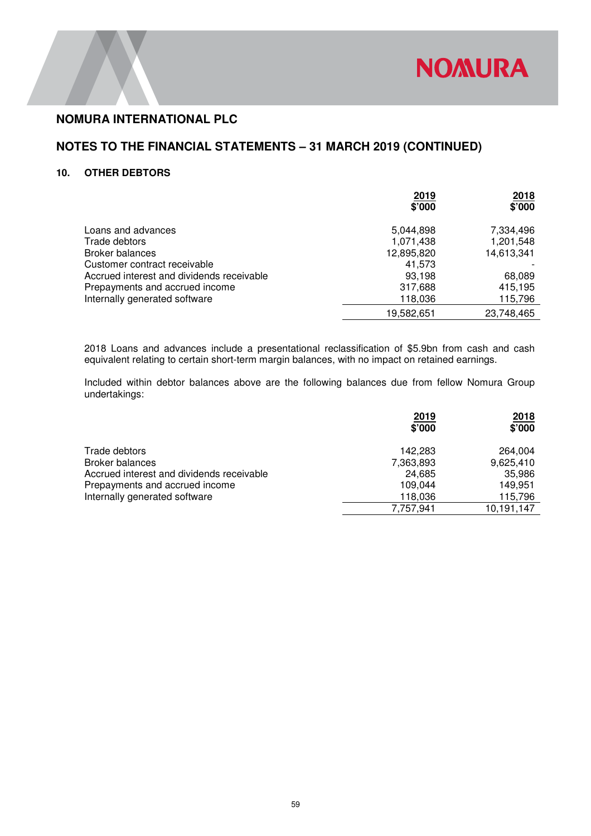

# **NOTES TO THE FINANCIAL STATEMENTS – 31 MARCH 2019 (CONTINUED)**

### **10. OTHER DEBTORS**

|                                                                                                                                                                                                               | 2019<br>\$'000                                                                 | 2018<br>\$'000                                                       |
|---------------------------------------------------------------------------------------------------------------------------------------------------------------------------------------------------------------|--------------------------------------------------------------------------------|----------------------------------------------------------------------|
| Loans and advances<br>Trade debtors<br><b>Broker balances</b><br>Customer contract receivable<br>Accrued interest and dividends receivable<br>Prepayments and accrued income<br>Internally generated software | 5,044,898<br>1,071,438<br>12,895,820<br>41,573<br>93.198<br>317,688<br>118,036 | 7,334,496<br>1,201,548<br>14,613,341<br>68,089<br>415,195<br>115,796 |
|                                                                                                                                                                                                               | 19,582,651                                                                     | 23,748,465                                                           |

2018 Loans and advances include a presentational reclassification of \$5.9bn from cash and cash equivalent relating to certain short-term margin balances, with no impact on retained earnings.

Included within debtor balances above are the following balances due from fellow Nomura Group undertakings:

|                                           | 2019<br>\$'000 | 2018<br>\$'000 |
|-------------------------------------------|----------------|----------------|
| Trade debtors                             | 142,283        | 264.004        |
| <b>Broker balances</b>                    | 7,363,893      | 9,625,410      |
| Accrued interest and dividends receivable | 24,685         | 35,986         |
| Prepayments and accrued income            | 109.044        | 149.951        |
| Internally generated software             | 118,036        | 115,796        |
|                                           | 7,757,941      | 10,191,147     |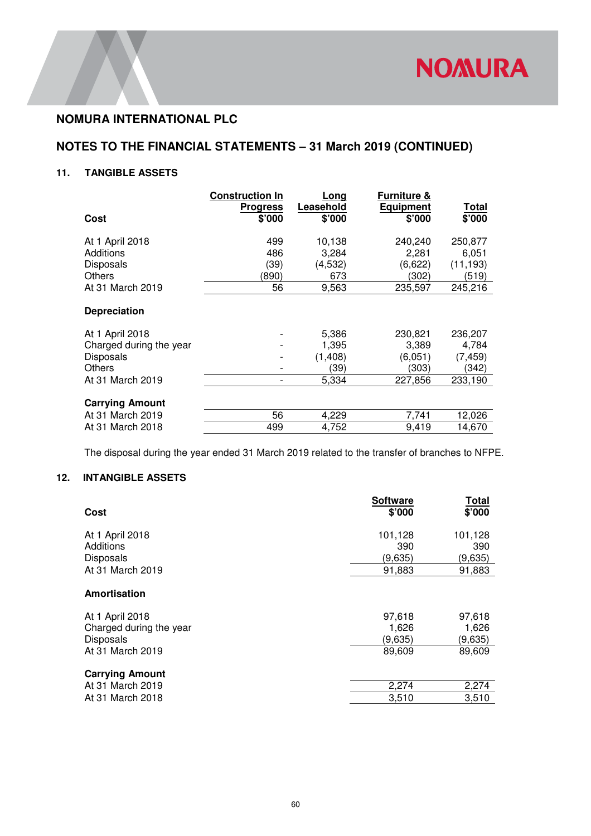# **NOTES TO THE FINANCIAL STATEMENTS – 31 March 2019 (CONTINUED)**

## **11. TANGIBLE ASSETS**

|                         | <b>Construction In</b><br><b>Progress</b> | Long<br>Leasehold | <u>Furniture &amp;</u><br><b>Equipment</b> | Total     |
|-------------------------|-------------------------------------------|-------------------|--------------------------------------------|-----------|
| Cost                    | \$'000                                    | \$'000            | \$'000                                     | \$'000    |
| At 1 April 2018         | 499                                       | 10,138            | 240,240                                    | 250,877   |
| Additions               | 486                                       | 3,284             | 2,281                                      | 6,051     |
| <b>Disposals</b>        | (39)                                      | (4,532)           | (6,622)                                    | (11, 193) |
| <b>Others</b>           | (890)                                     | 673               | (302)                                      | (519)     |
| At 31 March 2019        | 56                                        | 9,563             | 235,597                                    | 245,216   |
| <b>Depreciation</b>     |                                           |                   |                                            |           |
| At 1 April 2018         |                                           | 5,386             | 230,821                                    | 236,207   |
| Charged during the year |                                           | 1,395             | 3,389                                      | 4,784     |
| Disposals               |                                           | (1,408)           | (6,051)                                    | (7, 459)  |
| <b>Others</b>           |                                           | (39)              | (303)                                      | (342)     |
| At 31 March 2019        |                                           | 5,334             | 227,856                                    | 233,190   |
| <b>Carrying Amount</b>  |                                           |                   |                                            |           |
| At 31 March 2019        | 56                                        | 4,229             | 7,741                                      | 12,026    |
| At 31 March 2018        | 499                                       | 4,752             | 9,419                                      | 14,670    |

The disposal during the year ended 31 March 2019 related to the transfer of branches to NFPE.

### **12. INTANGIBLE ASSETS**

| Cost                                                                               | <b>Software</b><br>\$'000            | <u>Total</u><br>\$'000               |
|------------------------------------------------------------------------------------|--------------------------------------|--------------------------------------|
| At 1 April 2018<br>Additions<br><b>Disposals</b>                                   | 101,128<br>390<br>(9,635)            | 101,128<br>390<br>(9,635)            |
| At 31 March 2019                                                                   | 91,883                               | 91,883                               |
| <b>Amortisation</b>                                                                |                                      |                                      |
| At 1 April 2018<br>Charged during the year<br><b>Disposals</b><br>At 31 March 2019 | 97,618<br>1,626<br>(9,635)<br>89,609 | 97,618<br>1,626<br>(9,635)<br>89,609 |
| <b>Carrying Amount</b><br>At 31 March 2019<br>At 31 March 2018                     | 2,274<br>3,510                       | 2,274<br>3,510                       |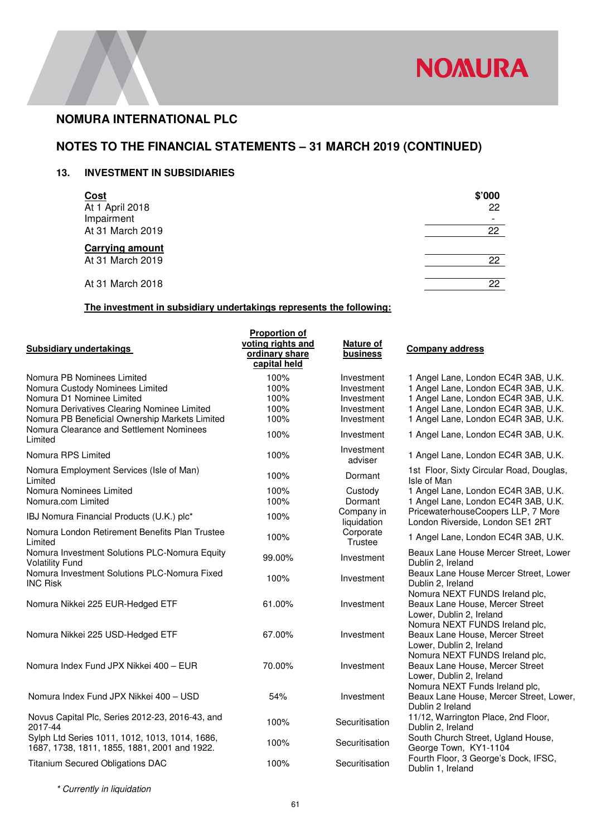

# **NOTES TO THE FINANCIAL STATEMENTS – 31 MARCH 2019 (CONTINUED)**

### **13. INVESTMENT IN SUBSIDIARIES**

| <u>Cost</u><br>At 1 April 2018<br>Impairment | \$'000<br>22<br>۰ |
|----------------------------------------------|-------------------|
| At 31 March 2019                             | 22                |
| <b>Carrying amount</b>                       |                   |
| At 31 March 2019                             | 22                |
| At 31 March 2018                             | 22                |

### **The investment in subsidiary undertakings represents the following:**

| <b>Subsidiary undertakings</b>                                                                                                                                                              | <b>Proportion of</b><br>voting rights and<br>ordinary share<br>capital held | Nature of<br>business                                              | <b>Company address</b>                                                                                                                                                                          |
|---------------------------------------------------------------------------------------------------------------------------------------------------------------------------------------------|-----------------------------------------------------------------------------|--------------------------------------------------------------------|-------------------------------------------------------------------------------------------------------------------------------------------------------------------------------------------------|
| Nomura PB Nominees Limited<br>Nomura Custody Nominees Limited<br>Nomura D1 Nominee Limited<br>Nomura Derivatives Clearing Nominee Limited<br>Nomura PB Beneficial Ownership Markets Limited | 100%<br>100%<br>100%<br>100%<br>100%                                        | Investment<br>Investment<br>Investment<br>Investment<br>Investment | 1 Angel Lane, London EC4R 3AB, U.K.<br>1 Angel Lane, London EC4R 3AB, U.K.<br>1 Angel Lane, London EC4R 3AB, U.K.<br>1 Angel Lane, London EC4R 3AB, U.K.<br>1 Angel Lane, London EC4R 3AB, U.K. |
| Nomura Clearance and Settlement Nominees<br>Limited                                                                                                                                         | 100%                                                                        | Investment<br>Investment                                           | 1 Angel Lane, London EC4R 3AB, U.K.                                                                                                                                                             |
| Nomura RPS Limited                                                                                                                                                                          | 100%                                                                        | adviser                                                            | 1 Angel Lane, London EC4R 3AB, U.K.                                                                                                                                                             |
| Nomura Employment Services (Isle of Man)<br>Limited                                                                                                                                         | 100%                                                                        | Dormant                                                            | 1st Floor, Sixty Circular Road, Douglas,<br>Isle of Man                                                                                                                                         |
| Nomura Nominees Limited<br>Nomura.com Limited                                                                                                                                               | 100%<br>100%                                                                | Custody<br>Dormant                                                 | 1 Angel Lane, London EC4R 3AB, U.K.<br>1 Angel Lane, London EC4R 3AB, U.K.                                                                                                                      |
| IBJ Nomura Financial Products (U.K.) plc*                                                                                                                                                   | 100%                                                                        | Company in<br>liquidation                                          | PricewaterhouseCoopers LLP, 7 More<br>London Riverside, London SE1 2RT                                                                                                                          |
| Nomura London Retirement Benefits Plan Trustee<br>Limited                                                                                                                                   | 100%                                                                        | Corporate<br>Trustee                                               | 1 Angel Lane, London EC4R 3AB, U.K.                                                                                                                                                             |
| Nomura Investment Solutions PLC-Nomura Equity<br><b>Volatility Fund</b>                                                                                                                     | 99.00%                                                                      | Investment                                                         | Beaux Lane House Mercer Street, Lower<br>Dublin 2, Ireland                                                                                                                                      |
| Nomura Investment Solutions PLC-Nomura Fixed<br><b>INC Risk</b>                                                                                                                             | 100%                                                                        | Investment                                                         | Beaux Lane House Mercer Street, Lower<br>Dublin 2, Ireland<br>Nomura NEXT FUNDS Ireland plc,                                                                                                    |
| Nomura Nikkei 225 EUR-Hedged ETF                                                                                                                                                            | 61.00%                                                                      | Investment                                                         | Beaux Lane House, Mercer Street<br>Lower, Dublin 2, Ireland                                                                                                                                     |
| Nomura Nikkei 225 USD-Hedged ETF                                                                                                                                                            | 67.00%                                                                      | Investment                                                         | Nomura NEXT FUNDS Ireland plc,<br>Beaux Lane House, Mercer Street<br>Lower, Dublin 2, Ireland                                                                                                   |
| Nomura Index Fund JPX Nikkei 400 - EUR                                                                                                                                                      | 70.00%                                                                      | Investment                                                         | Nomura NEXT FUNDS Ireland plc,<br>Beaux Lane House, Mercer Street<br>Lower, Dublin 2, Ireland<br>Nomura NEXT Funds Ireland plc,                                                                 |
| Nomura Index Fund JPX Nikkei 400 - USD                                                                                                                                                      | 54%                                                                         | Investment                                                         | Beaux Lane House, Mercer Street, Lower,<br>Dublin 2 Ireland                                                                                                                                     |
| Novus Capital Plc, Series 2012-23, 2016-43, and<br>2017-44                                                                                                                                  | 100%                                                                        | Securitisation                                                     | 11/12, Warrington Place, 2nd Floor,<br>Dublin 2, Ireland                                                                                                                                        |
| Sylph Ltd Series 1011, 1012, 1013, 1014, 1686,<br>1687, 1738, 1811, 1855, 1881, 2001 and 1922.                                                                                              | 100%                                                                        | Securitisation                                                     | South Church Street, Ugland House,<br>George Town, KY1-1104                                                                                                                                     |
| <b>Titanium Secured Obligations DAC</b>                                                                                                                                                     | 100%                                                                        | Securitisation                                                     | Fourth Floor, 3 George's Dock, IFSC,<br>Dublin 1, Ireland                                                                                                                                       |

\* Currently in liquidation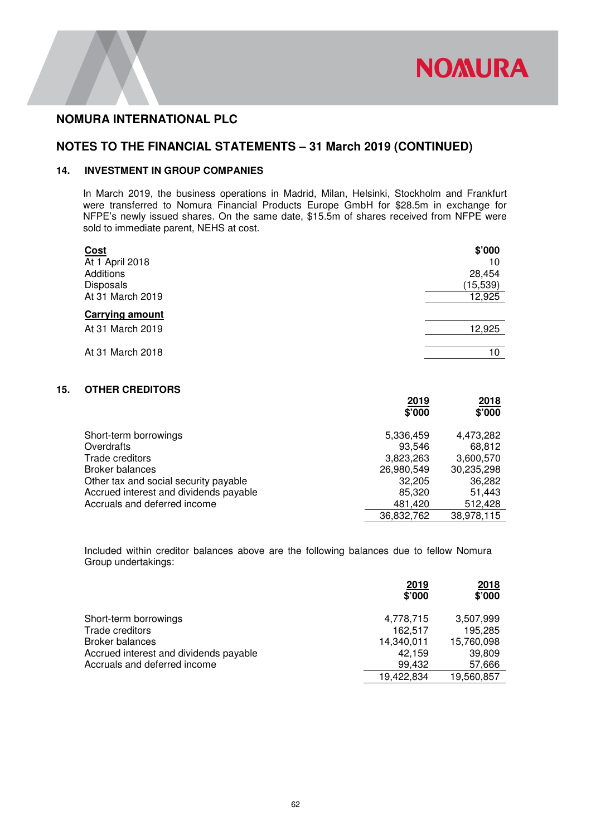

### **NOTES TO THE FINANCIAL STATEMENTS – 31 March 2019 (CONTINUED)**

### **14. INVESTMENT IN GROUP COMPANIES**

In March 2019, the business operations in Madrid, Milan, Helsinki, Stockholm and Frankfurt were transferred to Nomura Financial Products Europe GmbH for \$28.5m in exchange for NFPE's newly issued shares. On the same date, \$15.5m of shares received from NFPE were sold to immediate parent, NEHS at cost.

| <b>Cost</b><br>At 1 April 2018<br>Additions<br><b>Disposals</b> | \$'000<br>10<br>28,454<br>(15, 539) |
|-----------------------------------------------------------------|-------------------------------------|
| At 31 March 2019<br><b>Carrying amount</b>                      | 12,925                              |
| At 31 March 2019                                                | 12,925                              |
| At 31 March 2018                                                | 10                                  |

### **15. OTHER CREDITORS**

|                                        | 2019<br>\$'000 | 2018<br>\$'000 |
|----------------------------------------|----------------|----------------|
| Short-term borrowings                  | 5,336,459      | 4,473,282      |
| Overdrafts                             | 93.546         | 68,812         |
| Trade creditors                        | 3,823,263      | 3,600,570      |
| <b>Broker balances</b>                 | 26,980,549     | 30,235,298     |
| Other tax and social security payable  | 32,205         | 36,282         |
| Accrued interest and dividends payable | 85,320         | 51,443         |
| Accruals and deferred income           | 481,420        | 512,428        |
|                                        | 36,832,762     | 38,978,115     |

Included within creditor balances above are the following balances due to fellow Nomura Group undertakings:

|                                        | 2019<br>\$'000 | 2018<br>\$'000 |
|----------------------------------------|----------------|----------------|
| Short-term borrowings                  | 4,778,715      | 3,507,999      |
| Trade creditors                        | 162.517        | 195,285        |
| <b>Broker balances</b>                 | 14,340,011     | 15,760,098     |
| Accrued interest and dividends payable | 42.159         | 39,809         |
| Accruals and deferred income           | 99.432         | 57,666         |
|                                        | 19.422.834     | 19,560,857     |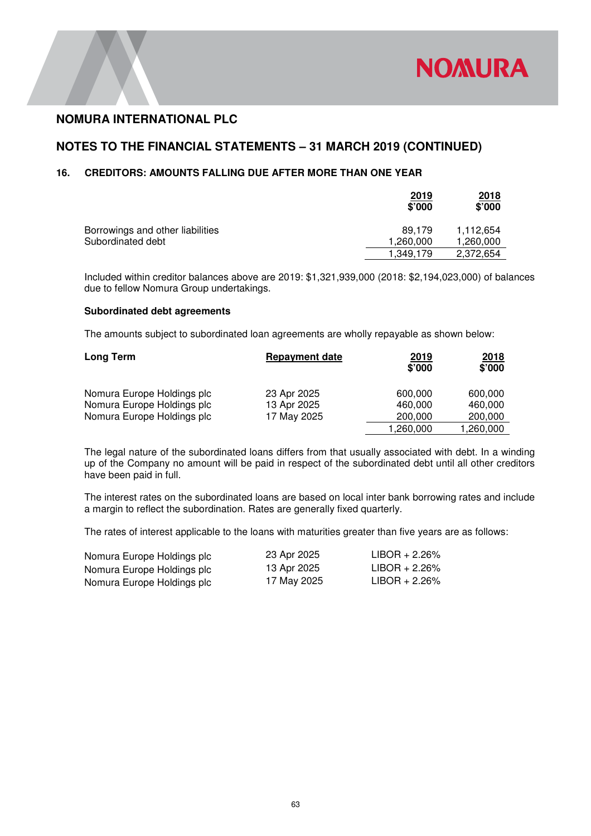

### **NOTES TO THE FINANCIAL STATEMENTS – 31 MARCH 2019 (CONTINUED)**

### **16. CREDITORS: AMOUNTS FALLING DUE AFTER MORE THAN ONE YEAR**

|                                                       | 2019<br>\$'000      | 2018<br>\$'000         |
|-------------------------------------------------------|---------------------|------------------------|
| Borrowings and other liabilities<br>Subordinated debt | 89.179<br>1,260,000 | 1.112.654<br>1,260,000 |
|                                                       | 1.349.179           | 2.372.654              |

Included within creditor balances above are 2019: \$1,321,939,000 (2018: \$2,194,023,000) of balances due to fellow Nomura Group undertakings.

### **Subordinated debt agreements**

The amounts subject to subordinated loan agreements are wholly repayable as shown below:

| Long Term                  | <b>Repayment date</b> | 2019<br>\$'000 | 2018<br>\$'000 |
|----------------------------|-----------------------|----------------|----------------|
| Nomura Europe Holdings plc | 23 Apr 2025           | 600,000        | 600,000        |
| Nomura Europe Holdings plc | 13 Apr 2025           | 460,000        | 460,000        |
| Nomura Europe Holdings plc | 17 May 2025           | 200,000        | 200,000        |
|                            |                       | 1,260,000      | 1,260,000      |

The legal nature of the subordinated loans differs from that usually associated with debt. In a winding up of the Company no amount will be paid in respect of the subordinated debt until all other creditors have been paid in full.

The interest rates on the subordinated loans are based on local inter bank borrowing rates and include a margin to reflect the subordination. Rates are generally fixed quarterly.

The rates of interest applicable to the loans with maturities greater than five years are as follows:

| Nomura Europe Holdings plc | 23 Apr 2025 | $LIBOR + 2.26\%$ |
|----------------------------|-------------|------------------|
| Nomura Europe Holdings plc | 13 Apr 2025 | $LIBOR + 2.26\%$ |
| Nomura Europe Holdings plc | 17 May 2025 | $LIBOR + 2.26\%$ |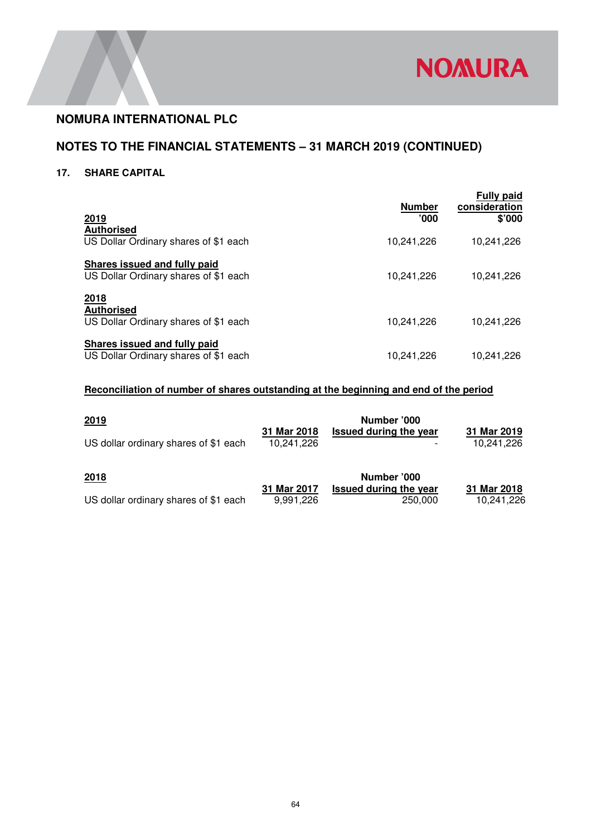

# **NOTES TO THE FINANCIAL STATEMENTS – 31 MARCH 2019 (CONTINUED)**

### **17. SHARE CAPITAL**

| 2019                                                                  | <b>Number</b><br>'000' | <b>Fully paid</b><br>consideration<br>\$'000 |
|-----------------------------------------------------------------------|------------------------|----------------------------------------------|
| <b>Authorised</b><br>US Dollar Ordinary shares of \$1 each            | 10.241.226             | 10,241,226                                   |
| Shares issued and fully paid<br>US Dollar Ordinary shares of \$1 each | 10,241,226             | 10,241,226                                   |
| 2018<br><b>Authorised</b><br>US Dollar Ordinary shares of \$1 each    | 10,241,226             | 10.241.226                                   |
| Shares issued and fully paid<br>US Dollar Ordinary shares of \$1 each | 10,241,226             | 10.241.226                                   |

# **Reconciliation of number of shares outstanding at the beginning and end of the period**

| 2019<br>US dollar ordinary shares of \$1 each | 31 Mar 2018<br>10,241,226 | Number '000<br><b>Issued during the year</b><br>$\overline{\phantom{0}}$ | 31 Mar 2019<br>10,241,226 |
|-----------------------------------------------|---------------------------|--------------------------------------------------------------------------|---------------------------|
| 2018                                          |                           | Number '000<br>Issued during the year                                    | 31 Mar 2018               |
| US dollar ordinary shares of \$1 each         | 31 Mar 2017<br>9.991.226  | 250,000                                                                  | 10,241,226                |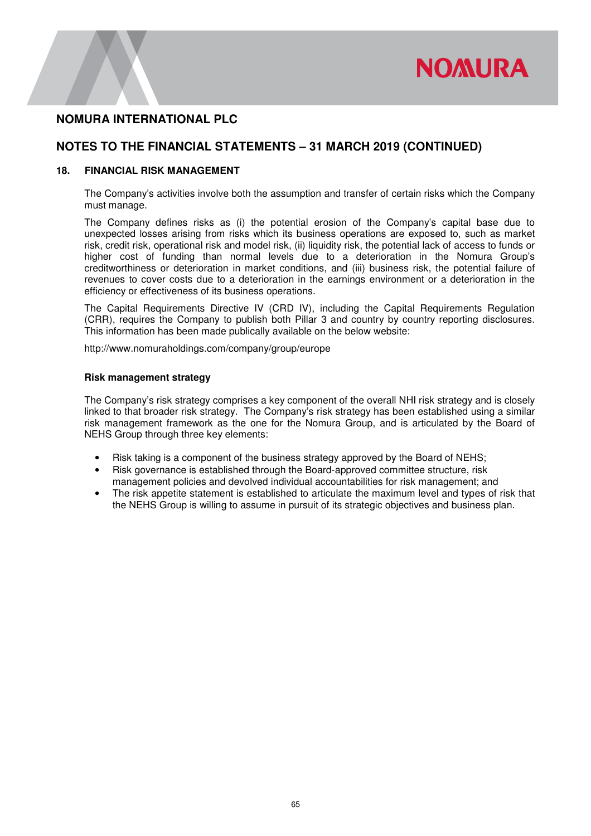

## **NOTES TO THE FINANCIAL STATEMENTS – 31 MARCH 2019 (CONTINUED)**

#### **18. FINANCIAL RISK MANAGEMENT**

The Company's activities involve both the assumption and transfer of certain risks which the Company must manage.

The Company defines risks as (i) the potential erosion of the Company's capital base due to unexpected losses arising from risks which its business operations are exposed to, such as market risk, credit risk, operational risk and model risk, (ii) liquidity risk, the potential lack of access to funds or higher cost of funding than normal levels due to a deterioration in the Nomura Group's creditworthiness or deterioration in market conditions, and (iii) business risk, the potential failure of revenues to cover costs due to a deterioration in the earnings environment or a deterioration in the efficiency or effectiveness of its business operations.

The Capital Requirements Directive IV (CRD IV), including the Capital Requirements Regulation (CRR), requires the Company to publish both Pillar 3 and country by country reporting disclosures. This information has been made publically available on the below website:

http://www.nomuraholdings.com/company/group/europe

#### **Risk management strategy**

The Company's risk strategy comprises a key component of the overall NHI risk strategy and is closely linked to that broader risk strategy. The Company's risk strategy has been established using a similar risk management framework as the one for the Nomura Group, and is articulated by the Board of NEHS Group through three key elements:

- Risk taking is a component of the business strategy approved by the Board of NEHS;
- Risk governance is established through the Board-approved committee structure, risk management policies and devolved individual accountabilities for risk management; and
- The risk appetite statement is established to articulate the maximum level and types of risk that the NEHS Group is willing to assume in pursuit of its strategic objectives and business plan.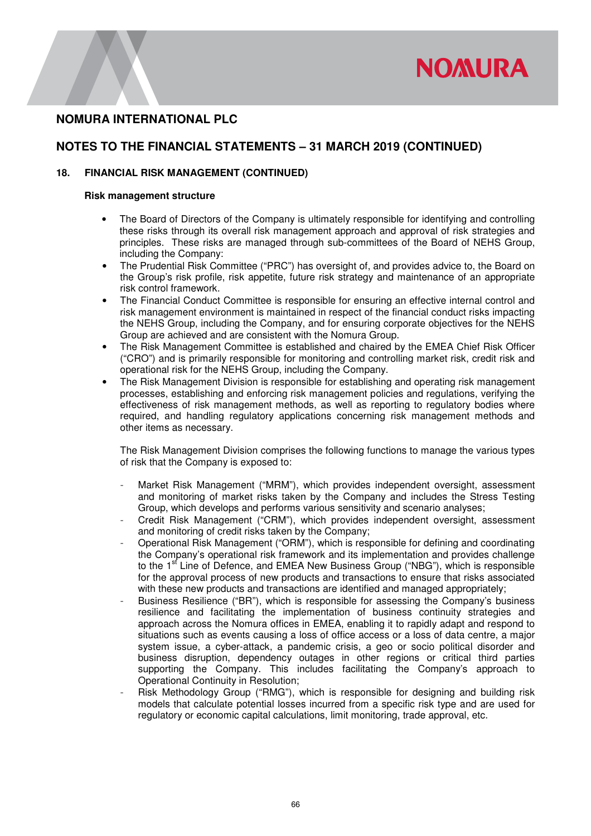

## **NOTES TO THE FINANCIAL STATEMENTS – 31 MARCH 2019 (CONTINUED)**

#### **18. FINANCIAL RISK MANAGEMENT (CONTINUED)**

#### **Risk management structure**

- The Board of Directors of the Company is ultimately responsible for identifying and controlling these risks through its overall risk management approach and approval of risk strategies and principles. These risks are managed through sub-committees of the Board of NEHS Group, including the Company:
- The Prudential Risk Committee ("PRC") has oversight of, and provides advice to, the Board on the Group's risk profile, risk appetite, future risk strategy and maintenance of an appropriate risk control framework.
- The Financial Conduct Committee is responsible for ensuring an effective internal control and risk management environment is maintained in respect of the financial conduct risks impacting the NEHS Group, including the Company, and for ensuring corporate objectives for the NEHS Group are achieved and are consistent with the Nomura Group.
- The Risk Management Committee is established and chaired by the EMEA Chief Risk Officer ("CRO") and is primarily responsible for monitoring and controlling market risk, credit risk and operational risk for the NEHS Group, including the Company.
- The Risk Management Division is responsible for establishing and operating risk management processes, establishing and enforcing risk management policies and regulations, verifying the effectiveness of risk management methods, as well as reporting to regulatory bodies where required, and handling regulatory applications concerning risk management methods and other items as necessary.

The Risk Management Division comprises the following functions to manage the various types of risk that the Company is exposed to:

- Market Risk Management ("MRM"), which provides independent oversight, assessment and monitoring of market risks taken by the Company and includes the Stress Testing Group, which develops and performs various sensitivity and scenario analyses;
- Credit Risk Management ("CRM"), which provides independent oversight, assessment and monitoring of credit risks taken by the Company;
- Operational Risk Management ("ORM"), which is responsible for defining and coordinating the Company's operational risk framework and its implementation and provides challenge to the 1<sup>st</sup> Line of Defence, and EMEA New Business Group ("NBG"), which is responsible for the approval process of new products and transactions to ensure that risks associated with these new products and transactions are identified and managed appropriately;
- Business Resilience ("BR"), which is responsible for assessing the Company's business resilience and facilitating the implementation of business continuity strategies and approach across the Nomura offices in EMEA, enabling it to rapidly adapt and respond to situations such as events causing a loss of office access or a loss of data centre, a major system issue, a cyber-attack, a pandemic crisis, a geo or socio political disorder and business disruption, dependency outages in other regions or critical third parties supporting the Company. This includes facilitating the Company's approach to Operational Continuity in Resolution;
- Risk Methodology Group ("RMG"), which is responsible for designing and building risk models that calculate potential losses incurred from a specific risk type and are used for regulatory or economic capital calculations, limit monitoring, trade approval, etc.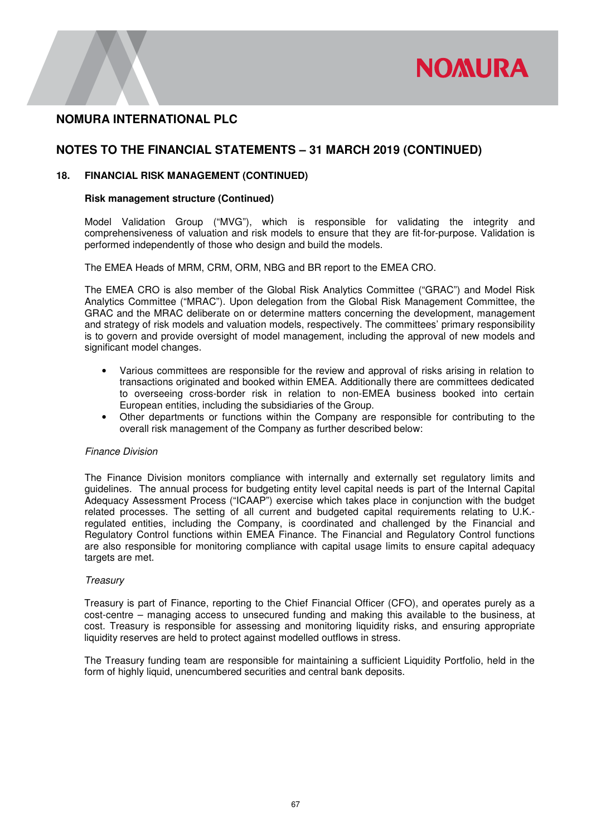

## **NOTES TO THE FINANCIAL STATEMENTS – 31 MARCH 2019 (CONTINUED)**

#### **18. FINANCIAL RISK MANAGEMENT (CONTINUED)**

#### **Risk management structure (Continued)**

Model Validation Group ("MVG"), which is responsible for validating the integrity and comprehensiveness of valuation and risk models to ensure that they are fit-for-purpose. Validation is performed independently of those who design and build the models.

The EMEA Heads of MRM, CRM, ORM, NBG and BR report to the EMEA CRO.

The EMEA CRO is also member of the Global Risk Analytics Committee ("GRAC") and Model Risk Analytics Committee ("MRAC"). Upon delegation from the Global Risk Management Committee, the GRAC and the MRAC deliberate on or determine matters concerning the development, management and strategy of risk models and valuation models, respectively. The committees' primary responsibility is to govern and provide oversight of model management, including the approval of new models and significant model changes.

- Various committees are responsible for the review and approval of risks arising in relation to transactions originated and booked within EMEA. Additionally there are committees dedicated to overseeing cross-border risk in relation to non-EMEA business booked into certain European entities, including the subsidiaries of the Group.
- Other departments or functions within the Company are responsible for contributing to the overall risk management of the Company as further described below:

#### Finance Division

The Finance Division monitors compliance with internally and externally set regulatory limits and guidelines. The annual process for budgeting entity level capital needs is part of the Internal Capital Adequacy Assessment Process ("ICAAP") exercise which takes place in conjunction with the budget related processes. The setting of all current and budgeted capital requirements relating to U.K. regulated entities, including the Company, is coordinated and challenged by the Financial and Regulatory Control functions within EMEA Finance. The Financial and Regulatory Control functions are also responsible for monitoring compliance with capital usage limits to ensure capital adequacy targets are met.

#### **Treasury**

Treasury is part of Finance, reporting to the Chief Financial Officer (CFO), and operates purely as a cost-centre – managing access to unsecured funding and making this available to the business, at cost. Treasury is responsible for assessing and monitoring liquidity risks, and ensuring appropriate liquidity reserves are held to protect against modelled outflows in stress.

The Treasury funding team are responsible for maintaining a sufficient Liquidity Portfolio, held in the form of highly liquid, unencumbered securities and central bank deposits.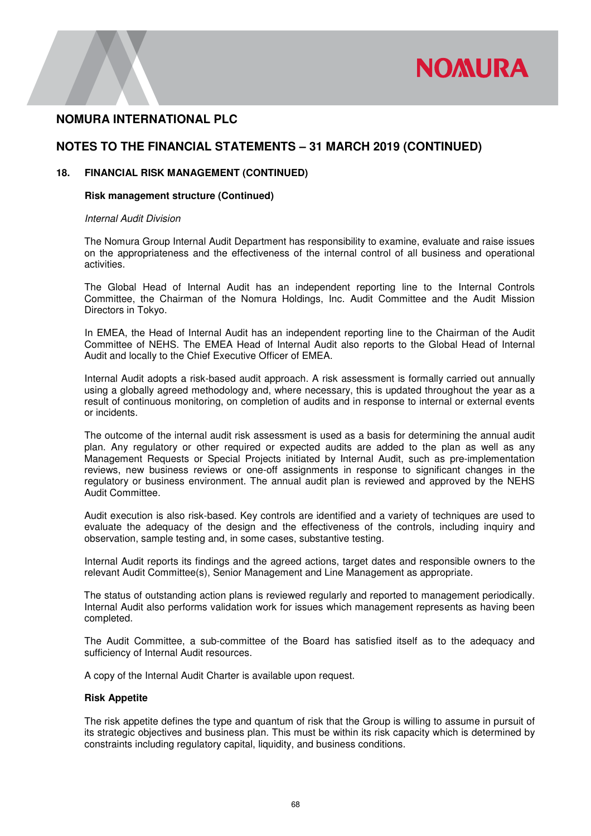

### **NOTES TO THE FINANCIAL STATEMENTS – 31 MARCH 2019 (CONTINUED)**

#### **18. FINANCIAL RISK MANAGEMENT (CONTINUED)**

#### **Risk management structure (Continued)**

#### Internal Audit Division

The Nomura Group Internal Audit Department has responsibility to examine, evaluate and raise issues on the appropriateness and the effectiveness of the internal control of all business and operational activities.

The Global Head of Internal Audit has an independent reporting line to the Internal Controls Committee, the Chairman of the Nomura Holdings, Inc. Audit Committee and the Audit Mission Directors in Tokyo.

 In EMEA, the Head of Internal Audit has an independent reporting line to the Chairman of the Audit Committee of NEHS. The EMEA Head of Internal Audit also reports to the Global Head of Internal Audit and locally to the Chief Executive Officer of EMEA.

 Internal Audit adopts a risk-based audit approach. A risk assessment is formally carried out annually using a globally agreed methodology and, where necessary, this is updated throughout the year as a result of continuous monitoring, on completion of audits and in response to internal or external events or incidents.

The outcome of the internal audit risk assessment is used as a basis for determining the annual audit plan. Any regulatory or other required or expected audits are added to the plan as well as any Management Requests or Special Projects initiated by Internal Audit, such as pre-implementation reviews, new business reviews or one-off assignments in response to significant changes in the regulatory or business environment. The annual audit plan is reviewed and approved by the NEHS Audit Committee.

 Audit execution is also risk-based. Key controls are identified and a variety of techniques are used to evaluate the adequacy of the design and the effectiveness of the controls, including inquiry and observation, sample testing and, in some cases, substantive testing.

 Internal Audit reports its findings and the agreed actions, target dates and responsible owners to the relevant Audit Committee(s), Senior Management and Line Management as appropriate.

 The status of outstanding action plans is reviewed regularly and reported to management periodically. Internal Audit also performs validation work for issues which management represents as having been completed.

The Audit Committee, a sub-committee of the Board has satisfied itself as to the adequacy and sufficiency of Internal Audit resources.

A copy of the Internal Audit Charter is available upon request.

#### **Risk Appetite**

The risk appetite defines the type and quantum of risk that the Group is willing to assume in pursuit of its strategic objectives and business plan. This must be within its risk capacity which is determined by constraints including regulatory capital, liquidity, and business conditions.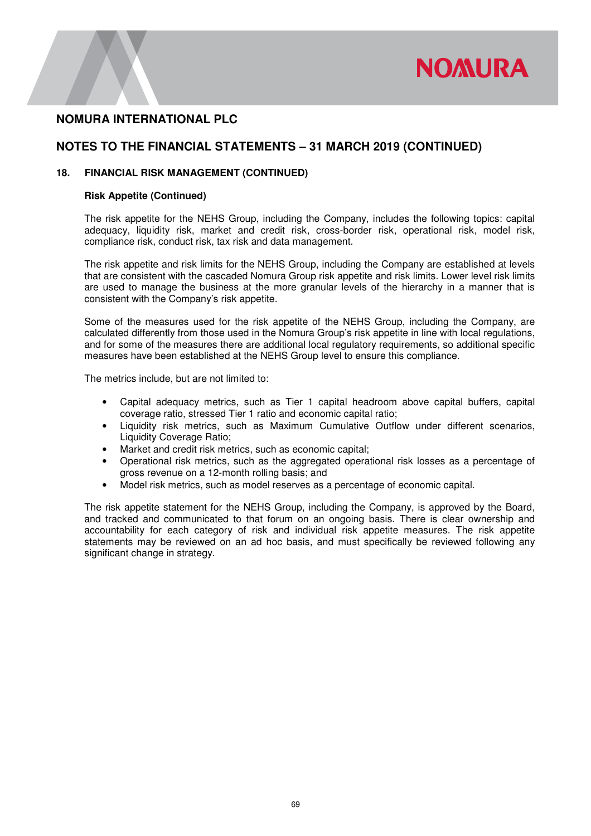

### **NOTES TO THE FINANCIAL STATEMENTS – 31 MARCH 2019 (CONTINUED)**

#### **18. FINANCIAL RISK MANAGEMENT (CONTINUED)**

#### **Risk Appetite (Continued)**

The risk appetite for the NEHS Group, including the Company, includes the following topics: capital adequacy, liquidity risk, market and credit risk, cross-border risk, operational risk, model risk, compliance risk, conduct risk, tax risk and data management.

The risk appetite and risk limits for the NEHS Group, including the Company are established at levels that are consistent with the cascaded Nomura Group risk appetite and risk limits. Lower level risk limits are used to manage the business at the more granular levels of the hierarchy in a manner that is consistent with the Company's risk appetite.

Some of the measures used for the risk appetite of the NEHS Group, including the Company, are calculated differently from those used in the Nomura Group's risk appetite in line with local regulations, and for some of the measures there are additional local regulatory requirements, so additional specific measures have been established at the NEHS Group level to ensure this compliance.

The metrics include, but are not limited to:

- Capital adequacy metrics, such as Tier 1 capital headroom above capital buffers, capital coverage ratio, stressed Tier 1 ratio and economic capital ratio;
- Liquidity risk metrics, such as Maximum Cumulative Outflow under different scenarios, Liquidity Coverage Ratio;
- Market and credit risk metrics, such as economic capital;
- Operational risk metrics, such as the aggregated operational risk losses as a percentage of gross revenue on a 12-month rolling basis; and
- Model risk metrics, such as model reserves as a percentage of economic capital.

The risk appetite statement for the NEHS Group, including the Company, is approved by the Board, and tracked and communicated to that forum on an ongoing basis. There is clear ownership and accountability for each category of risk and individual risk appetite measures. The risk appetite statements may be reviewed on an ad hoc basis, and must specifically be reviewed following any significant change in strategy.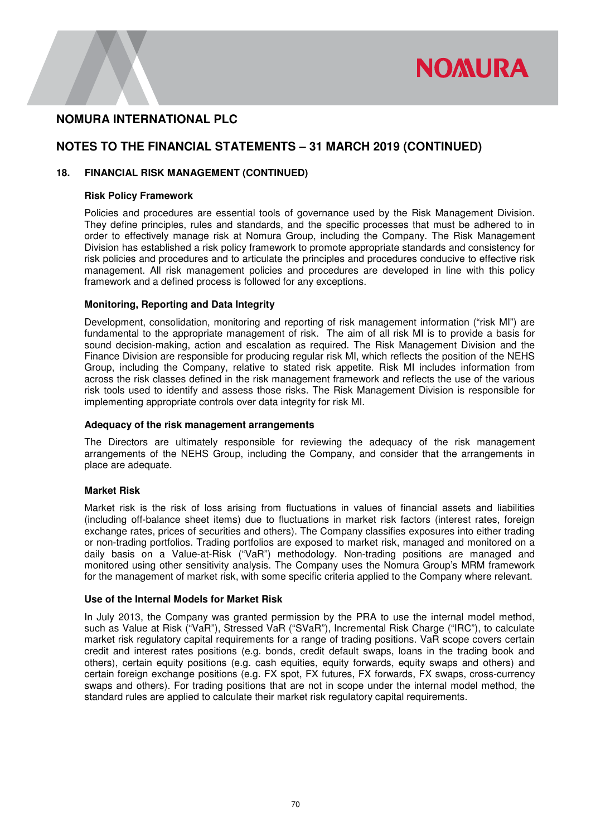

## **NOTES TO THE FINANCIAL STATEMENTS – 31 MARCH 2019 (CONTINUED)**

#### **18. FINANCIAL RISK MANAGEMENT (CONTINUED)**

#### **Risk Policy Framework**

Policies and procedures are essential tools of governance used by the Risk Management Division. They define principles, rules and standards, and the specific processes that must be adhered to in order to effectively manage risk at Nomura Group, including the Company. The Risk Management Division has established a risk policy framework to promote appropriate standards and consistency for risk policies and procedures and to articulate the principles and procedures conducive to effective risk management. All risk management policies and procedures are developed in line with this policy framework and a defined process is followed for any exceptions.

#### **Monitoring, Reporting and Data Integrity**

Development, consolidation, monitoring and reporting of risk management information ("risk MI") are fundamental to the appropriate management of risk. The aim of all risk MI is to provide a basis for sound decision-making, action and escalation as required. The Risk Management Division and the Finance Division are responsible for producing regular risk MI, which reflects the position of the NEHS Group, including the Company, relative to stated risk appetite. Risk MI includes information from across the risk classes defined in the risk management framework and reflects the use of the various risk tools used to identify and assess those risks. The Risk Management Division is responsible for implementing appropriate controls over data integrity for risk MI.

#### **Adequacy of the risk management arrangements**

The Directors are ultimately responsible for reviewing the adequacy of the risk management arrangements of the NEHS Group, including the Company, and consider that the arrangements in place are adequate.

#### **Market Risk**

Market risk is the risk of loss arising from fluctuations in values of financial assets and liabilities (including off-balance sheet items) due to fluctuations in market risk factors (interest rates, foreign exchange rates, prices of securities and others). The Company classifies exposures into either trading or non-trading portfolios. Trading portfolios are exposed to market risk, managed and monitored on a daily basis on a Value-at-Risk ("VaR") methodology. Non-trading positions are managed and monitored using other sensitivity analysis. The Company uses the Nomura Group's MRM framework for the management of market risk, with some specific criteria applied to the Company where relevant.

#### **Use of the Internal Models for Market Risk**

In July 2013, the Company was granted permission by the PRA to use the internal model method, such as Value at Risk ("VaR"), Stressed VaR ("SVaR"), Incremental Risk Charge ("IRC"), to calculate market risk regulatory capital requirements for a range of trading positions. VaR scope covers certain credit and interest rates positions (e.g. bonds, credit default swaps, loans in the trading book and others), certain equity positions (e.g. cash equities, equity forwards, equity swaps and others) and certain foreign exchange positions (e.g. FX spot, FX futures, FX forwards, FX swaps, cross-currency swaps and others). For trading positions that are not in scope under the internal model method, the standard rules are applied to calculate their market risk regulatory capital requirements.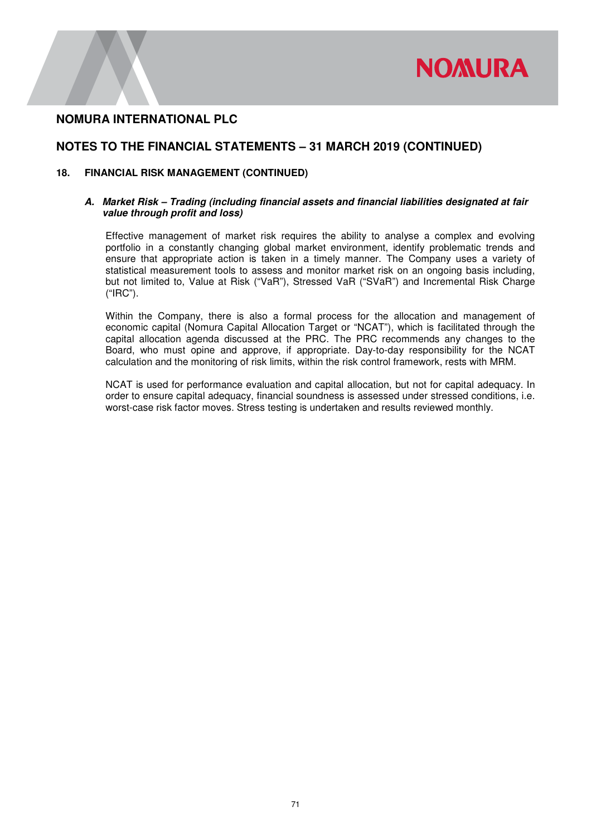

### **NOTES TO THE FINANCIAL STATEMENTS – 31 MARCH 2019 (CONTINUED)**

### **18. FINANCIAL RISK MANAGEMENT (CONTINUED)**

### *A. Market Risk – Trading (including financial assets and financial liabilities designated at fair value through profit and loss)*

Effective management of market risk requires the ability to analyse a complex and evolving portfolio in a constantly changing global market environment, identify problematic trends and ensure that appropriate action is taken in a timely manner. The Company uses a variety of statistical measurement tools to assess and monitor market risk on an ongoing basis including, but not limited to, Value at Risk ("VaR"), Stressed VaR ("SVaR") and Incremental Risk Charge ("IRC").

Within the Company, there is also a formal process for the allocation and management of economic capital (Nomura Capital Allocation Target or "NCAT"), which is facilitated through the capital allocation agenda discussed at the PRC. The PRC recommends any changes to the Board, who must opine and approve, if appropriate. Day-to-day responsibility for the NCAT calculation and the monitoring of risk limits, within the risk control framework, rests with MRM.

NCAT is used for performance evaluation and capital allocation, but not for capital adequacy. In order to ensure capital adequacy, financial soundness is assessed under stressed conditions, i.e. worst-case risk factor moves. Stress testing is undertaken and results reviewed monthly.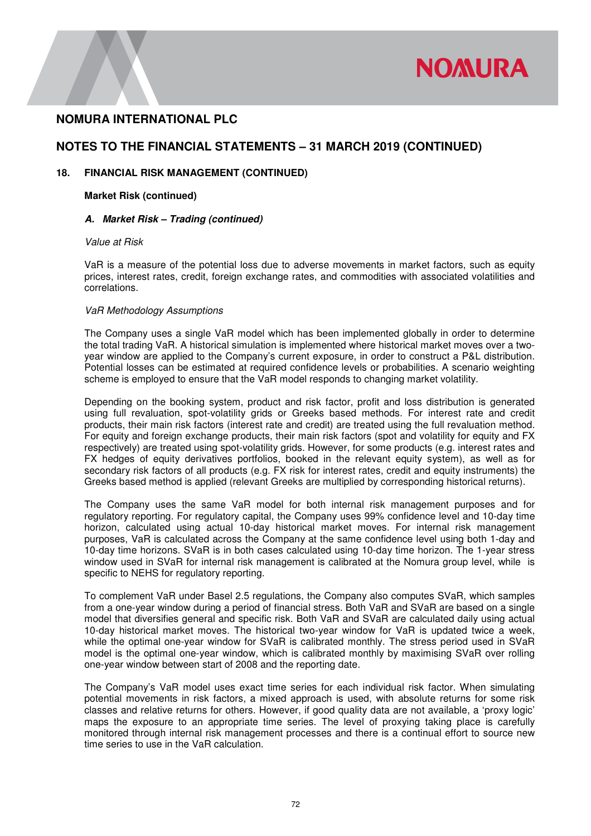

### **NOTES TO THE FINANCIAL STATEMENTS – 31 MARCH 2019 (CONTINUED)**

### **18. FINANCIAL RISK MANAGEMENT (CONTINUED)**

### **Market Risk (continued)**

### *A. Market Risk – Trading (continued)*

#### Value at Risk

VaR is a measure of the potential loss due to adverse movements in market factors, such as equity prices, interest rates, credit, foreign exchange rates, and commodities with associated volatilities and correlations.

### VaR Methodology Assumptions

The Company uses a single VaR model which has been implemented globally in order to determine the total trading VaR. A historical simulation is implemented where historical market moves over a twoyear window are applied to the Company's current exposure, in order to construct a P&L distribution. Potential losses can be estimated at required confidence levels or probabilities. A scenario weighting scheme is employed to ensure that the VaR model responds to changing market volatility.

Depending on the booking system, product and risk factor, profit and loss distribution is generated using full revaluation, spot-volatility grids or Greeks based methods. For interest rate and credit products, their main risk factors (interest rate and credit) are treated using the full revaluation method. For equity and foreign exchange products, their main risk factors (spot and volatility for equity and FX respectively) are treated using spot-volatility grids. However, for some products (e.g. interest rates and FX hedges of equity derivatives portfolios, booked in the relevant equity system), as well as for secondary risk factors of all products (e.g. FX risk for interest rates, credit and equity instruments) the Greeks based method is applied (relevant Greeks are multiplied by corresponding historical returns).

The Company uses the same VaR model for both internal risk management purposes and for regulatory reporting. For regulatory capital, the Company uses 99% confidence level and 10-day time horizon, calculated using actual 10-day historical market moves. For internal risk management purposes, VaR is calculated across the Company at the same confidence level using both 1-day and 10-day time horizons. SVaR is in both cases calculated using 10-day time horizon. The 1-year stress window used in SVaR for internal risk management is calibrated at the Nomura group level, while is specific to NEHS for regulatory reporting.

To complement VaR under Basel 2.5 regulations, the Company also computes SVaR, which samples from a one-year window during a period of financial stress. Both VaR and SVaR are based on a single model that diversifies general and specific risk. Both VaR and SVaR are calculated daily using actual 10-day historical market moves. The historical two-year window for VaR is updated twice a week, while the optimal one-year window for SVaR is calibrated monthly. The stress period used in SVaR model is the optimal one-year window, which is calibrated monthly by maximising SVaR over rolling one-year window between start of 2008 and the reporting date.

The Company's VaR model uses exact time series for each individual risk factor. When simulating potential movements in risk factors, a mixed approach is used, with absolute returns for some risk classes and relative returns for others. However, if good quality data are not available, a 'proxy logic' maps the exposure to an appropriate time series. The level of proxying taking place is carefully monitored through internal risk management processes and there is a continual effort to source new time series to use in the VaR calculation.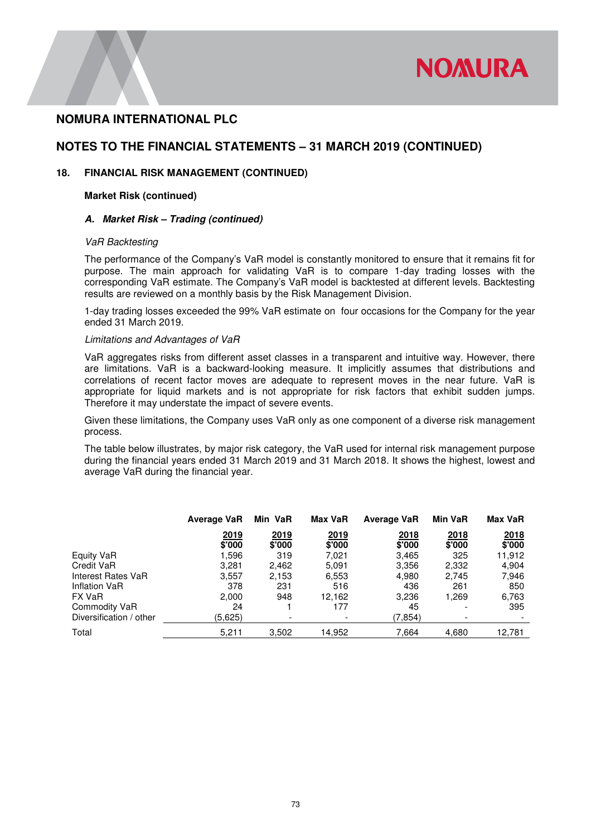

### **NOTES TO THE FINANCIAL STATEMENTS – 31 MARCH 2019 (CONTINUED)**

### **18. FINANCIAL RISK MANAGEMENT (CONTINUED)**

### **Market Risk (continued)**

### *A. Market Risk – Trading (continued)*

#### VaR Backtesting

The performance of the Company's VaR model is constantly monitored to ensure that it remains fit for purpose. The main approach for validating VaR is to compare 1-day trading losses with the corresponding VaR estimate. The Company's VaR model is backtested at different levels. Backtesting results are reviewed on a monthly basis by the Risk Management Division.

1-day trading losses exceeded the 99% VaR estimate on four occasions for the Company for the year ended 31 March 2019.

#### Limitations and Advantages of VaR

VaR aggregates risks from different asset classes in a transparent and intuitive way. However, there are limitations. VaR is a backward-looking measure. It implicitly assumes that distributions and correlations of recent factor moves are adequate to represent moves in the near future. VaR is appropriate for liquid markets and is not appropriate for risk factors that exhibit sudden jumps. Therefore it may understate the impact of severe events.

Given these limitations, the Company uses VaR only as one component of a diverse risk management process.

The table below illustrates, by major risk category, the VaR used for internal risk management purpose during the financial years ended 31 March 2019 and 31 March 2018. It shows the highest, lowest and average VaR during the financial year.

|                         | <b>Average VaR</b> | Min VaR        | Max VaR        | <b>Average VaR</b> | <b>Min VaR</b> | <b>Max VaR</b> |
|-------------------------|--------------------|----------------|----------------|--------------------|----------------|----------------|
|                         | 2019<br>\$'000     | 2019<br>\$'000 | 2019<br>\$'000 | 2018<br>\$'000     | 2018<br>\$'000 | 2018<br>\$'000 |
| <b>Equity VaR</b>       | 596. ا             | 319            | 7,021          | 3,465              | 325            | 11,912         |
| Credit VaR              | 3,281              | 2,462          | 5,091          | 3,356              | 2,332          | 4,904          |
| Interest Rates VaR      | 3,557              | 2,153          | 6,553          | 4,980              | 2.745          | 7,946          |
| Inflation VaR           | 378                | 231            | 516            | 436                | 261            | 850            |
| FX VaR                  | 2,000              | 948            | 12.162         | 3,236              | 1,269          | 6,763          |
| Commodity VaR           | 24                 |                | 177            | 45                 |                | 395            |
| Diversification / other | (5.625)            |                |                | (7, 854)           |                |                |
| Total                   | 5.211              | 3,502          | 14,952         | 7,664              | 4,680          | 12,781         |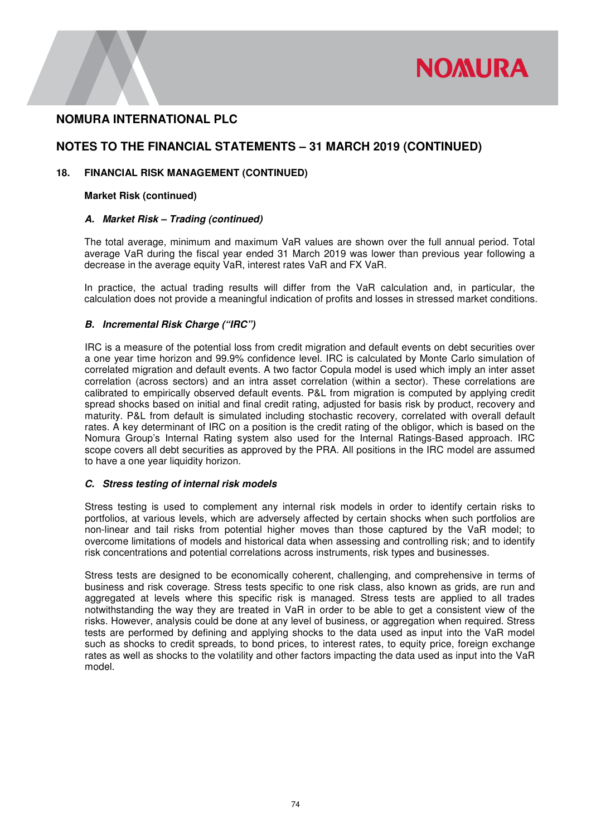

### **NOTES TO THE FINANCIAL STATEMENTS – 31 MARCH 2019 (CONTINUED)**

### **18. FINANCIAL RISK MANAGEMENT (CONTINUED)**

### **Market Risk (continued)**

### *A. Market Risk – Trading (continued)*

The total average, minimum and maximum VaR values are shown over the full annual period. Total average VaR during the fiscal year ended 31 March 2019 was lower than previous year following a decrease in the average equity VaR, interest rates VaR and FX VaR.

In practice, the actual trading results will differ from the VaR calculation and, in particular, the calculation does not provide a meaningful indication of profits and losses in stressed market conditions.

### *B. Incremental Risk Charge ("IRC")*

IRC is a measure of the potential loss from credit migration and default events on debt securities over a one year time horizon and 99.9% confidence level. IRC is calculated by Monte Carlo simulation of correlated migration and default events. A two factor Copula model is used which imply an inter asset correlation (across sectors) and an intra asset correlation (within a sector). These correlations are calibrated to empirically observed default events. P&L from migration is computed by applying credit spread shocks based on initial and final credit rating, adjusted for basis risk by product, recovery and maturity. P&L from default is simulated including stochastic recovery, correlated with overall default rates. A key determinant of IRC on a position is the credit rating of the obligor, which is based on the Nomura Group's Internal Rating system also used for the Internal Ratings-Based approach. IRC scope covers all debt securities as approved by the PRA. All positions in the IRC model are assumed to have a one year liquidity horizon.

### *C. Stress testing of internal risk models*

Stress testing is used to complement any internal risk models in order to identify certain risks to portfolios, at various levels, which are adversely affected by certain shocks when such portfolios are non-linear and tail risks from potential higher moves than those captured by the VaR model; to overcome limitations of models and historical data when assessing and controlling risk; and to identify risk concentrations and potential correlations across instruments, risk types and businesses.

Stress tests are designed to be economically coherent, challenging, and comprehensive in terms of business and risk coverage. Stress tests specific to one risk class, also known as grids, are run and aggregated at levels where this specific risk is managed. Stress tests are applied to all trades notwithstanding the way they are treated in VaR in order to be able to get a consistent view of the risks. However, analysis could be done at any level of business, or aggregation when required. Stress tests are performed by defining and applying shocks to the data used as input into the VaR model such as shocks to credit spreads, to bond prices, to interest rates, to equity price, foreign exchange rates as well as shocks to the volatility and other factors impacting the data used as input into the VaR model.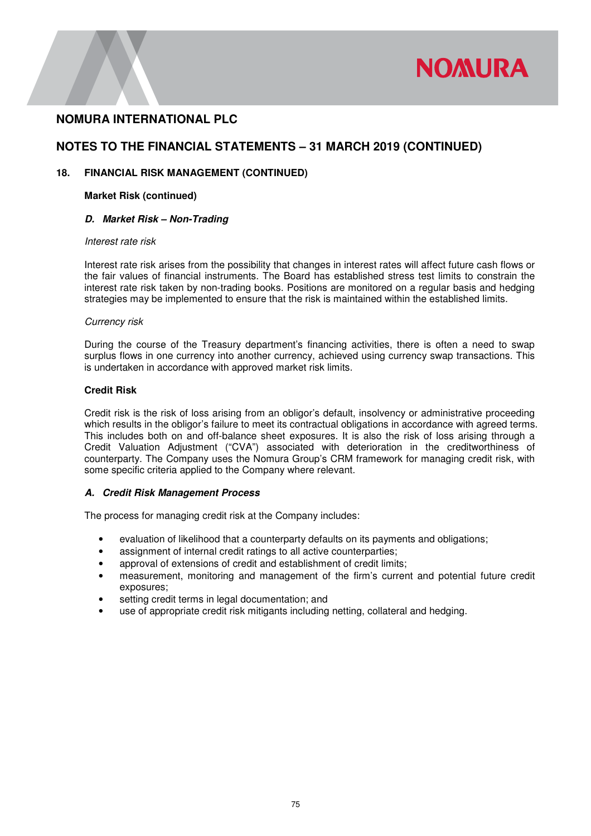

## **NOTES TO THE FINANCIAL STATEMENTS – 31 MARCH 2019 (CONTINUED)**

### **18. FINANCIAL RISK MANAGEMENT (CONTINUED)**

### **Market Risk (continued)**

### *D. Market Risk – Non-Trading*

#### Interest rate risk

Interest rate risk arises from the possibility that changes in interest rates will affect future cash flows or the fair values of financial instruments. The Board has established stress test limits to constrain the interest rate risk taken by non-trading books. Positions are monitored on a regular basis and hedging strategies may be implemented to ensure that the risk is maintained within the established limits.

### Currency risk

During the course of the Treasury department's financing activities, there is often a need to swap surplus flows in one currency into another currency, achieved using currency swap transactions. This is undertaken in accordance with approved market risk limits.

### **Credit Risk**

Credit risk is the risk of loss arising from an obligor's default, insolvency or administrative proceeding which results in the obligor's failure to meet its contractual obligations in accordance with agreed terms. This includes both on and off-balance sheet exposures. It is also the risk of loss arising through a Credit Valuation Adjustment ("CVA") associated with deterioration in the creditworthiness of counterparty. The Company uses the Nomura Group's CRM framework for managing credit risk, with some specific criteria applied to the Company where relevant.

### *A. Credit Risk Management Process*

The process for managing credit risk at the Company includes:

- evaluation of likelihood that a counterparty defaults on its payments and obligations;
- assignment of internal credit ratings to all active counterparties;
- approval of extensions of credit and establishment of credit limits;
- measurement, monitoring and management of the firm's current and potential future credit exposures;
- setting credit terms in legal documentation; and
- use of appropriate credit risk mitigants including netting, collateral and hedging.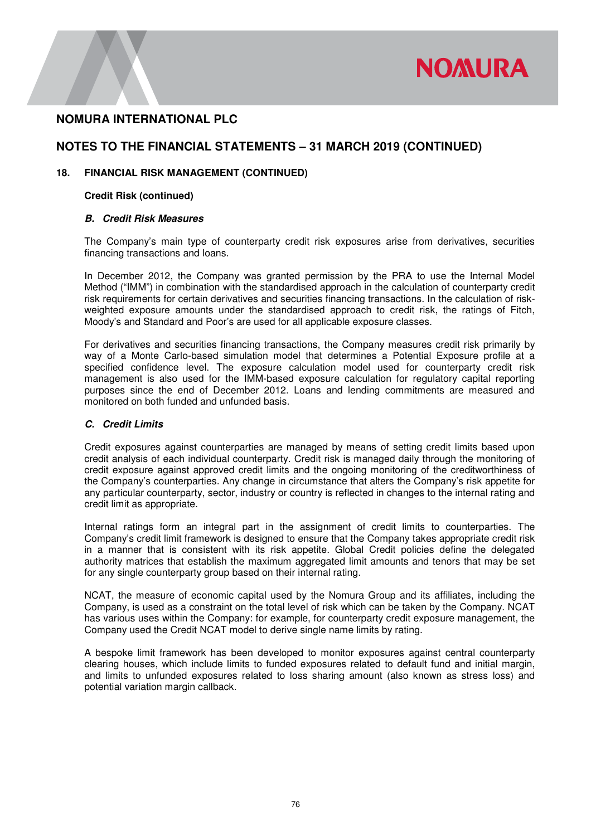

### **NOTES TO THE FINANCIAL STATEMENTS – 31 MARCH 2019 (CONTINUED)**

### **18. FINANCIAL RISK MANAGEMENT (CONTINUED)**

### **Credit Risk (continued)**

### *B. Credit Risk Measures*

The Company's main type of counterparty credit risk exposures arise from derivatives, securities financing transactions and loans.

In December 2012, the Company was granted permission by the PRA to use the Internal Model Method ("IMM") in combination with the standardised approach in the calculation of counterparty credit risk requirements for certain derivatives and securities financing transactions. In the calculation of riskweighted exposure amounts under the standardised approach to credit risk, the ratings of Fitch, Moody's and Standard and Poor's are used for all applicable exposure classes.

For derivatives and securities financing transactions, the Company measures credit risk primarily by way of a Monte Carlo-based simulation model that determines a Potential Exposure profile at a specified confidence level. The exposure calculation model used for counterparty credit risk management is also used for the IMM-based exposure calculation for regulatory capital reporting purposes since the end of December 2012. Loans and lending commitments are measured and monitored on both funded and unfunded basis.

### *C. Credit Limits*

Credit exposures against counterparties are managed by means of setting credit limits based upon credit analysis of each individual counterparty. Credit risk is managed daily through the monitoring of credit exposure against approved credit limits and the ongoing monitoring of the creditworthiness of the Company's counterparties. Any change in circumstance that alters the Company's risk appetite for any particular counterparty, sector, industry or country is reflected in changes to the internal rating and credit limit as appropriate.

Internal ratings form an integral part in the assignment of credit limits to counterparties. The Company's credit limit framework is designed to ensure that the Company takes appropriate credit risk in a manner that is consistent with its risk appetite. Global Credit policies define the delegated authority matrices that establish the maximum aggregated limit amounts and tenors that may be set for any single counterparty group based on their internal rating.

NCAT, the measure of economic capital used by the Nomura Group and its affiliates, including the Company, is used as a constraint on the total level of risk which can be taken by the Company. NCAT has various uses within the Company: for example, for counterparty credit exposure management, the Company used the Credit NCAT model to derive single name limits by rating.

A bespoke limit framework has been developed to monitor exposures against central counterparty clearing houses, which include limits to funded exposures related to default fund and initial margin, and limits to unfunded exposures related to loss sharing amount (also known as stress loss) and potential variation margin callback.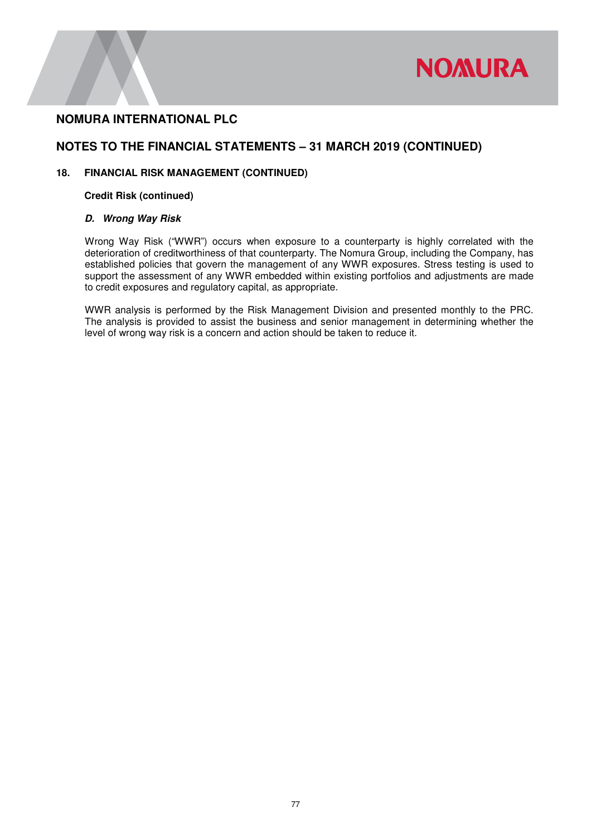

## **NOTES TO THE FINANCIAL STATEMENTS – 31 MARCH 2019 (CONTINUED)**

### **18. FINANCIAL RISK MANAGEMENT (CONTINUED)**

### **Credit Risk (continued)**

### *D. Wrong Way Risk*

Wrong Way Risk ("WWR") occurs when exposure to a counterparty is highly correlated with the deterioration of creditworthiness of that counterparty. The Nomura Group, including the Company, has established policies that govern the management of any WWR exposures. Stress testing is used to support the assessment of any WWR embedded within existing portfolios and adjustments are made to credit exposures and regulatory capital, as appropriate.

WWR analysis is performed by the Risk Management Division and presented monthly to the PRC. The analysis is provided to assist the business and senior management in determining whether the level of wrong way risk is a concern and action should be taken to reduce it.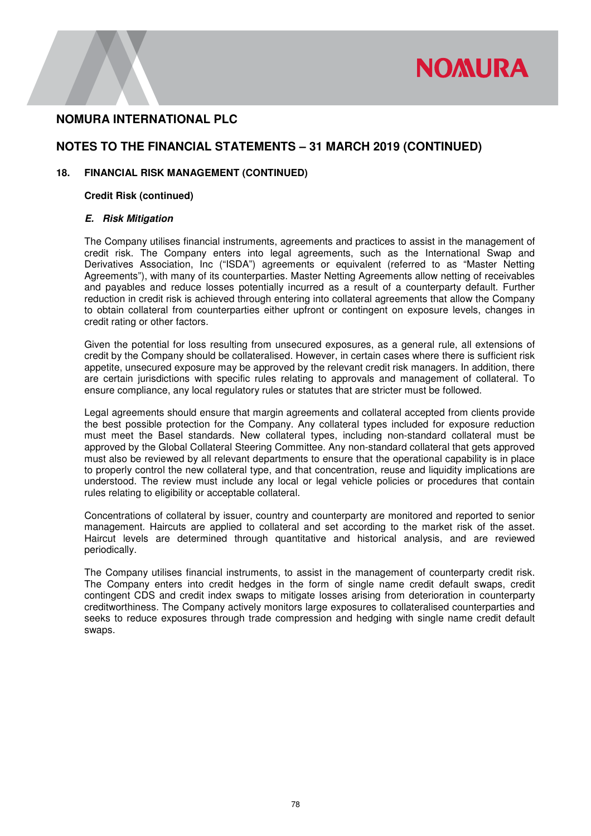

### **NOTES TO THE FINANCIAL STATEMENTS – 31 MARCH 2019 (CONTINUED)**

### **18. FINANCIAL RISK MANAGEMENT (CONTINUED)**

### **Credit Risk (continued)**

### *E. Risk Mitigation*

The Company utilises financial instruments, agreements and practices to assist in the management of credit risk. The Company enters into legal agreements, such as the International Swap and Derivatives Association, Inc ("ISDA") agreements or equivalent (referred to as "Master Netting Agreements"), with many of its counterparties. Master Netting Agreements allow netting of receivables and payables and reduce losses potentially incurred as a result of a counterparty default. Further reduction in credit risk is achieved through entering into collateral agreements that allow the Company to obtain collateral from counterparties either upfront or contingent on exposure levels, changes in credit rating or other factors.

Given the potential for loss resulting from unsecured exposures, as a general rule, all extensions of credit by the Company should be collateralised. However, in certain cases where there is sufficient risk appetite, unsecured exposure may be approved by the relevant credit risk managers. In addition, there are certain jurisdictions with specific rules relating to approvals and management of collateral. To ensure compliance, any local regulatory rules or statutes that are stricter must be followed.

Legal agreements should ensure that margin agreements and collateral accepted from clients provide the best possible protection for the Company. Any collateral types included for exposure reduction must meet the Basel standards. New collateral types, including non-standard collateral must be approved by the Global Collateral Steering Committee. Any non-standard collateral that gets approved must also be reviewed by all relevant departments to ensure that the operational capability is in place to properly control the new collateral type, and that concentration, reuse and liquidity implications are understood. The review must include any local or legal vehicle policies or procedures that contain rules relating to eligibility or acceptable collateral.

Concentrations of collateral by issuer, country and counterparty are monitored and reported to senior management. Haircuts are applied to collateral and set according to the market risk of the asset. Haircut levels are determined through quantitative and historical analysis, and are reviewed periodically.

The Company utilises financial instruments, to assist in the management of counterparty credit risk. The Company enters into credit hedges in the form of single name credit default swaps, credit contingent CDS and credit index swaps to mitigate losses arising from deterioration in counterparty creditworthiness. The Company actively monitors large exposures to collateralised counterparties and seeks to reduce exposures through trade compression and hedging with single name credit default swaps.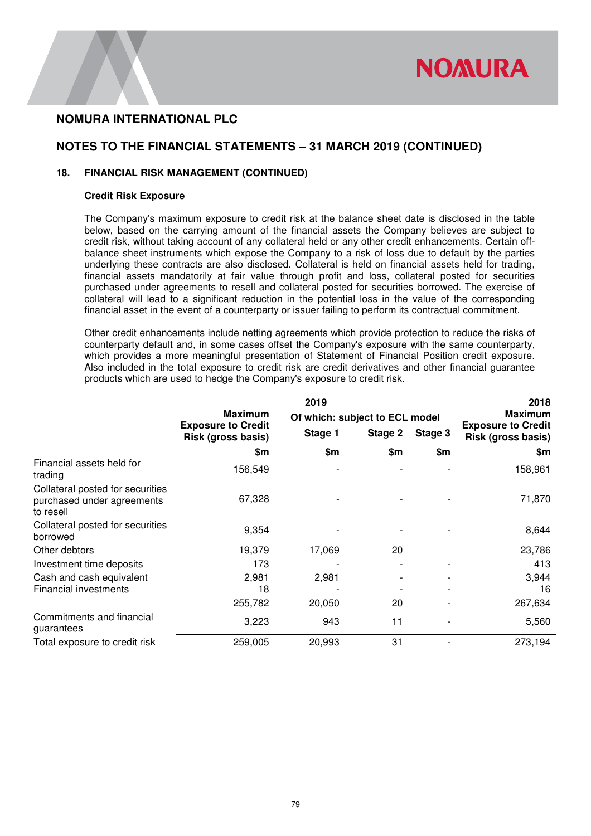

### **NOTES TO THE FINANCIAL STATEMENTS – 31 MARCH 2019 (CONTINUED)**

### **18. FINANCIAL RISK MANAGEMENT (CONTINUED)**

### **Credit Risk Exposure**

The Company's maximum exposure to credit risk at the balance sheet date is disclosed in the table below, based on the carrying amount of the financial assets the Company believes are subject to credit risk, without taking account of any collateral held or any other credit enhancements. Certain offbalance sheet instruments which expose the Company to a risk of loss due to default by the parties underlying these contracts are also disclosed. Collateral is held on financial assets held for trading, financial assets mandatorily at fair value through profit and loss, collateral posted for securities purchased under agreements to resell and collateral posted for securities borrowed. The exercise of collateral will lead to a significant reduction in the potential loss in the value of the corresponding financial asset in the event of a counterparty or issuer failing to perform its contractual commitment.

Other credit enhancements include netting agreements which provide protection to reduce the risks of counterparty default and, in some cases offset the Company's exposure with the same counterparty, which provides a more meaningful presentation of Statement of Financial Position credit exposure. Also included in the total exposure to credit risk are credit derivatives and other financial guarantee products which are used to hedge the Company's exposure to credit risk.

|                                                                             |                                                 | 2019                           |                    |                | 2018                                            |
|-----------------------------------------------------------------------------|-------------------------------------------------|--------------------------------|--------------------|----------------|-------------------------------------------------|
|                                                                             | <b>Maximum</b>                                  | Of which: subject to ECL model |                    | <b>Maximum</b> |                                                 |
|                                                                             | <b>Exposure to Credit</b><br>Risk (gross basis) | Stage 1                        | Stage 3<br>Stage 2 |                | <b>Exposure to Credit</b><br>Risk (gross basis) |
|                                                                             | \$m                                             | \$m                            | \$m\$              | \$m            | \$m                                             |
| Financial assets held for<br>trading                                        | 156,549                                         |                                |                    |                | 158,961                                         |
| Collateral posted for securities<br>purchased under agreements<br>to resell | 67,328                                          |                                |                    |                | 71,870                                          |
| Collateral posted for securities<br>borrowed                                | 9,354                                           |                                |                    |                | 8,644                                           |
| Other debtors                                                               | 19,379                                          | 17,069                         | 20                 |                | 23,786                                          |
| Investment time deposits                                                    | 173                                             |                                |                    |                | 413                                             |
| Cash and cash equivalent                                                    | 2,981<br>18                                     | 2,981                          |                    |                | 3,944                                           |
| <b>Financial investments</b>                                                |                                                 |                                |                    |                | 16                                              |
|                                                                             | 255,782                                         | 20,050                         | 20                 |                | 267,634                                         |
| Commitments and financial<br>guarantees                                     | 3,223                                           | 943                            | 11                 |                | 5,560                                           |
| Total exposure to credit risk                                               | 259,005                                         | 20,993                         | 31                 |                | 273,194                                         |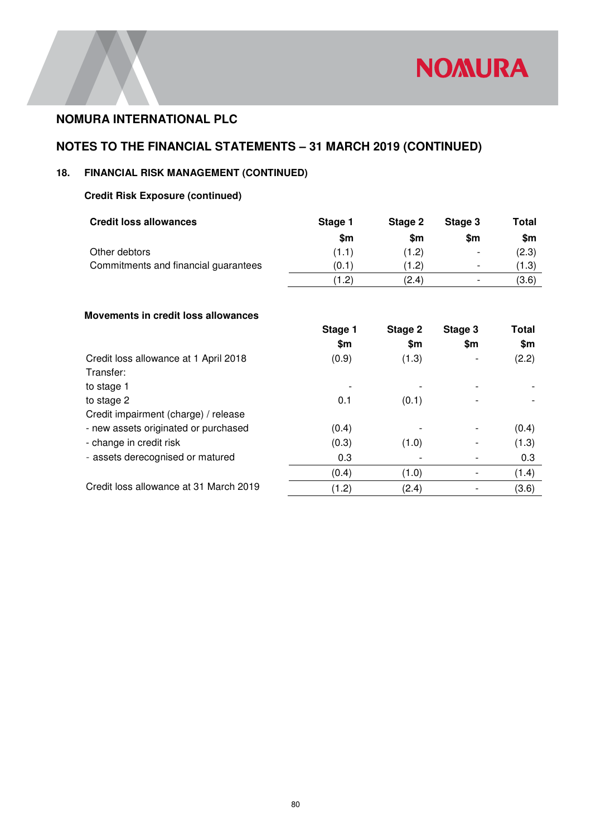

## **NOTES TO THE FINANCIAL STATEMENTS – 31 MARCH 2019 (CONTINUED)**

## **18. FINANCIAL RISK MANAGEMENT (CONTINUED)**

### **Credit Risk Exposure (continued)**

| <b>Credit loss allowances</b>        | Stage 1 | Stage 2 | Stage 3                  | Total |
|--------------------------------------|---------|---------|--------------------------|-------|
|                                      | \$m     | \$m     | \$m                      | \$m   |
| Other debtors                        | (1.1)   | (1.2)   | $\overline{\phantom{a}}$ | (2.3) |
| Commitments and financial guarantees | (0.1)   | (1.2)   | $\overline{\phantom{a}}$ | (1.3) |
|                                      | (1.2)   | (2.4)   | $\overline{\phantom{a}}$ | (3.6) |

### **Movements in credit loss allowances**

|                                        | Stage 1<br>\$m | Stage 2<br>\$m | Stage 3<br>\$m | Total<br>\$m |
|----------------------------------------|----------------|----------------|----------------|--------------|
| Credit loss allowance at 1 April 2018  | (0.9)          | (1.3)          |                | (2.2)        |
| Transfer:                              |                |                |                |              |
| to stage 1                             |                |                |                |              |
| to stage 2                             | 0.1            | (0.1)          |                |              |
| Credit impairment (charge) / release   |                |                |                |              |
| - new assets originated or purchased   | (0.4)          |                |                | (0.4)        |
| - change in credit risk                | (0.3)          | (1.0)          |                | (1.3)        |
| - assets derecognised or matured       | 0.3            |                |                | 0.3          |
|                                        | (0.4)          | (1.0)          |                | (1.4)        |
| Credit loss allowance at 31 March 2019 | (1.2)          | (2.4)          |                | (3.6)        |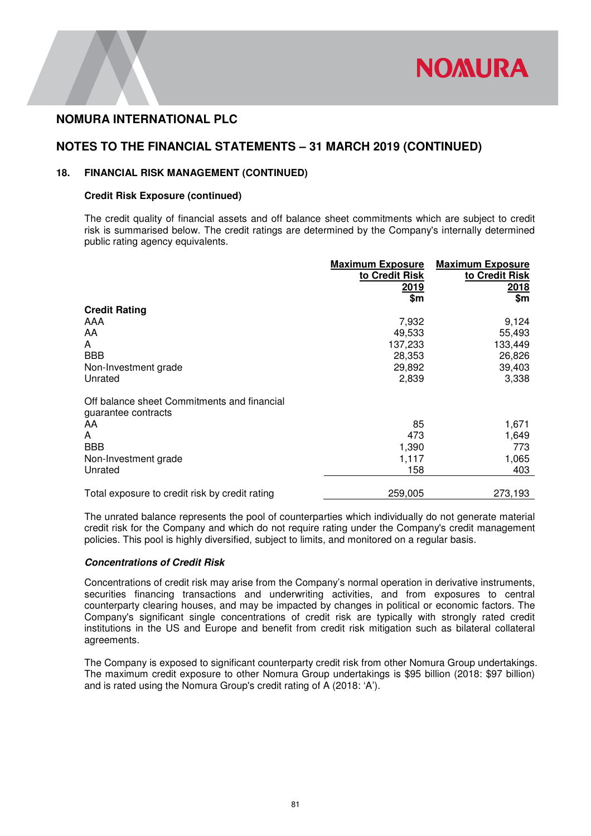

### **NOTES TO THE FINANCIAL STATEMENTS – 31 MARCH 2019 (CONTINUED)**

### **18. FINANCIAL RISK MANAGEMENT (CONTINUED)**

### **Credit Risk Exposure (continued)**

The credit quality of financial assets and off balance sheet commitments which are subject to credit risk is summarised below. The credit ratings are determined by the Company's internally determined public rating agency equivalents.

|                                                | <b>Maximum Exposure</b><br>to Credit Risk | <b>Maximum Exposure</b><br>to Credit Risk |
|------------------------------------------------|-------------------------------------------|-------------------------------------------|
|                                                | 2019                                      | 2018                                      |
|                                                | \$m                                       | \$m                                       |
| <b>Credit Rating</b>                           |                                           |                                           |
| AAA                                            | 7,932                                     | 9,124                                     |
| AA                                             | 49,533                                    | 55,493                                    |
| A                                              | 137,233                                   | 133,449                                   |
| <b>BBB</b>                                     | 28,353                                    | 26,826                                    |
| Non-Investment grade                           | 29,892                                    | 39,403                                    |
| Unrated                                        | 2,839                                     | 3,338                                     |
| Off balance sheet Commitments and financial    |                                           |                                           |
| guarantee contracts                            |                                           |                                           |
| AA                                             | 85                                        | 1,671                                     |
| A                                              | 473                                       | 1,649                                     |
| <b>BBB</b>                                     | 1,390                                     | 773                                       |
| Non-Investment grade                           | 1,117                                     | 1,065                                     |
| Unrated                                        | 158                                       | 403                                       |
|                                                |                                           |                                           |
| Total exposure to credit risk by credit rating | 259,005                                   | 273,193                                   |

The unrated balance represents the pool of counterparties which individually do not generate material credit risk for the Company and which do not require rating under the Company's credit management policies. This pool is highly diversified, subject to limits, and monitored on a regular basis.

### *Concentrations of Credit Risk*

Concentrations of credit risk may arise from the Company's normal operation in derivative instruments, securities financing transactions and underwriting activities, and from exposures to central counterparty clearing houses, and may be impacted by changes in political or economic factors. The Company's significant single concentrations of credit risk are typically with strongly rated credit institutions in the US and Europe and benefit from credit risk mitigation such as bilateral collateral agreements.

The Company is exposed to significant counterparty credit risk from other Nomura Group undertakings. The maximum credit exposure to other Nomura Group undertakings is \$95 billion (2018: \$97 billion) and is rated using the Nomura Group's credit rating of A (2018: 'A').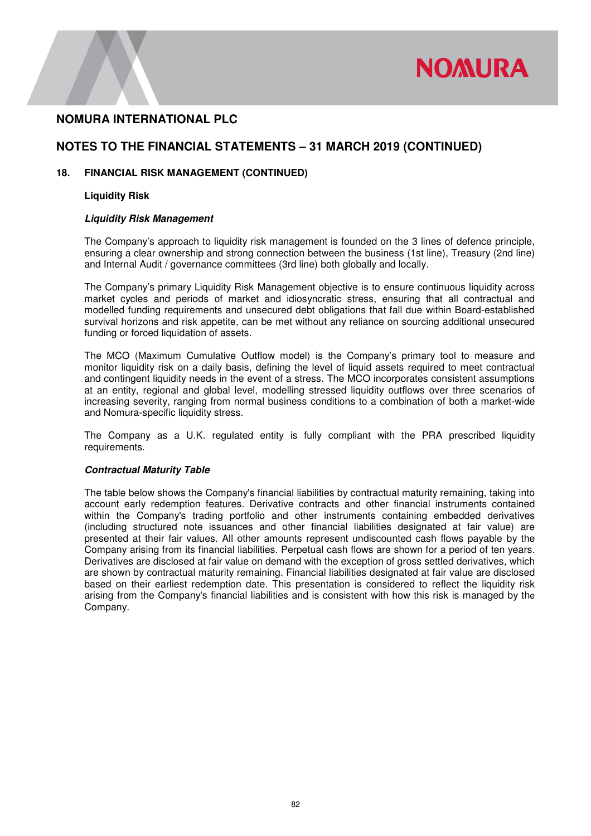

### **NOTES TO THE FINANCIAL STATEMENTS – 31 MARCH 2019 (CONTINUED)**

### **18. FINANCIAL RISK MANAGEMENT (CONTINUED)**

#### **Liquidity Risk**

### *Liquidity Risk Management*

The Company's approach to liquidity risk management is founded on the 3 lines of defence principle, ensuring a clear ownership and strong connection between the business (1st line), Treasury (2nd line) and Internal Audit / governance committees (3rd line) both globally and locally.

The Company's primary Liquidity Risk Management objective is to ensure continuous liquidity across market cycles and periods of market and idiosyncratic stress, ensuring that all contractual and modelled funding requirements and unsecured debt obligations that fall due within Board-established survival horizons and risk appetite, can be met without any reliance on sourcing additional unsecured funding or forced liquidation of assets.

The MCO (Maximum Cumulative Outflow model) is the Company's primary tool to measure and monitor liquidity risk on a daily basis, defining the level of liquid assets required to meet contractual and contingent liquidity needs in the event of a stress. The MCO incorporates consistent assumptions at an entity, regional and global level, modelling stressed liquidity outflows over three scenarios of increasing severity, ranging from normal business conditions to a combination of both a market-wide and Nomura-specific liquidity stress.

The Company as a U.K. regulated entity is fully compliant with the PRA prescribed liquidity requirements.

### *Contractual Maturity Table*

The table below shows the Company's financial liabilities by contractual maturity remaining, taking into account early redemption features. Derivative contracts and other financial instruments contained within the Company's trading portfolio and other instruments containing embedded derivatives (including structured note issuances and other financial liabilities designated at fair value) are presented at their fair values. All other amounts represent undiscounted cash flows payable by the Company arising from its financial liabilities. Perpetual cash flows are shown for a period of ten years. Derivatives are disclosed at fair value on demand with the exception of gross settled derivatives, which are shown by contractual maturity remaining. Financial liabilities designated at fair value are disclosed based on their earliest redemption date. This presentation is considered to reflect the liquidity risk arising from the Company's financial liabilities and is consistent with how this risk is managed by the Company.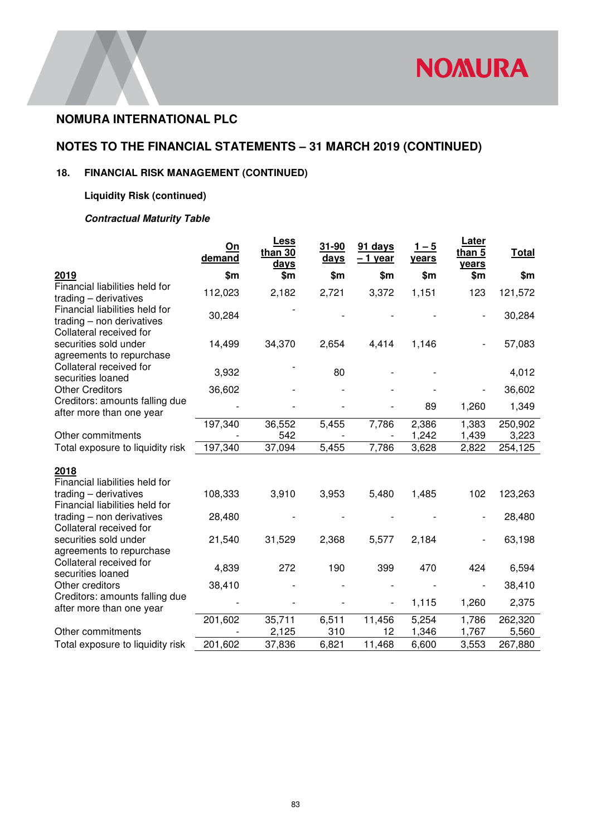

## **NOTES TO THE FINANCIAL STATEMENTS – 31 MARCH 2019 (CONTINUED)**

## **18. FINANCIAL RISK MANAGEMENT (CONTINUED)**

### **Liquidity Risk (continued)**

### *Contractual Maturity Table*

|                                                                                          | On<br>demand | Less<br>than 30<br><u>days</u> | 31-90<br><u>days</u> | 91 days<br>$-1$ year | $1 - 5$<br><b>years</b> | Later<br>than 5<br>years     | <b>Total</b>     |
|------------------------------------------------------------------------------------------|--------------|--------------------------------|----------------------|----------------------|-------------------------|------------------------------|------------------|
| 2019                                                                                     | \$m          | \$m                            | \$m                  | \$m                  | \$m                     | \$m\$                        | \$m              |
| Financial liabilities held for<br>$trading$ – derivatives                                | 112,023      | 2,182                          | 2,721                | 3,372                | 1,151                   | 123                          | 121,572          |
| Financial liabilities held for<br>trading $-$ non derivatives<br>Collateral received for | 30,284       |                                |                      |                      |                         |                              | 30,284           |
| securities sold under<br>agreements to repurchase                                        | 14,499       | 34,370                         | 2,654                | 4,414                | 1,146                   |                              | 57,083           |
| Collateral received for<br>securities loaned                                             | 3,932        |                                | 80                   |                      |                         |                              | 4,012            |
| <b>Other Creditors</b>                                                                   | 36,602       |                                |                      |                      |                         |                              | 36,602           |
| Creditors: amounts falling due<br>after more than one year                               |              |                                |                      |                      | 89                      | 1,260                        | 1,349            |
| Other commitments                                                                        | 197,340      | 36,552<br>542                  | 5,455                | 7,786                | 2,386<br>1,242          | $\overline{1}$ ,383<br>1,439 | 250,902<br>3,223 |
| Total exposure to liquidity risk                                                         | 197,340      | 37,094                         | 5,455                | 7,786                | 3,628                   | 2,822                        | 254,125          |
| 2018<br>Financial liabilities held for                                                   |              |                                |                      |                      |                         |                              |                  |
| $trading$ – derivatives<br>Financial liabilities held for                                | 108,333      | 3,910                          | 3,953                | 5,480                | 1,485                   | 102                          | 123,263          |
| trading $-$ non derivatives<br>Collateral received for                                   | 28,480       |                                |                      |                      |                         |                              | 28,480           |
| securities sold under<br>agreements to repurchase                                        | 21,540       | 31,529                         | 2,368                | 5,577                | 2,184                   |                              | 63,198           |
| Collateral received for<br>securities loaned                                             | 4,839        | 272                            | 190                  | 399                  | 470                     | 424                          | 6,594            |
| Other creditors                                                                          | 38,410       |                                |                      |                      |                         |                              | 38,410           |
| Creditors: amounts falling due<br>after more than one year                               |              |                                |                      |                      | 1,115                   | 1,260                        | 2,375            |
|                                                                                          | 201,602      | 35,711                         | 6,511                | 11,456               | 5,254                   | 1,786                        | 262,320          |
| Other commitments                                                                        |              | 2,125                          | 310                  | 12                   | 1,346                   | 1,767                        | 5,560            |
| Total exposure to liquidity risk                                                         | 201,602      | 37,836                         | 6,821                | 11,468               | 6,600                   | 3,553                        | 267,880          |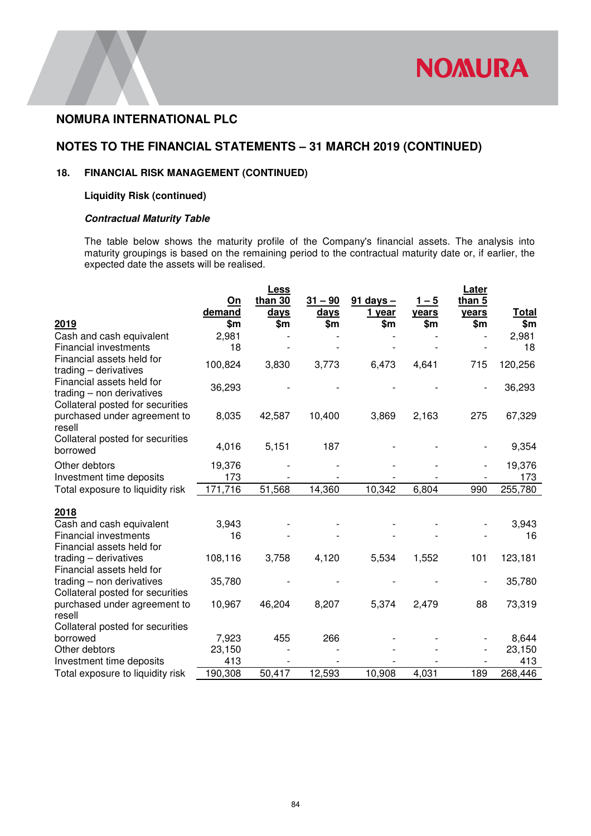

# **NOTES TO THE FINANCIAL STATEMENTS – 31 MARCH 2019 (CONTINUED)**

### **18. FINANCIAL RISK MANAGEMENT (CONTINUED)**

### **Liquidity Risk (continued)**

### *Contractual Maturity Table*

The table below shows the maturity profile of the Company's financial assets. The analysis into maturity groupings is based on the remaining period to the contractual maturity date or, if earlier, the expected date the assets will be realised.

|                                  |           | <b>Less</b> |             |               |               | Later  |         |
|----------------------------------|-----------|-------------|-------------|---------------|---------------|--------|---------|
|                                  | <u>On</u> | than 30     | $31 - 90$   | $91$ days $-$ | <u> 1 – 5</u> | than 5 |         |
|                                  | demand    | days        | <u>days</u> | 1 year        | years         | years  | Total   |
| 2019                             | \$m       | \$m         | \$m         | \$m           | \$m           | \$m    | \$m     |
| Cash and cash equivalent         | 2,981     |             |             |               |               |        | 2,981   |
| <b>Financial investments</b>     | 18        |             |             |               |               |        | 18      |
| Financial assets held for        | 100,824   | 3,830       | 3,773       | 6,473         | 4,641         | 715    | 120,256 |
| trading - derivatives            |           |             |             |               |               |        |         |
| Financial assets held for        | 36,293    |             |             |               |               |        | 36,293  |
| trading $-$ non derivatives      |           |             |             |               |               |        |         |
| Collateral posted for securities |           |             |             |               |               |        |         |
| purchased under agreement to     | 8,035     | 42,587      | 10,400      | 3,869         | 2,163         | 275    | 67,329  |
| resell                           |           |             |             |               |               |        |         |
| Collateral posted for securities | 4,016     | 5,151       | 187         |               |               |        | 9,354   |
| borrowed                         |           |             |             |               |               |        |         |
| Other debtors                    | 19,376    |             |             |               |               |        | 19,376  |
| Investment time deposits         | 173       |             |             |               |               |        | 173     |
| Total exposure to liquidity risk | 171,716   | 51,568      | 14,360      | 10,342        | 6,804         | 990    | 255,780 |
|                                  |           |             |             |               |               |        |         |
| 2018                             |           |             |             |               |               |        |         |
| Cash and cash equivalent         | 3,943     |             |             |               |               |        | 3,943   |
| <b>Financial investments</b>     | 16        |             |             |               |               |        | 16      |
| Financial assets held for        |           |             |             |               |               |        |         |
| trading - derivatives            | 108,116   | 3,758       | 4,120       | 5,534         | 1,552         | 101    | 123,181 |
| Financial assets held for        |           |             |             |               |               |        |         |
| trading $-$ non derivatives      | 35,780    |             |             |               |               |        | 35,780  |
| Collateral posted for securities |           |             |             |               |               |        |         |
| purchased under agreement to     | 10,967    | 46,204      | 8,207       | 5,374         | 2,479         | 88     | 73,319  |
| resell                           |           |             |             |               |               |        |         |
| Collateral posted for securities |           |             |             |               |               |        |         |
| borrowed                         | 7,923     | 455         | 266         |               |               |        | 8,644   |
| Other debtors                    | 23,150    |             |             |               |               |        | 23,150  |
| Investment time deposits         | 413       |             |             |               |               |        | 413     |
| Total exposure to liquidity risk | 190,308   | 50,417      | 12,593      | 10,908        | 4,031         | 189    | 268,446 |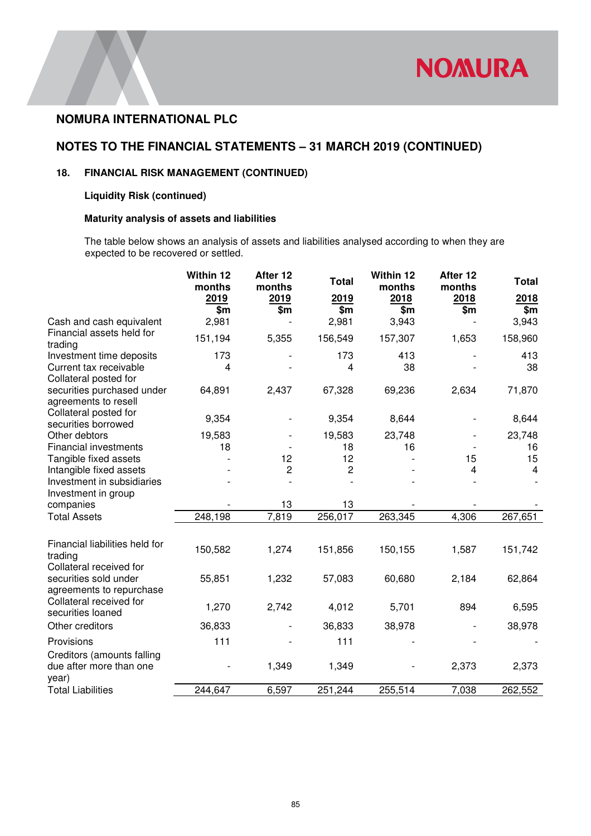

## **NOTES TO THE FINANCIAL STATEMENTS – 31 MARCH 2019 (CONTINUED)**

## **18. FINANCIAL RISK MANAGEMENT (CONTINUED)**

### **Liquidity Risk (continued)**

### **Maturity analysis of assets and liabilities**

The table below shows an analysis of assets and liabilities analysed according to when they are expected to be recovered or settled.

|                                                                             | Within 12<br>months | After 12<br>months | <b>Total</b>                   | Within 12<br>months | After 12<br>months | <b>Total</b>  |
|-----------------------------------------------------------------------------|---------------------|--------------------|--------------------------------|---------------------|--------------------|---------------|
|                                                                             | 2019<br>\$m\$       | 2019<br>\$m        | 2019<br>\$m                    | 2018<br>\$m         | 2018<br>\$m        | 2018<br>\$m\$ |
| Cash and cash equivalent                                                    | 2,981               |                    | 2,981                          | 3,943               |                    | 3,943         |
| Financial assets held for<br>trading                                        | 151,194             | 5,355              | 156,549                        | 157,307             | 1,653              | 158,960       |
| Investment time deposits<br>Current tax receivable<br>Collateral posted for | 173<br>4            |                    | 173<br>$\overline{\mathbf{4}}$ | 413<br>38           |                    | 413<br>38     |
| securities purchased under<br>agreements to resell                          | 64,891              | 2,437              | 67,328                         | 69,236              | 2,634              | 71,870        |
| Collateral posted for<br>securities borrowed                                | 9,354               |                    | 9,354                          | 8,644               |                    | 8,644         |
| Other debtors<br><b>Financial investments</b>                               | 19,583<br>18        |                    | 19,583<br>18                   | 23,748<br>16        |                    | 23,748<br>16  |
| Tangible fixed assets                                                       |                     | 12                 | 12                             |                     | 15                 | 15            |
| Intangible fixed assets                                                     |                     | 2                  | $\overline{c}$                 |                     | 4                  | 4             |
| Investment in subsidiaries<br>Investment in group                           |                     |                    |                                |                     |                    |               |
| companies                                                                   |                     | 13                 | 13                             |                     |                    |               |
| <b>Total Assets</b>                                                         | 248,198             | 7,819              | 256,017                        | 263,345             | 4,306              | 267,651       |
| Financial liabilities held for<br>trading<br>Collateral received for        | 150,582             | 1,274              | 151,856                        | 150,155             | 1,587              | 151,742       |
| securities sold under<br>agreements to repurchase                           | 55,851              | 1,232              | 57,083                         | 60,680              | 2,184              | 62,864        |
| Collateral received for<br>securities loaned                                | 1,270               | 2,742              | 4,012                          | 5,701               | 894                | 6,595         |
| Other creditors                                                             | 36,833              |                    | 36,833                         | 38,978              |                    | 38,978        |
| Provisions                                                                  | 111                 |                    | 111                            |                     |                    |               |
| Creditors (amounts falling<br>due after more than one<br>year)              |                     | 1,349              | 1,349                          |                     | 2,373              | 2,373         |
| <b>Total Liabilities</b>                                                    | 244,647             | 6,597              | 251,244                        | 255,514             | 7,038              | 262,552       |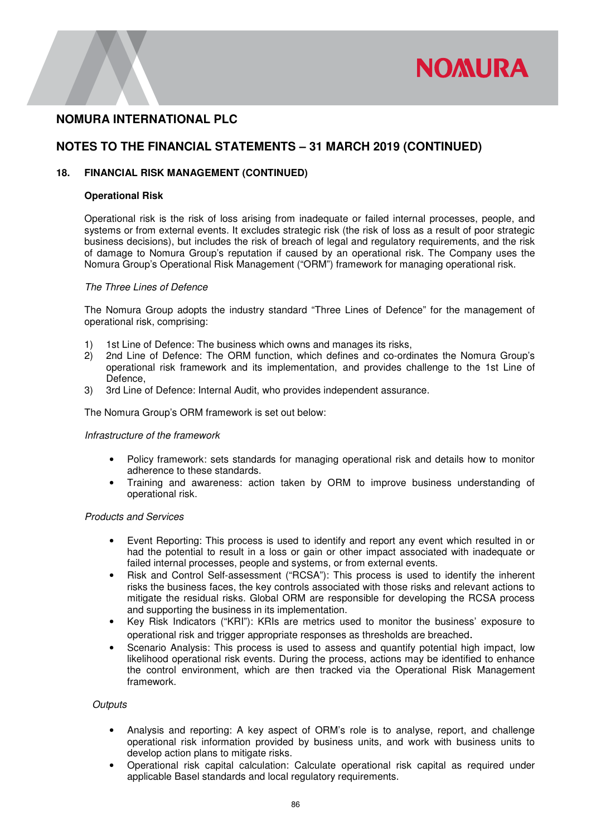

## **NOTES TO THE FINANCIAL STATEMENTS – 31 MARCH 2019 (CONTINUED)**

### **18. FINANCIAL RISK MANAGEMENT (CONTINUED)**

#### **Operational Risk**

Operational risk is the risk of loss arising from inadequate or failed internal processes, people, and systems or from external events. It excludes strategic risk (the risk of loss as a result of poor strategic business decisions), but includes the risk of breach of legal and regulatory requirements, and the risk of damage to Nomura Group's reputation if caused by an operational risk. The Company uses the Nomura Group's Operational Risk Management ("ORM") framework for managing operational risk.

#### The Three Lines of Defence

The Nomura Group adopts the industry standard "Three Lines of Defence" for the management of operational risk, comprising:

- 1) 1st Line of Defence: The business which owns and manages its risks,
- 2) 2nd Line of Defence: The ORM function, which defines and co-ordinates the Nomura Group's operational risk framework and its implementation, and provides challenge to the 1st Line of Defence,
- 3) 3rd Line of Defence: Internal Audit, who provides independent assurance.

The Nomura Group's ORM framework is set out below:

### Infrastructure of the framework

- Policy framework: sets standards for managing operational risk and details how to monitor adherence to these standards.
- Training and awareness: action taken by ORM to improve business understanding of operational risk.

### Products and Services

- Event Reporting: This process is used to identify and report any event which resulted in or had the potential to result in a loss or gain or other impact associated with inadequate or failed internal processes, people and systems, or from external events.
- Risk and Control Self-assessment ("RCSA"): This process is used to identify the inherent risks the business faces, the key controls associated with those risks and relevant actions to mitigate the residual risks. Global ORM are responsible for developing the RCSA process and supporting the business in its implementation.
- Key Risk Indicators ("KRI"): KRIs are metrics used to monitor the business' exposure to operational risk and trigger appropriate responses as thresholds are breached.
- Scenario Analysis: This process is used to assess and quantify potential high impact, low likelihood operational risk events. During the process, actions may be identified to enhance the control environment, which are then tracked via the Operational Risk Management framework.

### **Outputs**

- Analysis and reporting: A key aspect of ORM's role is to analyse, report, and challenge operational risk information provided by business units, and work with business units to develop action plans to mitigate risks.
- Operational risk capital calculation: Calculate operational risk capital as required under applicable Basel standards and local regulatory requirements.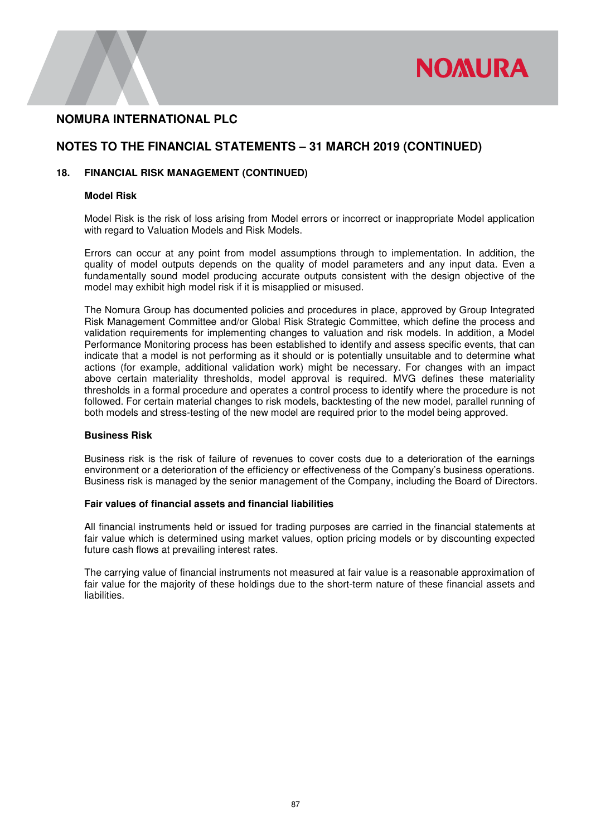

### **NOTES TO THE FINANCIAL STATEMENTS – 31 MARCH 2019 (CONTINUED)**

### **18. FINANCIAL RISK MANAGEMENT (CONTINUED)**

#### **Model Risk**

Model Risk is the risk of loss arising from Model errors or incorrect or inappropriate Model application with regard to Valuation Models and Risk Models.

Errors can occur at any point from model assumptions through to implementation. In addition, the quality of model outputs depends on the quality of model parameters and any input data. Even a fundamentally sound model producing accurate outputs consistent with the design objective of the model may exhibit high model risk if it is misapplied or misused.

The Nomura Group has documented policies and procedures in place, approved by Group Integrated Risk Management Committee and/or Global Risk Strategic Committee, which define the process and validation requirements for implementing changes to valuation and risk models. In addition, a Model Performance Monitoring process has been established to identify and assess specific events, that can indicate that a model is not performing as it should or is potentially unsuitable and to determine what actions (for example, additional validation work) might be necessary. For changes with an impact above certain materiality thresholds, model approval is required. MVG defines these materiality thresholds in a formal procedure and operates a control process to identify where the procedure is not followed. For certain material changes to risk models, backtesting of the new model, parallel running of both models and stress-testing of the new model are required prior to the model being approved.

#### **Business Risk**

Business risk is the risk of failure of revenues to cover costs due to a deterioration of the earnings environment or a deterioration of the efficiency or effectiveness of the Company's business operations. Business risk is managed by the senior management of the Company, including the Board of Directors.

### **Fair values of financial assets and financial liabilities**

All financial instruments held or issued for trading purposes are carried in the financial statements at fair value which is determined using market values, option pricing models or by discounting expected future cash flows at prevailing interest rates.

The carrying value of financial instruments not measured at fair value is a reasonable approximation of fair value for the majority of these holdings due to the short-term nature of these financial assets and liabilities.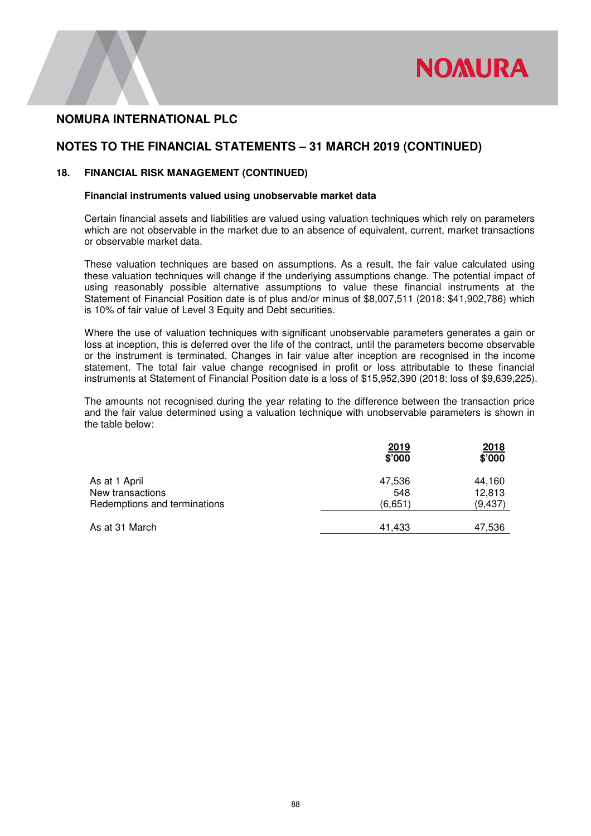

## **NOTES TO THE FINANCIAL STATEMENTS – 31 MARCH 2019 (CONTINUED)**

### **18. FINANCIAL RISK MANAGEMENT (CONTINUED)**

#### **Financial instruments valued using unobservable market data**

Certain financial assets and liabilities are valued using valuation techniques which rely on parameters which are not observable in the market due to an absence of equivalent, current, market transactions or observable market data.

These valuation techniques are based on assumptions. As a result, the fair value calculated using these valuation techniques will change if the underlying assumptions change. The potential impact of using reasonably possible alternative assumptions to value these financial instruments at the Statement of Financial Position date is of plus and/or minus of \$8,007,511 (2018: \$41,902,786) which is 10% of fair value of Level 3 Equity and Debt securities.

Where the use of valuation techniques with significant unobservable parameters generates a gain or loss at inception, this is deferred over the life of the contract, until the parameters become observable or the instrument is terminated. Changes in fair value after inception are recognised in the income statement. The total fair value change recognised in profit or loss attributable to these financial instruments at Statement of Financial Position date is a loss of \$15,952,390 (2018: loss of \$9,639,225).

The amounts not recognised during the year relating to the difference between the transaction price and the fair value determined using a valuation technique with unobservable parameters is shown in the table below:

|                                                                   | 2019<br>\$'000           | 2018<br>\$'000              |
|-------------------------------------------------------------------|--------------------------|-----------------------------|
| As at 1 April<br>New transactions<br>Redemptions and terminations | 47,536<br>548<br>(6,651) | 44,160<br>12,813<br>(9,437) |
| As at 31 March                                                    | 41,433                   | 47,536                      |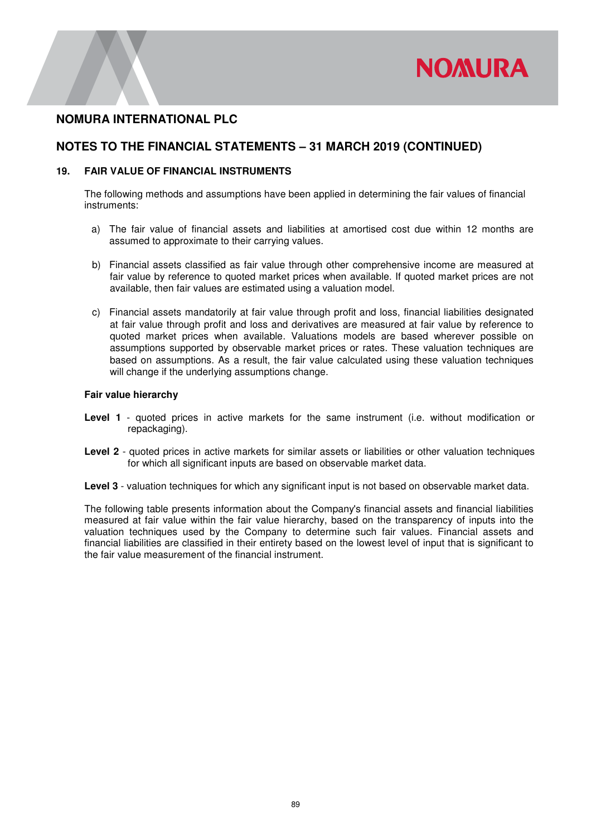

### **NOTES TO THE FINANCIAL STATEMENTS – 31 MARCH 2019 (CONTINUED)**

### **19. FAIR VALUE OF FINANCIAL INSTRUMENTS**

The following methods and assumptions have been applied in determining the fair values of financial instruments:

- a) The fair value of financial assets and liabilities at amortised cost due within 12 months are assumed to approximate to their carrying values.
- b) Financial assets classified as fair value through other comprehensive income are measured at fair value by reference to quoted market prices when available. If quoted market prices are not available, then fair values are estimated using a valuation model.
- c) Financial assets mandatorily at fair value through profit and loss, financial liabilities designated at fair value through profit and loss and derivatives are measured at fair value by reference to quoted market prices when available. Valuations models are based wherever possible on assumptions supported by observable market prices or rates. These valuation techniques are based on assumptions. As a result, the fair value calculated using these valuation techniques will change if the underlying assumptions change.

### **Fair value hierarchy**

- **Level 1** quoted prices in active markets for the same instrument (i.e. without modification or repackaging).
- **Level 2** quoted prices in active markets for similar assets or liabilities or other valuation techniques for which all significant inputs are based on observable market data.
- Level 3 valuation techniques for which any significant input is not based on observable market data.

The following table presents information about the Company's financial assets and financial liabilities measured at fair value within the fair value hierarchy, based on the transparency of inputs into the valuation techniques used by the Company to determine such fair values. Financial assets and financial liabilities are classified in their entirety based on the lowest level of input that is significant to the fair value measurement of the financial instrument.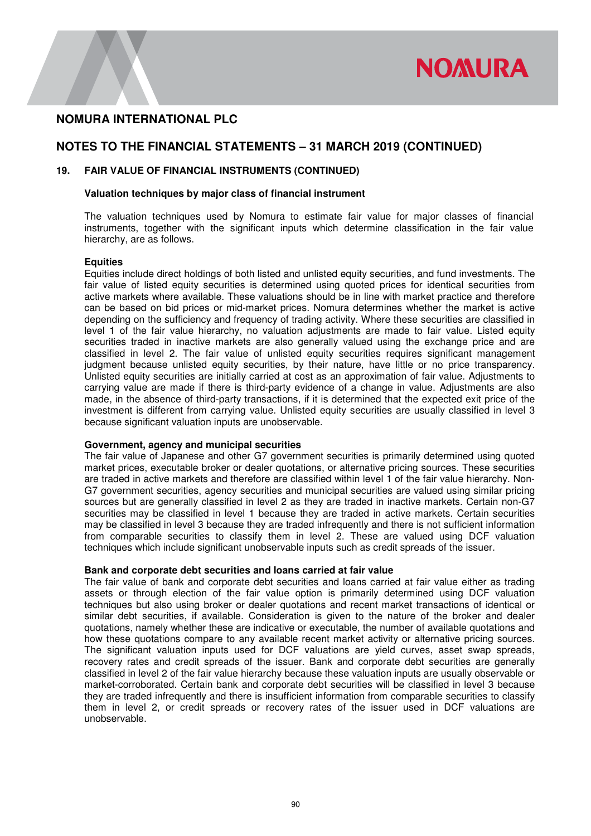

### **NOTES TO THE FINANCIAL STATEMENTS – 31 MARCH 2019 (CONTINUED)**

### **19. FAIR VALUE OF FINANCIAL INSTRUMENTS (CONTINUED)**

#### **Valuation techniques by major class of financial instrument**

The valuation techniques used by Nomura to estimate fair value for major classes of financial instruments, together with the significant inputs which determine classification in the fair value hierarchy, are as follows.

#### **Equities**

Equities include direct holdings of both listed and unlisted equity securities, and fund investments. The fair value of listed equity securities is determined using quoted prices for identical securities from active markets where available. These valuations should be in line with market practice and therefore can be based on bid prices or mid-market prices. Nomura determines whether the market is active depending on the sufficiency and frequency of trading activity. Where these securities are classified in level 1 of the fair value hierarchy, no valuation adjustments are made to fair value. Listed equity securities traded in inactive markets are also generally valued using the exchange price and are classified in level 2. The fair value of unlisted equity securities requires significant management judgment because unlisted equity securities, by their nature, have little or no price transparency. Unlisted equity securities are initially carried at cost as an approximation of fair value. Adjustments to carrying value are made if there is third-party evidence of a change in value. Adjustments are also made, in the absence of third-party transactions, if it is determined that the expected exit price of the investment is different from carrying value. Unlisted equity securities are usually classified in level 3 because significant valuation inputs are unobservable.

### **Government, agency and municipal securities**

The fair value of Japanese and other G7 government securities is primarily determined using quoted market prices, executable broker or dealer quotations, or alternative pricing sources. These securities are traded in active markets and therefore are classified within level 1 of the fair value hierarchy. Non-G7 government securities, agency securities and municipal securities are valued using similar pricing sources but are generally classified in level 2 as they are traded in inactive markets. Certain non-G7 securities may be classified in level 1 because they are traded in active markets. Certain securities may be classified in level 3 because they are traded infrequently and there is not sufficient information from comparable securities to classify them in level 2. These are valued using DCF valuation techniques which include significant unobservable inputs such as credit spreads of the issuer.

#### **Bank and corporate debt securities and loans carried at fair value**

The fair value of bank and corporate debt securities and loans carried at fair value either as trading assets or through election of the fair value option is primarily determined using DCF valuation techniques but also using broker or dealer quotations and recent market transactions of identical or similar debt securities, if available. Consideration is given to the nature of the broker and dealer quotations, namely whether these are indicative or executable, the number of available quotations and how these quotations compare to any available recent market activity or alternative pricing sources. The significant valuation inputs used for DCF valuations are yield curves, asset swap spreads, recovery rates and credit spreads of the issuer. Bank and corporate debt securities are generally classified in level 2 of the fair value hierarchy because these valuation inputs are usually observable or market-corroborated. Certain bank and corporate debt securities will be classified in level 3 because they are traded infrequently and there is insufficient information from comparable securities to classify them in level 2, or credit spreads or recovery rates of the issuer used in DCF valuations are unobservable.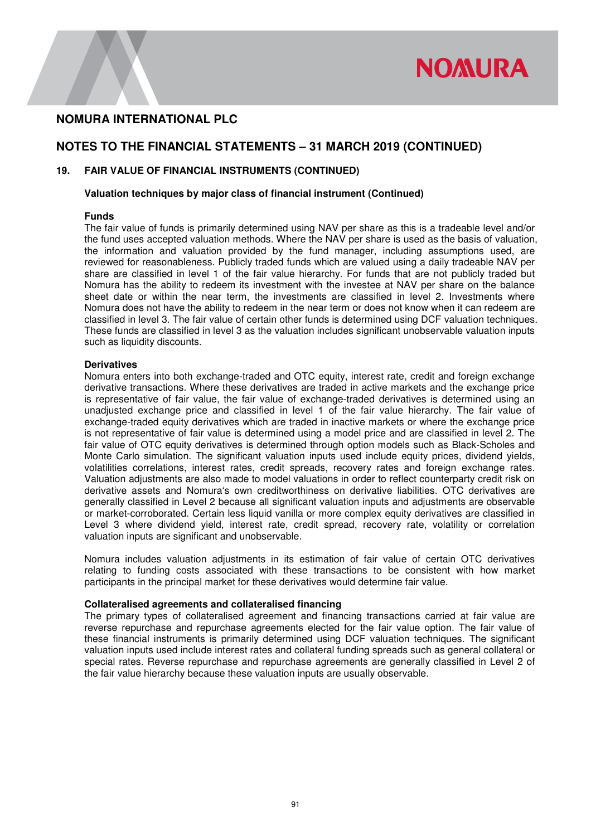

## **NOTES TO THE FINANCIAL STATEMENTS – 31 MARCH 2019 (CONTINUED)**

### **19. FAIR VALUE OF FINANCIAL INSTRUMENTS (CONTINUED)**

#### **Valuation techniques by major class of financial instrument (Continued)**

#### **Funds**

The fair value of funds is primarily determined using NAV per share as this is a tradeable level and/or the fund uses accepted valuation methods. Where the NAV per share is used as the basis of valuation, the information and valuation provided by the fund manager, including assumptions used, are reviewed for reasonableness. Publicly traded funds which are valued using a daily tradeable NAV per share are classified in level 1 of the fair value hierarchy. For funds that are not publicly traded but Nomura has the ability to redeem its investment with the investee at NAV per share on the balance sheet date or within the near term, the investments are classified in level 2. Investments where Nomura does not have the ability to redeem in the near term or does not know when it can redeem are classified in level 3. The fair value of certain other funds is determined using DCF valuation techniques. These funds are classified in level 3 as the valuation includes significant unobservable valuation inputs such as liquidity discounts.

#### **Derivatives**

Nomura enters into both exchange-traded and OTC equity, interest rate, credit and foreign exchange derivative transactions. Where these derivatives are traded in active markets and the exchange price is representative of fair value, the fair value of exchange-traded derivatives is determined using an unadjusted exchange price and classified in level 1 of the fair value hierarchy. The fair value of exchange-traded equity derivatives which are traded in inactive markets or where the exchange price is not representative of fair value is determined using a model price and are classified in level 2. The fair value of OTC equity derivatives is determined through option models such as Black-Scholes and Monte Carlo simulation. The significant valuation inputs used include equity prices, dividend yields, volatilities correlations, interest rates, credit spreads, recovery rates and foreign exchange rates. Valuation adjustments are also made to model valuations in order to reflect counterparty credit risk on derivative assets and Nomura's own creditworthiness on derivative liabilities. OTC derivatives are generally classified in Level 2 because all significant valuation inputs and adjustments are observable or market-corroborated. Certain less liquid vanilla or more complex equity derivatives are classified in Level 3 where dividend yield, interest rate, credit spread, recovery rate, volatility or correlation valuation inputs are significant and unobservable.

Nomura includes valuation adjustments in its estimation of fair value of certain OTC derivatives relating to funding costs associated with these transactions to be consistent with how market participants in the principal market for these derivatives would determine fair value.

#### **Collateralised agreements and collateralised financing**

The primary types of collateralised agreement and financing transactions carried at fair value are reverse repurchase and repurchase agreements elected for the fair value option. The fair value of these financial instruments is primarily determined using DCF valuation techniques. The significant valuation inputs used include interest rates and collateral funding spreads such as general collateral or special rates. Reverse repurchase and repurchase agreements are generally classified in Level 2 of the fair value hierarchy because these valuation inputs are usually observable.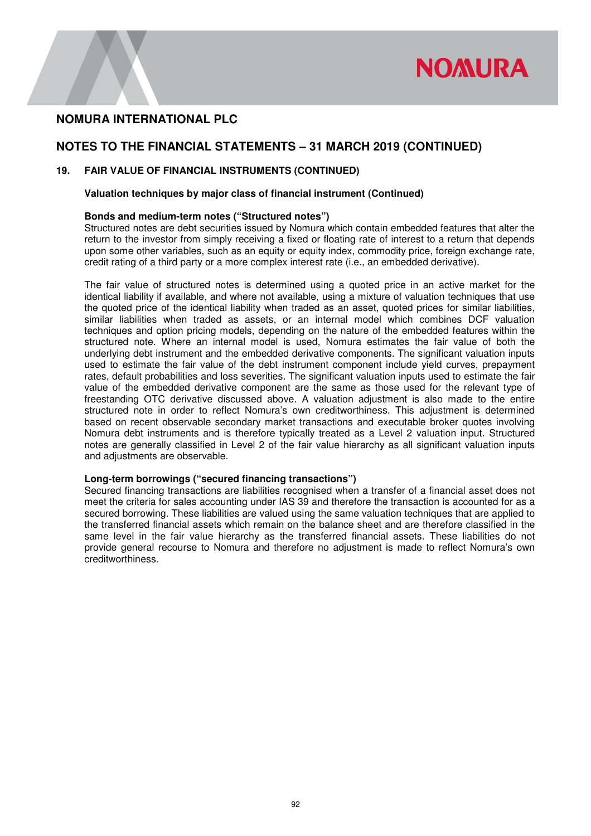

## **NOTES TO THE FINANCIAL STATEMENTS – 31 MARCH 2019 (CONTINUED)**

### **19. FAIR VALUE OF FINANCIAL INSTRUMENTS (CONTINUED)**

#### **Valuation techniques by major class of financial instrument (Continued)**

### **Bonds and medium-term notes ("Structured notes")**

Structured notes are debt securities issued by Nomura which contain embedded features that alter the return to the investor from simply receiving a fixed or floating rate of interest to a return that depends upon some other variables, such as an equity or equity index, commodity price, foreign exchange rate, credit rating of a third party or a more complex interest rate (i.e., an embedded derivative).

The fair value of structured notes is determined using a quoted price in an active market for the identical liability if available, and where not available, using a mixture of valuation techniques that use the quoted price of the identical liability when traded as an asset, quoted prices for similar liabilities, similar liabilities when traded as assets, or an internal model which combines DCF valuation techniques and option pricing models, depending on the nature of the embedded features within the structured note. Where an internal model is used, Nomura estimates the fair value of both the underlying debt instrument and the embedded derivative components. The significant valuation inputs used to estimate the fair value of the debt instrument component include yield curves, prepayment rates, default probabilities and loss severities. The significant valuation inputs used to estimate the fair value of the embedded derivative component are the same as those used for the relevant type of freestanding OTC derivative discussed above. A valuation adjustment is also made to the entire structured note in order to reflect Nomura's own creditworthiness. This adjustment is determined based on recent observable secondary market transactions and executable broker quotes involving Nomura debt instruments and is therefore typically treated as a Level 2 valuation input. Structured notes are generally classified in Level 2 of the fair value hierarchy as all significant valuation inputs and adjustments are observable.

#### **Long-term borrowings ("secured financing transactions")**

Secured financing transactions are liabilities recognised when a transfer of a financial asset does not meet the criteria for sales accounting under IAS 39 and therefore the transaction is accounted for as a secured borrowing. These liabilities are valued using the same valuation techniques that are applied to the transferred financial assets which remain on the balance sheet and are therefore classified in the same level in the fair value hierarchy as the transferred financial assets. These liabilities do not provide general recourse to Nomura and therefore no adjustment is made to reflect Nomura's own creditworthiness.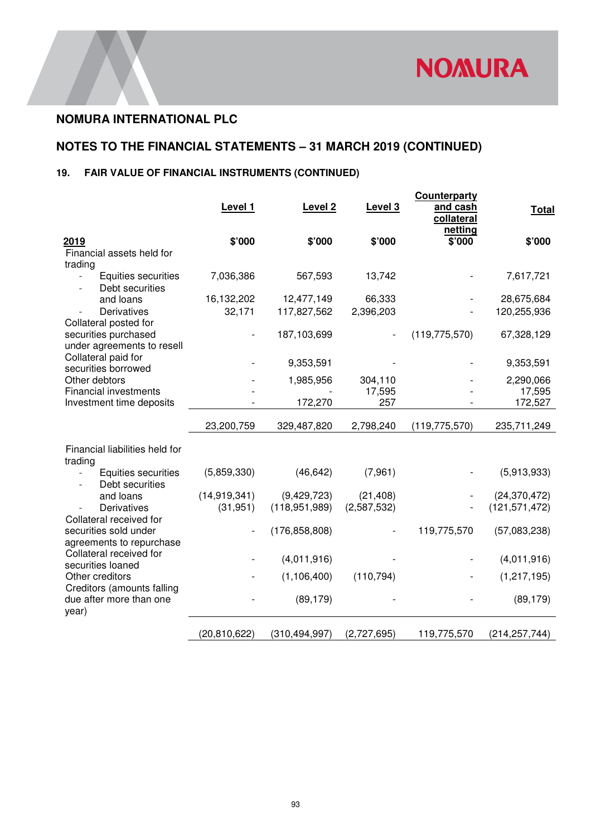

# **NOTES TO THE FINANCIAL STATEMENTS – 31 MARCH 2019 (CONTINUED)**

## **19. FAIR VALUE OF FINANCIAL INSTRUMENTS (CONTINUED)**

|                                                                | Level 1        | Level <sub>2</sub> | Level 3           | <b>Counterparty</b><br>and cash<br>collateral | <u>Total</u>        |
|----------------------------------------------------------------|----------------|--------------------|-------------------|-----------------------------------------------|---------------------|
| 2019<br>Financial assets held for                              | \$'000         | \$'000             | \$'000            | netting<br>\$'000                             | \$'000              |
| trading<br>Equities securities<br>Debt securities              | 7,036,386      | 567,593            | 13,742            |                                               | 7,617,721           |
| and loans                                                      | 16,132,202     | 12,477,149         | 66,333            |                                               | 28,675,684          |
| <b>Derivatives</b><br>Collateral posted for                    | 32,171         | 117,827,562        | 2,396,203         |                                               | 120,255,936         |
| securities purchased<br>under agreements to resell             |                | 187,103,699        |                   | (119, 775, 570)                               | 67,328,129          |
| Collateral paid for<br>securities borrowed                     |                | 9,353,591          |                   |                                               | 9,353,591           |
| Other debtors<br><b>Financial investments</b>                  |                | 1,985,956          | 304,110<br>17,595 |                                               | 2,290,066<br>17,595 |
| Investment time deposits                                       |                | 172,270            | 257               |                                               | 172,527             |
|                                                                | 23,200,759     | 329,487,820        | 2,798,240         | (119, 775, 570)                               | 235,711,249         |
| Financial liabilities held for<br>trading                      |                |                    |                   |                                               |                     |
| <b>Equities securities</b><br>Debt securities                  | (5,859,330)    | (46, 642)          | (7,961)           |                                               | (5,913,933)         |
| and loans                                                      | (14, 919, 341) | (9,429,723)        | (21, 408)         |                                               | (24, 370, 472)      |
| <b>Derivatives</b><br>Collateral received for                  | (31, 951)      | (118, 951, 989)    | (2,587,532)       |                                               | (121, 571, 472)     |
| securities sold under<br>agreements to repurchase              |                | (176, 858, 808)    |                   | 119,775,570                                   | (57,083,238)        |
| Collateral received for<br>securities loaned                   |                | (4,011,916)        |                   |                                               | (4,011,916)         |
| Other creditors                                                |                | (1, 106, 400)      | (110, 794)        |                                               | (1, 217, 195)       |
| Creditors (amounts falling<br>due after more than one<br>year) |                | (89, 179)          |                   |                                               | (89, 179)           |
|                                                                | (20, 810, 622) | (310, 494, 997)    | (2,727,695)       | 119,775,570                                   | (214, 257, 744)     |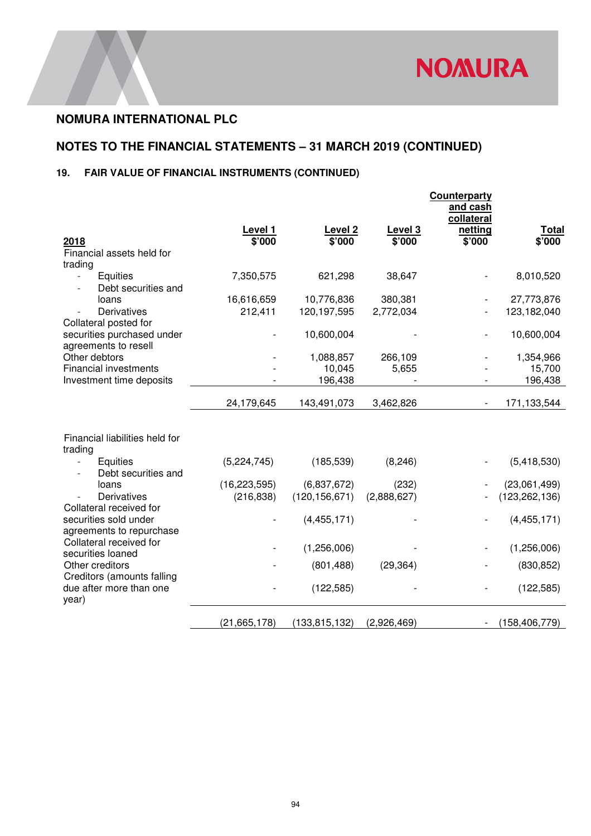

# **NOTES TO THE FINANCIAL STATEMENTS – 31 MARCH 2019 (CONTINUED)**

# **19. FAIR VALUE OF FINANCIAL INSTRUMENTS (CONTINUED)**

|                                                          |                   |                              |                   | Counterparty<br>and cash<br>collateral |                        |
|----------------------------------------------------------|-------------------|------------------------------|-------------------|----------------------------------------|------------------------|
| 2018                                                     | Level 1<br>\$'000 | Level <sub>2</sub><br>\$'000 | Level 3<br>\$'000 | netting<br>\$'000                      | <b>Total</b><br>\$'000 |
| Financial assets held for                                |                   |                              |                   |                                        |                        |
| trading<br>Equities<br>Debt securities and               | 7,350,575         | 621,298                      | 38,647            |                                        | 8,010,520              |
| loans                                                    | 16,616,659        | 10,776,836                   | 380,381           |                                        | 27,773,876             |
| Derivatives<br>Collateral posted for                     | 212,411           | 120, 197, 595                | 2,772,034         |                                        | 123,182,040            |
| securities purchased under<br>agreements to resell       |                   | 10,600,004                   |                   |                                        | 10,600,004             |
| Other debtors                                            |                   | 1,088,857                    | 266,109           |                                        | 1,354,966              |
| <b>Financial investments</b><br>Investment time deposits |                   | 10,045<br>196,438            | 5,655             |                                        | 15,700<br>196,438      |
|                                                          |                   |                              |                   |                                        |                        |
|                                                          | 24,179,645        | 143,491,073                  | 3,462,826         |                                        | 171,133,544            |
| Financial liabilities held for<br>trading                |                   |                              |                   |                                        |                        |
| Equities<br>Debt securities and                          | (5,224,745)       | (185, 539)                   | (8, 246)          |                                        | (5,418,530)            |
| loans                                                    | (16, 223, 595)    | (6,837,672)                  | (232)             |                                        | (23,061,499)           |
| <b>Derivatives</b><br>Collateral received for            | (216, 838)        | (120, 156, 671)              | (2,888,627)       |                                        | (123, 262, 136)        |
| securities sold under<br>agreements to repurchase        |                   | (4, 455, 171)                |                   |                                        | (4, 455, 171)          |
| Collateral received for<br>securities loaned             |                   | (1,256,006)                  |                   |                                        | (1,256,006)            |
| Other creditors<br>Creditors (amounts falling            |                   | (801, 488)                   | (29, 364)         |                                        | (830, 852)             |
| due after more than one<br>year)                         |                   | (122, 585)                   |                   |                                        | (122, 585)             |
|                                                          | (21,665,178)      | (133, 815, 132)              | (2,926,469)       |                                        | (158, 406, 779)        |
|                                                          |                   |                              |                   |                                        |                        |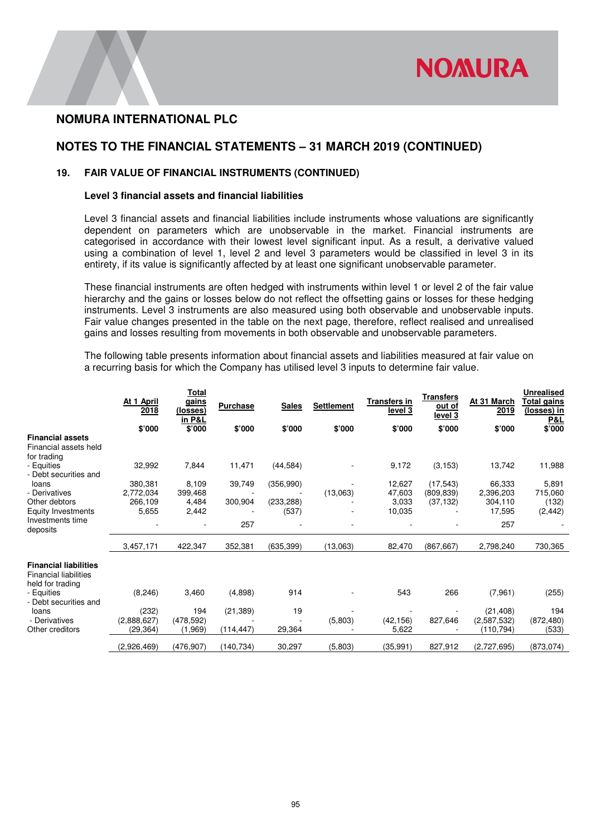

### **NOTES TO THE FINANCIAL STATEMENTS – 31 MARCH 2019 (CONTINUED)**

### **19. FAIR VALUE OF FINANCIAL INSTRUMENTS (CONTINUED)**

#### **Level 3 financial assets and financial liabilities**

Level 3 financial assets and financial liabilities include instruments whose valuations are significantly dependent on parameters which are unobservable in the market. Financial instruments are categorised in accordance with their lowest level significant input. As a result, a derivative valued using a combination of level 1, level 2 and level 3 parameters would be classified in level 3 in its entirety, if its value is significantly affected by at least one significant unobservable parameter.

These financial instruments are often hedged with instruments within level 1 or level 2 of the fair value hierarchy and the gains or losses below do not reflect the offsetting gains or losses for these hedging instruments. Level 3 instruments are also measured using both observable and unobservable inputs. Fair value changes presented in the table on the next page, therefore, reflect realised and unrealised gains and losses resulting from movements in both observable and unobservable parameters.

The following table presents information about financial assets and liabilities measured at fair value on a recurring basis for which the Company has utilised level 3 inputs to determine fair value.

|                                                                                  | At 1 April<br>2018 | <b>Total</b><br>gains<br><u>(losses)</u><br>in P&L | <b>Purchase</b> | <b>Sales</b> | <b>Settlement</b> | <b>Transfers in</b><br>level 3 | Transfers<br><u>out of</u><br>level 3 | At 31 March<br>2019 | <b>Unrealised</b><br>Total gains<br>(losses) in<br><b>P&amp;L</b> |
|----------------------------------------------------------------------------------|--------------------|----------------------------------------------------|-----------------|--------------|-------------------|--------------------------------|---------------------------------------|---------------------|-------------------------------------------------------------------|
|                                                                                  | \$'000             | \$'000                                             | \$'000          | \$'000       | \$'000            | \$'000                         | \$'000                                | \$'000              | \$'000                                                            |
| <b>Financial assets</b>                                                          |                    |                                                    |                 |              |                   |                                |                                       |                     |                                                                   |
| Financial assets held<br>for trading                                             |                    |                                                    |                 |              |                   |                                |                                       |                     |                                                                   |
| - Equities                                                                       | 32,992             | 7,844                                              | 11,471          | (44, 584)    |                   | 9,172                          | (3, 153)                              | 13,742              | 11,988                                                            |
| - Debt securities and                                                            |                    |                                                    |                 |              |                   |                                |                                       |                     |                                                                   |
| loans                                                                            | 380,381            | 8,109                                              | 39,749          | (356, 990)   |                   | 12,627                         | (17, 543)                             | 66,333              | 5,891                                                             |
| - Derivatives                                                                    | 2,772,034          | 399,468                                            |                 |              | (13,063)          | 47,603                         | (809, 839)                            | 2,396,203           | 715,060                                                           |
| Other debtors                                                                    | 266,109            | 4,484                                              | 300,904         | (233, 288)   |                   | 3,033                          | (37, 132)                             | 304,110             | (132)                                                             |
| <b>Equity Investments</b>                                                        | 5,655              | 2,442                                              |                 | (537)        |                   | 10,035                         |                                       | 17,595              | (2, 442)                                                          |
| Investments time<br>deposits                                                     |                    |                                                    | 257             |              |                   |                                |                                       | 257                 |                                                                   |
|                                                                                  | 3,457,171          | 422,347                                            | 352,381         | (635, 399)   | (13,063)          | 82,470                         | (867, 667)                            | 2,798,240           | 730,365                                                           |
| <b>Financial liabilities</b><br><b>Financial liabilities</b><br>held for trading |                    |                                                    |                 |              |                   |                                |                                       |                     |                                                                   |
| - Equities<br>- Debt securities and                                              | (8, 246)           | 3,460                                              | (4,898)         | 914          |                   | 543                            | 266                                   | (7, 961)            | (255)                                                             |
| loans                                                                            | (232)              | 194                                                | (21, 389)       | 19           |                   |                                |                                       | (21, 408)           | 194                                                               |
| - Derivatives                                                                    | (2,888,627)        | (478, 592)                                         |                 |              | (5,803)           | (42, 156)                      | 827,646                               | (2,587,532)         | (872, 480)                                                        |
| Other creditors                                                                  | (29, 364)          | (1,969)                                            | (114, 447)      | 29,364       |                   | 5,622                          |                                       | (110, 794)          | (533)                                                             |
|                                                                                  | (2,926,469)        | (476, 907)                                         | (140, 734)      | 30,297       | (5,803)           | (35, 991)                      | 827,912                               | (2,727,695)         | (873, 074)                                                        |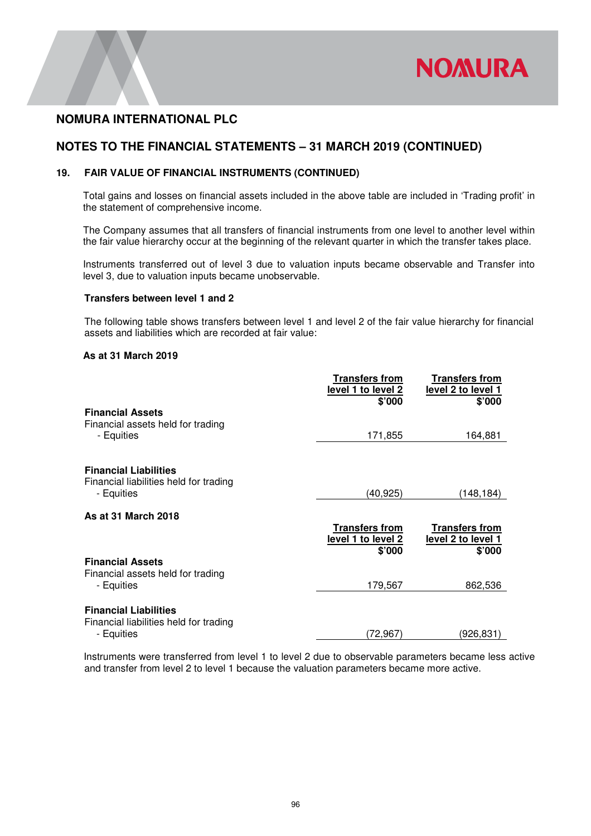

### **NOTES TO THE FINANCIAL STATEMENTS – 31 MARCH 2019 (CONTINUED)**

### **19. FAIR VALUE OF FINANCIAL INSTRUMENTS (CONTINUED)**

Total gains and losses on financial assets included in the above table are included in 'Trading profit' in the statement of comprehensive income.

The Company assumes that all transfers of financial instruments from one level to another level within the fair value hierarchy occur at the beginning of the relevant quarter in which the transfer takes place.

Instruments transferred out of level 3 due to valuation inputs became observable and Transfer into level 3, due to valuation inputs became unobservable.

### **Transfers between level 1 and 2**

The following table shows transfers between level 1 and level 2 of the fair value hierarchy for financial assets and liabilities which are recorded at fair value:

### **As at 31 March 2019**

|                                                                        | <b>Transfers from</b><br>level 1 to level 2<br>\$'000 | <b>Transfers from</b><br>level 2 to level 1<br>\$'000 |
|------------------------------------------------------------------------|-------------------------------------------------------|-------------------------------------------------------|
| <b>Financial Assets</b>                                                |                                                       |                                                       |
| Financial assets held for trading                                      |                                                       |                                                       |
| - Equities                                                             | 171,855                                               | 164,881                                               |
| <b>Financial Liabilities</b>                                           |                                                       |                                                       |
| Financial liabilities held for trading                                 |                                                       |                                                       |
| - Equities                                                             | (40,925)                                              | (148,184)                                             |
| As at 31 March 2018                                                    |                                                       |                                                       |
|                                                                        | <b>Transfers from</b><br>level 1 to level 2           | <b>Transfers from</b><br>level 2 to level 1           |
| <b>Financial Assets</b>                                                | \$'000                                                | \$'000                                                |
| Financial assets held for trading                                      |                                                       |                                                       |
| - Equities                                                             | 179,567                                               | 862,536                                               |
| <b>Financial Liabilities</b><br>Financial liabilities held for trading |                                                       |                                                       |
| - Equities                                                             | (72,967)                                              | (926,831)                                             |
|                                                                        |                                                       |                                                       |

 Instruments were transferred from level 1 to level 2 due to observable parameters became less active and transfer from level 2 to level 1 because the valuation parameters became more active.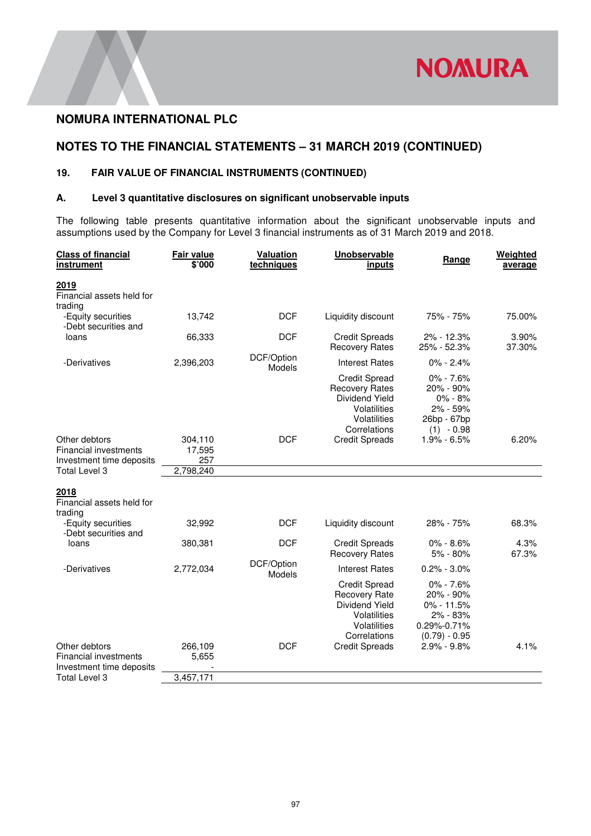

## **NOTES TO THE FINANCIAL STATEMENTS – 31 MARCH 2019 (CONTINUED)**

### **19. FAIR VALUE OF FINANCIAL INSTRUMENTS (CONTINUED)**

### **A. Level 3 quantitative disclosures on significant unobservable inputs**

The following table presents quantitative information about the significant unobservable inputs and assumptions used by the Company for Level 3 financial instruments as of 31 March 2019 and 2018.

| <b>Class of financial</b><br>instrument                                                    | <b>Fair value</b><br>\$'000           | Valuation<br>techniques | <b>Unobservable</b><br>inputs                                                                                   | Range                                                                                      | Weighted<br>average |
|--------------------------------------------------------------------------------------------|---------------------------------------|-------------------------|-----------------------------------------------------------------------------------------------------------------|--------------------------------------------------------------------------------------------|---------------------|
| 2019<br>Financial assets held for<br>trading                                               |                                       |                         |                                                                                                                 |                                                                                            |                     |
| -Equity securities<br>-Debt securities and                                                 | 13,742                                | <b>DCF</b>              | Liquidity discount                                                                                              | 75% - 75%                                                                                  | 75.00%              |
| loans                                                                                      | 66,333                                | <b>DCF</b>              | <b>Credit Spreads</b><br><b>Recovery Rates</b>                                                                  | 2% - 12.3%<br>25% - 52.3%                                                                  | 3.90%<br>37.30%     |
| -Derivatives                                                                               | 2,396,203                             | DCF/Option<br>Models    | <b>Interest Rates</b>                                                                                           | $0\% - 2.4\%$                                                                              |                     |
|                                                                                            |                                       |                         | <b>Credit Spread</b><br><b>Recovery Rates</b><br>Dividend Yield<br>Volatilities<br>Volatilities<br>Correlations | $0\% - 7.6\%$<br>20% - 90%<br>$0\% - 8\%$<br>$2\% - 59\%$<br>26bp - 67bp<br>$(1) - 0.98$   |                     |
| Other debtors<br><b>Financial investments</b><br>Investment time deposits<br>Total Level 3 | 304,110<br>17,595<br>257<br>2,798,240 | <b>DCF</b>              | <b>Credit Spreads</b>                                                                                           | $1.9\% - 6.5\%$                                                                            | 6.20%               |
| 2018<br>Financial assets held for<br>trading                                               |                                       |                         |                                                                                                                 |                                                                                            |                     |
| -Equity securities<br>-Debt securities and                                                 | 32,992                                | <b>DCF</b>              | Liquidity discount                                                                                              | 28% - 75%                                                                                  | 68.3%               |
| loans                                                                                      | 380,381                               | <b>DCF</b>              | <b>Credit Spreads</b><br><b>Recovery Rates</b>                                                                  | $0\% - 8.6\%$<br>$5\% - 80\%$                                                              | 4.3%<br>67.3%       |
| -Derivatives                                                                               | 2,772,034                             | DCF/Option<br>Models    | <b>Interest Rates</b>                                                                                           | $0.2\% - 3.0\%$                                                                            |                     |
|                                                                                            |                                       |                         | <b>Credit Spread</b><br><b>Recovery Rate</b><br>Dividend Yield<br>Volatilities<br>Volatilities<br>Correlations  | $0\% - 7.6\%$<br>20% - 90%<br>$0\% - 11.5\%$<br>2% - 83%<br>0.29%-0.71%<br>$(0.79) - 0.95$ |                     |
| Other debtors<br><b>Financial investments</b><br>Investment time deposits                  | 266,109<br>5,655                      | <b>DCF</b>              | <b>Credit Spreads</b>                                                                                           | $2.9\% - 9.8\%$                                                                            | 4.1%                |
| <b>Total Level 3</b>                                                                       | 3,457,171                             |                         |                                                                                                                 |                                                                                            |                     |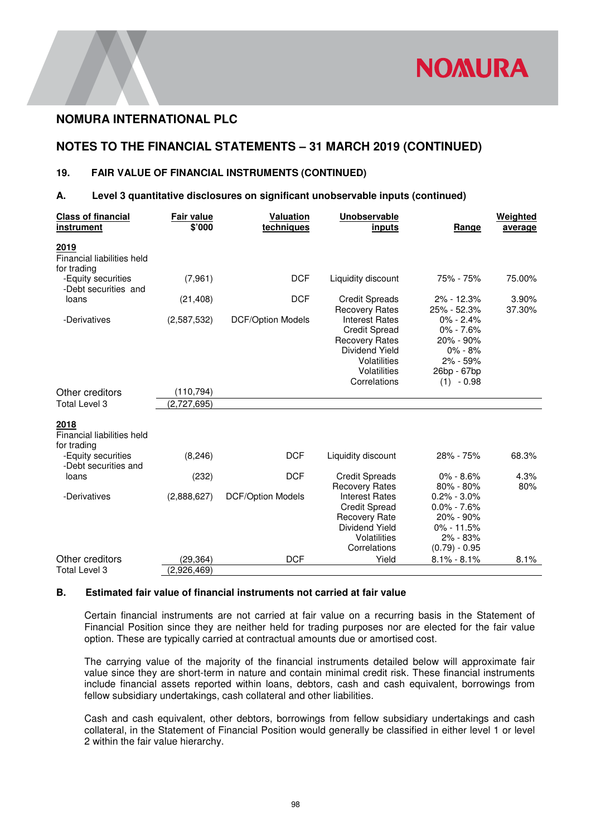

## **NOTES TO THE FINANCIAL STATEMENTS – 31 MARCH 2019 (CONTINUED)**

### **19. FAIR VALUE OF FINANCIAL INSTRUMENTS (CONTINUED)**

### **A. Level 3 quantitative disclosures on significant unobservable inputs (continued)**

| <b>Class of financial</b><br><i>instrument</i>    | <b>Fair value</b><br>\$'000 | Valuation<br>techniques  | <b>Unobservable</b><br><i>inputs</i>                                                                                                     | Range                                                                                                     | <b>Weighted</b><br>average |
|---------------------------------------------------|-----------------------------|--------------------------|------------------------------------------------------------------------------------------------------------------------------------------|-----------------------------------------------------------------------------------------------------------|----------------------------|
| 2019<br>Financial liabilities held<br>for trading |                             |                          |                                                                                                                                          |                                                                                                           |                            |
| -Equity securities<br>-Debt securities and        | (7,961)                     | <b>DCF</b>               | Liquidity discount                                                                                                                       | 75% - 75%                                                                                                 | 75.00%                     |
| loans                                             | (21, 408)                   | <b>DCF</b>               | <b>Credit Spreads</b><br><b>Recovery Rates</b>                                                                                           | 2% - 12.3%<br>25% - 52.3%                                                                                 | 3.90%<br>37.30%            |
| -Derivatives                                      | (2,587,532)                 | <b>DCF/Option Models</b> | <b>Interest Rates</b><br><b>Credit Spread</b><br><b>Recovery Rates</b><br>Dividend Yield<br>Volatilities<br>Volatilities<br>Correlations | $0\% - 2.4\%$<br>$0\% - 7.6\%$<br>20% - 90%<br>$0\% - 8\%$<br>$2\% - 59\%$<br>26bp - 67bp<br>$(1) - 0.98$ |                            |
| Other creditors                                   | (110,794)                   |                          |                                                                                                                                          |                                                                                                           |                            |
| Total Level 3                                     | (2,727,695)                 |                          |                                                                                                                                          |                                                                                                           |                            |
| 2018<br>Financial liabilities held<br>for trading |                             |                          |                                                                                                                                          |                                                                                                           |                            |
| -Equity securities<br>-Debt securities and        | (8, 246)                    | <b>DCF</b>               | Liquidity discount                                                                                                                       | 28% - 75%                                                                                                 | 68.3%                      |
| loans                                             | (232)                       | <b>DCF</b>               | <b>Credit Spreads</b><br><b>Recovery Rates</b>                                                                                           | $0\% - 8.6\%$<br>$80\% - 80\%$                                                                            | 4.3%<br>80%                |
| -Derivatives                                      | (2,888,627)                 | <b>DCF/Option Models</b> | <b>Interest Rates</b><br><b>Credit Spread</b><br><b>Recovery Rate</b><br>Dividend Yield<br>Volatilities<br>Correlations                  | $0.2\% - 3.0\%$<br>$0.0\% - 7.6\%$<br>$20\% - 90\%$<br>$0\% - 11.5\%$<br>$2\% - 83\%$<br>$(0.79) - 0.95$  |                            |
| Other creditors                                   | (29,364)                    | <b>DCF</b>               | Yield                                                                                                                                    | $8.1\% - 8.1\%$                                                                                           | 8.1%                       |
| Total Level 3                                     | (2.926.469)                 |                          |                                                                                                                                          |                                                                                                           |                            |

### **B. Estimated fair value of financial instruments not carried at fair value**

Certain financial instruments are not carried at fair value on a recurring basis in the Statement of Financial Position since they are neither held for trading purposes nor are elected for the fair value option. These are typically carried at contractual amounts due or amortised cost.

The carrying value of the majority of the financial instruments detailed below will approximate fair value since they are short-term in nature and contain minimal credit risk. These financial instruments include financial assets reported within loans, debtors, cash and cash equivalent, borrowings from fellow subsidiary undertakings, cash collateral and other liabilities.

Cash and cash equivalent, other debtors, borrowings from fellow subsidiary undertakings and cash collateral, in the Statement of Financial Position would generally be classified in either level 1 or level 2 within the fair value hierarchy.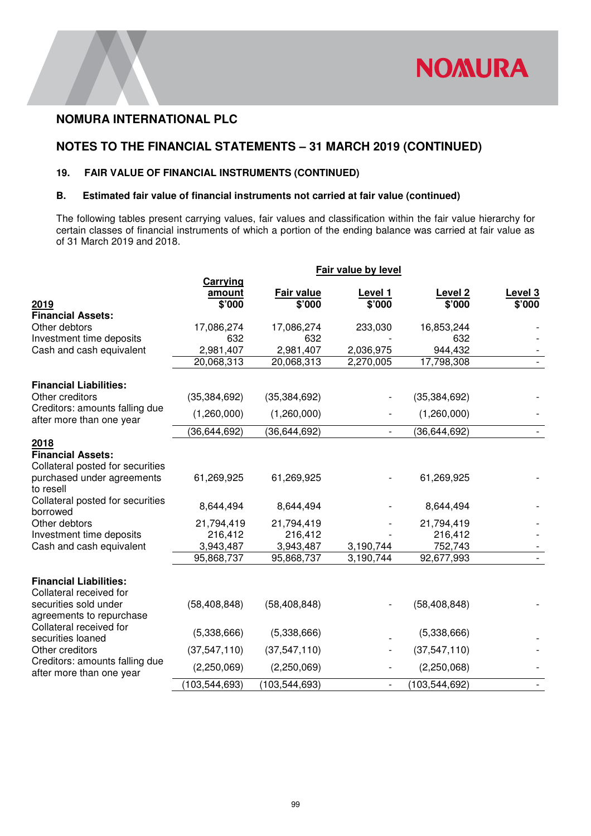

# **NOTES TO THE FINANCIAL STATEMENTS – 31 MARCH 2019 (CONTINUED)**

### **19. FAIR VALUE OF FINANCIAL INSTRUMENTS (CONTINUED)**

### **B. Estimated fair value of financial instruments not carried at fair value (continued)**

The following tables present carrying values, fair values and classification within the fair value hierarchy for certain classes of financial instruments of which a portion of the ending balance was carried at fair value as of 31 March 2019 and 2018.

|                                                                                                                 |                 |                   | Fair value by level      |                    |         |
|-----------------------------------------------------------------------------------------------------------------|-----------------|-------------------|--------------------------|--------------------|---------|
|                                                                                                                 | Carrying        |                   |                          |                    |         |
|                                                                                                                 | amount          | <b>Fair value</b> | Level 1                  | Level <sub>2</sub> | Level 3 |
| 2019                                                                                                            | \$'000          | \$'000            | $\bar{\$}$ '000          | \$'000             | \$'000  |
| <b>Financial Assets:</b>                                                                                        |                 |                   |                          |                    |         |
| Other debtors                                                                                                   | 17,086,274      | 17,086,274        | 233,030                  | 16,853,244         |         |
| Investment time deposits                                                                                        | 632             | 632               |                          | 632                |         |
| Cash and cash equivalent                                                                                        | 2,981,407       | 2,981,407         | 2,036,975                | 944,432            |         |
|                                                                                                                 | 20,068,313      | 20,068,313        | 2,270,005                | 17,798,308         |         |
| <b>Financial Liabilities:</b>                                                                                   |                 |                   |                          |                    |         |
| Other creditors                                                                                                 | (35, 384, 692)  | (35, 384, 692)    |                          | (35, 384, 692)     |         |
| Creditors: amounts falling due<br>after more than one year                                                      | (1,260,000)     | (1,260,000)       |                          | (1,260,000)        |         |
|                                                                                                                 | (36, 644, 692)  | (36, 644, 692)    | $\overline{\phantom{a}}$ | (36, 644, 692)     |         |
| 2018<br><b>Financial Assets:</b><br>Collateral posted for securities<br>purchased under agreements<br>to resell | 61,269,925      | 61,269,925        |                          | 61,269,925         |         |
| Collateral posted for securities<br>borrowed                                                                    | 8,644,494       | 8,644,494         |                          | 8,644,494          |         |
| Other debtors                                                                                                   | 21,794,419      | 21,794,419        |                          | 21,794,419         |         |
| Investment time deposits                                                                                        | 216,412         | 216,412           |                          | 216,412            |         |
| Cash and cash equivalent                                                                                        | 3,943,487       | 3,943,487         | 3,190,744                | 752,743            |         |
|                                                                                                                 | 95,868,737      | 95,868,737        | 3,190,744                | 92,677,993         |         |
| <b>Financial Liabilities:</b><br>Collateral received for<br>securities sold under                               | (58, 408, 848)  | (58, 408, 848)    |                          | (58, 408, 848)     |         |
| agreements to repurchase<br>Collateral received for<br>securities loaned                                        | (5,338,666)     | (5,338,666)       |                          | (5,338,666)        |         |
| Other creditors                                                                                                 | (37, 547, 110)  | (37, 547, 110)    |                          | (37, 547, 110)     |         |
| Creditors: amounts falling due<br>after more than one year                                                      | (2,250,069)     | (2,250,069)       |                          | (2,250,068)        |         |
|                                                                                                                 | (103, 544, 693) | (103, 544, 693)   |                          | (103, 544, 692)    |         |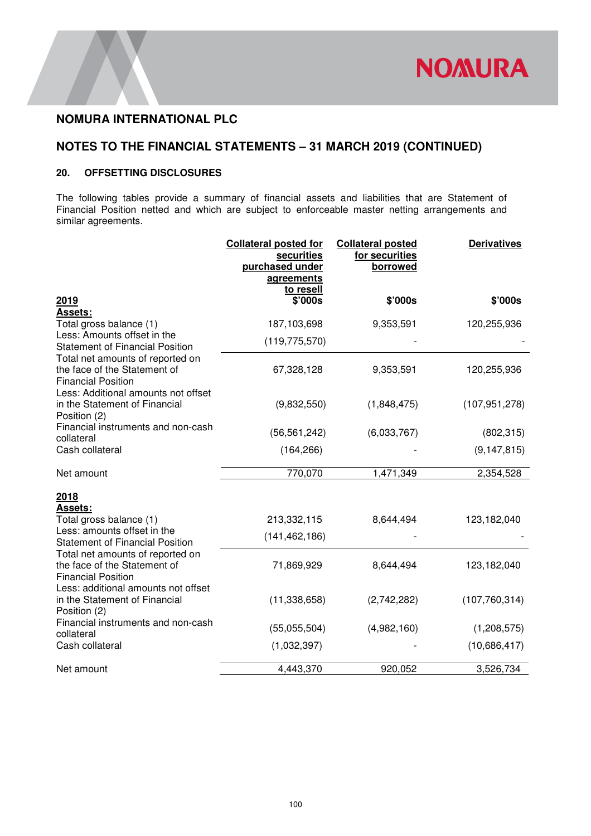

## **NOTES TO THE FINANCIAL STATEMENTS – 31 MARCH 2019 (CONTINUED)**

### **20. OFFSETTING DISCLOSURES**

The following tables provide a summary of financial assets and liabilities that are Statement of Financial Position netted and which are subject to enforceable master netting arrangements and similar agreements.

|                                                                                               | <b>Collateral posted for</b><br>securities<br>purchased under<br>agreements | <b>Collateral posted</b><br>for securities<br>borrowed | <b>Derivatives</b> |
|-----------------------------------------------------------------------------------------------|-----------------------------------------------------------------------------|--------------------------------------------------------|--------------------|
| 2019                                                                                          | to resell<br>\$'000s                                                        | \$'000s                                                | <b>\$'000s</b>     |
| <b>Assets:</b>                                                                                |                                                                             |                                                        |                    |
| Total gross balance (1)                                                                       | 187,103,698                                                                 | 9,353,591                                              | 120,255,936        |
| Less: Amounts offset in the<br><b>Statement of Financial Position</b>                         | (119, 775, 570)                                                             |                                                        |                    |
| Total net amounts of reported on<br>the face of the Statement of<br><b>Financial Position</b> | 67,328,128                                                                  | 9,353,591                                              | 120,255,936        |
| Less: Additional amounts not offset<br>in the Statement of Financial<br>Position (2)          | (9,832,550)                                                                 | (1,848,475)                                            | (107, 951, 278)    |
| Financial instruments and non-cash<br>collateral                                              | (56, 561, 242)                                                              | (6,033,767)                                            | (802, 315)         |
| Cash collateral                                                                               | (164, 266)                                                                  |                                                        | (9, 147, 815)      |
| Net amount                                                                                    | 770,070                                                                     | 1,471,349                                              | 2,354,528          |
| 2018<br><b>Assets:</b>                                                                        |                                                                             |                                                        |                    |
| Total gross balance (1)                                                                       | 213,332,115                                                                 | 8,644,494                                              | 123,182,040        |
| Less: amounts offset in the<br><b>Statement of Financial Position</b>                         | (141, 462, 186)                                                             |                                                        |                    |
| Total net amounts of reported on<br>the face of the Statement of<br><b>Financial Position</b> | 71,869,929                                                                  | 8,644,494                                              | 123,182,040        |
| Less: additional amounts not offset<br>in the Statement of Financial<br>Position (2)          | (11,338,658)                                                                | (2,742,282)                                            | (107, 760, 314)    |
| Financial instruments and non-cash<br>collateral                                              | (55,055,504)                                                                | (4,982,160)                                            | (1,208,575)        |
| Cash collateral                                                                               | (1,032,397)                                                                 |                                                        | (10,686,417)       |
| Net amount                                                                                    | 4,443,370                                                                   | 920,052                                                | 3,526,734          |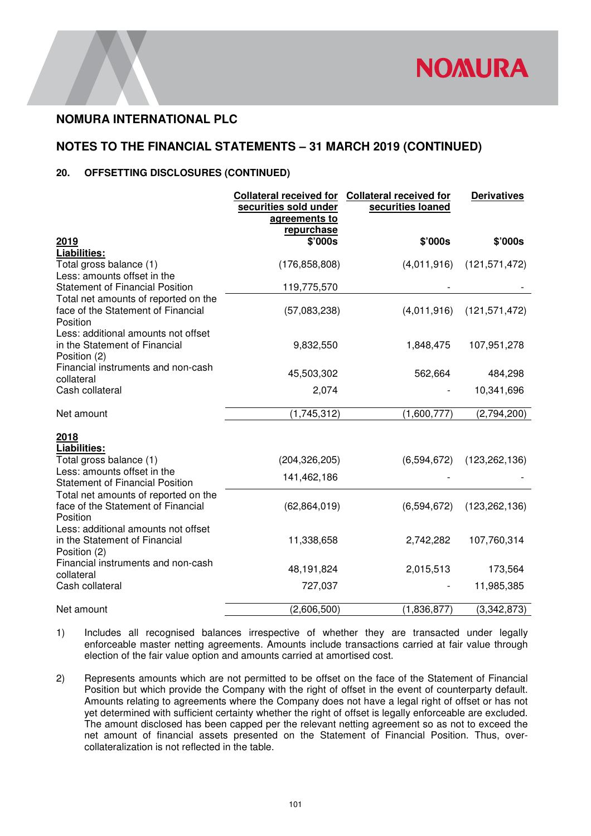

## **NOTES TO THE FINANCIAL STATEMENTS – 31 MARCH 2019 (CONTINUED)**

### **20. OFFSETTING DISCLOSURES (CONTINUED)**

|                                                                       | <b>Collateral received for</b><br>securities sold under | <b>Collateral received for</b><br>securities loaned | <b>Derivatives</b> |
|-----------------------------------------------------------------------|---------------------------------------------------------|-----------------------------------------------------|--------------------|
|                                                                       | agreements to                                           |                                                     |                    |
|                                                                       | <b>repurchase</b>                                       |                                                     |                    |
| 2019                                                                  | \$'000s                                                 | \$'000s                                             | \$'000s            |
| <b>Liabilities:</b>                                                   |                                                         |                                                     |                    |
| Total gross balance (1)                                               | (176, 858, 808)                                         | (4,011,916)                                         | (121, 571, 472)    |
| Less: amounts offset in the                                           |                                                         |                                                     |                    |
| <b>Statement of Financial Position</b>                                | 119,775,570                                             |                                                     |                    |
| Total net amounts of reported on the                                  |                                                         |                                                     |                    |
| face of the Statement of Financial<br>Position                        | (57,083,238)                                            | (4,011,916)                                         | (121, 571, 472)    |
| Less: additional amounts not offset                                   |                                                         |                                                     |                    |
| in the Statement of Financial<br>Position (2)                         | 9,832,550                                               | 1,848,475                                           | 107,951,278        |
| Financial instruments and non-cash                                    |                                                         |                                                     |                    |
| collateral                                                            | 45,503,302                                              | 562,664                                             | 484,298            |
| Cash collateral                                                       | 2,074                                                   |                                                     | 10,341,696         |
| Net amount                                                            | (1,745,312)                                             | (1,600,777)                                         | (2,794,200)        |
| 2018                                                                  |                                                         |                                                     |                    |
| <b>Liabilities:</b>                                                   |                                                         |                                                     |                    |
| Total gross balance (1)                                               | (204, 326, 205)                                         | (6,594,672)                                         | (123, 262, 136)    |
| Less: amounts offset in the<br><b>Statement of Financial Position</b> | 141,462,186                                             |                                                     |                    |
| Total net amounts of reported on the                                  |                                                         |                                                     |                    |
| face of the Statement of Financial<br>Position                        | (62, 864, 019)                                          | (6,594,672)                                         | (123, 262, 136)    |
| Less: additional amounts not offset                                   |                                                         |                                                     |                    |
| in the Statement of Financial                                         | 11,338,658                                              | 2,742,282                                           | 107,760,314        |
| Position (2)<br>Financial instruments and non-cash                    |                                                         |                                                     |                    |
| collateral                                                            | 48,191,824                                              | 2,015,513                                           | 173,564            |
| Cash collateral                                                       | 727,037                                                 |                                                     | 11,985,385         |
|                                                                       |                                                         |                                                     |                    |
| Net amount                                                            | (2,606,500)                                             | (1,836,877)                                         | (3,342,873)        |

- 1) Includes all recognised balances irrespective of whether they are transacted under legally enforceable master netting agreements. Amounts include transactions carried at fair value through election of the fair value option and amounts carried at amortised cost.
- 2) Represents amounts which are not permitted to be offset on the face of the Statement of Financial Position but which provide the Company with the right of offset in the event of counterparty default. Amounts relating to agreements where the Company does not have a legal right of offset or has not yet determined with sufficient certainty whether the right of offset is legally enforceable are excluded. The amount disclosed has been capped per the relevant netting agreement so as not to exceed the net amount of financial assets presented on the Statement of Financial Position. Thus, overcollateralization is not reflected in the table.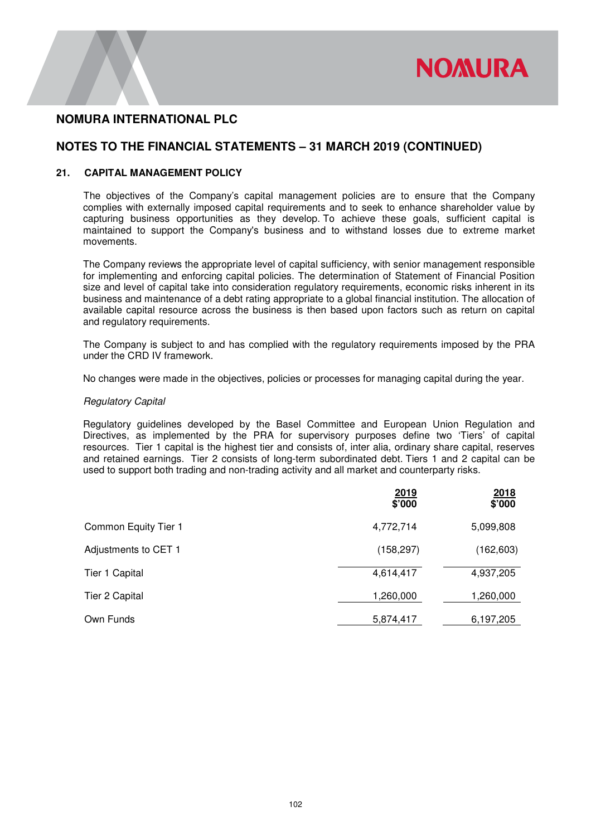

## **NOTES TO THE FINANCIAL STATEMENTS – 31 MARCH 2019 (CONTINUED)**

### **21. CAPITAL MANAGEMENT POLICY**

The objectives of the Company's capital management policies are to ensure that the Company complies with externally imposed capital requirements and to seek to enhance shareholder value by capturing business opportunities as they develop. To achieve these goals, sufficient capital is maintained to support the Company's business and to withstand losses due to extreme market movements.

The Company reviews the appropriate level of capital sufficiency, with senior management responsible for implementing and enforcing capital policies. The determination of Statement of Financial Position size and level of capital take into consideration regulatory requirements, economic risks inherent in its business and maintenance of a debt rating appropriate to a global financial institution. The allocation of available capital resource across the business is then based upon factors such as return on capital and regulatory requirements.

The Company is subject to and has complied with the regulatory requirements imposed by the PRA under the CRD IV framework.

No changes were made in the objectives, policies or processes for managing capital during the year.

### Regulatory Capital

Regulatory guidelines developed by the Basel Committee and European Union Regulation and Directives, as implemented by the PRA for supervisory purposes define two 'Tiers' of capital resources. Tier 1 capital is the highest tier and consists of, inter alia, ordinary share capital, reserves and retained earnings. Tier 2 consists of long-term subordinated debt. Tiers 1 and 2 capital can be used to support both trading and non-trading activity and all market and counterparty risks.

|                      | 2019<br>\$'000 | <u>2018</u><br>\$'000 |
|----------------------|----------------|-----------------------|
| Common Equity Tier 1 | 4,772,714      | 5,099,808             |
| Adjustments to CET 1 | (158, 297)     | (162, 603)            |
| Tier 1 Capital       | 4,614,417      | 4,937,205             |
| Tier 2 Capital       | 1,260,000      | 1,260,000             |
| Own Funds            | 5,874,417      | 6,197,205             |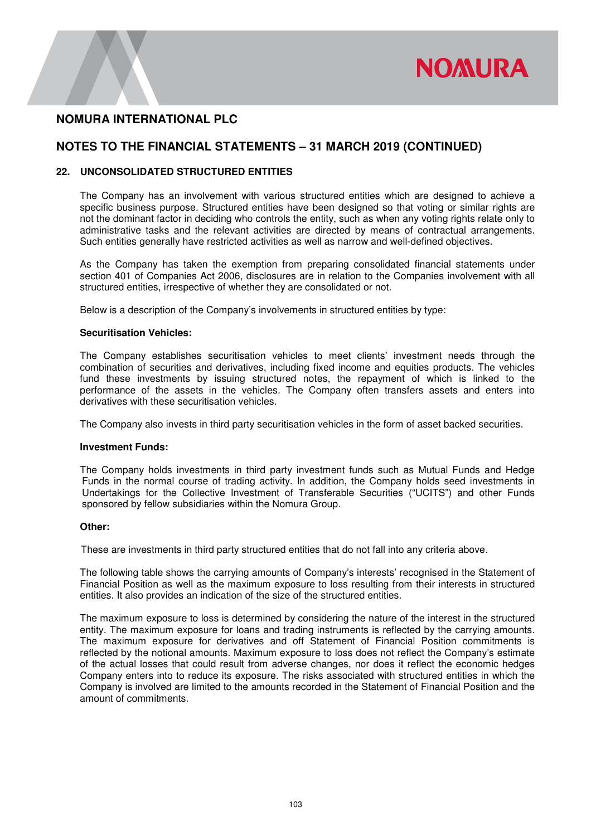

## **NOTES TO THE FINANCIAL STATEMENTS – 31 MARCH 2019 (CONTINUED)**

### **22. UNCONSOLIDATED STRUCTURED ENTITIES**

The Company has an involvement with various structured entities which are designed to achieve a specific business purpose. Structured entities have been designed so that voting or similar rights are not the dominant factor in deciding who controls the entity, such as when any voting rights relate only to administrative tasks and the relevant activities are directed by means of contractual arrangements. Such entities generally have restricted activities as well as narrow and well-defined objectives.

As the Company has taken the exemption from preparing consolidated financial statements under section 401 of Companies Act 2006, disclosures are in relation to the Companies involvement with all structured entities, irrespective of whether they are consolidated or not.

Below is a description of the Company's involvements in structured entities by type:

### **Securitisation Vehicles:**

The Company establishes securitisation vehicles to meet clients' investment needs through the combination of securities and derivatives, including fixed income and equities products. The vehicles fund these investments by issuing structured notes, the repayment of which is linked to the performance of the assets in the vehicles. The Company often transfers assets and enters into derivatives with these securitisation vehicles.

The Company also invests in third party securitisation vehicles in the form of asset backed securities.

#### **Investment Funds:**

The Company holds investments in third party investment funds such as Mutual Funds and Hedge Funds in the normal course of trading activity. In addition, the Company holds seed investments in Undertakings for the Collective Investment of Transferable Securities ("UCITS") and other Funds sponsored by fellow subsidiaries within the Nomura Group.

#### **Other:**

These are investments in third party structured entities that do not fall into any criteria above.

The following table shows the carrying amounts of Company's interests' recognised in the Statement of Financial Position as well as the maximum exposure to loss resulting from their interests in structured entities. It also provides an indication of the size of the structured entities.

The maximum exposure to loss is determined by considering the nature of the interest in the structured entity. The maximum exposure for loans and trading instruments is reflected by the carrying amounts. The maximum exposure for derivatives and off Statement of Financial Position commitments is reflected by the notional amounts. Maximum exposure to loss does not reflect the Company's estimate of the actual losses that could result from adverse changes, nor does it reflect the economic hedges Company enters into to reduce its exposure. The risks associated with structured entities in which the Company is involved are limited to the amounts recorded in the Statement of Financial Position and the amount of commitments.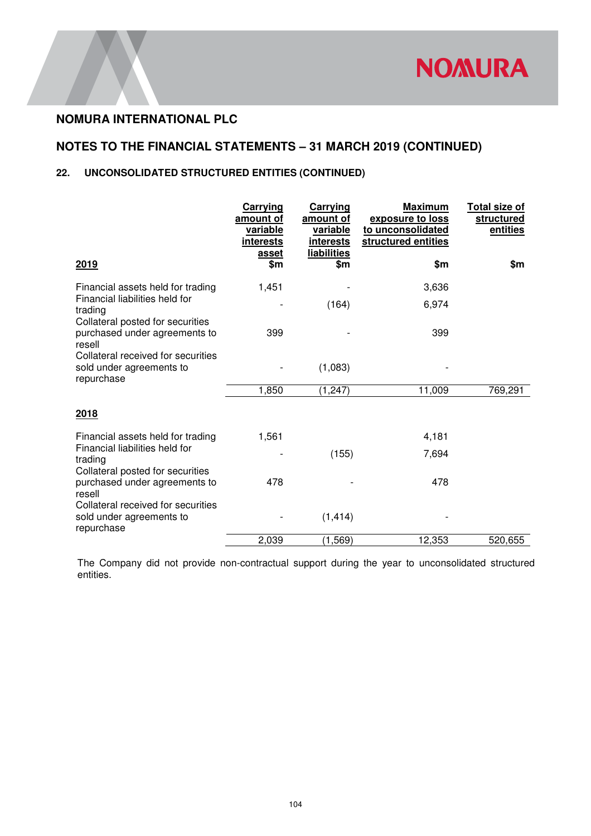

## **NOTES TO THE FINANCIAL STATEMENTS – 31 MARCH 2019 (CONTINUED)**

## **22. UNCONSOLIDATED STRUCTURED ENTITIES (CONTINUED)**

|                                                                                                                   | Carrying<br>amount of<br>variable<br>interests<br><u>asset</u> | <b>Carrying</b><br>amount of<br>variable<br><i>interests</i><br><b>liabilities</b> | <b>Maximum</b><br>exposure to loss<br>to unconsolidated<br>structured entities | <b>Total size of</b><br>structured<br>entities |
|-------------------------------------------------------------------------------------------------------------------|----------------------------------------------------------------|------------------------------------------------------------------------------------|--------------------------------------------------------------------------------|------------------------------------------------|
| 2019                                                                                                              | \$m                                                            | \$m                                                                                | \$m                                                                            | \$m                                            |
| Financial assets held for trading                                                                                 | 1,451                                                          |                                                                                    | 3,636                                                                          |                                                |
| Financial liabilities held for<br>trading                                                                         |                                                                | (164)                                                                              | 6,974                                                                          |                                                |
| Collateral posted for securities<br>purchased under agreements to<br>resell<br>Collateral received for securities | 399                                                            |                                                                                    | 399                                                                            |                                                |
| sold under agreements to<br>repurchase                                                                            |                                                                | (1,083)                                                                            |                                                                                |                                                |
|                                                                                                                   | 1,850                                                          | (1, 247)                                                                           | 11,009                                                                         | 769,291                                        |
| <u>2018</u>                                                                                                       |                                                                |                                                                                    |                                                                                |                                                |
| Financial assets held for trading                                                                                 | 1,561                                                          |                                                                                    | 4,181                                                                          |                                                |
| Financial liabilities held for<br>trading                                                                         |                                                                | (155)                                                                              | 7,694                                                                          |                                                |
| Collateral posted for securities<br>purchased under agreements to<br>resell                                       | 478                                                            |                                                                                    | 478                                                                            |                                                |
| Collateral received for securities<br>sold under agreements to<br>repurchase                                      |                                                                | (1, 414)                                                                           |                                                                                |                                                |
|                                                                                                                   | 2,039                                                          | (1, 569)                                                                           | 12,353                                                                         | 520,655                                        |

The Company did not provide non-contractual support during the year to unconsolidated structured entities.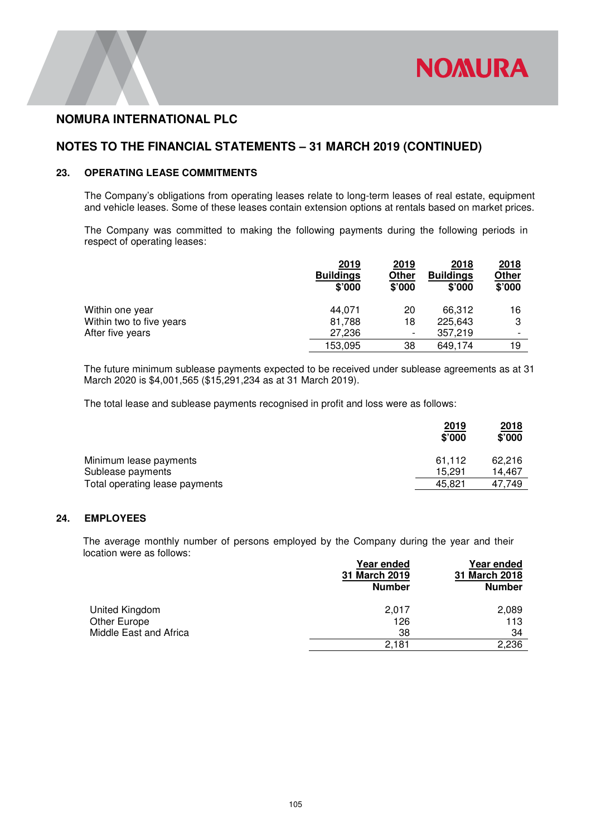

## **NOTES TO THE FINANCIAL STATEMENTS – 31 MARCH 2019 (CONTINUED)**

### **23. OPERATING LEASE COMMITMENTS**

The Company's obligations from operating leases relate to long-term leases of real estate, equipment and vehicle leases. Some of these leases contain extension options at rentals based on market prices.

The Company was committed to making the following payments during the following periods in respect of operating leases:

|                          | 2019<br><b>Buildings</b><br>\$'000 | 2019<br><b>Other</b><br>\$'000 | 2018<br><b>Buildings</b><br>\$'000 | 2018<br><b>Other</b><br>\$'000 |
|--------------------------|------------------------------------|--------------------------------|------------------------------------|--------------------------------|
| Within one year          | 44.071                             | 20                             | 66,312                             | 16                             |
| Within two to five years | 81,788                             | 18                             | 225,643                            | 3                              |
| After five years         | 27,236                             | $\overline{\phantom{a}}$       | 357,219                            | $\overline{\phantom{0}}$       |
|                          | 153,095                            | 38                             | 649,174                            | 19                             |

The future minimum sublease payments expected to be received under sublease agreements as at 31 March 2020 is \$4,001,565 (\$15,291,234 as at 31 March 2019).

The total lease and sublease payments recognised in profit and loss were as follows:

|                                | 2019<br>\$'000 | <u>2018</u><br>\$'000 |
|--------------------------------|----------------|-----------------------|
| Minimum lease payments         | 61.112         | 62.216                |
| Sublease payments              | 15.291         | 14.467                |
| Total operating lease payments | 45.821         | 47.749                |

### **24. EMPLOYEES**

The average monthly number of persons employed by the Company during the year and their location were as follows:

|                        | Year ended<br>31 March 2019<br><b>Number</b> | Year ended<br>31 March 2018<br><b>Number</b> |
|------------------------|----------------------------------------------|----------------------------------------------|
| United Kingdom         | 2,017                                        | 2,089                                        |
| Other Europe           | 126                                          | 113                                          |
| Middle East and Africa | 38                                           | 34                                           |
|                        | 2,181                                        | 2,236                                        |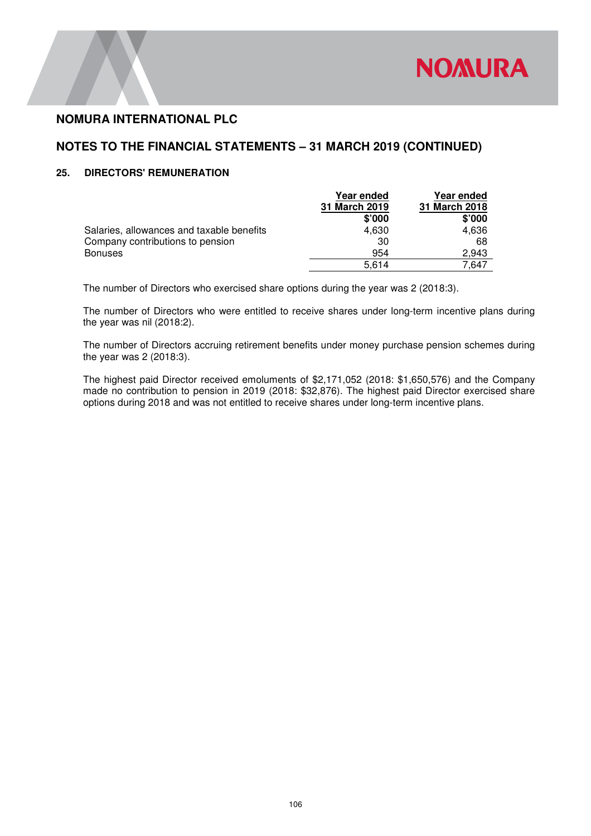## **NOTES TO THE FINANCIAL STATEMENTS – 31 MARCH 2019 (CONTINUED)**

### **25. DIRECTORS' REMUNERATION**

|                                           | Year ended    | Year ended    |
|-------------------------------------------|---------------|---------------|
|                                           | 31 March 2019 | 31 March 2018 |
|                                           | \$'000        | \$'000        |
| Salaries, allowances and taxable benefits | 4,630         | 4,636         |
| Company contributions to pension          | 30            | 68            |
| <b>Bonuses</b>                            | 954           | 2.943         |
|                                           | 5.614         | 7.647         |

The number of Directors who exercised share options during the year was 2 (2018:3).

The number of Directors who were entitled to receive shares under long-term incentive plans during the year was nil (2018:2).

The number of Directors accruing retirement benefits under money purchase pension schemes during the year was 2 (2018:3).

The highest paid Director received emoluments of \$2,171,052 (2018: \$1,650,576) and the Company made no contribution to pension in 2019 (2018: \$32,876). The highest paid Director exercised share options during 2018 and was not entitled to receive shares under long-term incentive plans.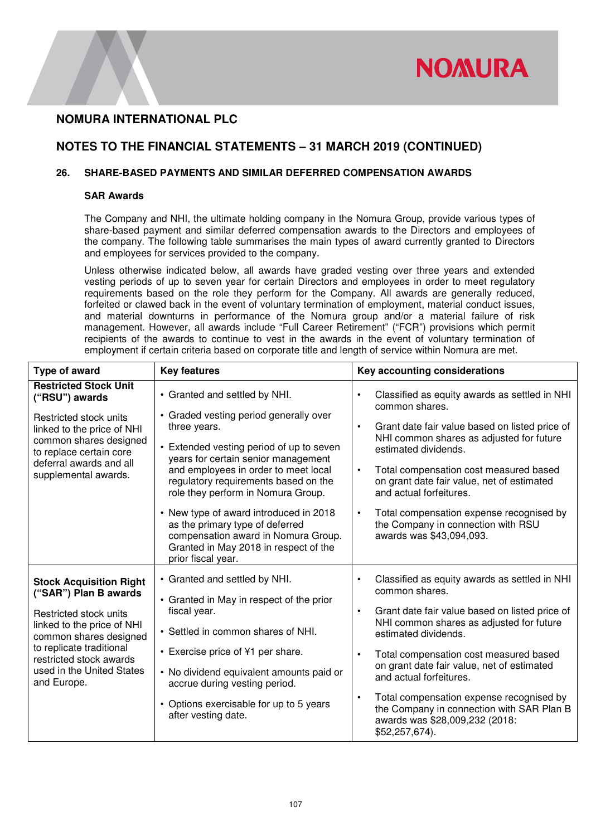

## **NOTES TO THE FINANCIAL STATEMENTS – 31 MARCH 2019 (CONTINUED)**

### **26. SHARE-BASED PAYMENTS AND SIMILAR DEFERRED COMPENSATION AWARDS**

#### **SAR Awards**

 The Company and NHI, the ultimate holding company in the Nomura Group, provide various types of share-based payment and similar deferred compensation awards to the Directors and employees of the company. The following table summarises the main types of award currently granted to Directors and employees for services provided to the company.

 Unless otherwise indicated below, all awards have graded vesting over three years and extended vesting periods of up to seven year for certain Directors and employees in order to meet regulatory requirements based on the role they perform for the Company. All awards are generally reduced, forfeited or clawed back in the event of voluntary termination of employment, material conduct issues, and material downturns in performance of the Nomura group and/or a material failure of risk management. However, all awards include "Full Career Retirement" ("FCR") provisions which permit recipients of the awards to continue to vest in the awards in the event of voluntary termination of employment if certain criteria based on corporate title and length of service within Nomura are met.

| Type of award                                                                                                                                                                                                                                | <b>Key features</b>                                                                                                                                                                                                                                                                                                                                                                                                                                                                 | Key accounting considerations                                                                                                                                                                                                                                                                                                                                                                                                                                                   |
|----------------------------------------------------------------------------------------------------------------------------------------------------------------------------------------------------------------------------------------------|-------------------------------------------------------------------------------------------------------------------------------------------------------------------------------------------------------------------------------------------------------------------------------------------------------------------------------------------------------------------------------------------------------------------------------------------------------------------------------------|---------------------------------------------------------------------------------------------------------------------------------------------------------------------------------------------------------------------------------------------------------------------------------------------------------------------------------------------------------------------------------------------------------------------------------------------------------------------------------|
| <b>Restricted Stock Unit</b><br>("RSU") awards<br>Restricted stock units<br>linked to the price of NHI<br>common shares designed<br>to replace certain core<br>deferral awards and all<br>supplemental awards.                               | • Granted and settled by NHI.<br>• Graded vesting period generally over<br>three years.<br>• Extended vesting period of up to seven<br>years for certain senior management<br>and employees in order to meet local<br>regulatory requirements based on the<br>role they perform in Nomura Group.<br>• New type of award introduced in 2018<br>as the primary type of deferred<br>compensation award in Nomura Group.<br>Granted in May 2018 in respect of the<br>prior fiscal year. | Classified as equity awards as settled in NHI<br>common shares.<br>Grant date fair value based on listed price of<br>NHI common shares as adjusted for future<br>estimated dividends.<br>Total compensation cost measured based<br>$\bullet$<br>on grant date fair value, net of estimated<br>and actual forfeitures.<br>Total compensation expense recognised by<br>the Company in connection with RSU<br>awards was \$43,094,093.                                             |
| <b>Stock Acquisition Right</b><br>("SAR") Plan B awards<br>Restricted stock units<br>linked to the price of NHI<br>common shares designed<br>to replicate traditional<br>restricted stock awards<br>used in the United States<br>and Europe. | • Granted and settled by NHI.<br>• Granted in May in respect of the prior<br>fiscal year.<br>• Settled in common shares of NHI.<br>• Exercise price of ¥1 per share.<br>• No dividend equivalent amounts paid or<br>accrue during vesting period.<br>• Options exercisable for up to 5 years<br>after vesting date.                                                                                                                                                                 | Classified as equity awards as settled in NHI<br>common shares.<br>Grant date fair value based on listed price of<br>$\bullet$<br>NHI common shares as adjusted for future<br>estimated dividends.<br>Total compensation cost measured based<br>on grant date fair value, net of estimated<br>and actual forfeitures.<br>Total compensation expense recognised by<br>$\bullet$<br>the Company in connection with SAR Plan B<br>awards was \$28,009,232 (2018:<br>\$52,257,674). |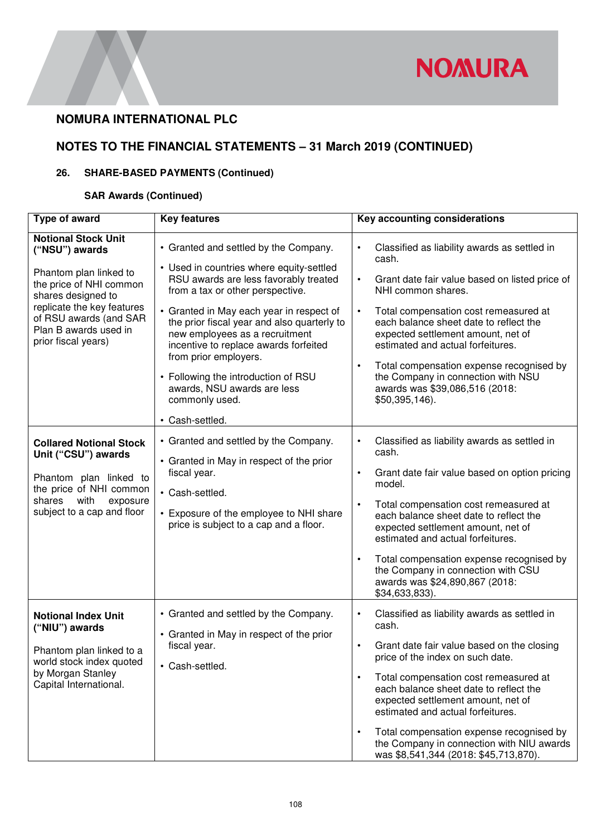

# **NOTES TO THE FINANCIAL STATEMENTS – 31 March 2019 (CONTINUED)**

# **26. SHARE-BASED PAYMENTS (Continued)**

### **SAR Awards (Continued)**

| Type of award                                                                                                                                                                                                                   | <b>Key features</b>                                                                                                                                                                                                                                                                                                                                                                                                                                                      | Key accounting considerations                                                                                                                                                                                                                                                                                                                                                                                                                                     |  |  |
|---------------------------------------------------------------------------------------------------------------------------------------------------------------------------------------------------------------------------------|--------------------------------------------------------------------------------------------------------------------------------------------------------------------------------------------------------------------------------------------------------------------------------------------------------------------------------------------------------------------------------------------------------------------------------------------------------------------------|-------------------------------------------------------------------------------------------------------------------------------------------------------------------------------------------------------------------------------------------------------------------------------------------------------------------------------------------------------------------------------------------------------------------------------------------------------------------|--|--|
| <b>Notional Stock Unit</b><br>("NSU") awards<br>Phantom plan linked to<br>the price of NHI common<br>shares designed to<br>replicate the key features<br>of RSU awards (and SAR<br>Plan B awards used in<br>prior fiscal years) | • Granted and settled by the Company.<br>• Used in countries where equity-settled<br>RSU awards are less favorably treated<br>from a tax or other perspective.<br>• Granted in May each year in respect of<br>the prior fiscal year and also quarterly to<br>new employees as a recruitment<br>incentive to replace awards forfeited<br>from prior employers.<br>• Following the introduction of RSU<br>awards, NSU awards are less<br>commonly used.<br>• Cash-settled. | Classified as liability awards as settled in<br>cash.<br>Grant date fair value based on listed price of<br>$\bullet$<br>NHI common shares.<br>Total compensation cost remeasured at<br>each balance sheet date to reflect the<br>expected settlement amount, net of<br>estimated and actual forfeitures.<br>Total compensation expense recognised by<br>the Company in connection with NSU<br>awards was \$39,086,516 (2018:<br>\$50,395,146).                    |  |  |
| <b>Collared Notional Stock</b><br>Unit ("CSU") awards<br>Phantom plan linked to<br>the price of NHI common<br>shares<br>with<br>exposure<br>subject to a cap and floor                                                          | • Granted and settled by the Company.<br>• Granted in May in respect of the prior<br>fiscal year.<br>• Cash-settled.<br>• Exposure of the employee to NHI share<br>price is subject to a cap and a floor.                                                                                                                                                                                                                                                                | Classified as liability awards as settled in<br>cash.<br>Grant date fair value based on option pricing<br>model.<br>Total compensation cost remeasured at<br>each balance sheet date to reflect the<br>expected settlement amount, net of<br>estimated and actual forfeitures.<br>Total compensation expense recognised by<br>$\bullet$<br>the Company in connection with CSU<br>awards was \$24,890,867 (2018:<br>\$34,633,833).                                 |  |  |
| <b>Notional Index Unit</b><br>("NIU") awards<br>Phantom plan linked to a<br>world stock index quoted<br>by Morgan Stanley<br>Capital International.                                                                             | • Granted and settled by the Company.<br>• Granted in May in respect of the prior<br>fiscal year.<br>• Cash-settled.                                                                                                                                                                                                                                                                                                                                                     | Classified as liability awards as settled in<br>cash.<br>Grant date fair value based on the closing<br>price of the index on such date.<br>Total compensation cost remeasured at<br>$\bullet$<br>each balance sheet date to reflect the<br>expected settlement amount, net of<br>estimated and actual forfeitures.<br>Total compensation expense recognised by<br>$\bullet$<br>the Company in connection with NIU awards<br>was \$8,541,344 (2018: \$45,713,870). |  |  |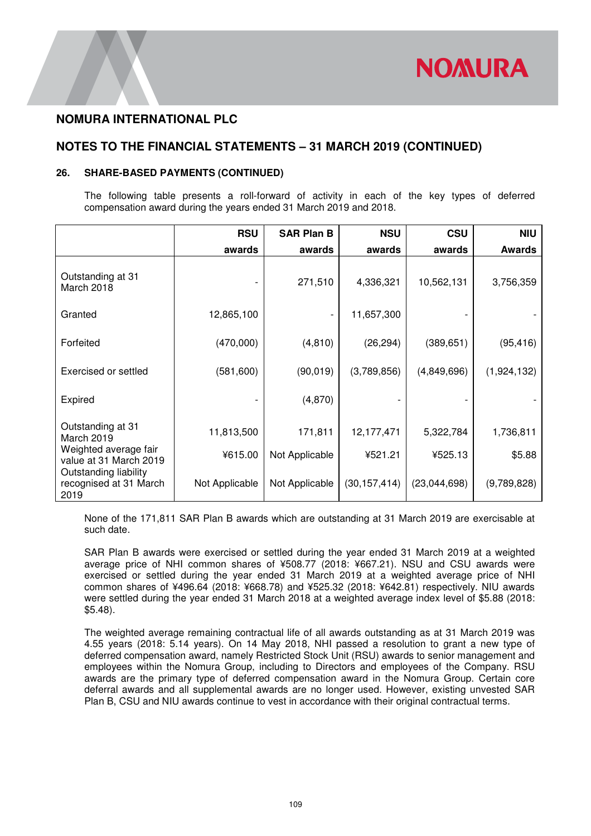### **NOTES TO THE FINANCIAL STATEMENTS – 31 MARCH 2019 (CONTINUED)**

#### **26. SHARE-BASED PAYMENTS (CONTINUED)**

The following table presents a roll-forward of activity in each of the key types of deferred compensation award during the years ended 31 March 2019 and 2018.

|                                                         | <b>RSU</b>     | <b>SAR Plan B</b> | <b>NSU</b>     | <b>CSU</b>   | <b>NIU</b>    |
|---------------------------------------------------------|----------------|-------------------|----------------|--------------|---------------|
|                                                         | awards         | awards            | awards         | awards       | <b>Awards</b> |
| Outstanding at 31<br>March 2018                         |                | 271,510           | 4,336,321      | 10,562,131   | 3,756,359     |
| Granted                                                 | 12,865,100     |                   | 11,657,300     |              |               |
| Forfeited                                               | (470,000)      | (4, 810)          | (26, 294)      | (389, 651)   | (95, 416)     |
| Exercised or settled                                    | (581,600)      | (90, 019)         | (3,789,856)    | (4,849,696)  | (1,924,132)   |
| Expired                                                 |                | (4,870)           |                |              |               |
| Outstanding at 31<br>March 2019                         | 11,813,500     | 171,811           | 12,177,471     | 5,322,784    | 1,736,811     |
| Weighted average fair<br>value at 31 March 2019         | ¥615.00        | Not Applicable    | ¥521.21        | ¥525.13      | \$5.88        |
| Outstanding liability<br>recognised at 31 March<br>2019 | Not Applicable | Not Applicable    | (30, 157, 414) | (23,044,698) | (9,789,828)   |

None of the 171,811 SAR Plan B awards which are outstanding at 31 March 2019 are exercisable at such date.

SAR Plan B awards were exercised or settled during the year ended 31 March 2019 at a weighted average price of NHI common shares of ¥508.77 (2018: ¥667.21). NSU and CSU awards were exercised or settled during the year ended 31 March 2019 at a weighted average price of NHI common shares of ¥496.64 (2018: ¥668.78) and ¥525.32 (2018: ¥642.81) respectively. NIU awards were settled during the year ended 31 March 2018 at a weighted average index level of \$5.88 (2018: \$5.48).

The weighted average remaining contractual life of all awards outstanding as at 31 March 2019 was 4.55 years (2018: 5.14 years). On 14 May 2018, NHI passed a resolution to grant a new type of deferred compensation award, namely Restricted Stock Unit (RSU) awards to senior management and employees within the Nomura Group, including to Directors and employees of the Company. RSU awards are the primary type of deferred compensation award in the Nomura Group. Certain core deferral awards and all supplemental awards are no longer used. However, existing unvested SAR Plan B, CSU and NIU awards continue to vest in accordance with their original contractual terms.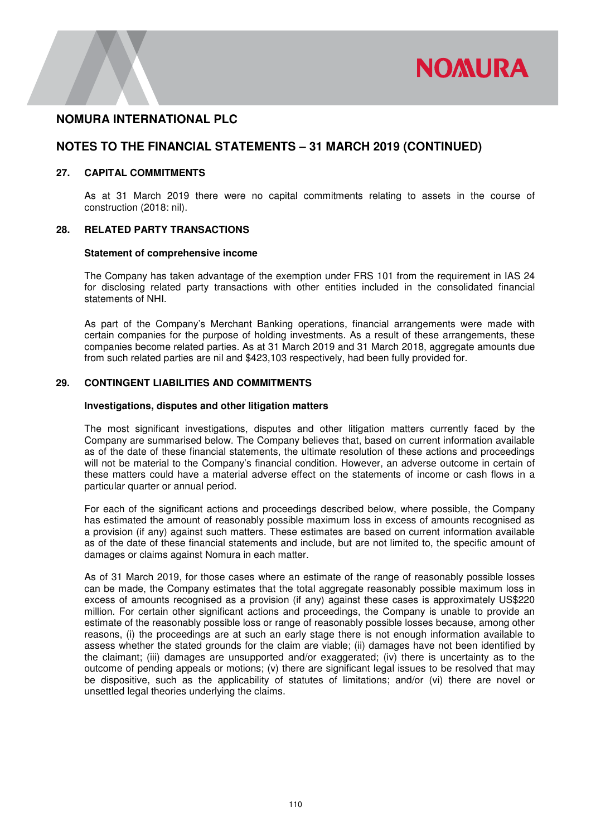

### **NOTES TO THE FINANCIAL STATEMENTS – 31 MARCH 2019 (CONTINUED)**

#### **27. CAPITAL COMMITMENTS**

 As at 31 March 2019 there were no capital commitments relating to assets in the course of construction (2018: nil).

#### **28. RELATED PARTY TRANSACTIONS**

#### **Statement of comprehensive income**

The Company has taken advantage of the exemption under FRS 101 from the requirement in IAS 24 for disclosing related party transactions with other entities included in the consolidated financial statements of NHI.

 As part of the Company's Merchant Banking operations, financial arrangements were made with certain companies for the purpose of holding investments. As a result of these arrangements, these companies become related parties. As at 31 March 2019 and 31 March 2018, aggregate amounts due from such related parties are nil and \$423,103 respectively, had been fully provided for.

#### **29. CONTINGENT LIABILITIES AND COMMITMENTS**

#### **Investigations, disputes and other litigation matters**

The most significant investigations, disputes and other litigation matters currently faced by the Company are summarised below. The Company believes that, based on current information available as of the date of these financial statements, the ultimate resolution of these actions and proceedings will not be material to the Company's financial condition. However, an adverse outcome in certain of these matters could have a material adverse effect on the statements of income or cash flows in a particular quarter or annual period.

For each of the significant actions and proceedings described below, where possible, the Company has estimated the amount of reasonably possible maximum loss in excess of amounts recognised as a provision (if any) against such matters. These estimates are based on current information available as of the date of these financial statements and include, but are not limited to, the specific amount of damages or claims against Nomura in each matter.

As of 31 March 2019, for those cases where an estimate of the range of reasonably possible losses can be made, the Company estimates that the total aggregate reasonably possible maximum loss in excess of amounts recognised as a provision (if any) against these cases is approximately US\$220 million. For certain other significant actions and proceedings, the Company is unable to provide an estimate of the reasonably possible loss or range of reasonably possible losses because, among other reasons, (i) the proceedings are at such an early stage there is not enough information available to assess whether the stated grounds for the claim are viable; (ii) damages have not been identified by the claimant; (iii) damages are unsupported and/or exaggerated; (iv) there is uncertainty as to the outcome of pending appeals or motions; (v) there are significant legal issues to be resolved that may be dispositive, such as the applicability of statutes of limitations; and/or (vi) there are novel or unsettled legal theories underlying the claims.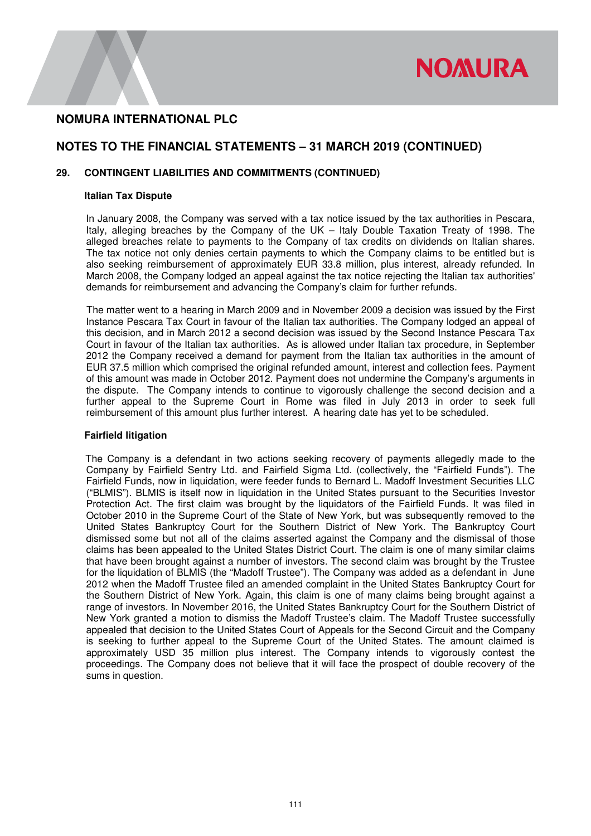

### **NOTES TO THE FINANCIAL STATEMENTS – 31 MARCH 2019 (CONTINUED)**

#### **29. CONTINGENT LIABILITIES AND COMMITMENTS (CONTINUED)**

#### **Italian Tax Dispute**

 In January 2008, the Company was served with a tax notice issued by the tax authorities in Pescara, Italy, alleging breaches by the Company of the UK – Italy Double Taxation Treaty of 1998. The alleged breaches relate to payments to the Company of tax credits on dividends on Italian shares. The tax notice not only denies certain payments to which the Company claims to be entitled but is also seeking reimbursement of approximately EUR 33.8 million, plus interest, already refunded. In March 2008, the Company lodged an appeal against the tax notice rejecting the Italian tax authorities' demands for reimbursement and advancing the Company's claim for further refunds.

 The matter went to a hearing in March 2009 and in November 2009 a decision was issued by the First Instance Pescara Tax Court in favour of the Italian tax authorities. The Company lodged an appeal of this decision, and in March 2012 a second decision was issued by the Second Instance Pescara Tax Court in favour of the Italian tax authorities. As is allowed under Italian tax procedure, in September 2012 the Company received a demand for payment from the Italian tax authorities in the amount of EUR 37.5 million which comprised the original refunded amount, interest and collection fees. Payment of this amount was made in October 2012. Payment does not undermine the Company's arguments in the dispute. The Company intends to continue to vigorously challenge the second decision and a further appeal to the Supreme Court in Rome was filed in July 2013 in order to seek full reimbursement of this amount plus further interest. A hearing date has yet to be scheduled.

#### **Fairfield litigation**

 The Company is a defendant in two actions seeking recovery of payments allegedly made to the Company by Fairfield Sentry Ltd. and Fairfield Sigma Ltd. (collectively, the "Fairfield Funds"). The Fairfield Funds, now in liquidation, were feeder funds to Bernard L. Madoff Investment Securities LLC ("BLMIS"). BLMIS is itself now in liquidation in the United States pursuant to the Securities Investor Protection Act. The first claim was brought by the liquidators of the Fairfield Funds. It was filed in October 2010 in the Supreme Court of the State of New York, but was subsequently removed to the United States Bankruptcy Court for the Southern District of New York. The Bankruptcy Court dismissed some but not all of the claims asserted against the Company and the dismissal of those claims has been appealed to the United States District Court. The claim is one of many similar claims that have been brought against a number of investors. The second claim was brought by the Trustee for the liquidation of BLMIS (the "Madoff Trustee"). The Company was added as a defendant in June 2012 when the Madoff Trustee filed an amended complaint in the United States Bankruptcy Court for the Southern District of New York. Again, this claim is one of many claims being brought against a range of investors. In November 2016, the United States Bankruptcy Court for the Southern District of New York granted a motion to dismiss the Madoff Trustee's claim. The Madoff Trustee successfully appealed that decision to the United States Court of Appeals for the Second Circuit and the Company is seeking to further appeal to the Supreme Court of the United States. The amount claimed is approximately USD 35 million plus interest. The Company intends to vigorously contest the proceedings. The Company does not believe that it will face the prospect of double recovery of the sums in question.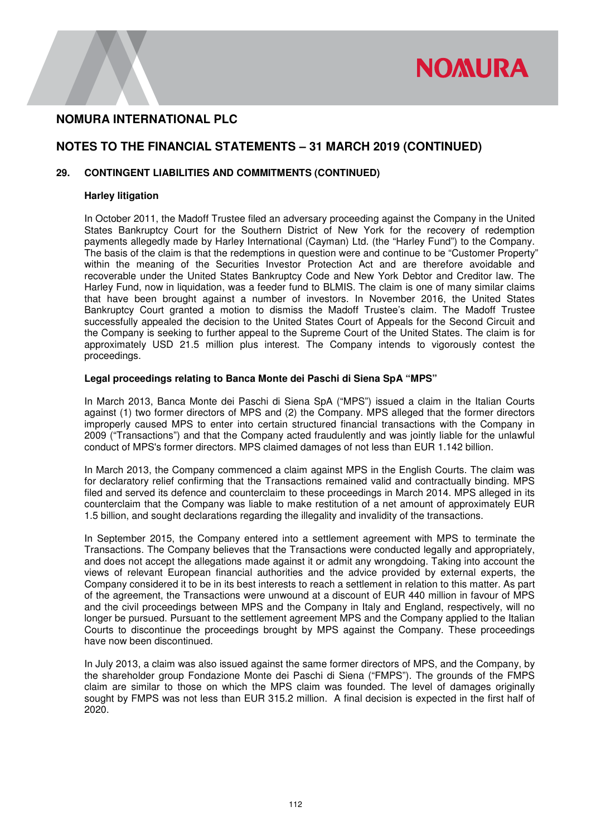

### **NOTES TO THE FINANCIAL STATEMENTS – 31 MARCH 2019 (CONTINUED)**

#### **29. CONTINGENT LIABILITIES AND COMMITMENTS (CONTINUED)**

#### **Harley litigation**

In October 2011, the Madoff Trustee filed an adversary proceeding against the Company in the United States Bankruptcy Court for the Southern District of New York for the recovery of redemption payments allegedly made by Harley International (Cayman) Ltd. (the "Harley Fund") to the Company. The basis of the claim is that the redemptions in question were and continue to be "Customer Property" within the meaning of the Securities Investor Protection Act and are therefore avoidable and recoverable under the United States Bankruptcy Code and New York Debtor and Creditor law. The Harley Fund, now in liquidation, was a feeder fund to BLMIS. The claim is one of many similar claims that have been brought against a number of investors. In November 2016, the United States Bankruptcy Court granted a motion to dismiss the Madoff Trustee's claim. The Madoff Trustee successfully appealed the decision to the United States Court of Appeals for the Second Circuit and the Company is seeking to further appeal to the Supreme Court of the United States. The claim is for approximately USD 21.5 million plus interest. The Company intends to vigorously contest the proceedings.

#### **Legal proceedings relating to Banca Monte dei Paschi di Siena SpA "MPS"**

In March 2013, Banca Monte dei Paschi di Siena SpA ("MPS") issued a claim in the Italian Courts against (1) two former directors of MPS and (2) the Company. MPS alleged that the former directors improperly caused MPS to enter into certain structured financial transactions with the Company in 2009 ("Transactions") and that the Company acted fraudulently and was jointly liable for the unlawful conduct of MPS's former directors. MPS claimed damages of not less than EUR 1.142 billion.

In March 2013, the Company commenced a claim against MPS in the English Courts. The claim was for declaratory relief confirming that the Transactions remained valid and contractually binding. MPS filed and served its defence and counterclaim to these proceedings in March 2014. MPS alleged in its counterclaim that the Company was liable to make restitution of a net amount of approximately EUR 1.5 billion, and sought declarations regarding the illegality and invalidity of the transactions.

In September 2015, the Company entered into a settlement agreement with MPS to terminate the Transactions. The Company believes that the Transactions were conducted legally and appropriately, and does not accept the allegations made against it or admit any wrongdoing. Taking into account the views of relevant European financial authorities and the advice provided by external experts, the Company considered it to be in its best interests to reach a settlement in relation to this matter. As part of the agreement, the Transactions were unwound at a discount of EUR 440 million in favour of MPS and the civil proceedings between MPS and the Company in Italy and England, respectively, will no longer be pursued. Pursuant to the settlement agreement MPS and the Company applied to the Italian Courts to discontinue the proceedings brought by MPS against the Company. These proceedings have now been discontinued.

In July 2013, a claim was also issued against the same former directors of MPS, and the Company, by the shareholder group Fondazione Monte dei Paschi di Siena ("FMPS"). The grounds of the FMPS claim are similar to those on which the MPS claim was founded. The level of damages originally sought by FMPS was not less than EUR 315.2 million. A final decision is expected in the first half of 2020.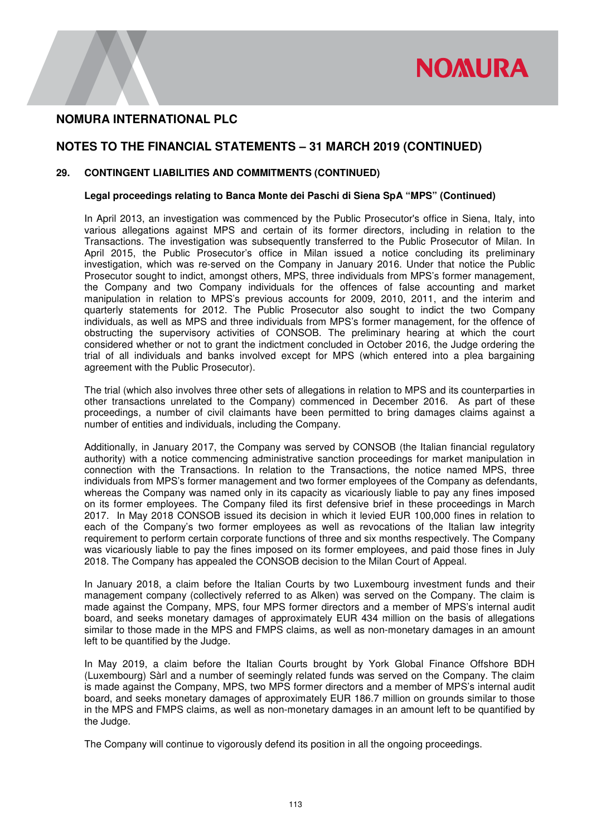

### **NOTES TO THE FINANCIAL STATEMENTS – 31 MARCH 2019 (CONTINUED)**

#### **29. CONTINGENT LIABILITIES AND COMMITMENTS (CONTINUED)**

#### **Legal proceedings relating to Banca Monte dei Paschi di Siena SpA "MPS" (Continued)**

In April 2013, an investigation was commenced by the Public Prosecutor's office in Siena, Italy, into various allegations against MPS and certain of its former directors, including in relation to the Transactions. The investigation was subsequently transferred to the Public Prosecutor of Milan. In April 2015, the Public Prosecutor's office in Milan issued a notice concluding its preliminary investigation, which was re-served on the Company in January 2016. Under that notice the Public Prosecutor sought to indict, amongst others, MPS, three individuals from MPS's former management, the Company and two Company individuals for the offences of false accounting and market manipulation in relation to MPS's previous accounts for 2009, 2010, 2011, and the interim and quarterly statements for 2012. The Public Prosecutor also sought to indict the two Company individuals, as well as MPS and three individuals from MPS's former management, for the offence of obstructing the supervisory activities of CONSOB. The preliminary hearing at which the court considered whether or not to grant the indictment concluded in October 2016, the Judge ordering the trial of all individuals and banks involved except for MPS (which entered into a plea bargaining agreement with the Public Prosecutor).

The trial (which also involves three other sets of allegations in relation to MPS and its counterparties in other transactions unrelated to the Company) commenced in December 2016. As part of these proceedings, a number of civil claimants have been permitted to bring damages claims against a number of entities and individuals, including the Company.

Additionally, in January 2017, the Company was served by CONSOB (the Italian financial regulatory authority) with a notice commencing administrative sanction proceedings for market manipulation in connection with the Transactions. In relation to the Transactions, the notice named MPS, three individuals from MPS's former management and two former employees of the Company as defendants, whereas the Company was named only in its capacity as vicariously liable to pay any fines imposed on its former employees. The Company filed its first defensive brief in these proceedings in March 2017. In May 2018 CONSOB issued its decision in which it levied EUR 100,000 fines in relation to each of the Company's two former employees as well as revocations of the Italian law integrity requirement to perform certain corporate functions of three and six months respectively. The Company was vicariously liable to pay the fines imposed on its former employees, and paid those fines in July 2018. The Company has appealed the CONSOB decision to the Milan Court of Appeal.

In January 2018, a claim before the Italian Courts by two Luxembourg investment funds and their management company (collectively referred to as Alken) was served on the Company. The claim is made against the Company, MPS, four MPS former directors and a member of MPS's internal audit board, and seeks monetary damages of approximately EUR 434 million on the basis of allegations similar to those made in the MPS and FMPS claims, as well as non-monetary damages in an amount left to be quantified by the Judge.

In May 2019, a claim before the Italian Courts brought by York Global Finance Offshore BDH (Luxembourg) Sàrl and a number of seemingly related funds was served on the Company. The claim is made against the Company, MPS, two MPS former directors and a member of MPS's internal audit board, and seeks monetary damages of approximately EUR 186.7 million on grounds similar to those in the MPS and FMPS claims, as well as non-monetary damages in an amount left to be quantified by the Judge.

The Company will continue to vigorously defend its position in all the ongoing proceedings.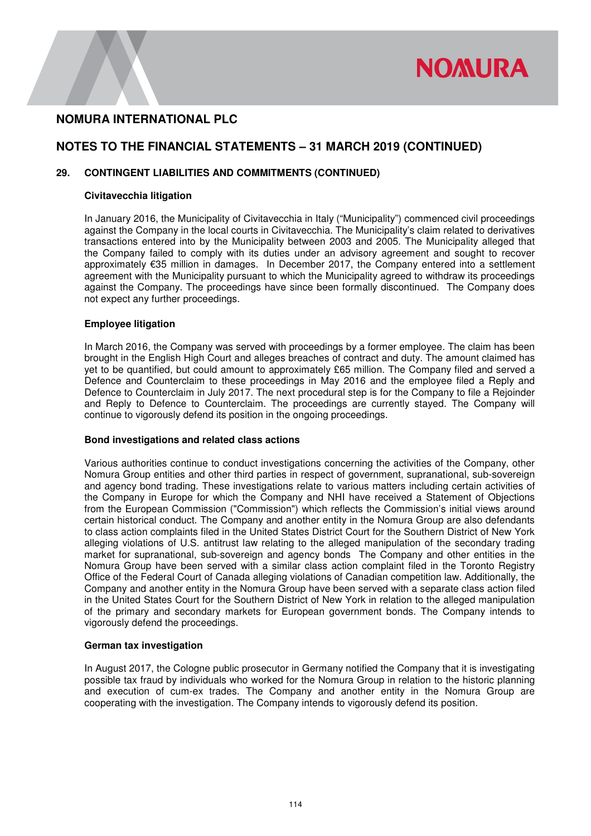

### **NOTES TO THE FINANCIAL STATEMENTS – 31 MARCH 2019 (CONTINUED)**

#### **29. CONTINGENT LIABILITIES AND COMMITMENTS (CONTINUED)**

#### **Civitavecchia litigation**

In January 2016, the Municipality of Civitavecchia in Italy ("Municipality") commenced civil proceedings against the Company in the local courts in Civitavecchia. The Municipality's claim related to derivatives transactions entered into by the Municipality between 2003 and 2005. The Municipality alleged that the Company failed to comply with its duties under an advisory agreement and sought to recover approximately €35 million in damages. In December 2017, the Company entered into a settlement agreement with the Municipality pursuant to which the Municipality agreed to withdraw its proceedings against the Company. The proceedings have since been formally discontinued. The Company does not expect any further proceedings.

#### **Employee litigation**

In March 2016, the Company was served with proceedings by a former employee. The claim has been brought in the English High Court and alleges breaches of contract and duty. The amount claimed has yet to be quantified, but could amount to approximately £65 million. The Company filed and served a Defence and Counterclaim to these proceedings in May 2016 and the employee filed a Reply and Defence to Counterclaim in July 2017. The next procedural step is for the Company to file a Rejoinder and Reply to Defence to Counterclaim. The proceedings are currently stayed. The Company will continue to vigorously defend its position in the ongoing proceedings.

#### **Bond investigations and related class actions**

Various authorities continue to conduct investigations concerning the activities of the Company, other Nomura Group entities and other third parties in respect of government, supranational, sub-sovereign and agency bond trading. These investigations relate to various matters including certain activities of the Company in Europe for which the Company and NHI have received a Statement of Objections from the European Commission ("Commission") which reflects the Commission's initial views around certain historical conduct. The Company and another entity in the Nomura Group are also defendants to class action complaints filed in the United States District Court for the Southern District of New York alleging violations of U.S. antitrust law relating to the alleged manipulation of the secondary trading market for supranational, sub-sovereign and agency bonds The Company and other entities in the Nomura Group have been served with a similar class action complaint filed in the Toronto Registry Office of the Federal Court of Canada alleging violations of Canadian competition law. Additionally, the Company and another entity in the Nomura Group have been served with a separate class action filed in the United States Court for the Southern District of New York in relation to the alleged manipulation of the primary and secondary markets for European government bonds. The Company intends to vigorously defend the proceedings.

#### **German tax investigation**

In August 2017, the Cologne public prosecutor in Germany notified the Company that it is investigating possible tax fraud by individuals who worked for the Nomura Group in relation to the historic planning and execution of cum-ex trades. The Company and another entity in the Nomura Group are cooperating with the investigation. The Company intends to vigorously defend its position.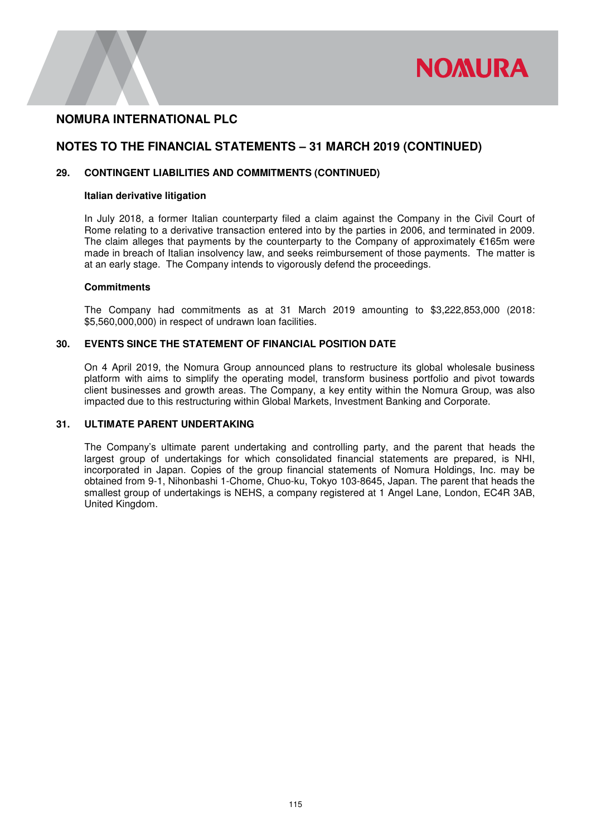

### **NOTES TO THE FINANCIAL STATEMENTS – 31 MARCH 2019 (CONTINUED)**

#### **29. CONTINGENT LIABILITIES AND COMMITMENTS (CONTINUED)**

#### **Italian derivative litigation**

In July 2018, a former Italian counterparty filed a claim against the Company in the Civil Court of Rome relating to a derivative transaction entered into by the parties in 2006, and terminated in 2009. The claim alleges that payments by the counterparty to the Company of approximately €165m were made in breach of Italian insolvency law, and seeks reimbursement of those payments. The matter is at an early stage. The Company intends to vigorously defend the proceedings.

#### **Commitments**

The Company had commitments as at 31 March 2019 amounting to \$3,222,853,000 (2018: \$5,560,000,000) in respect of undrawn loan facilities.

#### **30. EVENTS SINCE THE STATEMENT OF FINANCIAL POSITION DATE**

On 4 April 2019, the Nomura Group announced plans to restructure its global wholesale business platform with aims to simplify the operating model, transform business portfolio and pivot towards client businesses and growth areas. The Company, a key entity within the Nomura Group, was also impacted due to this restructuring within Global Markets, Investment Banking and Corporate.

#### **31. ULTIMATE PARENT UNDERTAKING**

The Company's ultimate parent undertaking and controlling party, and the parent that heads the largest group of undertakings for which consolidated financial statements are prepared, is NHI, incorporated in Japan. Copies of the group financial statements of Nomura Holdings, Inc. may be obtained from 9-1, Nihonbashi 1-Chome, Chuo-ku, Tokyo 103-8645, Japan. The parent that heads the smallest group of undertakings is NEHS, a company registered at 1 Angel Lane, London, EC4R 3AB, United Kingdom.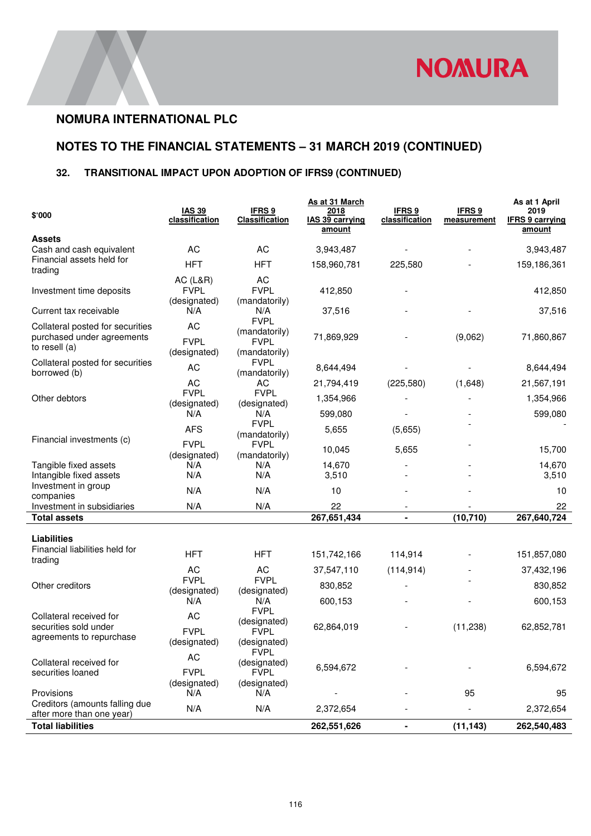

# **NOTES TO THE FINANCIAL STATEMENTS – 31 MARCH 2019 (CONTINUED)**

# **32. TRANSITIONAL IMPACT UPON ADOPTION OF IFRS9 (CONTINUED)**

| \$'000                                                      | <b>IAS 39</b><br>classification | IFRS <sub>9</sub><br><b>Classification</b> | As at 31 March<br>2018<br>IAS 39 carrying<br>amount | IFRS <sub>9</sub><br>classification | <b>IFRS 9</b><br>measurement | As at 1 April<br>2019<br><b>IFRS 9 carrying</b><br><u>amount</u> |
|-------------------------------------------------------------|---------------------------------|--------------------------------------------|-----------------------------------------------------|-------------------------------------|------------------------------|------------------------------------------------------------------|
| <b>Assets</b><br>Cash and cash equivalent                   | AC                              | AC                                         | 3,943,487                                           |                                     |                              | 3,943,487                                                        |
| Financial assets held for                                   | <b>HFT</b>                      | <b>HFT</b>                                 | 158,960,781                                         | 225,580                             |                              | 159,186,361                                                      |
| trading                                                     | <b>AC (L&amp;R)</b>             | AC                                         |                                                     |                                     |                              |                                                                  |
| Investment time deposits                                    | <b>FVPL</b>                     | <b>FVPL</b>                                | 412,850                                             |                                     |                              | 412,850                                                          |
| Current tax receivable                                      | (designated)<br>N/A             | (mandatorily)<br>N/A                       | 37,516                                              |                                     |                              | 37,516                                                           |
| Collateral posted for securities                            | AC                              | <b>FVPL</b><br>(mandatorily)               |                                                     |                                     |                              |                                                                  |
| purchased under agreements<br>to resell (a)                 | <b>FVPL</b>                     | <b>FVPL</b>                                | 71,869,929                                          |                                     | (9,062)                      | 71,860,867                                                       |
| Collateral posted for securities                            | (designated)                    | (mandatorily)<br><b>FVPL</b>               |                                                     |                                     |                              |                                                                  |
| borrowed (b)                                                | <b>AC</b>                       | (mandatorily)                              | 8,644,494                                           |                                     |                              | 8,644,494                                                        |
|                                                             | AC<br><b>FVPL</b>               | AC<br><b>FVPL</b>                          | 21,794,419                                          | (225, 580)                          | (1,648)                      | 21,567,191                                                       |
| Other debtors                                               | (designated)                    | (designated)                               | 1,354,966                                           |                                     |                              | 1,354,966                                                        |
|                                                             | N/A                             | N/A                                        | 599,080                                             |                                     |                              | 599,080                                                          |
|                                                             | <b>AFS</b>                      | <b>FVPL</b><br>(mandatorily)               | 5.655                                               | (5,655)                             |                              |                                                                  |
| Financial investments (c)                                   | <b>FVPL</b><br>(designated)     | <b>FVPL</b><br>(mandatorily)               | 10,045                                              | 5,655                               |                              | 15,700                                                           |
| Tangible fixed assets                                       | N/A                             | N/A                                        | 14,670                                              |                                     |                              | 14,670                                                           |
| Intangible fixed assets<br>Investment in group              | N/A                             | N/A                                        | 3,510                                               |                                     |                              | 3,510                                                            |
| companies                                                   | N/A                             | N/A                                        | 10                                                  |                                     |                              | 10                                                               |
| Investment in subsidiaries                                  | N/A                             | N/A                                        | 22                                                  |                                     |                              | 22<br>267,640,724                                                |
| <b>Total assets</b>                                         |                                 |                                            | 267,651,434                                         |                                     | (10, 710)                    |                                                                  |
| <b>Liabilities</b>                                          |                                 |                                            |                                                     |                                     |                              |                                                                  |
| Financial liabilities held for<br>trading                   | <b>HFT</b>                      | <b>HFT</b>                                 | 151,742,166                                         | 114,914                             |                              | 151,857,080                                                      |
|                                                             | AC                              | AC                                         | 37,547,110                                          | (114, 914)                          |                              | 37,432,196                                                       |
| Other creditors                                             | <b>FVPL</b><br>(designated)     | <b>FVPL</b><br>(designated)                | 830,852                                             |                                     |                              | 830,852                                                          |
|                                                             | N/A                             | N/A                                        | 600,153                                             |                                     |                              | 600,153                                                          |
| Collateral received for                                     | AC                              | <b>FVPI</b><br>(designated)                |                                                     |                                     |                              |                                                                  |
| securities sold under<br>agreements to repurchase           | <b>FVPL</b>                     | <b>FVPL</b>                                | 62,864,019                                          |                                     | (11, 238)                    | 62,852,781                                                       |
|                                                             | (designated)                    | (designated)<br><b>FVPL</b>                |                                                     |                                     |                              |                                                                  |
| Collateral received for                                     | AC                              | (designated)                               | 6,594,672                                           |                                     |                              | 6,594,672                                                        |
| securities loaned                                           | <b>FVPL</b><br>(designated)     | <b>FVPL</b><br>(designated)                |                                                     |                                     |                              |                                                                  |
| Provisions                                                  | N/A                             | N/A                                        |                                                     |                                     | 95                           | 95                                                               |
| Creditors (amounts falling due<br>after more than one year) | N/A                             | N/A                                        | 2,372,654                                           |                                     |                              | 2,372,654                                                        |
| <b>Total liabilities</b>                                    |                                 |                                            | 262,551,626                                         | -                                   | (11, 143)                    | 262,540,483                                                      |